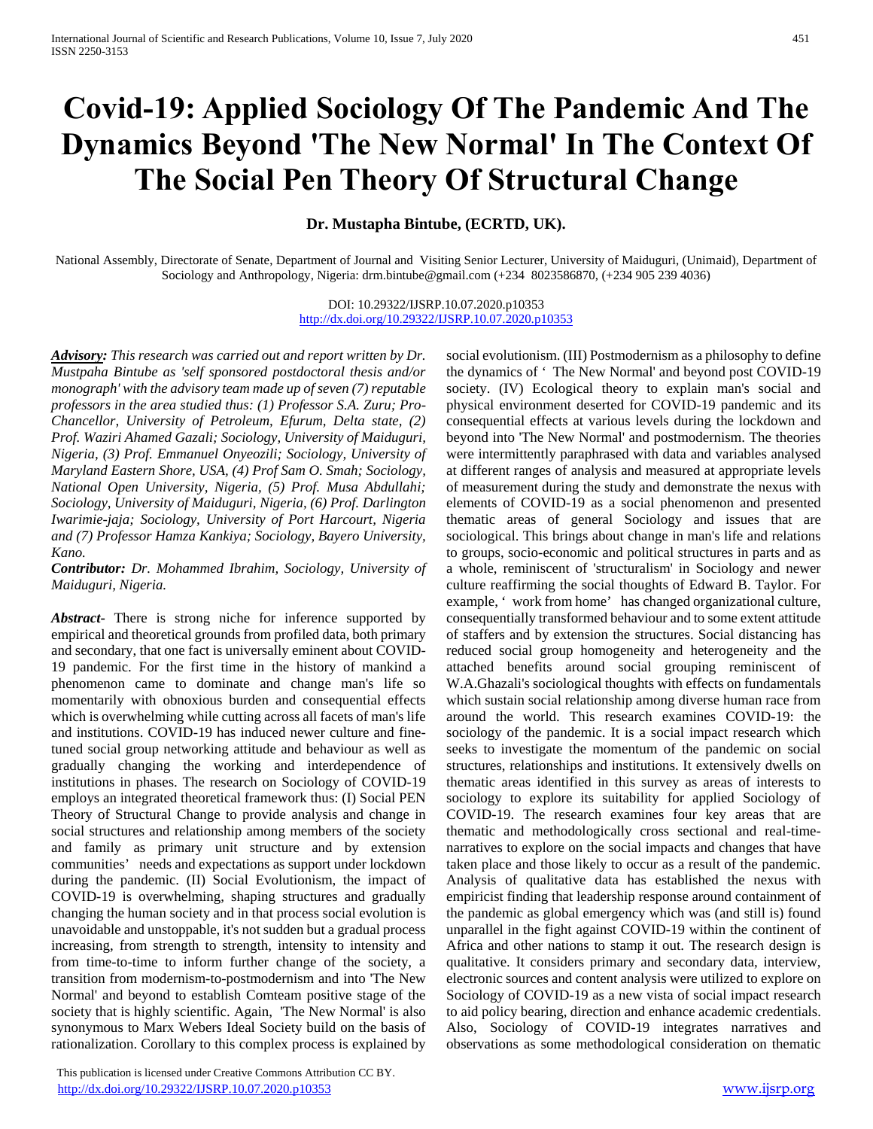# **Covid-19: Applied Sociology Of The Pandemic And The Dynamics Beyond 'The New Normal' In The Context Of The Social Pen Theory Of Structural Change**

**Dr. Mustapha Bintube, (ECRTD, UK).**

National Assembly, Directorate of Senate, Department of Journal and Visiting Senior Lecturer, University of Maiduguri, (Unimaid), Department of Sociology and Anthropology, Nigeria: drm.bintube@gmail.com (+234 8023586870, (+234 905 239 4036)

> DOI: 10.29322/IJSRP.10.07.2020.p10353 <http://dx.doi.org/10.29322/IJSRP.10.07.2020.p10353>

*Advisory: This research was carried out and report written by Dr. Mustpaha Bintube as 'self sponsored postdoctoral thesis and/or monograph' with the advisory team made up of seven (7) reputable professors in the area studied thus: (1) Professor S.A. Zuru; Pro-Chancellor, University of Petroleum, Efurum, Delta state, (2) Prof. Waziri Ahamed Gazali; Sociology, University of Maiduguri, Nigeria, (3) Prof. Emmanuel Onyeozili; Sociology, University of Maryland Eastern Shore, USA, (4) Prof Sam O. Smah; Sociology, National Open University, Nigeria, (5) Prof. Musa Abdullahi; Sociology, University of Maiduguri, Nigeria, (6) Prof. Darlington Iwarimie-jaja; Sociology, University of Port Harcourt, Nigeria and (7) Professor Hamza Kankiya; Sociology, Bayero University, Kano.* 

*Contributor: Dr. Mohammed Ibrahim, Sociology, University of Maiduguri, Nigeria.*

*Abstract***-** There is strong niche for inference supported by empirical and theoretical grounds from profiled data, both primary and secondary, that one fact is universally eminent about COVID-19 pandemic. For the first time in the history of mankind a phenomenon came to dominate and change man's life so momentarily with obnoxious burden and consequential effects which is overwhelming while cutting across all facets of man's life and institutions. COVID-19 has induced newer culture and finetuned social group networking attitude and behaviour as well as gradually changing the working and interdependence of institutions in phases. The research on Sociology of COVID-19 employs an integrated theoretical framework thus: (I) Social PEN Theory of Structural Change to provide analysis and change in social structures and relationship among members of the society and family as primary unit structure and by extension communities' needs and expectations as support under lockdown during the pandemic. (II) Social Evolutionism, the impact of COVID-19 is overwhelming, shaping structures and gradually changing the human society and in that process social evolution is unavoidable and unstoppable, it's not sudden but a gradual process increasing, from strength to strength, intensity to intensity and from time-to-time to inform further change of the society, a transition from modernism-to-postmodernism and into 'The New Normal' and beyond to establish Comteam positive stage of the society that is highly scientific. Again, 'The New Normal' is also synonymous to Marx Webers Ideal Society build on the basis of rationalization. Corollary to this complex process is explained by

 This publication is licensed under Creative Commons Attribution CC BY. <http://dx.doi.org/10.29322/IJSRP.10.07.2020.p10353> [www.ijsrp.org](http://ijsrp.org/)

social evolutionism. (III) Postmodernism as a philosophy to define the dynamics of ' The New Normal' and beyond post COVID-19 society. (IV) Ecological theory to explain man's social and physical environment deserted for COVID-19 pandemic and its consequential effects at various levels during the lockdown and beyond into 'The New Normal' and postmodernism. The theories were intermittently paraphrased with data and variables analysed at different ranges of analysis and measured at appropriate levels of measurement during the study and demonstrate the nexus with elements of COVID-19 as a social phenomenon and presented thematic areas of general Sociology and issues that are sociological. This brings about change in man's life and relations to groups, socio-economic and political structures in parts and as a whole, reminiscent of 'structuralism' in Sociology and newer culture reaffirming the social thoughts of Edward B. Taylor. For example, ' work from home' has changed organizational culture, consequentially transformed behaviour and to some extent attitude of staffers and by extension the structures. Social distancing has reduced social group homogeneity and heterogeneity and the attached benefits around social grouping reminiscent of W.A.Ghazali's sociological thoughts with effects on fundamentals which sustain social relationship among diverse human race from around the world. This research examines COVID-19: the sociology of the pandemic. It is a social impact research which seeks to investigate the momentum of the pandemic on social structures, relationships and institutions. It extensively dwells on thematic areas identified in this survey as areas of interests to sociology to explore its suitability for applied Sociology of COVID-19. The research examines four key areas that are thematic and methodologically cross sectional and real-timenarratives to explore on the social impacts and changes that have taken place and those likely to occur as a result of the pandemic. Analysis of qualitative data has established the nexus with empiricist finding that leadership response around containment of the pandemic as global emergency which was (and still is) found unparallel in the fight against COVID-19 within the continent of Africa and other nations to stamp it out. The research design is qualitative. It considers primary and secondary data, interview, electronic sources and content analysis were utilized to explore on Sociology of COVID-19 as a new vista of social impact research to aid policy bearing, direction and enhance academic credentials. Also, Sociology of COVID-19 integrates narratives and observations as some methodological consideration on thematic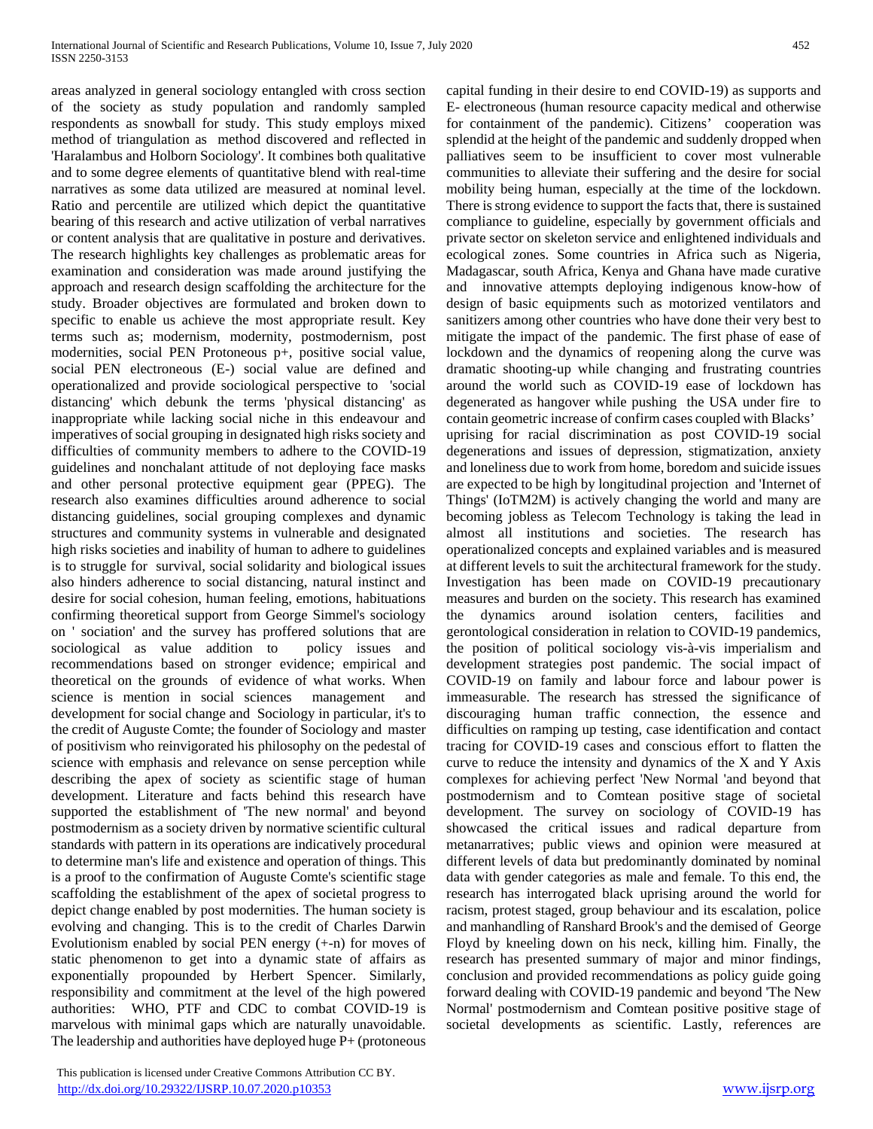areas analyzed in general sociology entangled with cross section of the society as study population and randomly sampled respondents as snowball for study. This study employs mixed method of triangulation as method discovered and reflected in 'Haralambus and Holborn Sociology'. It combines both qualitative and to some degree elements of quantitative blend with real-time narratives as some data utilized are measured at nominal level. Ratio and percentile are utilized which depict the quantitative bearing of this research and active utilization of verbal narratives or content analysis that are qualitative in posture and derivatives. The research highlights key challenges as problematic areas for examination and consideration was made around justifying the approach and research design scaffolding the architecture for the study. Broader objectives are formulated and broken down to specific to enable us achieve the most appropriate result. Key terms such as; modernism, modernity, postmodernism, post modernities, social PEN Protoneous p+, positive social value, social PEN electroneous (E-) social value are defined and operationalized and provide sociological perspective to 'social distancing' which debunk the terms 'physical distancing' as inappropriate while lacking social niche in this endeavour and imperatives of social grouping in designated high risks society and difficulties of community members to adhere to the COVID-19 guidelines and nonchalant attitude of not deploying face masks and other personal protective equipment gear (PPEG). The research also examines difficulties around adherence to social distancing guidelines, social grouping complexes and dynamic structures and community systems in vulnerable and designated high risks societies and inability of human to adhere to guidelines is to struggle for survival, social solidarity and biological issues also hinders adherence to social distancing, natural instinct and desire for social cohesion, human feeling, emotions, habituations confirming theoretical support from George Simmel's sociology on ' sociation' and the survey has proffered solutions that are sociological as value addition to policy issues and recommendations based on stronger evidence; empirical and theoretical on the grounds of evidence of what works. When science is mention in social sciences management and development for social change and Sociology in particular, it's to the credit of Auguste Comte; the founder of Sociology and master of positivism who reinvigorated his philosophy on the pedestal of science with emphasis and relevance on sense perception while describing the apex of society as scientific stage of human development. Literature and facts behind this research have supported the establishment of 'The new normal' and beyond postmodernism as a society driven by normative scientific cultural standards with pattern in its operations are indicatively procedural to determine man's life and existence and operation of things. This is a proof to the confirmation of Auguste Comte's scientific stage scaffolding the establishment of the apex of societal progress to depict change enabled by post modernities. The human society is evolving and changing. This is to the credit of Charles Darwin Evolutionism enabled by social PEN energy (+-n) for moves of static phenomenon to get into a dynamic state of affairs as exponentially propounded by Herbert Spencer. Similarly, responsibility and commitment at the level of the high powered authorities: WHO, PTF and CDC to combat COVID-19 is marvelous with minimal gaps which are naturally unavoidable. The leadership and authorities have deployed huge P+ (protoneous capital funding in their desire to end COVID-19) as supports and E- electroneous (human resource capacity medical and otherwise for containment of the pandemic). Citizens' cooperation was splendid at the height of the pandemic and suddenly dropped when palliatives seem to be insufficient to cover most vulnerable communities to alleviate their suffering and the desire for social mobility being human, especially at the time of the lockdown. There is strong evidence to support the facts that, there is sustained compliance to guideline, especially by government officials and private sector on skeleton service and enlightened individuals and ecological zones. Some countries in Africa such as Nigeria, Madagascar, south Africa, Kenya and Ghana have made curative and innovative attempts deploying indigenous know-how of design of basic equipments such as motorized ventilators and sanitizers among other countries who have done their very best to mitigate the impact of the pandemic. The first phase of ease of lockdown and the dynamics of reopening along the curve was dramatic shooting-up while changing and frustrating countries around the world such as COVID-19 ease of lockdown has degenerated as hangover while pushing the USA under fire to contain geometric increase of confirm cases coupled with Blacks' uprising for racial discrimination as post COVID-19 social degenerations and issues of depression, stigmatization, anxiety and loneliness due to work from home, boredom and suicide issues are expected to be high by longitudinal projection and 'Internet of Things' (IoTM2M) is actively changing the world and many are becoming jobless as Telecom Technology is taking the lead in almost all institutions and societies. The research has operationalized concepts and explained variables and is measured at different levels to suit the architectural framework for the study. Investigation has been made on COVID-19 precautionary measures and burden on the society. This research has examined the dynamics around isolation centers, facilities and gerontological consideration in relation to COVID-19 pandemics, the position of political sociology vis-à-vis imperialism and development strategies post pandemic. The social impact of COVID-19 on family and labour force and labour power is immeasurable. The research has stressed the significance of discouraging human traffic connection, the essence and difficulties on ramping up testing, case identification and contact tracing for COVID-19 cases and conscious effort to flatten the curve to reduce the intensity and dynamics of the X and Y Axis complexes for achieving perfect 'New Normal 'and beyond that postmodernism and to Comtean positive stage of societal development. The survey on sociology of COVID-19 has showcased the critical issues and radical departure from metanarratives; public views and opinion were measured at different levels of data but predominantly dominated by nominal data with gender categories as male and female. To this end, the research has interrogated black uprising around the world for racism, protest staged, group behaviour and its escalation, police and manhandling of Ranshard Brook's and the demised of George Floyd by kneeling down on his neck, killing him. Finally, the research has presented summary of major and minor findings, conclusion and provided recommendations as policy guide going forward dealing with COVID-19 pandemic and beyond 'The New Normal' postmodernism and Comtean positive positive stage of societal developments as scientific. Lastly, references are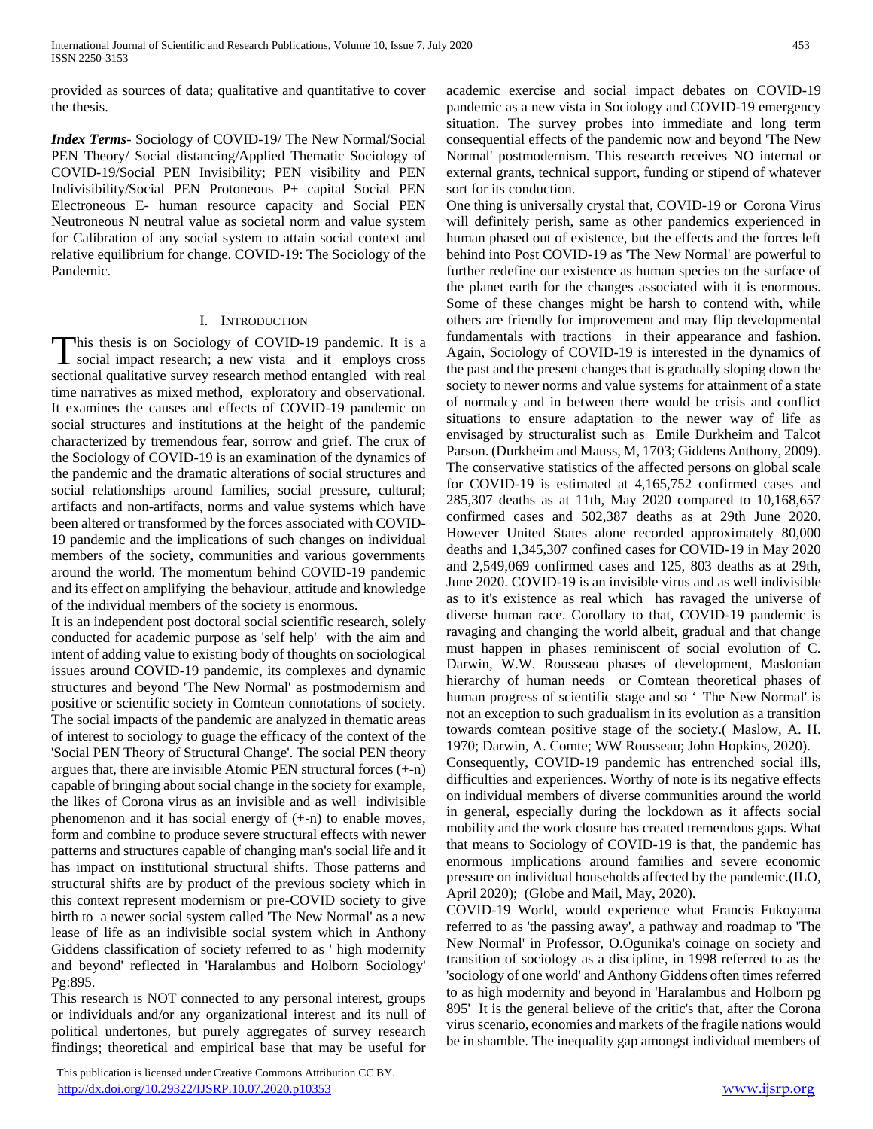provided as sources of data; qualitative and quantitative to cover the thesis.

*Index Terms*- Sociology of COVID-19/ The New Normal/Social PEN Theory/ Social distancing/Applied Thematic Sociology of COVID-19/Social PEN Invisibility; PEN visibility and PEN Indivisibility/Social PEN Protoneous P+ capital Social PEN Electroneous E- human resource capacity and Social PEN Neutroneous N neutral value as societal norm and value system for Calibration of any social system to attain social context and relative equilibrium for change. COVID-19: The Sociology of the Pandemic.

#### I. INTRODUCTION

This thesis is on Sociology of COVID-19 pandemic. It is a social impact research; a new vista and it employs cross **I** social impact research; a new vista and it employs cross sectional qualitative survey research method entangled with real time narratives as mixed method, exploratory and observational. It examines the causes and effects of COVID-19 pandemic on social structures and institutions at the height of the pandemic characterized by tremendous fear, sorrow and grief. The crux of the Sociology of COVID-19 is an examination of the dynamics of the pandemic and the dramatic alterations of social structures and social relationships around families, social pressure, cultural; artifacts and non-artifacts, norms and value systems which have been altered or transformed by the forces associated with COVID-19 pandemic and the implications of such changes on individual members of the society, communities and various governments around the world. The momentum behind COVID-19 pandemic and its effect on amplifying the behaviour, attitude and knowledge of the individual members of the society is enormous.

It is an independent post doctoral social scientific research, solely conducted for academic purpose as 'self help' with the aim and intent of adding value to existing body of thoughts on sociological issues around COVID-19 pandemic, its complexes and dynamic structures and beyond 'The New Normal' as postmodernism and positive or scientific society in Comtean connotations of society. The social impacts of the pandemic are analyzed in thematic areas of interest to sociology to guage the efficacy of the context of the 'Social PEN Theory of Structural Change'. The social PEN theory argues that, there are invisible Atomic PEN structural forces (+-n) capable of bringing about social change in the society for example, the likes of Corona virus as an invisible and as well indivisible phenomenon and it has social energy of (+-n) to enable moves, form and combine to produce severe structural effects with newer patterns and structures capable of changing man's social life and it has impact on institutional structural shifts. Those patterns and structural shifts are by product of the previous society which in this context represent modernism or pre-COVID society to give birth to a newer social system called 'The New Normal' as a new lease of life as an indivisible social system which in Anthony Giddens classification of society referred to as ' high modernity and beyond' reflected in 'Haralambus and Holborn Sociology' Pg:895.

This research is NOT connected to any personal interest, groups or individuals and/or any organizational interest and its null of political undertones, but purely aggregates of survey research findings; theoretical and empirical base that may be useful for

 This publication is licensed under Creative Commons Attribution CC BY. <http://dx.doi.org/10.29322/IJSRP.10.07.2020.p10353> [www.ijsrp.org](http://ijsrp.org/)

academic exercise and social impact debates on COVID-19 pandemic as a new vista in Sociology and COVID-19 emergency situation. The survey probes into immediate and long term consequential effects of the pandemic now and beyond 'The New Normal' postmodernism. This research receives NO internal or external grants, technical support, funding or stipend of whatever sort for its conduction.

One thing is universally crystal that, COVID-19 or Corona Virus will definitely perish, same as other pandemics experienced in human phased out of existence, but the effects and the forces left behind into Post COVID-19 as 'The New Normal' are powerful to further redefine our existence as human species on the surface of the planet earth for the changes associated with it is enormous. Some of these changes might be harsh to contend with, while others are friendly for improvement and may flip developmental fundamentals with tractions in their appearance and fashion. Again, Sociology of COVID-19 is interested in the dynamics of the past and the present changes that is gradually sloping down the society to newer norms and value systems for attainment of a state of normalcy and in between there would be crisis and conflict situations to ensure adaptation to the newer way of life as envisaged by structuralist such as Emile Durkheim and Talcot Parson. (Durkheim and Mauss, M, 1703; Giddens Anthony, 2009). The conservative statistics of the affected persons on global scale for COVID-19 is estimated at 4,165,752 confirmed cases and 285,307 deaths as at 11th, May 2020 compared to 10,168,657 confirmed cases and 502,387 deaths as at 29th June 2020. However United States alone recorded approximately 80,000 deaths and 1,345,307 confined cases for COVID-19 in May 2020 and 2,549,069 confirmed cases and 125, 803 deaths as at 29th, June 2020. COVID-19 is an invisible virus and as well indivisible as to it's existence as real which has ravaged the universe of diverse human race. Corollary to that, COVID-19 pandemic is ravaging and changing the world albeit, gradual and that change must happen in phases reminiscent of social evolution of C. Darwin, W.W. Rousseau phases of development, Maslonian hierarchy of human needs or Comtean theoretical phases of human progress of scientific stage and so ' The New Normal' is not an exception to such gradualism in its evolution as a transition towards comtean positive stage of the society.( Maslow, A. H. 1970; Darwin, A. Comte; WW Rousseau; John Hopkins, 2020).

Consequently, COVID-19 pandemic has entrenched social ills, difficulties and experiences. Worthy of note is its negative effects on individual members of diverse communities around the world in general, especially during the lockdown as it affects social mobility and the work closure has created tremendous gaps. What that means to Sociology of COVID-19 is that, the pandemic has enormous implications around families and severe economic pressure on individual households affected by the pandemic.(ILO, April 2020); (Globe and Mail, May, 2020).

COVID-19 World, would experience what Francis Fukoyama referred to as 'the passing away', a pathway and roadmap to 'The New Normal' in Professor, O.Ogunika's coinage on society and transition of sociology as a discipline, in 1998 referred to as the 'sociology of one world' and Anthony Giddens often times referred to as high modernity and beyond in 'Haralambus and Holborn pg 895' It is the general believe of the critic's that, after the Corona virus scenario, economies and markets of the fragile nations would be in shamble. The inequality gap amongst individual members of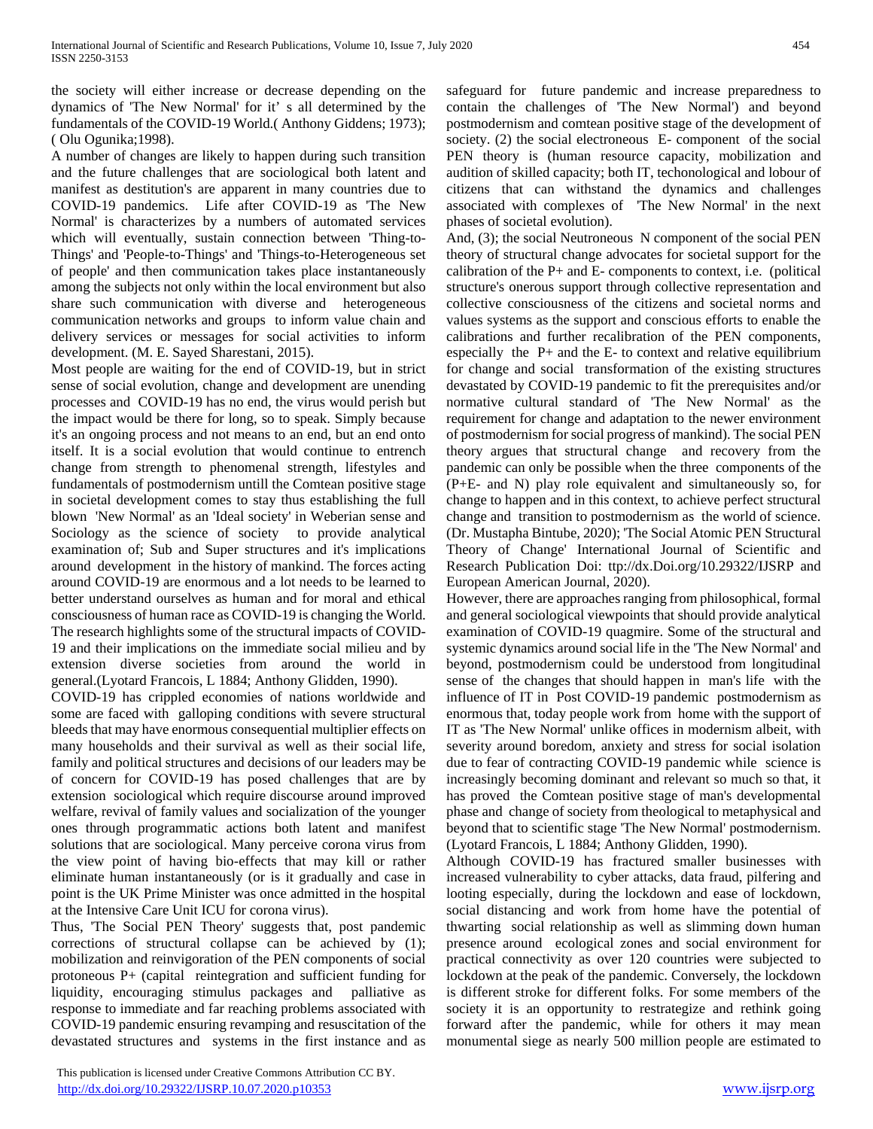the society will either increase or decrease depending on the dynamics of 'The New Normal' for it' s all determined by the fundamentals of the COVID-19 World.( Anthony Giddens; 1973); ( Olu Ogunika;1998).

A number of changes are likely to happen during such transition and the future challenges that are sociological both latent and manifest as destitution's are apparent in many countries due to COVID-19 pandemics. Life after COVID-19 as 'The New Normal' is characterizes by a numbers of automated services which will eventually, sustain connection between 'Thing-to-Things' and 'People-to-Things' and 'Things-to-Heterogeneous set of people' and then communication takes place instantaneously among the subjects not only within the local environment but also share such communication with diverse and heterogeneous communication networks and groups to inform value chain and delivery services or messages for social activities to inform development. (M. E. Sayed Sharestani, 2015).

Most people are waiting for the end of COVID-19, but in strict sense of social evolution, change and development are unending processes and COVID-19 has no end, the virus would perish but the impact would be there for long, so to speak. Simply because it's an ongoing process and not means to an end, but an end onto itself. It is a social evolution that would continue to entrench change from strength to phenomenal strength, lifestyles and fundamentals of postmodernism untill the Comtean positive stage in societal development comes to stay thus establishing the full blown 'New Normal' as an 'Ideal society' in Weberian sense and Sociology as the science of society to provide analytical examination of; Sub and Super structures and it's implications around development in the history of mankind. The forces acting around COVID-19 are enormous and a lot needs to be learned to better understand ourselves as human and for moral and ethical consciousness of human race as COVID-19 is changing the World. The research highlights some of the structural impacts of COVID-19 and their implications on the immediate social milieu and by extension diverse societies from around the world in general.(Lyotard Francois, L 1884; Anthony Glidden, 1990).

COVID-19 has crippled economies of nations worldwide and some are faced with galloping conditions with severe structural bleeds that may have enormous consequential multiplier effects on many households and their survival as well as their social life, family and political structures and decisions of our leaders may be of concern for COVID-19 has posed challenges that are by extension sociological which require discourse around improved welfare, revival of family values and socialization of the younger ones through programmatic actions both latent and manifest solutions that are sociological. Many perceive corona virus from the view point of having bio-effects that may kill or rather eliminate human instantaneously (or is it gradually and case in point is the UK Prime Minister was once admitted in the hospital at the Intensive Care Unit ICU for corona virus).

Thus, 'The Social PEN Theory' suggests that, post pandemic corrections of structural collapse can be achieved by (1); mobilization and reinvigoration of the PEN components of social protoneous P+ (capital reintegration and sufficient funding for liquidity, encouraging stimulus packages and palliative as response to immediate and far reaching problems associated with COVID-19 pandemic ensuring revamping and resuscitation of the devastated structures and systems in the first instance and as safeguard for future pandemic and increase preparedness to contain the challenges of 'The New Normal') and beyond postmodernism and comtean positive stage of the development of society. (2) the social electroneous E- component of the social PEN theory is (human resource capacity, mobilization and audition of skilled capacity; both IT, techonological and lobour of citizens that can withstand the dynamics and challenges associated with complexes of 'The New Normal' in the next phases of societal evolution).

And, (3); the social Neutroneous N component of the social PEN theory of structural change advocates for societal support for the calibration of the P+ and E- components to context, i.e. (political structure's onerous support through collective representation and collective consciousness of the citizens and societal norms and values systems as the support and conscious efforts to enable the calibrations and further recalibration of the PEN components, especially the  $P+$  and the E- to context and relative equilibrium for change and social transformation of the existing structures devastated by COVID-19 pandemic to fit the prerequisites and/or normative cultural standard of 'The New Normal' as the requirement for change and adaptation to the newer environment of postmodernism for social progress of mankind). The social PEN theory argues that structural change and recovery from the pandemic can only be possible when the three components of the (P+E- and N) play role equivalent and simultaneously so, for change to happen and in this context, to achieve perfect structural change and transition to postmodernism as the world of science. (Dr. Mustapha Bintube, 2020); 'The Social Atomic PEN Structural Theory of Change' International Journal of Scientific and Research Publication Doi: ttp://dx.Doi.org/10.29322/IJSRP and European American Journal, 2020).

However, there are approaches ranging from philosophical, formal and general sociological viewpoints that should provide analytical examination of COVID-19 quagmire. Some of the structural and systemic dynamics around social life in the 'The New Normal' and beyond, postmodernism could be understood from longitudinal sense of the changes that should happen in man's life with the influence of IT in Post COVID-19 pandemic postmodernism as enormous that, today people work from home with the support of IT as 'The New Normal' unlike offices in modernism albeit, with severity around boredom, anxiety and stress for social isolation due to fear of contracting COVID-19 pandemic while science is increasingly becoming dominant and relevant so much so that, it has proved the Comtean positive stage of man's developmental phase and change of society from theological to metaphysical and beyond that to scientific stage 'The New Normal' postmodernism. (Lyotard Francois, L 1884; Anthony Glidden, 1990).

Although COVID-19 has fractured smaller businesses with increased vulnerability to cyber attacks, data fraud, pilfering and looting especially, during the lockdown and ease of lockdown, social distancing and work from home have the potential of thwarting social relationship as well as slimming down human presence around ecological zones and social environment for practical connectivity as over 120 countries were subjected to lockdown at the peak of the pandemic. Conversely, the lockdown is different stroke for different folks. For some members of the society it is an opportunity to restrategize and rethink going forward after the pandemic, while for others it may mean monumental siege as nearly 500 million people are estimated to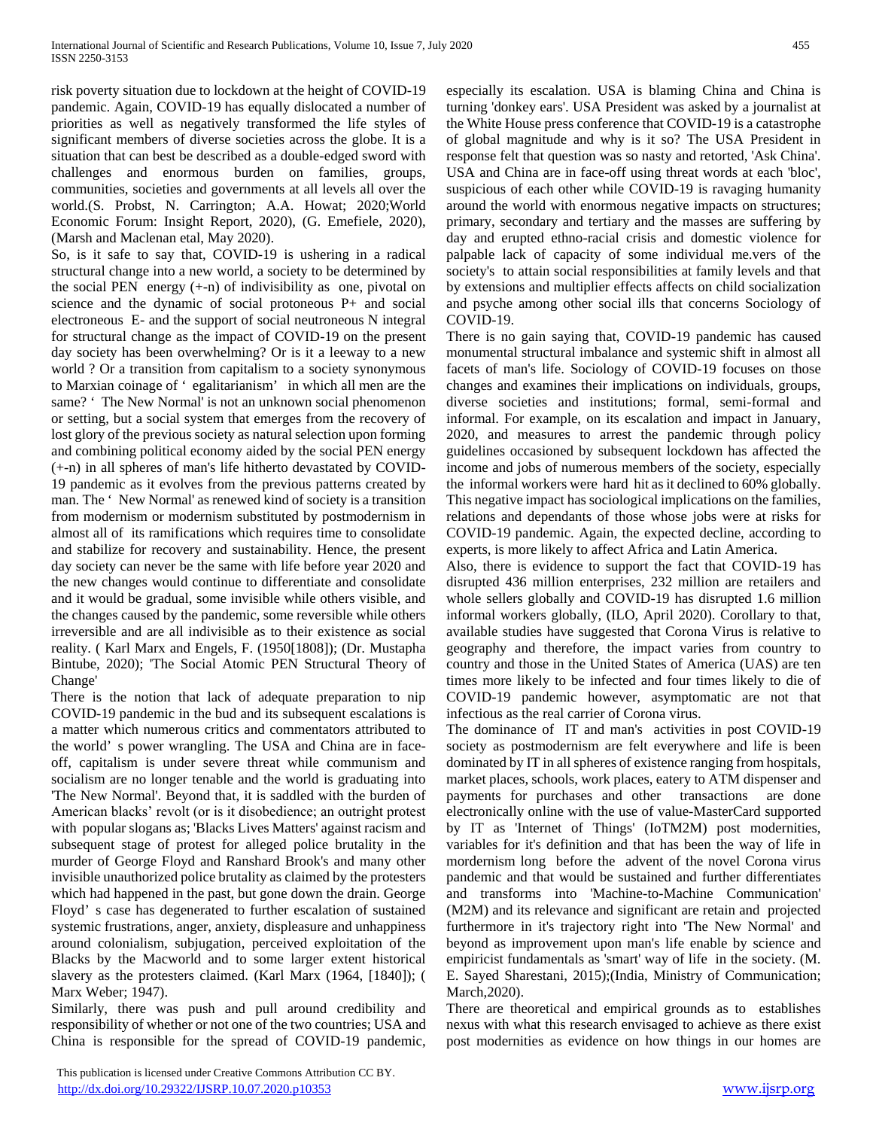risk poverty situation due to lockdown at the height of COVID-19 pandemic. Again, COVID-19 has equally dislocated a number of priorities as well as negatively transformed the life styles of significant members of diverse societies across the globe. It is a situation that can best be described as a double-edged sword with challenges and enormous burden on families, groups, communities, societies and governments at all levels all over the world.(S. Probst, N. Carrington; A.A. Howat; 2020;World Economic Forum: Insight Report, 2020), (G. Emefiele, 2020), (Marsh and Maclenan etal, May 2020).

So, is it safe to say that, COVID-19 is ushering in a radical structural change into a new world, a society to be determined by the social PEN energy  $(+n)$  of indivisibility as one, pivotal on science and the dynamic of social protoneous P+ and social electroneous E- and the support of social neutroneous N integral for structural change as the impact of COVID-19 on the present day society has been overwhelming? Or is it a leeway to a new world ? Or a transition from capitalism to a society synonymous to Marxian coinage of ' egalitarianism' in which all men are the same? ' The New Normal' is not an unknown social phenomenon or setting, but a social system that emerges from the recovery of lost glory of the previous society as natural selection upon forming and combining political economy aided by the social PEN energy (+-n) in all spheres of man's life hitherto devastated by COVID-19 pandemic as it evolves from the previous patterns created by man. The ' New Normal' as renewed kind of society is a transition from modernism or modernism substituted by postmodernism in almost all of its ramifications which requires time to consolidate and stabilize for recovery and sustainability. Hence, the present day society can never be the same with life before year 2020 and the new changes would continue to differentiate and consolidate and it would be gradual, some invisible while others visible, and the changes caused by the pandemic, some reversible while others irreversible and are all indivisible as to their existence as social reality. ( Karl Marx and Engels, F. (1950[1808]); (Dr. Mustapha Bintube, 2020); 'The Social Atomic PEN Structural Theory of Change'

There is the notion that lack of adequate preparation to nip COVID-19 pandemic in the bud and its subsequent escalations is a matter which numerous critics and commentators attributed to the world' s power wrangling. The USA and China are in faceoff, capitalism is under severe threat while communism and socialism are no longer tenable and the world is graduating into 'The New Normal'. Beyond that, it is saddled with the burden of American blacks' revolt (or is it disobedience; an outright protest with popular slogans as; 'Blacks Lives Matters' against racism and subsequent stage of protest for alleged police brutality in the murder of George Floyd and Ranshard Brook's and many other invisible unauthorized police brutality as claimed by the protesters which had happened in the past, but gone down the drain. George Floyd' s case has degenerated to further escalation of sustained systemic frustrations, anger, anxiety, displeasure and unhappiness around colonialism, subjugation, perceived exploitation of the Blacks by the Macworld and to some larger extent historical slavery as the protesters claimed. (Karl Marx (1964, [1840]); ( Marx Weber; 1947).

Similarly, there was push and pull around credibility and responsibility of whether or not one of the two countries; USA and China is responsible for the spread of COVID-19 pandemic, especially its escalation. USA is blaming China and China is turning 'donkey ears'. USA President was asked by a journalist at the White House press conference that COVID-19 is a catastrophe of global magnitude and why is it so? The USA President in response felt that question was so nasty and retorted, 'Ask China'. USA and China are in face-off using threat words at each 'bloc', suspicious of each other while COVID-19 is ravaging humanity around the world with enormous negative impacts on structures; primary, secondary and tertiary and the masses are suffering by day and erupted ethno-racial crisis and domestic violence for palpable lack of capacity of some individual me.vers of the society's to attain social responsibilities at family levels and that by extensions and multiplier effects affects on child socialization and psyche among other social ills that concerns Sociology of COVID-19.

There is no gain saying that, COVID-19 pandemic has caused monumental structural imbalance and systemic shift in almost all facets of man's life. Sociology of COVID-19 focuses on those changes and examines their implications on individuals, groups, diverse societies and institutions; formal, semi-formal and informal. For example, on its escalation and impact in January, 2020, and measures to arrest the pandemic through policy guidelines occasioned by subsequent lockdown has affected the income and jobs of numerous members of the society, especially the informal workers were hard hit as it declined to 60% globally. This negative impact has sociological implications on the families, relations and dependants of those whose jobs were at risks for COVID-19 pandemic. Again, the expected decline, according to experts, is more likely to affect Africa and Latin America.

Also, there is evidence to support the fact that COVID-19 has disrupted 436 million enterprises, 232 million are retailers and whole sellers globally and COVID-19 has disrupted 1.6 million informal workers globally, (ILO, April 2020). Corollary to that, available studies have suggested that Corona Virus is relative to geography and therefore, the impact varies from country to country and those in the United States of America (UAS) are ten times more likely to be infected and four times likely to die of COVID-19 pandemic however, asymptomatic are not that infectious as the real carrier of Corona virus.

The dominance of IT and man's activities in post COVID-19 society as postmodernism are felt everywhere and life is been dominated by IT in all spheres of existence ranging from hospitals, market places, schools, work places, eatery to ATM dispenser and payments for purchases and other transactions are done electronically online with the use of value-MasterCard supported by IT as 'Internet of Things' (IoTM2M) post modernities, variables for it's definition and that has been the way of life in mordernism long before the advent of the novel Corona virus pandemic and that would be sustained and further differentiates and transforms into 'Machine-to-Machine Communication' (M2M) and its relevance and significant are retain and projected furthermore in it's trajectory right into 'The New Normal' and beyond as improvement upon man's life enable by science and empiricist fundamentals as 'smart' way of life in the society. (M. E. Sayed Sharestani, 2015);(India, Ministry of Communication; March,2020).

There are theoretical and empirical grounds as to establishes nexus with what this research envisaged to achieve as there exist post modernities as evidence on how things in our homes are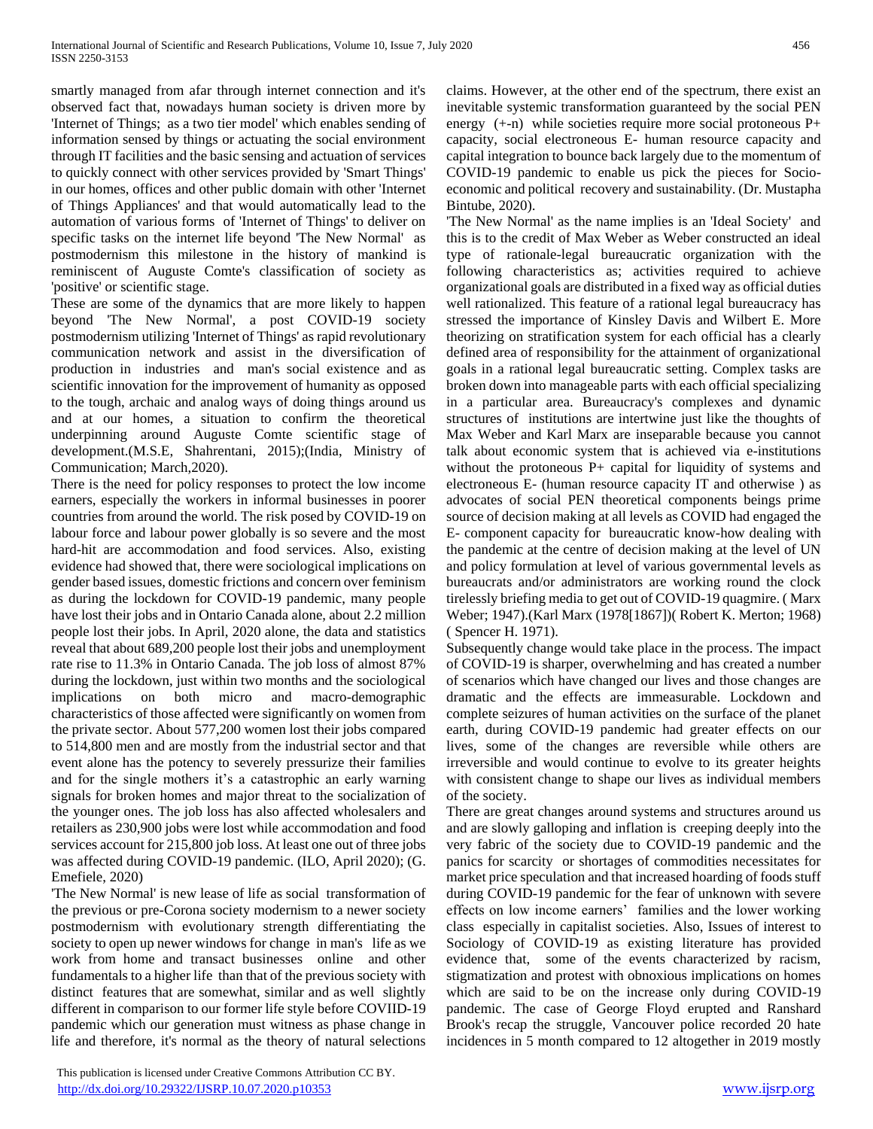smartly managed from afar through internet connection and it's observed fact that, nowadays human society is driven more by 'Internet of Things; as a two tier model' which enables sending of information sensed by things or actuating the social environment through IT facilities and the basic sensing and actuation of services to quickly connect with other services provided by 'Smart Things' in our homes, offices and other public domain with other 'Internet of Things Appliances' and that would automatically lead to the automation of various forms of 'Internet of Things' to deliver on specific tasks on the internet life beyond 'The New Normal' as postmodernism this milestone in the history of mankind is reminiscent of Auguste Comte's classification of society as 'positive' or scientific stage.

These are some of the dynamics that are more likely to happen beyond 'The New Normal', a post COVID-19 society postmodernism utilizing 'Internet of Things' as rapid revolutionary communication network and assist in the diversification of production in industries and man's social existence and as scientific innovation for the improvement of humanity as opposed to the tough, archaic and analog ways of doing things around us and at our homes, a situation to confirm the theoretical underpinning around Auguste Comte scientific stage of development.(M.S.E, Shahrentani, 2015);(India, Ministry of Communication; March,2020).

There is the need for policy responses to protect the low income earners, especially the workers in informal businesses in poorer countries from around the world. The risk posed by COVID-19 on labour force and labour power globally is so severe and the most hard-hit are accommodation and food services. Also, existing evidence had showed that, there were sociological implications on gender based issues, domestic frictions and concern over feminism as during the lockdown for COVID-19 pandemic, many people have lost their jobs and in Ontario Canada alone, about 2.2 million people lost their jobs. In April, 2020 alone, the data and statistics reveal that about 689,200 people lost their jobs and unemployment rate rise to 11.3% in Ontario Canada. The job loss of almost 87% during the lockdown, just within two months and the sociological implications on both micro and macro-demographic characteristics of those affected were significantly on women from the private sector. About 577,200 women lost their jobs compared to 514,800 men and are mostly from the industrial sector and that event alone has the potency to severely pressurize their families and for the single mothers it's a catastrophic an early warning signals for broken homes and major threat to the socialization of the younger ones. The job loss has also affected wholesalers and retailers as 230,900 jobs were lost while accommodation and food services account for 215,800 job loss. At least one out of three jobs was affected during COVID-19 pandemic. (ILO, April 2020); (G. Emefiele, 2020)

'The New Normal' is new lease of life as social transformation of the previous or pre-Corona society modernism to a newer society postmodernism with evolutionary strength differentiating the society to open up newer windows for change in man's life as we work from home and transact businesses online and other fundamentals to a higher life than that of the previous society with distinct features that are somewhat, similar and as well slightly different in comparison to our former life style before COVIID-19 pandemic which our generation must witness as phase change in life and therefore, it's normal as the theory of natural selections

 This publication is licensed under Creative Commons Attribution CC BY. <http://dx.doi.org/10.29322/IJSRP.10.07.2020.p10353> [www.ijsrp.org](http://ijsrp.org/)

claims. However, at the other end of the spectrum, there exist an inevitable systemic transformation guaranteed by the social PEN energy  $(+n)$  while societies require more social protoneous  $P+$ capacity, social electroneous E- human resource capacity and capital integration to bounce back largely due to the momentum of COVID-19 pandemic to enable us pick the pieces for Socioeconomic and political recovery and sustainability. (Dr. Mustapha Bintube, 2020).

'The New Normal' as the name implies is an 'Ideal Society' and this is to the credit of Max Weber as Weber constructed an ideal type of rationale-legal bureaucratic organization with the following characteristics as; activities required to achieve organizational goals are distributed in a fixed way as official duties well rationalized. This feature of a rational legal bureaucracy has stressed the importance of Kinsley Davis and Wilbert E. More theorizing on stratification system for each official has a clearly defined area of responsibility for the attainment of organizational goals in a rational legal bureaucratic setting. Complex tasks are broken down into manageable parts with each official specializing in a particular area. Bureaucracy's complexes and dynamic structures of institutions are intertwine just like the thoughts of Max Weber and Karl Marx are inseparable because you cannot talk about economic system that is achieved via e-institutions without the protoneous P+ capital for liquidity of systems and electroneous E- (human resource capacity IT and otherwise ) as advocates of social PEN theoretical components beings prime source of decision making at all levels as COVID had engaged the E- component capacity for bureaucratic know-how dealing with the pandemic at the centre of decision making at the level of UN and policy formulation at level of various governmental levels as bureaucrats and/or administrators are working round the clock tirelessly briefing media to get out of COVID-19 quagmire. ( Marx Weber; 1947).(Karl Marx (1978[1867])( Robert K. Merton; 1968) ( Spencer H. 1971).

Subsequently change would take place in the process. The impact of COVID-19 is sharper, overwhelming and has created a number of scenarios which have changed our lives and those changes are dramatic and the effects are immeasurable. Lockdown and complete seizures of human activities on the surface of the planet earth, during COVID-19 pandemic had greater effects on our lives, some of the changes are reversible while others are irreversible and would continue to evolve to its greater heights with consistent change to shape our lives as individual members of the society.

There are great changes around systems and structures around us and are slowly galloping and inflation is creeping deeply into the very fabric of the society due to COVID-19 pandemic and the panics for scarcity or shortages of commodities necessitates for market price speculation and that increased hoarding of foods stuff during COVID-19 pandemic for the fear of unknown with severe effects on low income earners' families and the lower working class especially in capitalist societies. Also, Issues of interest to Sociology of COVID-19 as existing literature has provided evidence that, some of the events characterized by racism, stigmatization and protest with obnoxious implications on homes which are said to be on the increase only during COVID-19 pandemic. The case of George Floyd erupted and Ranshard Brook's recap the struggle, Vancouver police recorded 20 hate incidences in 5 month compared to 12 altogether in 2019 mostly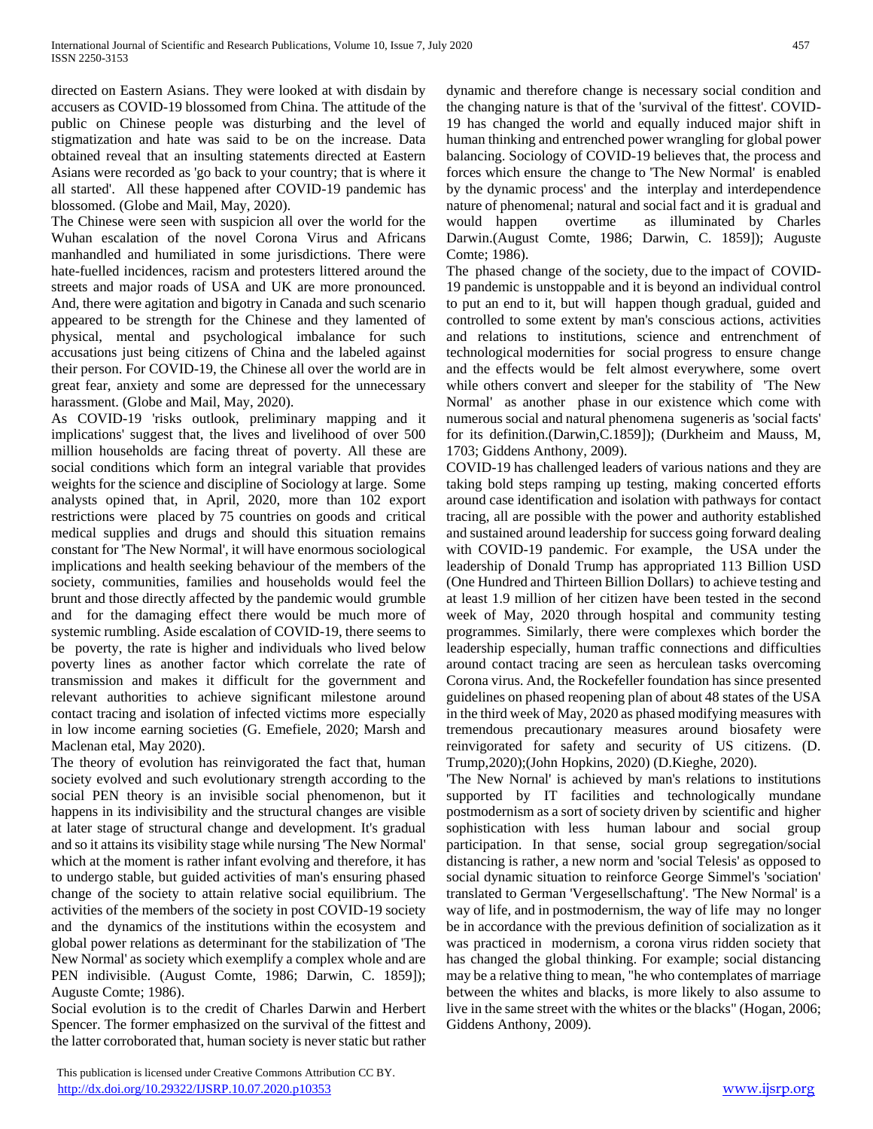directed on Eastern Asians. They were looked at with disdain by accusers as COVID-19 blossomed from China. The attitude of the public on Chinese people was disturbing and the level of stigmatization and hate was said to be on the increase. Data obtained reveal that an insulting statements directed at Eastern Asians were recorded as 'go back to your country; that is where it all started'. All these happened after COVID-19 pandemic has blossomed. (Globe and Mail, May, 2020).

The Chinese were seen with suspicion all over the world for the Wuhan escalation of the novel Corona Virus and Africans manhandled and humiliated in some jurisdictions. There were hate-fuelled incidences, racism and protesters littered around the streets and major roads of USA and UK are more pronounced. And, there were agitation and bigotry in Canada and such scenario appeared to be strength for the Chinese and they lamented of physical, mental and psychological imbalance for such accusations just being citizens of China and the labeled against their person. For COVID-19, the Chinese all over the world are in great fear, anxiety and some are depressed for the unnecessary harassment. (Globe and Mail, May, 2020).

As COVID-19 'risks outlook, preliminary mapping and it implications' suggest that, the lives and livelihood of over 500 million households are facing threat of poverty. All these are social conditions which form an integral variable that provides weights for the science and discipline of Sociology at large. Some analysts opined that, in April, 2020, more than 102 export restrictions were placed by 75 countries on goods and critical medical supplies and drugs and should this situation remains constant for 'The New Normal', it will have enormous sociological implications and health seeking behaviour of the members of the society, communities, families and households would feel the brunt and those directly affected by the pandemic would grumble and for the damaging effect there would be much more of systemic rumbling. Aside escalation of COVID-19, there seems to be poverty, the rate is higher and individuals who lived below poverty lines as another factor which correlate the rate of transmission and makes it difficult for the government and relevant authorities to achieve significant milestone around contact tracing and isolation of infected victims more especially in low income earning societies (G. Emefiele, 2020; Marsh and Maclenan etal, May 2020).

The theory of evolution has reinvigorated the fact that, human society evolved and such evolutionary strength according to the social PEN theory is an invisible social phenomenon, but it happens in its indivisibility and the structural changes are visible at later stage of structural change and development. It's gradual and so it attains its visibility stage while nursing 'The New Normal' which at the moment is rather infant evolving and therefore, it has to undergo stable, but guided activities of man's ensuring phased change of the society to attain relative social equilibrium. The activities of the members of the society in post COVID-19 society and the dynamics of the institutions within the ecosystem and global power relations as determinant for the stabilization of 'The New Normal' as society which exemplify a complex whole and are PEN indivisible. (August Comte, 1986; Darwin, C. 1859]); Auguste Comte; 1986).

Social evolution is to the credit of Charles Darwin and Herbert Spencer. The former emphasized on the survival of the fittest and the latter corroborated that, human society is never static but rather

 This publication is licensed under Creative Commons Attribution CC BY. <http://dx.doi.org/10.29322/IJSRP.10.07.2020.p10353> [www.ijsrp.org](http://ijsrp.org/)

dynamic and therefore change is necessary social condition and the changing nature is that of the 'survival of the fittest'. COVID-19 has changed the world and equally induced major shift in human thinking and entrenched power wrangling for global power balancing. Sociology of COVID-19 believes that, the process and forces which ensure the change to 'The New Normal' is enabled by the dynamic process' and the interplay and interdependence nature of phenomenal; natural and social fact and it is gradual and would happen overtime as illuminated by Charles Darwin.(August Comte, 1986; Darwin, C. 1859]); Auguste Comte; 1986).

The phased change of the society, due to the impact of COVID-19 pandemic is unstoppable and it is beyond an individual control to put an end to it, but will happen though gradual, guided and controlled to some extent by man's conscious actions, activities and relations to institutions, science and entrenchment of technological modernities for social progress to ensure change and the effects would be felt almost everywhere, some overt while others convert and sleeper for the stability of 'The New Normal' as another phase in our existence which come with numerous social and natural phenomena sugeneris as 'social facts' for its definition.(Darwin,C.1859]); (Durkheim and Mauss, M, 1703; Giddens Anthony, 2009).

COVID-19 has challenged leaders of various nations and they are taking bold steps ramping up testing, making concerted efforts around case identification and isolation with pathways for contact tracing, all are possible with the power and authority established and sustained around leadership for success going forward dealing with COVID-19 pandemic. For example, the USA under the leadership of Donald Trump has appropriated 113 Billion USD (One Hundred and Thirteen Billion Dollars) to achieve testing and at least 1.9 million of her citizen have been tested in the second week of May, 2020 through hospital and community testing programmes. Similarly, there were complexes which border the leadership especially, human traffic connections and difficulties around contact tracing are seen as herculean tasks overcoming Corona virus. And, the Rockefeller foundation has since presented guidelines on phased reopening plan of about 48 states of the USA in the third week of May, 2020 as phased modifying measures with tremendous precautionary measures around biosafety were reinvigorated for safety and security of US citizens. (D. Trump,2020);(John Hopkins, 2020) (D.Kieghe, 2020).

'The New Nornal' is achieved by man's relations to institutions supported by IT facilities and technologically mundane postmodernism as a sort of society driven by scientific and higher sophistication with less human labour and social group participation. In that sense, social group segregation/social distancing is rather, a new norm and 'social Telesis' as opposed to social dynamic situation to reinforce George Simmel's 'sociation' translated to German 'Vergesellschaftung'. 'The New Normal' is a way of life, and in postmodernism, the way of life may no longer be in accordance with the previous definition of socialization as it was practiced in modernism, a corona virus ridden society that has changed the global thinking. For example; social distancing may be a relative thing to mean, "he who contemplates of marriage between the whites and blacks, is more likely to also assume to live in the same street with the whites or the blacks" (Hogan, 2006; Giddens Anthony, 2009).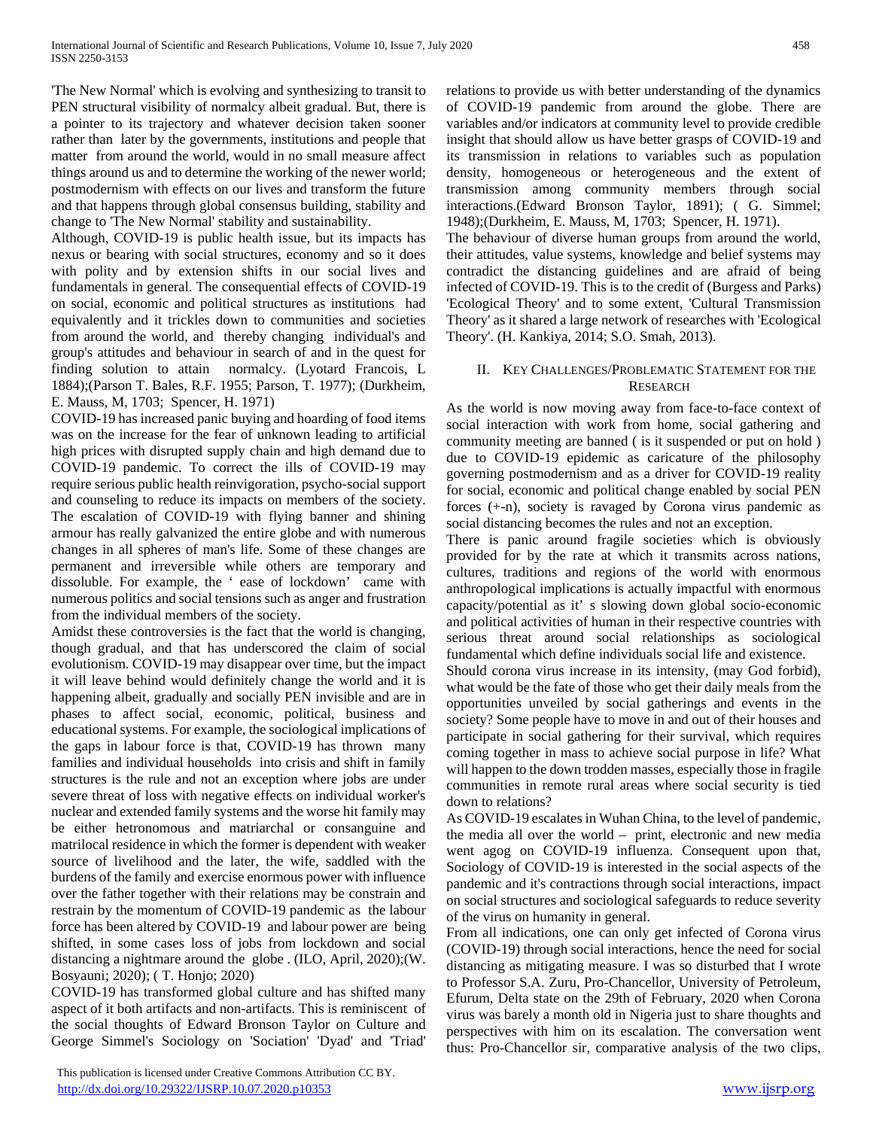'The New Normal' which is evolving and synthesizing to transit to PEN structural visibility of normalcy albeit gradual. But, there is a pointer to its trajectory and whatever decision taken sooner rather than later by the governments, institutions and people that matter from around the world, would in no small measure affect things around us and to determine the working of the newer world; postmodernism with effects on our lives and transform the future and that happens through global consensus building, stability and change to 'The New Normal' stability and sustainability.

Although, COVID-19 is public health issue, but its impacts has nexus or bearing with social structures, economy and so it does with polity and by extension shifts in our social lives and fundamentals in general. The consequential effects of COVID-19 on social, economic and political structures as institutions had equivalently and it trickles down to communities and societies from around the world, and thereby changing individual's and group's attitudes and behaviour in search of and in the quest for finding solution to attain normalcy. (Lyotard Francois, L 1884);(Parson T. Bales, R.F. 1955; Parson, T. 1977); (Durkheim, E. Mauss, M, 1703; Spencer, H. 1971)

COVID-19 has increased panic buying and hoarding of food items was on the increase for the fear of unknown leading to artificial high prices with disrupted supply chain and high demand due to COVID-19 pandemic. To correct the ills of COVID-19 may require serious public health reinvigoration, psycho-social support and counseling to reduce its impacts on members of the society. The escalation of COVID-19 with flying banner and shining armour has really galvanized the entire globe and with numerous changes in all spheres of man's life. Some of these changes are permanent and irreversible while others are temporary and dissoluble. For example, the ' ease of lockdown' came with numerous politics and social tensions such as anger and frustration from the individual members of the society.

Amidst these controversies is the fact that the world is changing, though gradual, and that has underscored the claim of social evolutionism. COVID-19 may disappear over time, but the impact it will leave behind would definitely change the world and it is happening albeit, gradually and socially PEN invisible and are in phases to affect social, economic, political, business and educational systems. For example, the sociological implications of the gaps in labour force is that, COVID-19 has thrown many families and individual households into crisis and shift in family structures is the rule and not an exception where jobs are under severe threat of loss with negative effects on individual worker's nuclear and extended family systems and the worse hit family may be either hetronomous and matriarchal or consanguine and matrilocal residence in which the former is dependent with weaker source of livelihood and the later, the wife, saddled with the burdens of the family and exercise enormous power with influence over the father together with their relations may be constrain and restrain by the momentum of COVID-19 pandemic as the labour force has been altered by COVID-19 and labour power are being shifted, in some cases loss of jobs from lockdown and social distancing a nightmare around the globe . (ILO, April, 2020);(W. Bosyauni; 2020); ( T. Honjo; 2020)

COVID-19 has transformed global culture and has shifted many aspect of it both artifacts and non-artifacts. This is reminiscent of the social thoughts of Edward Bronson Taylor on Culture and George Simmel's Sociology on 'Sociation' 'Dyad' and 'Triad'

 This publication is licensed under Creative Commons Attribution CC BY. <http://dx.doi.org/10.29322/IJSRP.10.07.2020.p10353> [www.ijsrp.org](http://ijsrp.org/)

relations to provide us with better understanding of the dynamics of COVID-19 pandemic from around the globe. There are variables and/or indicators at community level to provide credible insight that should allow us have better grasps of COVID-19 and its transmission in relations to variables such as population density, homogeneous or heterogeneous and the extent of transmission among community members through social interactions.(Edward Bronson Taylor, 1891); ( G. Simmel; 1948);(Durkheim, E. Mauss, M, 1703; Spencer, H. 1971).

The behaviour of diverse human groups from around the world, their attitudes, value systems, knowledge and belief systems may contradict the distancing guidelines and are afraid of being infected of COVID-19. This is to the credit of (Burgess and Parks) 'Ecological Theory' and to some extent, 'Cultural Transmission Theory' as it shared a large network of researches with 'Ecological Theory'. (H. Kankiya, 2014; S.O. Smah, 2013).

#### II. KEY CHALLENGES/PROBLEMATIC STATEMENT FOR THE RESEARCH

As the world is now moving away from face-to-face context of social interaction with work from home, social gathering and community meeting are banned ( is it suspended or put on hold ) due to COVID-19 epidemic as caricature of the philosophy governing postmodernism and as a driver for COVID-19 reality for social, economic and political change enabled by social PEN forces (+-n), society is ravaged by Corona virus pandemic as social distancing becomes the rules and not an exception.

There is panic around fragile societies which is obviously provided for by the rate at which it transmits across nations, cultures, traditions and regions of the world with enormous anthropological implications is actually impactful with enormous capacity/potential as it' s slowing down global socio-economic and political activities of human in their respective countries with serious threat around social relationships as sociological fundamental which define individuals social life and existence.

Should corona virus increase in its intensity, (may God forbid), what would be the fate of those who get their daily meals from the opportunities unveiled by social gatherings and events in the society? Some people have to move in and out of their houses and participate in social gathering for their survival, which requires coming together in mass to achieve social purpose in life? What will happen to the down trodden masses, especially those in fragile communities in remote rural areas where social security is tied down to relations?

As COVID-19 escalates in Wuhan China, to the level of pandemic, the media all over the world – print, electronic and new media went agog on COVID-19 influenza. Consequent upon that, Sociology of COVID-19 is interested in the social aspects of the pandemic and it's contractions through social interactions, impact on social structures and sociological safeguards to reduce severity of the virus on humanity in general.

From all indications, one can only get infected of Corona virus (COVID-19) through social interactions, hence the need for social distancing as mitigating measure. I was so disturbed that I wrote to Professor S.A. Zuru, Pro-Chancellor, University of Petroleum, Efurum, Delta state on the 29th of February, 2020 when Corona virus was barely a month old in Nigeria just to share thoughts and perspectives with him on its escalation. The conversation went thus: Pro-Chancellor sir, comparative analysis of the two clips,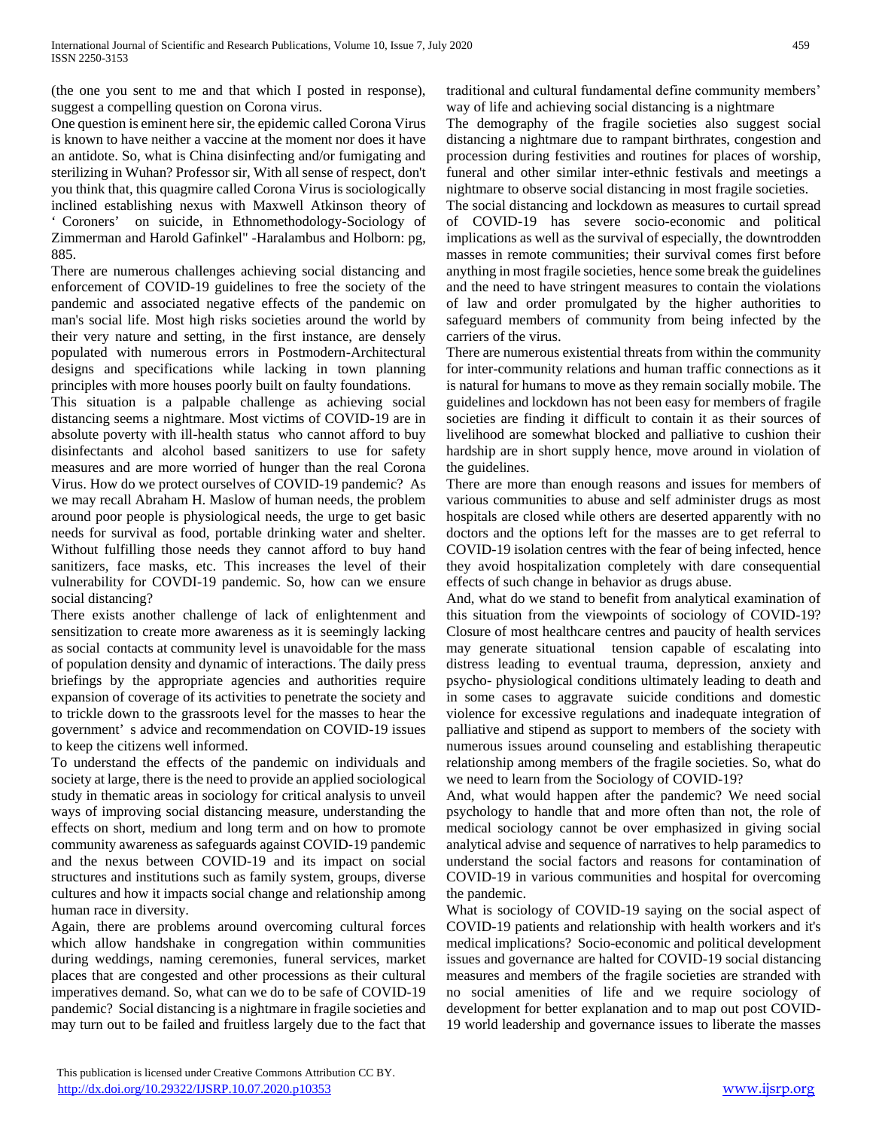(the one you sent to me and that which I posted in response), suggest a compelling question on Corona virus.

One question is eminent here sir, the epidemic called Corona Virus is known to have neither a vaccine at the moment nor does it have an antidote. So, what is China disinfecting and/or fumigating and sterilizing in Wuhan? Professor sir, With all sense of respect, don't you think that, this quagmire called Corona Virus is sociologically inclined establishing nexus with Maxwell Atkinson theory of ' Coroners' on suicide, in Ethnomethodology-Sociology of Zimmerman and Harold Gafinkel" -Haralambus and Holborn: pg, 885.

There are numerous challenges achieving social distancing and enforcement of COVID-19 guidelines to free the society of the pandemic and associated negative effects of the pandemic on man's social life. Most high risks societies around the world by their very nature and setting, in the first instance, are densely populated with numerous errors in Postmodern-Architectural designs and specifications while lacking in town planning principles with more houses poorly built on faulty foundations.

This situation is a palpable challenge as achieving social distancing seems a nightmare. Most victims of COVID-19 are in absolute poverty with ill-health status who cannot afford to buy disinfectants and alcohol based sanitizers to use for safety measures and are more worried of hunger than the real Corona Virus. How do we protect ourselves of COVID-19 pandemic? As we may recall Abraham H. Maslow of human needs, the problem around poor people is physiological needs, the urge to get basic needs for survival as food, portable drinking water and shelter. Without fulfilling those needs they cannot afford to buy hand sanitizers, face masks, etc. This increases the level of their vulnerability for COVDI-19 pandemic. So, how can we ensure social distancing?

There exists another challenge of lack of enlightenment and sensitization to create more awareness as it is seemingly lacking as social contacts at community level is unavoidable for the mass of population density and dynamic of interactions. The daily press briefings by the appropriate agencies and authorities require expansion of coverage of its activities to penetrate the society and to trickle down to the grassroots level for the masses to hear the government' s advice and recommendation on COVID-19 issues to keep the citizens well informed.

To understand the effects of the pandemic on individuals and society at large, there is the need to provide an applied sociological study in thematic areas in sociology for critical analysis to unveil ways of improving social distancing measure, understanding the effects on short, medium and long term and on how to promote community awareness as safeguards against COVID-19 pandemic and the nexus between COVID-19 and its impact on social structures and institutions such as family system, groups, diverse cultures and how it impacts social change and relationship among human race in diversity.

Again, there are problems around overcoming cultural forces which allow handshake in congregation within communities during weddings, naming ceremonies, funeral services, market places that are congested and other processions as their cultural imperatives demand. So, what can we do to be safe of COVID-19 pandemic? Social distancing is a nightmare in fragile societies and may turn out to be failed and fruitless largely due to the fact that traditional and cultural fundamental define community members' way of life and achieving social distancing is a nightmare

The demography of the fragile societies also suggest social distancing a nightmare due to rampant birthrates, congestion and procession during festivities and routines for places of worship, funeral and other similar inter-ethnic festivals and meetings a nightmare to observe social distancing in most fragile societies.

The social distancing and lockdown as measures to curtail spread of COVID-19 has severe socio-economic and political implications as well as the survival of especially, the downtrodden masses in remote communities; their survival comes first before anything in most fragile societies, hence some break the guidelines and the need to have stringent measures to contain the violations of law and order promulgated by the higher authorities to safeguard members of community from being infected by the carriers of the virus.

There are numerous existential threats from within the community for inter-community relations and human traffic connections as it is natural for humans to move as they remain socially mobile. The guidelines and lockdown has not been easy for members of fragile societies are finding it difficult to contain it as their sources of livelihood are somewhat blocked and palliative to cushion their hardship are in short supply hence, move around in violation of the guidelines.

There are more than enough reasons and issues for members of various communities to abuse and self administer drugs as most hospitals are closed while others are deserted apparently with no doctors and the options left for the masses are to get referral to COVID-19 isolation centres with the fear of being infected, hence they avoid hospitalization completely with dare consequential effects of such change in behavior as drugs abuse.

And, what do we stand to benefit from analytical examination of this situation from the viewpoints of sociology of COVID-19? Closure of most healthcare centres and paucity of health services may generate situational tension capable of escalating into distress leading to eventual trauma, depression, anxiety and psycho- physiological conditions ultimately leading to death and in some cases to aggravate suicide conditions and domestic violence for excessive regulations and inadequate integration of palliative and stipend as support to members of the society with numerous issues around counseling and establishing therapeutic relationship among members of the fragile societies. So, what do we need to learn from the Sociology of COVID-19?

And, what would happen after the pandemic? We need social psychology to handle that and more often than not, the role of medical sociology cannot be over emphasized in giving social analytical advise and sequence of narratives to help paramedics to understand the social factors and reasons for contamination of COVID-19 in various communities and hospital for overcoming the pandemic.

What is sociology of COVID-19 saying on the social aspect of COVID-19 patients and relationship with health workers and it's medical implications? Socio-economic and political development issues and governance are halted for COVID-19 social distancing measures and members of the fragile societies are stranded with no social amenities of life and we require sociology of development for better explanation and to map out post COVID-19 world leadership and governance issues to liberate the masses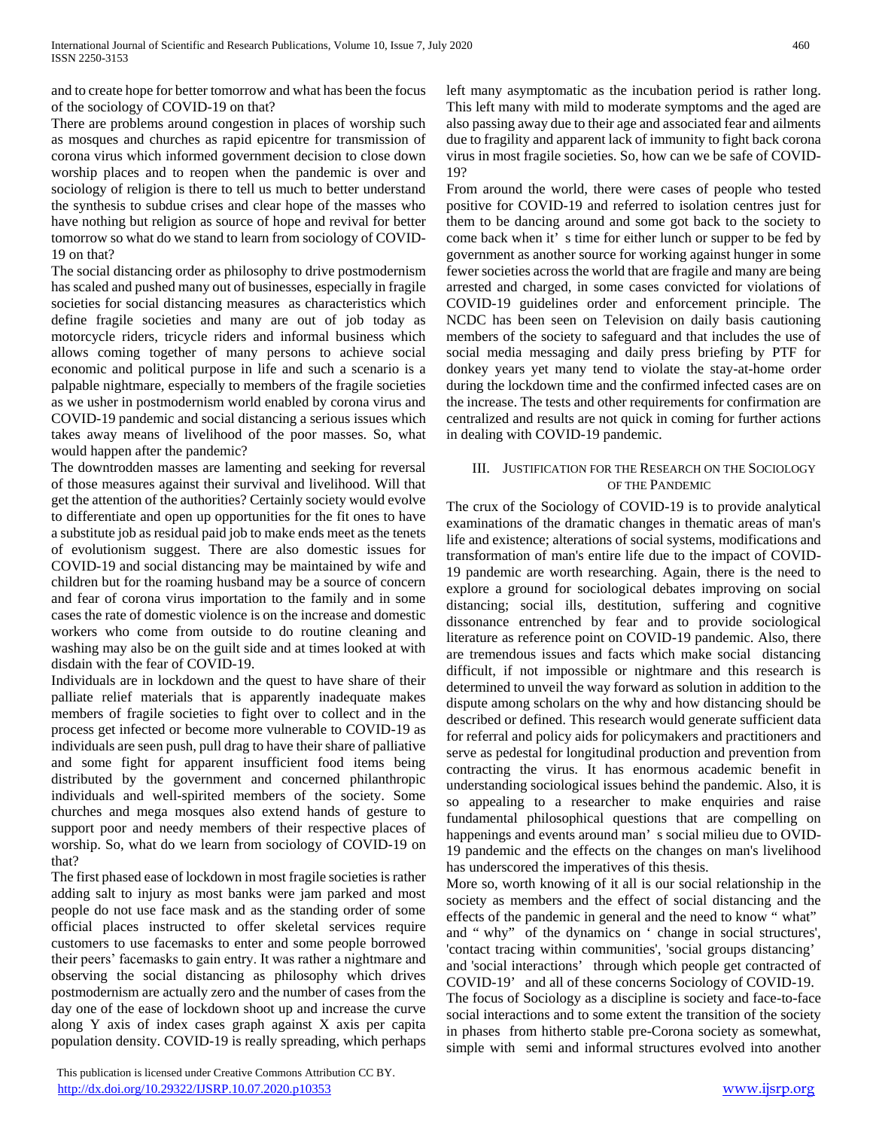and to create hope for better tomorrow and what has been the focus of the sociology of COVID-19 on that?

There are problems around congestion in places of worship such as mosques and churches as rapid epicentre for transmission of corona virus which informed government decision to close down worship places and to reopen when the pandemic is over and sociology of religion is there to tell us much to better understand the synthesis to subdue crises and clear hope of the masses who have nothing but religion as source of hope and revival for better tomorrow so what do we stand to learn from sociology of COVID-19 on that?

The social distancing order as philosophy to drive postmodernism has scaled and pushed many out of businesses, especially in fragile societies for social distancing measures as characteristics which define fragile societies and many are out of job today as motorcycle riders, tricycle riders and informal business which allows coming together of many persons to achieve social economic and political purpose in life and such a scenario is a palpable nightmare, especially to members of the fragile societies as we usher in postmodernism world enabled by corona virus and COVID-19 pandemic and social distancing a serious issues which takes away means of livelihood of the poor masses. So, what would happen after the pandemic?

The downtrodden masses are lamenting and seeking for reversal of those measures against their survival and livelihood. Will that get the attention of the authorities? Certainly society would evolve to differentiate and open up opportunities for the fit ones to have a substitute job as residual paid job to make ends meet as the tenets of evolutionism suggest. There are also domestic issues for COVID-19 and social distancing may be maintained by wife and children but for the roaming husband may be a source of concern and fear of corona virus importation to the family and in some cases the rate of domestic violence is on the increase and domestic workers who come from outside to do routine cleaning and washing may also be on the guilt side and at times looked at with disdain with the fear of COVID-19.

Individuals are in lockdown and the quest to have share of their palliate relief materials that is apparently inadequate makes members of fragile societies to fight over to collect and in the process get infected or become more vulnerable to COVID-19 as individuals are seen push, pull drag to have their share of palliative and some fight for apparent insufficient food items being distributed by the government and concerned philanthropic individuals and well-spirited members of the society. Some churches and mega mosques also extend hands of gesture to support poor and needy members of their respective places of worship. So, what do we learn from sociology of COVID-19 on that?

The first phased ease of lockdown in most fragile societies is rather adding salt to injury as most banks were jam parked and most people do not use face mask and as the standing order of some official places instructed to offer skeletal services require customers to use facemasks to enter and some people borrowed their peers' facemasks to gain entry. It was rather a nightmare and observing the social distancing as philosophy which drives postmodernism are actually zero and the number of cases from the day one of the ease of lockdown shoot up and increase the curve along Y axis of index cases graph against X axis per capita population density. COVID-19 is really spreading, which perhaps

 This publication is licensed under Creative Commons Attribution CC BY. <http://dx.doi.org/10.29322/IJSRP.10.07.2020.p10353> [www.ijsrp.org](http://ijsrp.org/)

left many asymptomatic as the incubation period is rather long. This left many with mild to moderate symptoms and the aged are also passing away due to their age and associated fear and ailments due to fragility and apparent lack of immunity to fight back corona virus in most fragile societies. So, how can we be safe of COVID-19?

From around the world, there were cases of people who tested positive for COVID-19 and referred to isolation centres just for them to be dancing around and some got back to the society to come back when it' s time for either lunch or supper to be fed by government as another source for working against hunger in some fewer societies across the world that are fragile and many are being arrested and charged, in some cases convicted for violations of COVID-19 guidelines order and enforcement principle. The NCDC has been seen on Television on daily basis cautioning members of the society to safeguard and that includes the use of social media messaging and daily press briefing by PTF for donkey years yet many tend to violate the stay-at-home order during the lockdown time and the confirmed infected cases are on the increase. The tests and other requirements for confirmation are centralized and results are not quick in coming for further actions in dealing with COVID-19 pandemic.

## III. JUSTIFICATION FOR THE RESEARCH ON THE SOCIOLOGY OF THE PANDEMIC

The crux of the Sociology of COVID-19 is to provide analytical examinations of the dramatic changes in thematic areas of man's life and existence; alterations of social systems, modifications and transformation of man's entire life due to the impact of COVID-19 pandemic are worth researching. Again, there is the need to explore a ground for sociological debates improving on social distancing; social ills, destitution, suffering and cognitive dissonance entrenched by fear and to provide sociological literature as reference point on COVID-19 pandemic. Also, there are tremendous issues and facts which make social distancing difficult, if not impossible or nightmare and this research is determined to unveil the way forward as solution in addition to the dispute among scholars on the why and how distancing should be described or defined. This research would generate sufficient data for referral and policy aids for policymakers and practitioners and serve as pedestal for longitudinal production and prevention from contracting the virus. It has enormous academic benefit in understanding sociological issues behind the pandemic. Also, it is so appealing to a researcher to make enquiries and raise fundamental philosophical questions that are compelling on happenings and events around man' s social milieu due to OVID-19 pandemic and the effects on the changes on man's livelihood has underscored the imperatives of this thesis.

More so, worth knowing of it all is our social relationship in the society as members and the effect of social distancing and the effects of the pandemic in general and the need to know " what" and " why" of the dynamics on ' change in social structures', 'contact tracing within communities', 'social groups distancing' and 'social interactions' through which people get contracted of COVID-19' and all of these concerns Sociology of COVID-19. The focus of Sociology as a discipline is society and face-to-face social interactions and to some extent the transition of the society in phases from hitherto stable pre-Corona society as somewhat, simple with semi and informal structures evolved into another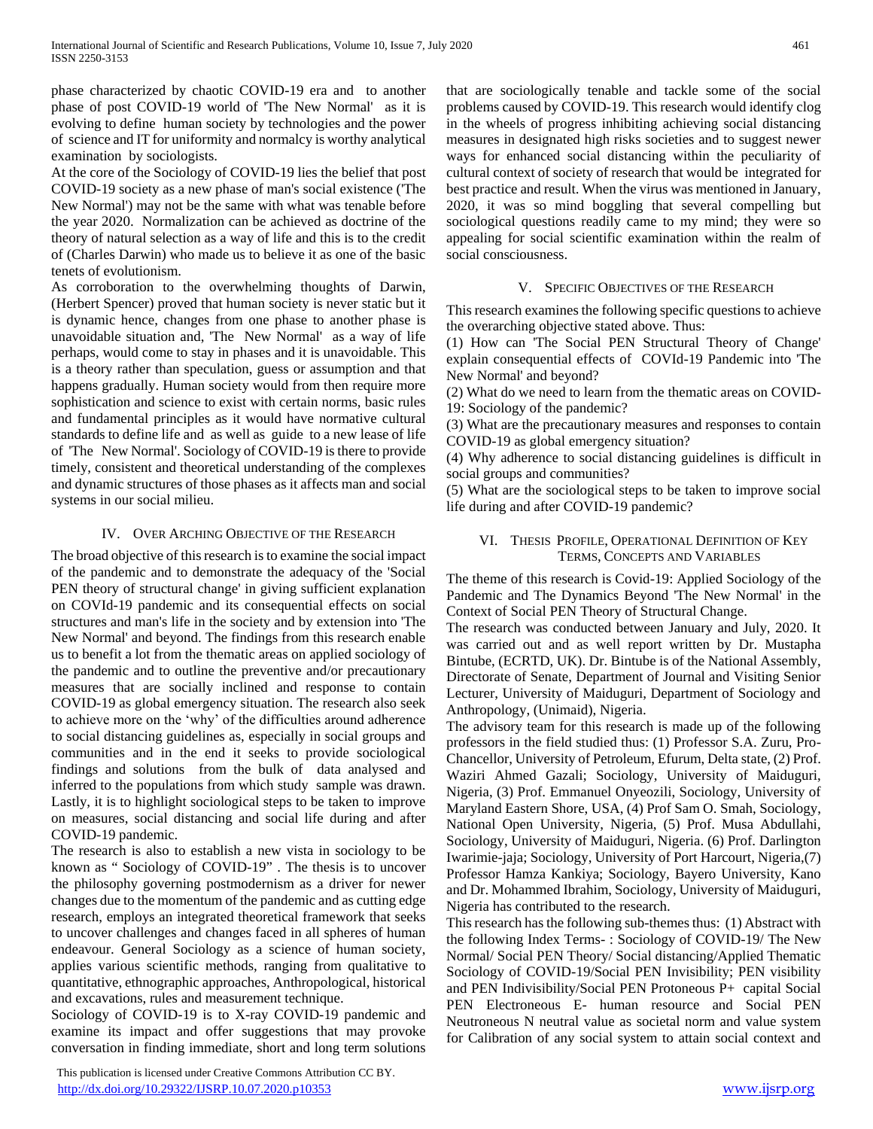phase characterized by chaotic COVID-19 era and to another phase of post COVID-19 world of 'The New Normal' as it is evolving to define human society by technologies and the power of science and IT for uniformity and normalcy is worthy analytical examination by sociologists.

At the core of the Sociology of COVID-19 lies the belief that post COVID-19 society as a new phase of man's social existence ('The New Normal') may not be the same with what was tenable before the year 2020. Normalization can be achieved as doctrine of the theory of natural selection as a way of life and this is to the credit of (Charles Darwin) who made us to believe it as one of the basic tenets of evolutionism.

As corroboration to the overwhelming thoughts of Darwin, (Herbert Spencer) proved that human society is never static but it is dynamic hence, changes from one phase to another phase is unavoidable situation and, 'The New Normal' as a way of life perhaps, would come to stay in phases and it is unavoidable. This is a theory rather than speculation, guess or assumption and that happens gradually. Human society would from then require more sophistication and science to exist with certain norms, basic rules and fundamental principles as it would have normative cultural standards to define life and as well as guide to a new lease of life of 'The New Normal'. Sociology of COVID-19 is there to provide timely, consistent and theoretical understanding of the complexes and dynamic structures of those phases as it affects man and social systems in our social milieu.

#### IV. OVER ARCHING OBJECTIVE OF THE RESEARCH

The broad objective of this research is to examine the social impact of the pandemic and to demonstrate the adequacy of the 'Social PEN theory of structural change' in giving sufficient explanation on COVId-19 pandemic and its consequential effects on social structures and man's life in the society and by extension into 'The New Normal' and beyond. The findings from this research enable us to benefit a lot from the thematic areas on applied sociology of the pandemic and to outline the preventive and/or precautionary measures that are socially inclined and response to contain COVID-19 as global emergency situation. The research also seek to achieve more on the 'why' of the difficulties around adherence to social distancing guidelines as, especially in social groups and communities and in the end it seeks to provide sociological findings and solutions from the bulk of data analysed and inferred to the populations from which study sample was drawn. Lastly, it is to highlight sociological steps to be taken to improve on measures, social distancing and social life during and after COVID-19 pandemic.

The research is also to establish a new vista in sociology to be known as " Sociology of COVID-19" . The thesis is to uncover the philosophy governing postmodernism as a driver for newer changes due to the momentum of the pandemic and as cutting edge research, employs an integrated theoretical framework that seeks to uncover challenges and changes faced in all spheres of human endeavour. General Sociology as a science of human society, applies various scientific methods, ranging from qualitative to quantitative, ethnographic approaches, Anthropological, historical and excavations, rules and measurement technique.

Sociology of COVID-19 is to X-ray COVID-19 pandemic and examine its impact and offer suggestions that may provoke conversation in finding immediate, short and long term solutions

 This publication is licensed under Creative Commons Attribution CC BY. <http://dx.doi.org/10.29322/IJSRP.10.07.2020.p10353> [www.ijsrp.org](http://ijsrp.org/)

that are sociologically tenable and tackle some of the social problems caused by COVID-19. This research would identify clog in the wheels of progress inhibiting achieving social distancing measures in designated high risks societies and to suggest newer ways for enhanced social distancing within the peculiarity of cultural context of society of research that would be integrated for best practice and result. When the virus was mentioned in January, 2020, it was so mind boggling that several compelling but sociological questions readily came to my mind; they were so appealing for social scientific examination within the realm of social consciousness.

#### V. SPECIFIC OBJECTIVES OF THE RESEARCH

This research examines the following specific questions to achieve the overarching objective stated above. Thus:

(1) How can 'The Social PEN Structural Theory of Change' explain consequential effects of COVId-19 Pandemic into 'The New Normal' and beyond?

(2) What do we need to learn from the thematic areas on COVID-19: Sociology of the pandemic?

(3) What are the precautionary measures and responses to contain COVID-19 as global emergency situation?

(4) Why adherence to social distancing guidelines is difficult in social groups and communities?

(5) What are the sociological steps to be taken to improve social life during and after COVID-19 pandemic?

#### VI. THESIS PROFILE, OPERATIONAL DEFINITION OF KEY TERMS, CONCEPTS AND VARIABLES

The theme of this research is Covid-19: Applied Sociology of the Pandemic and The Dynamics Beyond 'The New Normal' in the Context of Social PEN Theory of Structural Change.

The research was conducted between January and July, 2020. It was carried out and as well report written by Dr. Mustapha Bintube, (ECRTD, UK). Dr. Bintube is of the National Assembly, Directorate of Senate, Department of Journal and Visiting Senior Lecturer, University of Maiduguri, Department of Sociology and Anthropology, (Unimaid), Nigeria.

The advisory team for this research is made up of the following professors in the field studied thus: (1) Professor S.A. Zuru, Pro-Chancellor, University of Petroleum, Efurum, Delta state, (2) Prof. Waziri Ahmed Gazali; Sociology, University of Maiduguri, Nigeria, (3) Prof. Emmanuel Onyeozili, Sociology, University of Maryland Eastern Shore, USA, (4) Prof Sam O. Smah, Sociology, National Open University, Nigeria, (5) Prof. Musa Abdullahi, Sociology, University of Maiduguri, Nigeria. (6) Prof. Darlington Iwarimie-jaja; Sociology, University of Port Harcourt, Nigeria,(7) Professor Hamza Kankiya; Sociology, Bayero University, Kano and Dr. Mohammed Ibrahim, Sociology, University of Maiduguri, Nigeria has contributed to the research.

This research has the following sub-themes thus: (1) Abstract with the following Index Terms- : Sociology of COVID-19/ The New Normal/ Social PEN Theory/ Social distancing/Applied Thematic Sociology of COVID-19/Social PEN Invisibility; PEN visibility and PEN Indivisibility/Social PEN Protoneous P+ capital Social PEN Electroneous E- human resource and Social PEN Neutroneous N neutral value as societal norm and value system for Calibration of any social system to attain social context and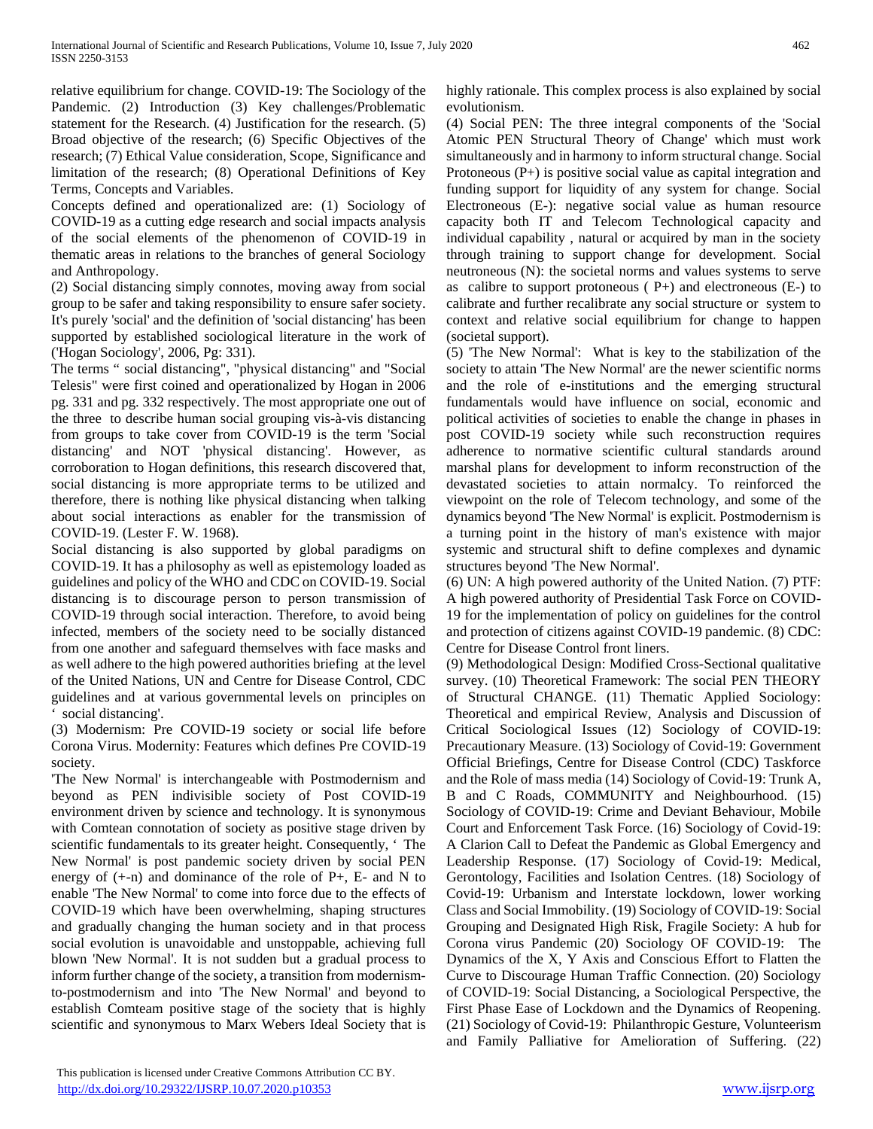relative equilibrium for change. COVID-19: The Sociology of the Pandemic. (2) Introduction (3) Key challenges/Problematic statement for the Research. (4) Justification for the research. (5) Broad objective of the research; (6) Specific Objectives of the research; (7) Ethical Value consideration, Scope, Significance and limitation of the research; (8) Operational Definitions of Key Terms, Concepts and Variables.

Concepts defined and operationalized are: (1) Sociology of COVID-19 as a cutting edge research and social impacts analysis of the social elements of the phenomenon of COVID-19 in thematic areas in relations to the branches of general Sociology and Anthropology.

(2) Social distancing simply connotes, moving away from social group to be safer and taking responsibility to ensure safer society. It's purely 'social' and the definition of 'social distancing' has been supported by established sociological literature in the work of ('Hogan Sociology', 2006, Pg: 331).

The terms " social distancing", "physical distancing" and "Social Telesis" were first coined and operationalized by Hogan in 2006 pg. 331 and pg. 332 respectively. The most appropriate one out of the three to describe human social grouping vis-à-vis distancing from groups to take cover from COVID-19 is the term 'Social distancing' and NOT 'physical distancing'. However, as corroboration to Hogan definitions, this research discovered that, social distancing is more appropriate terms to be utilized and therefore, there is nothing like physical distancing when talking about social interactions as enabler for the transmission of COVID-19. (Lester F. W. 1968).

Social distancing is also supported by global paradigms on COVID-19. It has a philosophy as well as epistemology loaded as guidelines and policy of the WHO and CDC on COVID-19. Social distancing is to discourage person to person transmission of COVID-19 through social interaction. Therefore, to avoid being infected, members of the society need to be socially distanced from one another and safeguard themselves with face masks and as well adhere to the high powered authorities briefing at the level of the United Nations, UN and Centre for Disease Control, CDC guidelines and at various governmental levels on principles on social distancing'.

(3) Modernism: Pre COVID-19 society or social life before Corona Virus. Modernity: Features which defines Pre COVID-19 society.

'The New Normal' is interchangeable with Postmodernism and beyond as PEN indivisible society of Post COVID-19 environment driven by science and technology. It is synonymous with Comtean connotation of society as positive stage driven by scientific fundamentals to its greater height. Consequently, ' The New Normal' is post pandemic society driven by social PEN energy of (+-n) and dominance of the role of P+, E- and N to enable 'The New Normal' to come into force due to the effects of COVID-19 which have been overwhelming, shaping structures and gradually changing the human society and in that process social evolution is unavoidable and unstoppable, achieving full blown 'New Normal'. It is not sudden but a gradual process to inform further change of the society, a transition from modernismto-postmodernism and into 'The New Normal' and beyond to establish Comteam positive stage of the society that is highly scientific and synonymous to Marx Webers Ideal Society that is highly rationale. This complex process is also explained by social evolutionism.

(4) Social PEN: The three integral components of the 'Social Atomic PEN Structural Theory of Change' which must work simultaneously and in harmony to inform structural change. Social Protoneous (P+) is positive social value as capital integration and funding support for liquidity of any system for change. Social Electroneous (E-): negative social value as human resource capacity both IT and Telecom Technological capacity and individual capability , natural or acquired by man in the society through training to support change for development. Social neutroneous (N): the societal norms and values systems to serve as calibre to support protoneous  $(P+)$  and electroneous  $(E-)$  to calibrate and further recalibrate any social structure or system to context and relative social equilibrium for change to happen (societal support).

(5) 'The New Normal': What is key to the stabilization of the society to attain 'The New Normal' are the newer scientific norms and the role of e-institutions and the emerging structural fundamentals would have influence on social, economic and political activities of societies to enable the change in phases in post COVID-19 society while such reconstruction requires adherence to normative scientific cultural standards around marshal plans for development to inform reconstruction of the devastated societies to attain normalcy. To reinforced the viewpoint on the role of Telecom technology, and some of the dynamics beyond 'The New Normal' is explicit. Postmodernism is a turning point in the history of man's existence with major systemic and structural shift to define complexes and dynamic structures beyond 'The New Normal'.

(6) UN: A high powered authority of the United Nation. (7) PTF: A high powered authority of Presidential Task Force on COVID-19 for the implementation of policy on guidelines for the control and protection of citizens against COVID-19 pandemic. (8) CDC: Centre for Disease Control front liners.

(9) Methodological Design: Modified Cross-Sectional qualitative survey. (10) Theoretical Framework: The social PEN THEORY of Structural CHANGE. (11) Thematic Applied Sociology: Theoretical and empirical Review, Analysis and Discussion of Critical Sociological Issues (12) Sociology of COVID-19: Precautionary Measure. (13) Sociology of Covid-19: Government Official Briefings, Centre for Disease Control (CDC) Taskforce and the Role of mass media (14) Sociology of Covid-19: Trunk A, B and C Roads, COMMUNITY and Neighbourhood. (15) Sociology of COVID-19: Crime and Deviant Behaviour, Mobile Court and Enforcement Task Force. (16) Sociology of Covid-19: A Clarion Call to Defeat the Pandemic as Global Emergency and Leadership Response. (17) Sociology of Covid-19: Medical, Gerontology, Facilities and Isolation Centres. (18) Sociology of Covid-19: Urbanism and Interstate lockdown, lower working Class and Social Immobility. (19) Sociology of COVID-19: Social Grouping and Designated High Risk, Fragile Society: A hub for Corona virus Pandemic (20) Sociology OF COVID-19: The Dynamics of the X, Y Axis and Conscious Effort to Flatten the Curve to Discourage Human Traffic Connection. (20) Sociology of COVID-19: Social Distancing, a Sociological Perspective, the First Phase Ease of Lockdown and the Dynamics of Reopening. (21) Sociology of Covid-19: Philanthropic Gesture, Volunteerism and Family Palliative for Amelioration of Suffering. (22)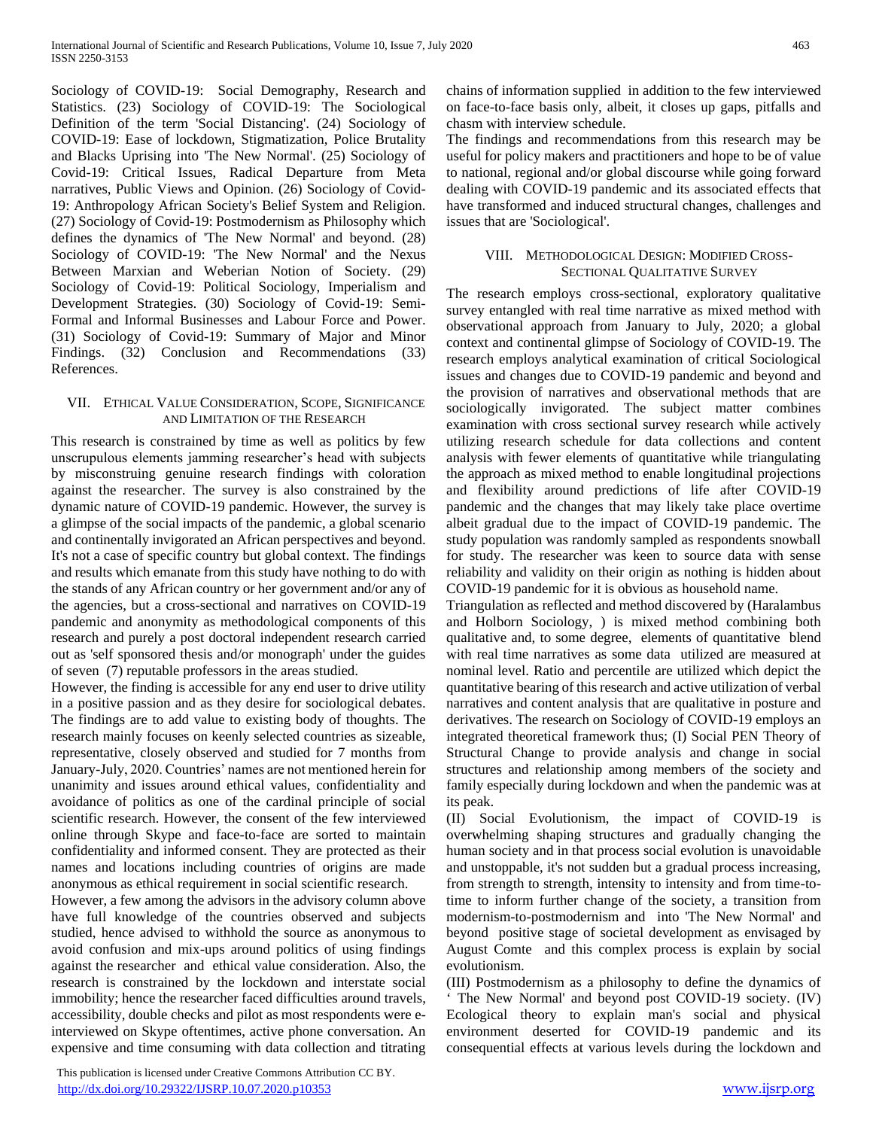Sociology of COVID-19: Social Demography, Research and Statistics. (23) Sociology of COVID-19: The Sociological Definition of the term 'Social Distancing'. (24) Sociology of COVID-19: Ease of lockdown, Stigmatization, Police Brutality and Blacks Uprising into 'The New Normal'. (25) Sociology of Covid-19: Critical Issues, Radical Departure from Meta narratives, Public Views and Opinion. (26) Sociology of Covid-19: Anthropology African Society's Belief System and Religion. (27) Sociology of Covid-19: Postmodernism as Philosophy which defines the dynamics of 'The New Normal' and beyond. (28) Sociology of COVID-19: 'The New Normal' and the Nexus Between Marxian and Weberian Notion of Society. (29) Sociology of Covid-19: Political Sociology, Imperialism and Development Strategies. (30) Sociology of Covid-19: Semi-Formal and Informal Businesses and Labour Force and Power. (31) Sociology of Covid-19: Summary of Major and Minor Findings. (32) Conclusion and Recommendations (33) References.

#### VII. ETHICAL VALUE CONSIDERATION, SCOPE, SIGNIFICANCE AND LIMITATION OF THE RESEARCH

This research is constrained by time as well as politics by few unscrupulous elements jamming researcher's head with subjects by misconstruing genuine research findings with coloration against the researcher. The survey is also constrained by the dynamic nature of COVID-19 pandemic. However, the survey is a glimpse of the social impacts of the pandemic, a global scenario and continentally invigorated an African perspectives and beyond. It's not a case of specific country but global context. The findings and results which emanate from this study have nothing to do with the stands of any African country or her government and/or any of the agencies, but a cross-sectional and narratives on COVID-19 pandemic and anonymity as methodological components of this research and purely a post doctoral independent research carried out as 'self sponsored thesis and/or monograph' under the guides of seven (7) reputable professors in the areas studied.

However, the finding is accessible for any end user to drive utility in a positive passion and as they desire for sociological debates. The findings are to add value to existing body of thoughts. The research mainly focuses on keenly selected countries as sizeable, representative, closely observed and studied for 7 months from January-July, 2020. Countries' names are not mentioned herein for unanimity and issues around ethical values, confidentiality and avoidance of politics as one of the cardinal principle of social scientific research. However, the consent of the few interviewed online through Skype and face-to-face are sorted to maintain confidentiality and informed consent. They are protected as their names and locations including countries of origins are made anonymous as ethical requirement in social scientific research.

However, a few among the advisors in the advisory column above have full knowledge of the countries observed and subjects studied, hence advised to withhold the source as anonymous to avoid confusion and mix-ups around politics of using findings against the researcher and ethical value consideration. Also, the research is constrained by the lockdown and interstate social immobility; hence the researcher faced difficulties around travels, accessibility, double checks and pilot as most respondents were einterviewed on Skype oftentimes, active phone conversation. An expensive and time consuming with data collection and titrating

 This publication is licensed under Creative Commons Attribution CC BY. <http://dx.doi.org/10.29322/IJSRP.10.07.2020.p10353> [www.ijsrp.org](http://ijsrp.org/)

chains of information supplied in addition to the few interviewed on face-to-face basis only, albeit, it closes up gaps, pitfalls and chasm with interview schedule.

The findings and recommendations from this research may be useful for policy makers and practitioners and hope to be of value to national, regional and/or global discourse while going forward dealing with COVID-19 pandemic and its associated effects that have transformed and induced structural changes, challenges and issues that are 'Sociological'.

## VIII. METHODOLOGICAL DESIGN: MODIFIED CROSS-SECTIONAL QUALITATIVE SURVEY

The research employs cross-sectional, exploratory qualitative survey entangled with real time narrative as mixed method with observational approach from January to July, 2020; a global context and continental glimpse of Sociology of COVID-19. The research employs analytical examination of critical Sociological issues and changes due to COVID-19 pandemic and beyond and the provision of narratives and observational methods that are sociologically invigorated. The subject matter combines examination with cross sectional survey research while actively utilizing research schedule for data collections and content analysis with fewer elements of quantitative while triangulating the approach as mixed method to enable longitudinal projections and flexibility around predictions of life after COVID-19 pandemic and the changes that may likely take place overtime albeit gradual due to the impact of COVID-19 pandemic. The study population was randomly sampled as respondents snowball for study. The researcher was keen to source data with sense reliability and validity on their origin as nothing is hidden about COVID-19 pandemic for it is obvious as household name.

Triangulation as reflected and method discovered by (Haralambus and Holborn Sociology, ) is mixed method combining both qualitative and, to some degree, elements of quantitative blend with real time narratives as some data utilized are measured at nominal level. Ratio and percentile are utilized which depict the quantitative bearing of this research and active utilization of verbal narratives and content analysis that are qualitative in posture and derivatives. The research on Sociology of COVID-19 employs an integrated theoretical framework thus; (I) Social PEN Theory of Structural Change to provide analysis and change in social structures and relationship among members of the society and family especially during lockdown and when the pandemic was at its peak.

(II) Social Evolutionism, the impact of COVID-19 is overwhelming shaping structures and gradually changing the human society and in that process social evolution is unavoidable and unstoppable, it's not sudden but a gradual process increasing, from strength to strength, intensity to intensity and from time-totime to inform further change of the society, a transition from modernism-to-postmodernism and into 'The New Normal' and beyond positive stage of societal development as envisaged by August Comte and this complex process is explain by social evolutionism.

(III) Postmodernism as a philosophy to define the dynamics of ' The New Normal' and beyond post COVID-19 society. (IV) Ecological theory to explain man's social and physical environment deserted for COVID-19 pandemic and its consequential effects at various levels during the lockdown and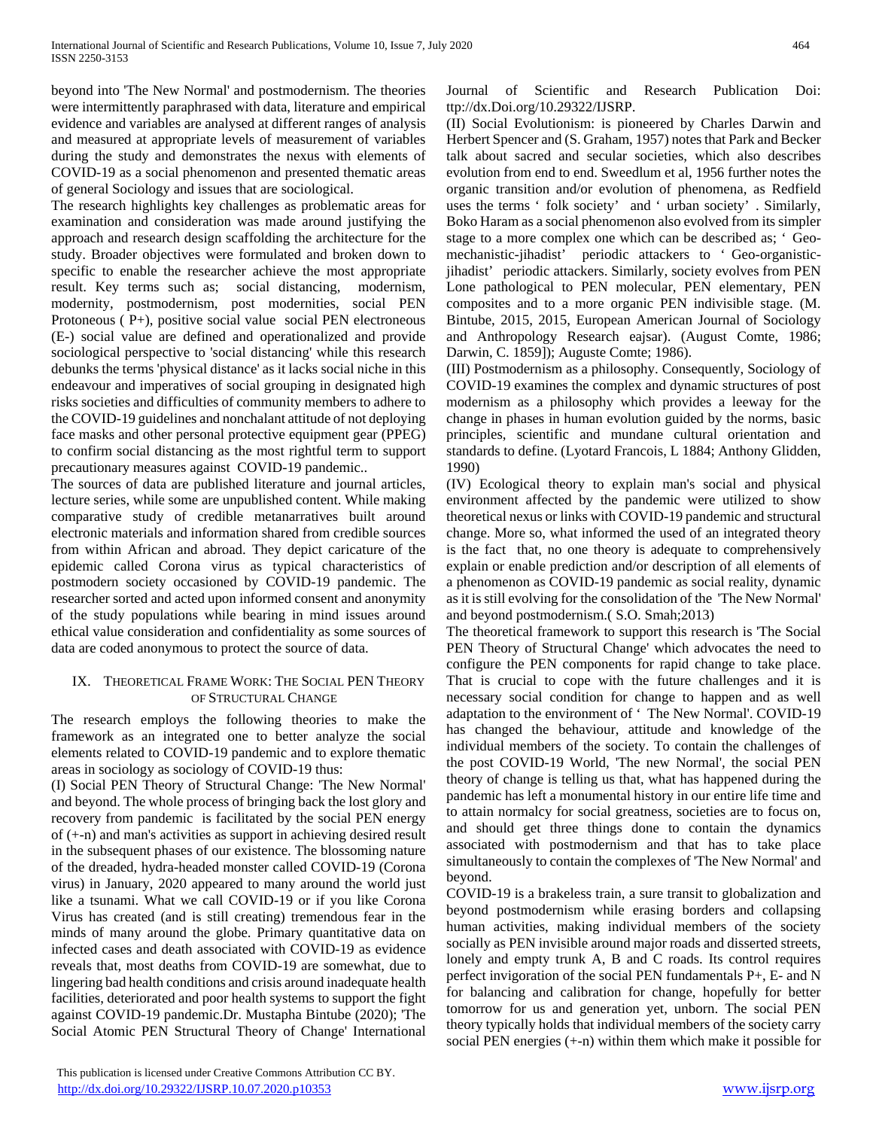beyond into 'The New Normal' and postmodernism. The theories were intermittently paraphrased with data, literature and empirical evidence and variables are analysed at different ranges of analysis and measured at appropriate levels of measurement of variables during the study and demonstrates the nexus with elements of COVID-19 as a social phenomenon and presented thematic areas of general Sociology and issues that are sociological.

The research highlights key challenges as problematic areas for examination and consideration was made around justifying the approach and research design scaffolding the architecture for the study. Broader objectives were formulated and broken down to specific to enable the researcher achieve the most appropriate result. Key terms such as; social distancing, modernism, modernity, postmodernism, post modernities, social PEN Protoneous ( P+), positive social value social PEN electroneous (E-) social value are defined and operationalized and provide sociological perspective to 'social distancing' while this research debunks the terms 'physical distance' as it lacks social niche in this endeavour and imperatives of social grouping in designated high risks societies and difficulties of community members to adhere to the COVID-19 guidelines and nonchalant attitude of not deploying face masks and other personal protective equipment gear (PPEG) to confirm social distancing as the most rightful term to support precautionary measures against COVID-19 pandemic..

The sources of data are published literature and journal articles, lecture series, while some are unpublished content. While making comparative study of credible metanarratives built around electronic materials and information shared from credible sources from within African and abroad. They depict caricature of the epidemic called Corona virus as typical characteristics of postmodern society occasioned by COVID-19 pandemic. The researcher sorted and acted upon informed consent and anonymity of the study populations while bearing in mind issues around ethical value consideration and confidentiality as some sources of data are coded anonymous to protect the source of data.

## IX. THEORETICAL FRAME WORK: THE SOCIAL PEN THEORY OF STRUCTURAL CHANGE

The research employs the following theories to make the framework as an integrated one to better analyze the social elements related to COVID-19 pandemic and to explore thematic areas in sociology as sociology of COVID-19 thus:

(I) Social PEN Theory of Structural Change: 'The New Normal' and beyond. The whole process of bringing back the lost glory and recovery from pandemic is facilitated by the social PEN energy of (+-n) and man's activities as support in achieving desired result in the subsequent phases of our existence. The blossoming nature of the dreaded, hydra-headed monster called COVID-19 (Corona virus) in January, 2020 appeared to many around the world just like a tsunami. What we call COVID-19 or if you like Corona Virus has created (and is still creating) tremendous fear in the minds of many around the globe. Primary quantitative data on infected cases and death associated with COVID-19 as evidence reveals that, most deaths from COVID-19 are somewhat, due to lingering bad health conditions and crisis around inadequate health facilities, deteriorated and poor health systems to support the fight against COVID-19 pandemic.Dr. Mustapha Bintube (2020); 'The Social Atomic PEN Structural Theory of Change' International

Journal of Scientific and Research Publication Doi: ttp://dx.Doi.org/10.29322/IJSRP.

(II) Social Evolutionism: is pioneered by Charles Darwin and Herbert Spencer and (S. Graham, 1957) notes that Park and Becker talk about sacred and secular societies, which also describes evolution from end to end. Sweedlum et al, 1956 further notes the organic transition and/or evolution of phenomena, as Redfield uses the terms ' folk society' and ' urban society' . Similarly, Boko Haram as a social phenomenon also evolved from its simpler stage to a more complex one which can be described as; ' Geomechanistic-jihadist' periodic attackers to ' Geo-organisticjihadist' periodic attackers. Similarly, society evolves from PEN Lone pathological to PEN molecular, PEN elementary, PEN composites and to a more organic PEN indivisible stage. (M. Bintube, 2015, 2015, European American Journal of Sociology and Anthropology Research eajsar). (August Comte, 1986; Darwin, C. 1859]); Auguste Comte; 1986).

(III) Postmodernism as a philosophy. Consequently, Sociology of COVID-19 examines the complex and dynamic structures of post modernism as a philosophy which provides a leeway for the change in phases in human evolution guided by the norms, basic principles, scientific and mundane cultural orientation and standards to define. (Lyotard Francois, L 1884; Anthony Glidden, 1990)

(IV) Ecological theory to explain man's social and physical environment affected by the pandemic were utilized to show theoretical nexus or links with COVID-19 pandemic and structural change. More so, what informed the used of an integrated theory is the fact that, no one theory is adequate to comprehensively explain or enable prediction and/or description of all elements of a phenomenon as COVID-19 pandemic as social reality, dynamic as it is still evolving for the consolidation of the 'The New Normal' and beyond postmodernism.( S.O. Smah;2013)

The theoretical framework to support this research is 'The Social PEN Theory of Structural Change' which advocates the need to configure the PEN components for rapid change to take place. That is crucial to cope with the future challenges and it is necessary social condition for change to happen and as well adaptation to the environment of ' The New Normal'. COVID-19 has changed the behaviour, attitude and knowledge of the individual members of the society. To contain the challenges of the post COVID-19 World, 'The new Normal', the social PEN theory of change is telling us that, what has happened during the pandemic has left a monumental history in our entire life time and to attain normalcy for social greatness, societies are to focus on, and should get three things done to contain the dynamics associated with postmodernism and that has to take place simultaneously to contain the complexes of 'The New Normal' and beyond.

COVID-19 is a brakeless train, a sure transit to globalization and beyond postmodernism while erasing borders and collapsing human activities, making individual members of the society socially as PEN invisible around major roads and disserted streets, lonely and empty trunk A, B and C roads. Its control requires perfect invigoration of the social PEN fundamentals P+, E- and N for balancing and calibration for change, hopefully for better tomorrow for us and generation yet, unborn. The social PEN theory typically holds that individual members of the society carry social PEN energies (+-n) within them which make it possible for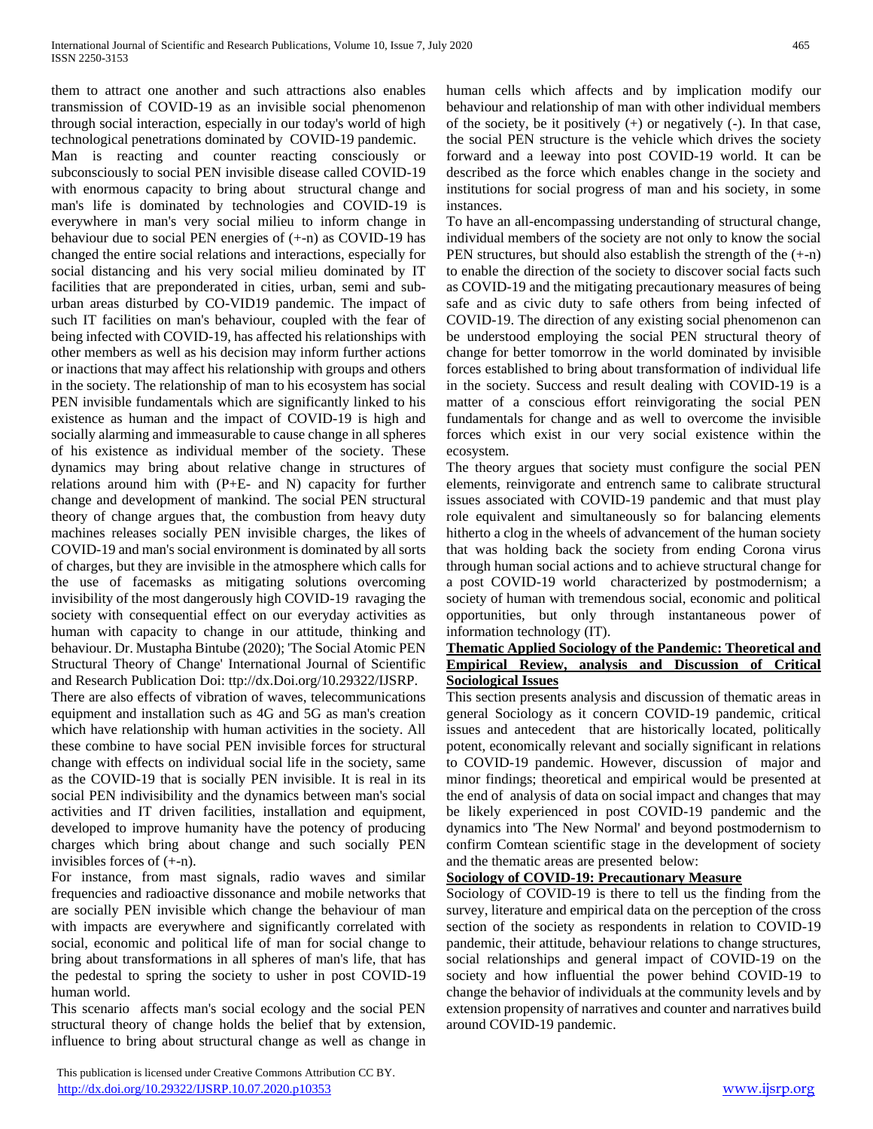them to attract one another and such attractions also enables transmission of COVID-19 as an invisible social phenomenon through social interaction, especially in our today's world of high technological penetrations dominated by COVID-19 pandemic. Man is reacting and counter reacting consciously or subconsciously to social PEN invisible disease called COVID-19 with enormous capacity to bring about structural change and man's life is dominated by technologies and COVID-19 is everywhere in man's very social milieu to inform change in behaviour due to social PEN energies of  $(+n)$  as COVID-19 has changed the entire social relations and interactions, especially for social distancing and his very social milieu dominated by IT facilities that are preponderated in cities, urban, semi and suburban areas disturbed by CO-VID19 pandemic. The impact of such IT facilities on man's behaviour, coupled with the fear of being infected with COVID-19, has affected his relationships with other members as well as his decision may inform further actions or inactions that may affect his relationship with groups and others in the society. The relationship of man to his ecosystem has social PEN invisible fundamentals which are significantly linked to his existence as human and the impact of COVID-19 is high and socially alarming and immeasurable to cause change in all spheres of his existence as individual member of the society. These dynamics may bring about relative change in structures of relations around him with (P+E- and N) capacity for further change and development of mankind. The social PEN structural theory of change argues that, the combustion from heavy duty machines releases socially PEN invisible charges, the likes of COVID-19 and man's social environment is dominated by all sorts of charges, but they are invisible in the atmosphere which calls for the use of facemasks as mitigating solutions overcoming invisibility of the most dangerously high COVID-19 ravaging the society with consequential effect on our everyday activities as human with capacity to change in our attitude, thinking and behaviour. Dr. Mustapha Bintube (2020); 'The Social Atomic PEN Structural Theory of Change' International Journal of Scientific and Research Publication Doi: ttp://dx.Doi.org/10.29322/IJSRP.

There are also effects of vibration of waves, telecommunications equipment and installation such as 4G and 5G as man's creation which have relationship with human activities in the society. All these combine to have social PEN invisible forces for structural change with effects on individual social life in the society, same as the COVID-19 that is socially PEN invisible. It is real in its social PEN indivisibility and the dynamics between man's social activities and IT driven facilities, installation and equipment, developed to improve humanity have the potency of producing charges which bring about change and such socially PEN invisibles forces of (+-n).

For instance, from mast signals, radio waves and similar frequencies and radioactive dissonance and mobile networks that are socially PEN invisible which change the behaviour of man with impacts are everywhere and significantly correlated with social, economic and political life of man for social change to bring about transformations in all spheres of man's life, that has the pedestal to spring the society to usher in post COVID-19 human world.

This scenario affects man's social ecology and the social PEN structural theory of change holds the belief that by extension, influence to bring about structural change as well as change in

 This publication is licensed under Creative Commons Attribution CC BY. <http://dx.doi.org/10.29322/IJSRP.10.07.2020.p10353> [www.ijsrp.org](http://ijsrp.org/)

human cells which affects and by implication modify our behaviour and relationship of man with other individual members of the society, be it positively  $(+)$  or negatively  $(-)$ . In that case, the social PEN structure is the vehicle which drives the society forward and a leeway into post COVID-19 world. It can be described as the force which enables change in the society and institutions for social progress of man and his society, in some instances.

To have an all-encompassing understanding of structural change, individual members of the society are not only to know the social PEN structures, but should also establish the strength of the (+-n) to enable the direction of the society to discover social facts such as COVID-19 and the mitigating precautionary measures of being safe and as civic duty to safe others from being infected of COVID-19. The direction of any existing social phenomenon can be understood employing the social PEN structural theory of change for better tomorrow in the world dominated by invisible forces established to bring about transformation of individual life in the society. Success and result dealing with COVID-19 is a matter of a conscious effort reinvigorating the social PEN fundamentals for change and as well to overcome the invisible forces which exist in our very social existence within the ecosystem.

The theory argues that society must configure the social PEN elements, reinvigorate and entrench same to calibrate structural issues associated with COVID-19 pandemic and that must play role equivalent and simultaneously so for balancing elements hitherto a clog in the wheels of advancement of the human society that was holding back the society from ending Corona virus through human social actions and to achieve structural change for a post COVID-19 world characterized by postmodernism; a society of human with tremendous social, economic and political opportunities, but only through instantaneous power of information technology (IT).

## **Thematic Applied Sociology of the Pandemic: Theoretical and Empirical Review, analysis and Discussion of Critical Sociological Issues**

This section presents analysis and discussion of thematic areas in general Sociology as it concern COVID-19 pandemic, critical issues and antecedent that are historically located, politically potent, economically relevant and socially significant in relations to COVID-19 pandemic. However, discussion of major and minor findings; theoretical and empirical would be presented at the end of analysis of data on social impact and changes that may be likely experienced in post COVID-19 pandemic and the dynamics into 'The New Normal' and beyond postmodernism to confirm Comtean scientific stage in the development of society and the thematic areas are presented below:

## **Sociology of COVID-19: Precautionary Measure**

Sociology of COVID-19 is there to tell us the finding from the survey, literature and empirical data on the perception of the cross section of the society as respondents in relation to COVID-19 pandemic, their attitude, behaviour relations to change structures, social relationships and general impact of COVID-19 on the society and how influential the power behind COVID-19 to change the behavior of individuals at the community levels and by extension propensity of narratives and counter and narratives build around COVID-19 pandemic.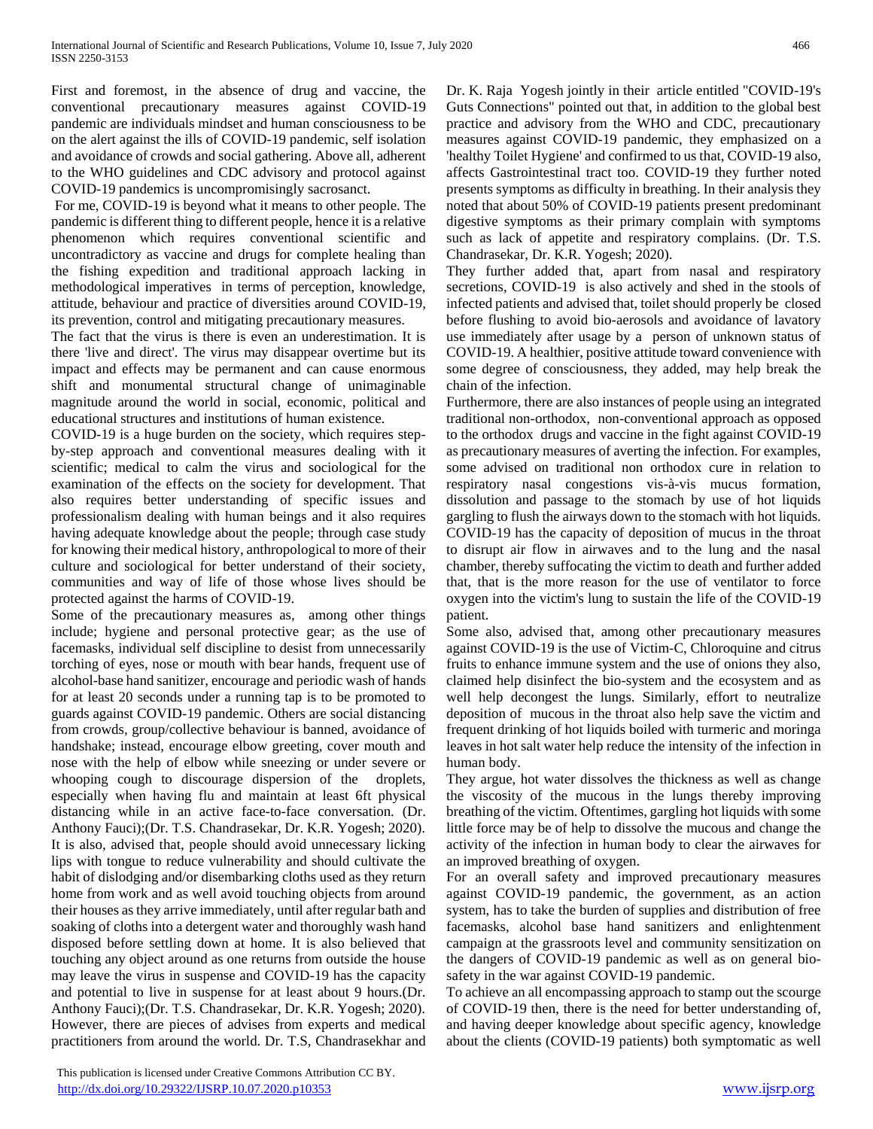First and foremost, in the absence of drug and vaccine, the conventional precautionary measures against COVID-19 pandemic are individuals mindset and human consciousness to be on the alert against the ills of COVID-19 pandemic, self isolation and avoidance of crowds and social gathering. Above all, adherent to the WHO guidelines and CDC advisory and protocol against COVID-19 pandemics is uncompromisingly sacrosanct.

For me, COVID-19 is beyond what it means to other people. The pandemic is different thing to different people, hence it is a relative phenomenon which requires conventional scientific and uncontradictory as vaccine and drugs for complete healing than the fishing expedition and traditional approach lacking in methodological imperatives in terms of perception, knowledge, attitude, behaviour and practice of diversities around COVID-19, its prevention, control and mitigating precautionary measures.

The fact that the virus is there is even an underestimation. It is there 'live and direct'. The virus may disappear overtime but its impact and effects may be permanent and can cause enormous shift and monumental structural change of unimaginable magnitude around the world in social, economic, political and educational structures and institutions of human existence.

COVID-19 is a huge burden on the society, which requires stepby-step approach and conventional measures dealing with it scientific; medical to calm the virus and sociological for the examination of the effects on the society for development. That also requires better understanding of specific issues and professionalism dealing with human beings and it also requires having adequate knowledge about the people; through case study for knowing their medical history, anthropological to more of their culture and sociological for better understand of their society, communities and way of life of those whose lives should be protected against the harms of COVID-19.

Some of the precautionary measures as, among other things include; hygiene and personal protective gear; as the use of facemasks, individual self discipline to desist from unnecessarily torching of eyes, nose or mouth with bear hands, frequent use of alcohol-base hand sanitizer, encourage and periodic wash of hands for at least 20 seconds under a running tap is to be promoted to guards against COVID-19 pandemic. Others are social distancing from crowds, group/collective behaviour is banned, avoidance of handshake; instead, encourage elbow greeting, cover mouth and nose with the help of elbow while sneezing or under severe or whooping cough to discourage dispersion of the droplets, especially when having flu and maintain at least 6ft physical distancing while in an active face-to-face conversation. (Dr. Anthony Fauci);(Dr. T.S. Chandrasekar, Dr. K.R. Yogesh; 2020). It is also, advised that, people should avoid unnecessary licking lips with tongue to reduce vulnerability and should cultivate the habit of dislodging and/or disembarking cloths used as they return home from work and as well avoid touching objects from around their houses as they arrive immediately, until after regular bath and soaking of cloths into a detergent water and thoroughly wash hand disposed before settling down at home. It is also believed that touching any object around as one returns from outside the house may leave the virus in suspense and COVID-19 has the capacity and potential to live in suspense for at least about 9 hours.(Dr. Anthony Fauci);(Dr. T.S. Chandrasekar, Dr. K.R. Yogesh; 2020). However, there are pieces of advises from experts and medical practitioners from around the world. Dr. T.S, Chandrasekhar and

Dr. K. Raja Yogesh jointly in their article entitled "COVID-19's Guts Connections" pointed out that, in addition to the global best practice and advisory from the WHO and CDC, precautionary measures against COVID-19 pandemic, they emphasized on a 'healthy Toilet Hygiene' and confirmed to us that, COVID-19 also, affects Gastrointestinal tract too. COVID-19 they further noted presents symptoms as difficulty in breathing. In their analysis they noted that about 50% of COVID-19 patients present predominant digestive symptoms as their primary complain with symptoms such as lack of appetite and respiratory complains. (Dr. T.S. Chandrasekar, Dr. K.R. Yogesh; 2020).

They further added that, apart from nasal and respiratory secretions, COVID-19 is also actively and shed in the stools of infected patients and advised that, toilet should properly be closed before flushing to avoid bio-aerosols and avoidance of lavatory use immediately after usage by a person of unknown status of COVID-19. A healthier, positive attitude toward convenience with some degree of consciousness, they added, may help break the chain of the infection.

Furthermore, there are also instances of people using an integrated traditional non-orthodox, non-conventional approach as opposed to the orthodox drugs and vaccine in the fight against COVID-19 as precautionary measures of averting the infection. For examples, some advised on traditional non orthodox cure in relation to respiratory nasal congestions vis-à-vis mucus formation, dissolution and passage to the stomach by use of hot liquids gargling to flush the airways down to the stomach with hot liquids. COVID-19 has the capacity of deposition of mucus in the throat to disrupt air flow in airwaves and to the lung and the nasal chamber, thereby suffocating the victim to death and further added that, that is the more reason for the use of ventilator to force oxygen into the victim's lung to sustain the life of the COVID-19 patient.

Some also, advised that, among other precautionary measures against COVID-19 is the use of Victim-C, Chloroquine and citrus fruits to enhance immune system and the use of onions they also, claimed help disinfect the bio-system and the ecosystem and as well help decongest the lungs. Similarly, effort to neutralize deposition of mucous in the throat also help save the victim and frequent drinking of hot liquids boiled with turmeric and moringa leaves in hot salt water help reduce the intensity of the infection in human body.

They argue, hot water dissolves the thickness as well as change the viscosity of the mucous in the lungs thereby improving breathing of the victim. Oftentimes, gargling hot liquids with some little force may be of help to dissolve the mucous and change the activity of the infection in human body to clear the airwaves for an improved breathing of oxygen.

For an overall safety and improved precautionary measures against COVID-19 pandemic, the government, as an action system, has to take the burden of supplies and distribution of free facemasks, alcohol base hand sanitizers and enlightenment campaign at the grassroots level and community sensitization on the dangers of COVID-19 pandemic as well as on general biosafety in the war against COVID-19 pandemic.

To achieve an all encompassing approach to stamp out the scourge of COVID-19 then, there is the need for better understanding of, and having deeper knowledge about specific agency, knowledge about the clients (COVID-19 patients) both symptomatic as well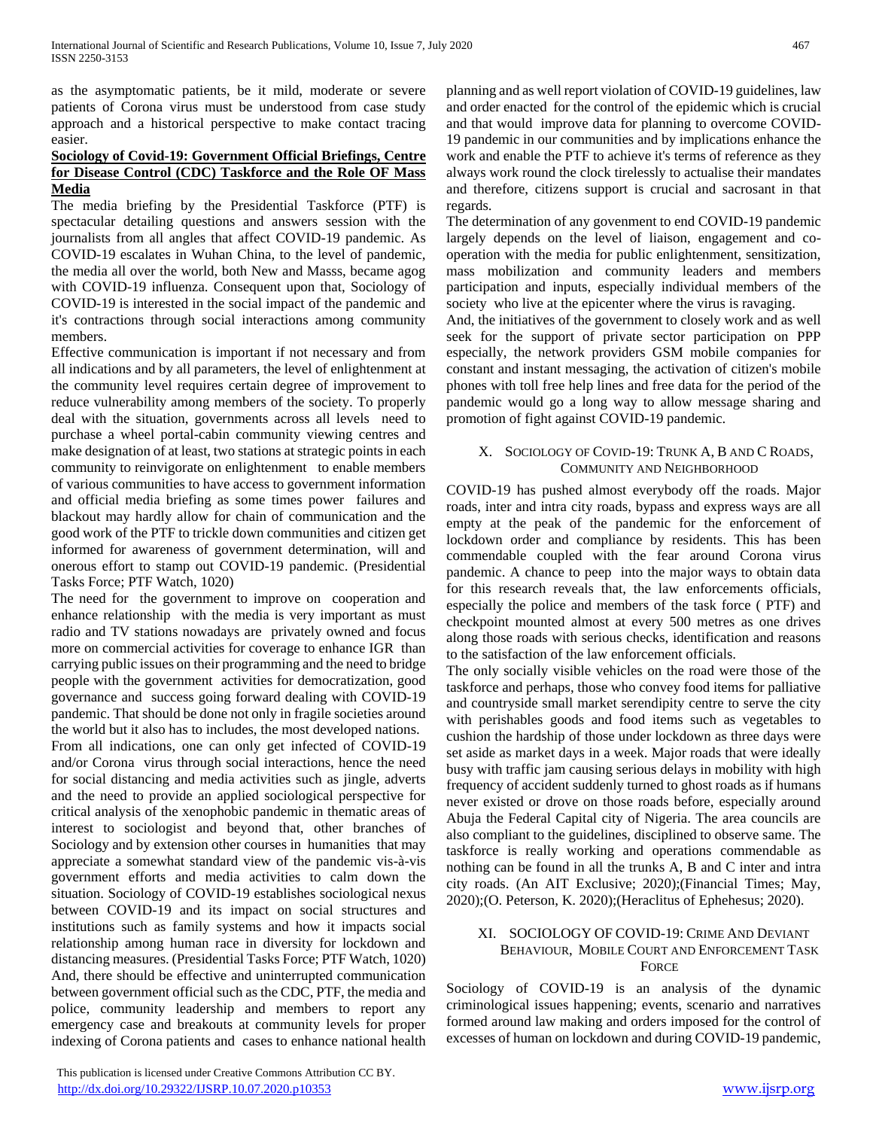as the asymptomatic patients, be it mild, moderate or severe patients of Corona virus must be understood from case study approach and a historical perspective to make contact tracing easier.

#### **Sociology of Covid-19: Government Official Briefings, Centre for Disease Control (CDC) Taskforce and the Role OF Mass Media**

The media briefing by the Presidential Taskforce (PTF) is spectacular detailing questions and answers session with the journalists from all angles that affect COVID-19 pandemic. As COVID-19 escalates in Wuhan China, to the level of pandemic, the media all over the world, both New and Masss, became agog with COVID-19 influenza. Consequent upon that, Sociology of COVID-19 is interested in the social impact of the pandemic and it's contractions through social interactions among community members.

Effective communication is important if not necessary and from all indications and by all parameters, the level of enlightenment at the community level requires certain degree of improvement to reduce vulnerability among members of the society. To properly deal with the situation, governments across all levels need to purchase a wheel portal-cabin community viewing centres and make designation of at least, two stations at strategic points in each community to reinvigorate on enlightenment to enable members of various communities to have access to government information and official media briefing as some times power failures and blackout may hardly allow for chain of communication and the good work of the PTF to trickle down communities and citizen get informed for awareness of government determination, will and onerous effort to stamp out COVID-19 pandemic. (Presidential Tasks Force; PTF Watch, 1020)

The need for the government to improve on cooperation and enhance relationship with the media is very important as must radio and TV stations nowadays are privately owned and focus more on commercial activities for coverage to enhance IGR than carrying public issues on their programming and the need to bridge people with the government activities for democratization, good governance and success going forward dealing with COVID-19 pandemic. That should be done not only in fragile societies around the world but it also has to includes, the most developed nations. From all indications, one can only get infected of COVID-19 and/or Corona virus through social interactions, hence the need for social distancing and media activities such as jingle, adverts and the need to provide an applied sociological perspective for critical analysis of the xenophobic pandemic in thematic areas of interest to sociologist and beyond that, other branches of Sociology and by extension other courses in humanities that may appreciate a somewhat standard view of the pandemic vis-à-vis government efforts and media activities to calm down the situation. Sociology of COVID-19 establishes sociological nexus between COVID-19 and its impact on social structures and institutions such as family systems and how it impacts social relationship among human race in diversity for lockdown and distancing measures. (Presidential Tasks Force; PTF Watch, 1020) And, there should be effective and uninterrupted communication between government official such as the CDC, PTF, the media and police, community leadership and members to report any emergency case and breakouts at community levels for proper indexing of Corona patients and cases to enhance national health planning and as well report violation of COVID-19 guidelines, law and order enacted for the control of the epidemic which is crucial and that would improve data for planning to overcome COVID-19 pandemic in our communities and by implications enhance the work and enable the PTF to achieve it's terms of reference as they always work round the clock tirelessly to actualise their mandates and therefore, citizens support is crucial and sacrosant in that regards.

The determination of any govenment to end COVID-19 pandemic largely depends on the level of liaison, engagement and cooperation with the media for public enlightenment, sensitization, mass mobilization and community leaders and members participation and inputs, especially individual members of the society who live at the epicenter where the virus is ravaging.

And, the initiatives of the government to closely work and as well seek for the support of private sector participation on PPP especially, the network providers GSM mobile companies for constant and instant messaging, the activation of citizen's mobile phones with toll free help lines and free data for the period of the pandemic would go a long way to allow message sharing and promotion of fight against COVID-19 pandemic.

#### X. SOCIOLOGY OF COVID-19: TRUNK A, B AND C ROADS, COMMUNITY AND NEIGHBORHOOD

COVID-19 has pushed almost everybody off the roads. Major roads, inter and intra city roads, bypass and express ways are all empty at the peak of the pandemic for the enforcement of lockdown order and compliance by residents. This has been commendable coupled with the fear around Corona virus pandemic. A chance to peep into the major ways to obtain data for this research reveals that, the law enforcements officials, especially the police and members of the task force ( PTF) and checkpoint mounted almost at every 500 metres as one drives along those roads with serious checks, identification and reasons to the satisfaction of the law enforcement officials.

The only socially visible vehicles on the road were those of the taskforce and perhaps, those who convey food items for palliative and countryside small market serendipity centre to serve the city with perishables goods and food items such as vegetables to cushion the hardship of those under lockdown as three days were set aside as market days in a week. Major roads that were ideally busy with traffic jam causing serious delays in mobility with high frequency of accident suddenly turned to ghost roads as if humans never existed or drove on those roads before, especially around Abuja the Federal Capital city of Nigeria. The area councils are also compliant to the guidelines, disciplined to observe same. The taskforce is really working and operations commendable as nothing can be found in all the trunks A, B and C inter and intra city roads. (An AIT Exclusive; 2020);(Financial Times; May, 2020);(O. Peterson, K. 2020);(Heraclitus of Ephehesus; 2020).

#### XI. SOCIOLOGY OF COVID-19: CRIME AND DEVIANT BEHAVIOUR, MOBILE COURT AND ENFORCEMENT TASK **FORCE**

Sociology of COVID-19 is an analysis of the dynamic criminological issues happening; events, scenario and narratives formed around law making and orders imposed for the control of excesses of human on lockdown and during COVID-19 pandemic,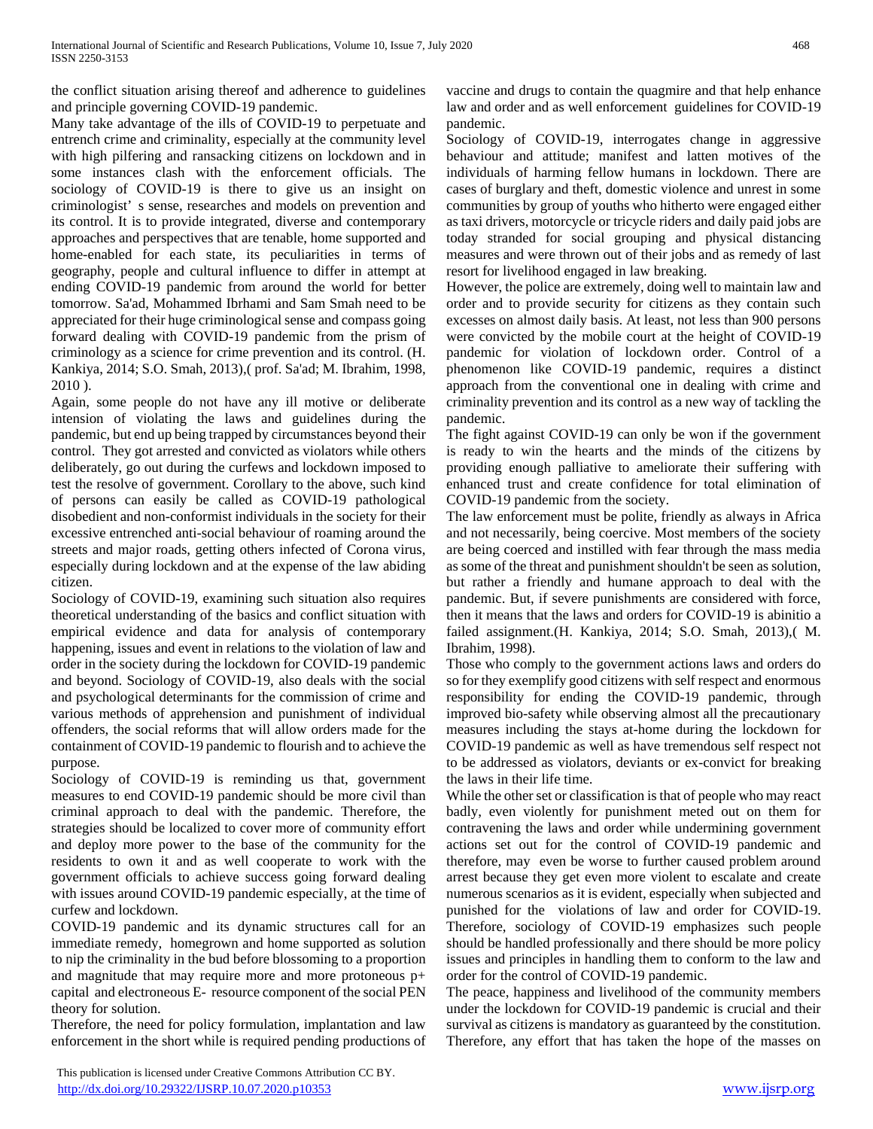the conflict situation arising thereof and adherence to guidelines and principle governing COVID-19 pandemic.

Many take advantage of the ills of COVID-19 to perpetuate and entrench crime and criminality, especially at the community level with high pilfering and ransacking citizens on lockdown and in some instances clash with the enforcement officials. The sociology of COVID-19 is there to give us an insight on criminologist' s sense, researches and models on prevention and its control. It is to provide integrated, diverse and contemporary approaches and perspectives that are tenable, home supported and home-enabled for each state, its peculiarities in terms of geography, people and cultural influence to differ in attempt at ending COVID-19 pandemic from around the world for better tomorrow. Sa'ad, Mohammed Ibrhami and Sam Smah need to be appreciated for their huge criminological sense and compass going forward dealing with COVID-19 pandemic from the prism of criminology as a science for crime prevention and its control. (H. Kankiya, 2014; S.O. Smah, 2013),( prof. Sa'ad; M. Ibrahim, 1998, 2010 ).

Again, some people do not have any ill motive or deliberate intension of violating the laws and guidelines during the pandemic, but end up being trapped by circumstances beyond their control. They got arrested and convicted as violators while others deliberately, go out during the curfews and lockdown imposed to test the resolve of government. Corollary to the above, such kind of persons can easily be called as COVID-19 pathological disobedient and non-conformist individuals in the society for their excessive entrenched anti-social behaviour of roaming around the streets and major roads, getting others infected of Corona virus, especially during lockdown and at the expense of the law abiding citizen.

Sociology of COVID-19, examining such situation also requires theoretical understanding of the basics and conflict situation with empirical evidence and data for analysis of contemporary happening, issues and event in relations to the violation of law and order in the society during the lockdown for COVID-19 pandemic and beyond. Sociology of COVID-19, also deals with the social and psychological determinants for the commission of crime and various methods of apprehension and punishment of individual offenders, the social reforms that will allow orders made for the containment of COVID-19 pandemic to flourish and to achieve the purpose.

Sociology of COVID-19 is reminding us that, government measures to end COVID-19 pandemic should be more civil than criminal approach to deal with the pandemic. Therefore, the strategies should be localized to cover more of community effort and deploy more power to the base of the community for the residents to own it and as well cooperate to work with the government officials to achieve success going forward dealing with issues around COVID-19 pandemic especially, at the time of curfew and lockdown.

COVID-19 pandemic and its dynamic structures call for an immediate remedy, homegrown and home supported as solution to nip the criminality in the bud before blossoming to a proportion and magnitude that may require more and more protoneous p+ capital and electroneous E- resource component of the social PEN theory for solution.

Therefore, the need for policy formulation, implantation and law enforcement in the short while is required pending productions of vaccine and drugs to contain the quagmire and that help enhance law and order and as well enforcement guidelines for COVID-19 pandemic.

Sociology of COVID-19, interrogates change in aggressive behaviour and attitude; manifest and latten motives of the individuals of harming fellow humans in lockdown. There are cases of burglary and theft, domestic violence and unrest in some communities by group of youths who hitherto were engaged either as taxi drivers, motorcycle or tricycle riders and daily paid jobs are today stranded for social grouping and physical distancing measures and were thrown out of their jobs and as remedy of last resort for livelihood engaged in law breaking.

However, the police are extremely, doing well to maintain law and order and to provide security for citizens as they contain such excesses on almost daily basis. At least, not less than 900 persons were convicted by the mobile court at the height of COVID-19 pandemic for violation of lockdown order. Control of a phenomenon like COVID-19 pandemic, requires a distinct approach from the conventional one in dealing with crime and criminality prevention and its control as a new way of tackling the pandemic.

The fight against COVID-19 can only be won if the government is ready to win the hearts and the minds of the citizens by providing enough palliative to ameliorate their suffering with enhanced trust and create confidence for total elimination of COVID-19 pandemic from the society.

The law enforcement must be polite, friendly as always in Africa and not necessarily, being coercive. Most members of the society are being coerced and instilled with fear through the mass media as some of the threat and punishment shouldn't be seen as solution, but rather a friendly and humane approach to deal with the pandemic. But, if severe punishments are considered with force, then it means that the laws and orders for COVID-19 is abinitio a failed assignment.(H. Kankiya, 2014; S.O. Smah, 2013),( M. Ibrahim, 1998).

Those who comply to the government actions laws and orders do so for they exemplify good citizens with self respect and enormous responsibility for ending the COVID-19 pandemic, through improved bio-safety while observing almost all the precautionary measures including the stays at-home during the lockdown for COVID-19 pandemic as well as have tremendous self respect not to be addressed as violators, deviants or ex-convict for breaking the laws in their life time.

While the other set or classification is that of people who may react badly, even violently for punishment meted out on them for contravening the laws and order while undermining government actions set out for the control of COVID-19 pandemic and therefore, may even be worse to further caused problem around arrest because they get even more violent to escalate and create numerous scenarios as it is evident, especially when subjected and punished for the violations of law and order for COVID-19. Therefore, sociology of COVID-19 emphasizes such people should be handled professionally and there should be more policy issues and principles in handling them to conform to the law and order for the control of COVID-19 pandemic.

The peace, happiness and livelihood of the community members under the lockdown for COVID-19 pandemic is crucial and their survival as citizens is mandatory as guaranteed by the constitution. Therefore, any effort that has taken the hope of the masses on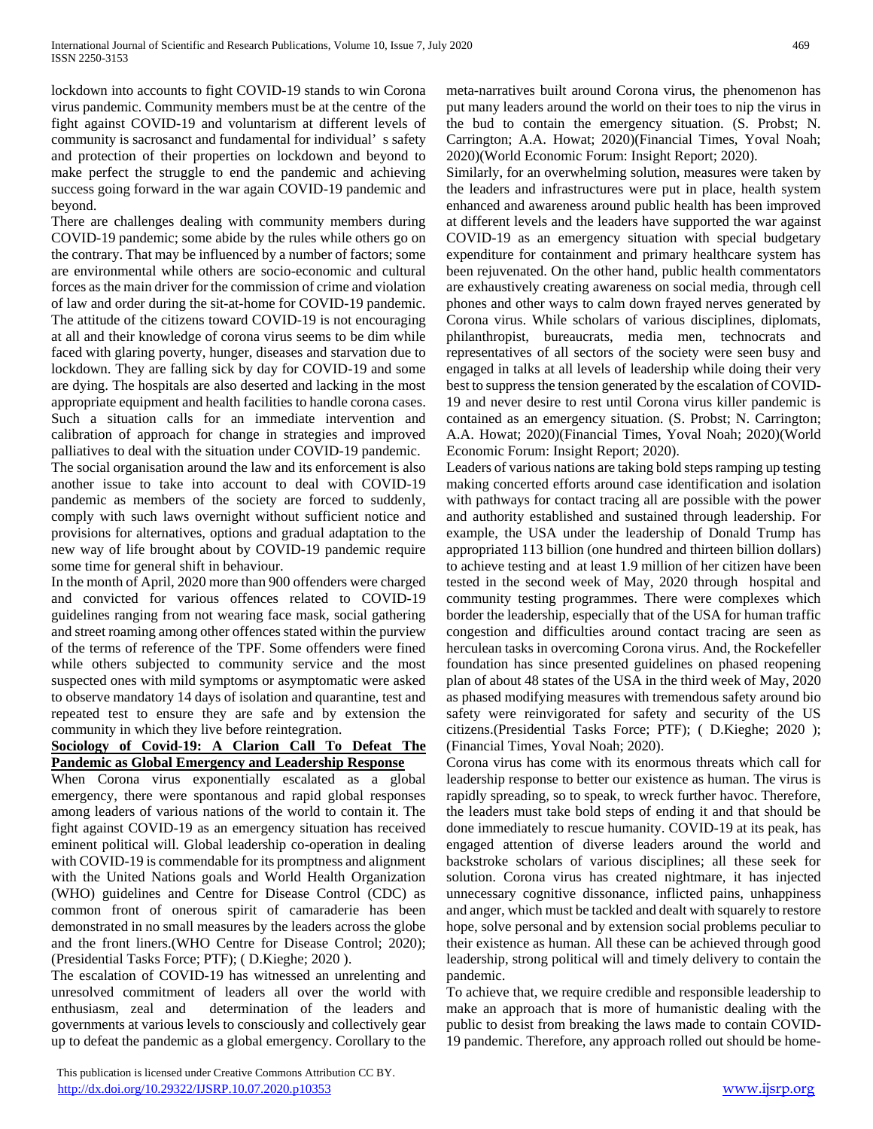lockdown into accounts to fight COVID-19 stands to win Corona virus pandemic. Community members must be at the centre of the fight against COVID-19 and voluntarism at different levels of community is sacrosanct and fundamental for individual' s safety and protection of their properties on lockdown and beyond to make perfect the struggle to end the pandemic and achieving success going forward in the war again COVID-19 pandemic and beyond.

There are challenges dealing with community members during COVID-19 pandemic; some abide by the rules while others go on the contrary. That may be influenced by a number of factors; some are environmental while others are socio-economic and cultural forces as the main driver for the commission of crime and violation of law and order during the sit-at-home for COVID-19 pandemic. The attitude of the citizens toward COVID-19 is not encouraging at all and their knowledge of corona virus seems to be dim while faced with glaring poverty, hunger, diseases and starvation due to lockdown. They are falling sick by day for COVID-19 and some are dying. The hospitals are also deserted and lacking in the most appropriate equipment and health facilities to handle corona cases. Such a situation calls for an immediate intervention and calibration of approach for change in strategies and improved palliatives to deal with the situation under COVID-19 pandemic. The social organisation around the law and its enforcement is also another issue to take into account to deal with COVID-19 pandemic as members of the society are forced to suddenly, comply with such laws overnight without sufficient notice and provisions for alternatives, options and gradual adaptation to the new way of life brought about by COVID-19 pandemic require some time for general shift in behaviour.

In the month of April, 2020 more than 900 offenders were charged and convicted for various offences related to COVID-19 guidelines ranging from not wearing face mask, social gathering and street roaming among other offences stated within the purview of the terms of reference of the TPF. Some offenders were fined while others subjected to community service and the most suspected ones with mild symptoms or asymptomatic were asked to observe mandatory 14 days of isolation and quarantine, test and repeated test to ensure they are safe and by extension the community in which they live before reintegration.

## **Sociology of Covid-19: A Clarion Call To Defeat The Pandemic as Global Emergency and Leadership Response**

When Corona virus exponentially escalated as a global emergency, there were spontanous and rapid global responses among leaders of various nations of the world to contain it. The fight against COVID-19 as an emergency situation has received eminent political will. Global leadership co-operation in dealing with COVID-19 is commendable for its promptness and alignment with the United Nations goals and World Health Organization (WHO) guidelines and Centre for Disease Control (CDC) as common front of onerous spirit of camaraderie has been demonstrated in no small measures by the leaders across the globe and the front liners.(WHO Centre for Disease Control; 2020); (Presidential Tasks Force; PTF); ( D.Kieghe; 2020 ).

The escalation of COVID-19 has witnessed an unrelenting and unresolved commitment of leaders all over the world with enthusiasm, zeal and determination of the leaders and governments at various levels to consciously and collectively gear up to defeat the pandemic as a global emergency. Corollary to the

 This publication is licensed under Creative Commons Attribution CC BY. <http://dx.doi.org/10.29322/IJSRP.10.07.2020.p10353> [www.ijsrp.org](http://ijsrp.org/)

meta-narratives built around Corona virus, the phenomenon has put many leaders around the world on their toes to nip the virus in the bud to contain the emergency situation. (S. Probst; N. Carrington; A.A. Howat; 2020)(Financial Times, Yoval Noah; 2020)(World Economic Forum: Insight Report; 2020).

Similarly, for an overwhelming solution, measures were taken by the leaders and infrastructures were put in place, health system enhanced and awareness around public health has been improved at different levels and the leaders have supported the war against COVID-19 as an emergency situation with special budgetary expenditure for containment and primary healthcare system has been rejuvenated. On the other hand, public health commentators are exhaustively creating awareness on social media, through cell phones and other ways to calm down frayed nerves generated by Corona virus. While scholars of various disciplines, diplomats, philanthropist, bureaucrats, media men, technocrats and representatives of all sectors of the society were seen busy and engaged in talks at all levels of leadership while doing their very best to suppress the tension generated by the escalation of COVID-19 and never desire to rest until Corona virus killer pandemic is contained as an emergency situation. (S. Probst; N. Carrington; A.A. Howat; 2020)(Financial Times, Yoval Noah; 2020)(World Economic Forum: Insight Report; 2020).

Leaders of various nations are taking bold steps ramping up testing making concerted efforts around case identification and isolation with pathways for contact tracing all are possible with the power and authority established and sustained through leadership. For example, the USA under the leadership of Donald Trump has appropriated 113 billion (one hundred and thirteen billion dollars) to achieve testing and at least 1.9 million of her citizen have been tested in the second week of May, 2020 through hospital and community testing programmes. There were complexes which border the leadership, especially that of the USA for human traffic congestion and difficulties around contact tracing are seen as herculean tasks in overcoming Corona virus. And, the Rockefeller foundation has since presented guidelines on phased reopening plan of about 48 states of the USA in the third week of May, 2020 as phased modifying measures with tremendous safety around bio safety were reinvigorated for safety and security of the US citizens.(Presidential Tasks Force; PTF); ( D.Kieghe; 2020 ); (Financial Times, Yoval Noah; 2020).

Corona virus has come with its enormous threats which call for leadership response to better our existence as human. The virus is rapidly spreading, so to speak, to wreck further havoc. Therefore, the leaders must take bold steps of ending it and that should be done immediately to rescue humanity. COVID-19 at its peak, has engaged attention of diverse leaders around the world and backstroke scholars of various disciplines; all these seek for solution. Corona virus has created nightmare, it has injected unnecessary cognitive dissonance, inflicted pains, unhappiness and anger, which must be tackled and dealt with squarely to restore hope, solve personal and by extension social problems peculiar to their existence as human. All these can be achieved through good leadership, strong political will and timely delivery to contain the pandemic.

To achieve that, we require credible and responsible leadership to make an approach that is more of humanistic dealing with the public to desist from breaking the laws made to contain COVID-19 pandemic. Therefore, any approach rolled out should be home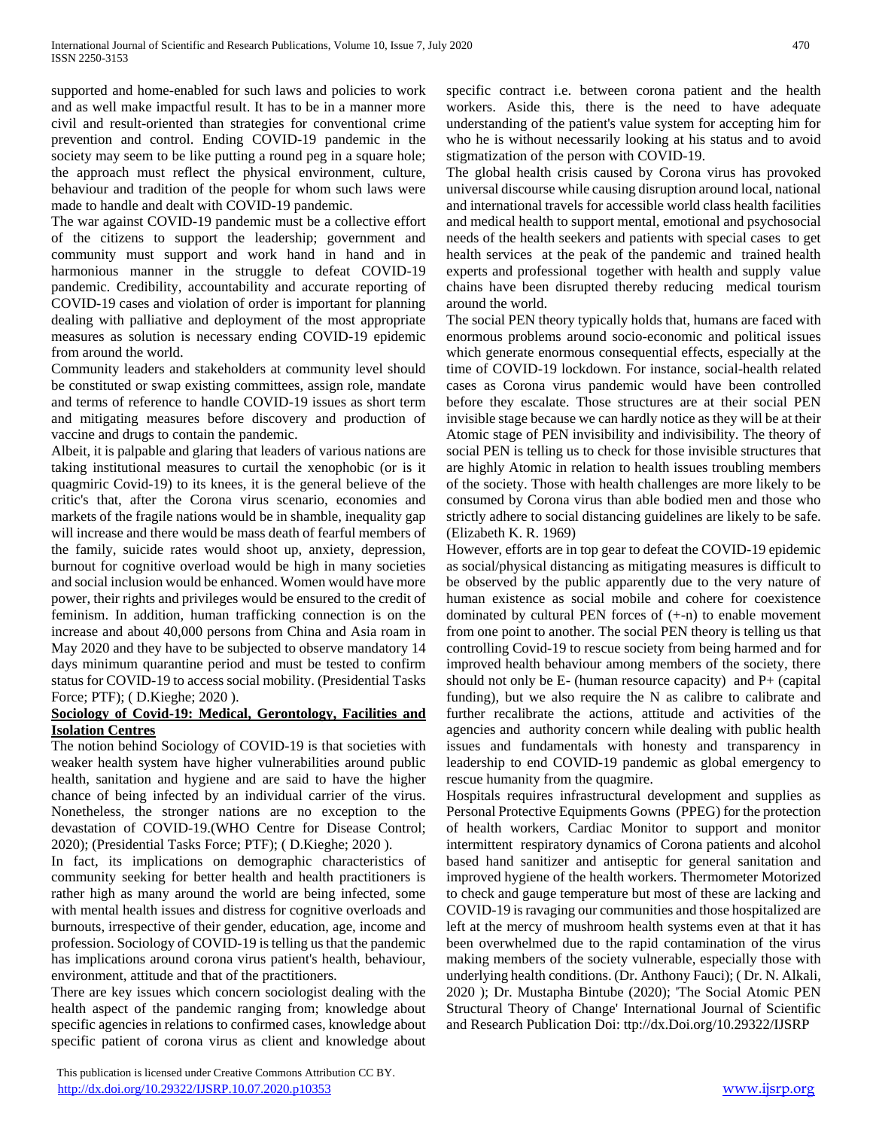supported and home-enabled for such laws and policies to work and as well make impactful result. It has to be in a manner more civil and result-oriented than strategies for conventional crime prevention and control. Ending COVID-19 pandemic in the society may seem to be like putting a round peg in a square hole; the approach must reflect the physical environment, culture, behaviour and tradition of the people for whom such laws were made to handle and dealt with COVID-19 pandemic.

The war against COVID-19 pandemic must be a collective effort of the citizens to support the leadership; government and community must support and work hand in hand and in harmonious manner in the struggle to defeat COVID-19 pandemic. Credibility, accountability and accurate reporting of COVID-19 cases and violation of order is important for planning dealing with palliative and deployment of the most appropriate measures as solution is necessary ending COVID-19 epidemic from around the world.

Community leaders and stakeholders at community level should be constituted or swap existing committees, assign role, mandate and terms of reference to handle COVID-19 issues as short term and mitigating measures before discovery and production of vaccine and drugs to contain the pandemic.

Albeit, it is palpable and glaring that leaders of various nations are taking institutional measures to curtail the xenophobic (or is it quagmiric Covid-19) to its knees, it is the general believe of the critic's that, after the Corona virus scenario, economies and markets of the fragile nations would be in shamble, inequality gap will increase and there would be mass death of fearful members of the family, suicide rates would shoot up, anxiety, depression, burnout for cognitive overload would be high in many societies and social inclusion would be enhanced. Women would have more power, their rights and privileges would be ensured to the credit of feminism. In addition, human trafficking connection is on the increase and about 40,000 persons from China and Asia roam in May 2020 and they have to be subjected to observe mandatory 14 days minimum quarantine period and must be tested to confirm status for COVID-19 to access social mobility. (Presidential Tasks Force; PTF); ( D.Kieghe; 2020 ).

## **Sociology of Covid-19: Medical, Gerontology, Facilities and Isolation Centres**

The notion behind Sociology of COVID-19 is that societies with weaker health system have higher vulnerabilities around public health, sanitation and hygiene and are said to have the higher chance of being infected by an individual carrier of the virus. Nonetheless, the stronger nations are no exception to the devastation of COVID-19.(WHO Centre for Disease Control; 2020); (Presidential Tasks Force; PTF); ( D.Kieghe; 2020 ).

In fact, its implications on demographic characteristics of community seeking for better health and health practitioners is rather high as many around the world are being infected, some with mental health issues and distress for cognitive overloads and burnouts, irrespective of their gender, education, age, income and profession. Sociology of COVID-19 is telling us that the pandemic has implications around corona virus patient's health, behaviour, environment, attitude and that of the practitioners.

There are key issues which concern sociologist dealing with the health aspect of the pandemic ranging from; knowledge about specific agencies in relations to confirmed cases, knowledge about specific patient of corona virus as client and knowledge about

 This publication is licensed under Creative Commons Attribution CC BY. <http://dx.doi.org/10.29322/IJSRP.10.07.2020.p10353> [www.ijsrp.org](http://ijsrp.org/)

specific contract i.e. between corona patient and the health workers. Aside this, there is the need to have adequate understanding of the patient's value system for accepting him for who he is without necessarily looking at his status and to avoid stigmatization of the person with COVID-19.

The global health crisis caused by Corona virus has provoked universal discourse while causing disruption around local, national and international travels for accessible world class health facilities and medical health to support mental, emotional and psychosocial needs of the health seekers and patients with special cases to get health services at the peak of the pandemic and trained health experts and professional together with health and supply value chains have been disrupted thereby reducing medical tourism around the world.

The social PEN theory typically holds that, humans are faced with enormous problems around socio-economic and political issues which generate enormous consequential effects, especially at the time of COVID-19 lockdown. For instance, social-health related cases as Corona virus pandemic would have been controlled before they escalate. Those structures are at their social PEN invisible stage because we can hardly notice as they will be at their Atomic stage of PEN invisibility and indivisibility. The theory of social PEN is telling us to check for those invisible structures that are highly Atomic in relation to health issues troubling members of the society. Those with health challenges are more likely to be consumed by Corona virus than able bodied men and those who strictly adhere to social distancing guidelines are likely to be safe. (Elizabeth K. R. 1969)

However, efforts are in top gear to defeat the COVID-19 epidemic as social/physical distancing as mitigating measures is difficult to be observed by the public apparently due to the very nature of human existence as social mobile and cohere for coexistence dominated by cultural PEN forces of (+-n) to enable movement from one point to another. The social PEN theory is telling us that controlling Covid-19 to rescue society from being harmed and for improved health behaviour among members of the society, there should not only be  $E$ - (human resource capacity) and  $P$ + (capital funding), but we also require the N as calibre to calibrate and further recalibrate the actions, attitude and activities of the agencies and authority concern while dealing with public health issues and fundamentals with honesty and transparency in leadership to end COVID-19 pandemic as global emergency to rescue humanity from the quagmire.

Hospitals requires infrastructural development and supplies as Personal Protective Equipments Gowns (PPEG) for the protection of health workers, Cardiac Monitor to support and monitor intermittent respiratory dynamics of Corona patients and alcohol based hand sanitizer and antiseptic for general sanitation and improved hygiene of the health workers. Thermometer Motorized to check and gauge temperature but most of these are lacking and COVID-19 is ravaging our communities and those hospitalized are left at the mercy of mushroom health systems even at that it has been overwhelmed due to the rapid contamination of the virus making members of the society vulnerable, especially those with underlying health conditions. (Dr. Anthony Fauci); ( Dr. N. Alkali, 2020 ); Dr. Mustapha Bintube (2020); 'The Social Atomic PEN Structural Theory of Change' International Journal of Scientific and Research Publication Doi: ttp://dx.Doi.org/10.29322/IJSRP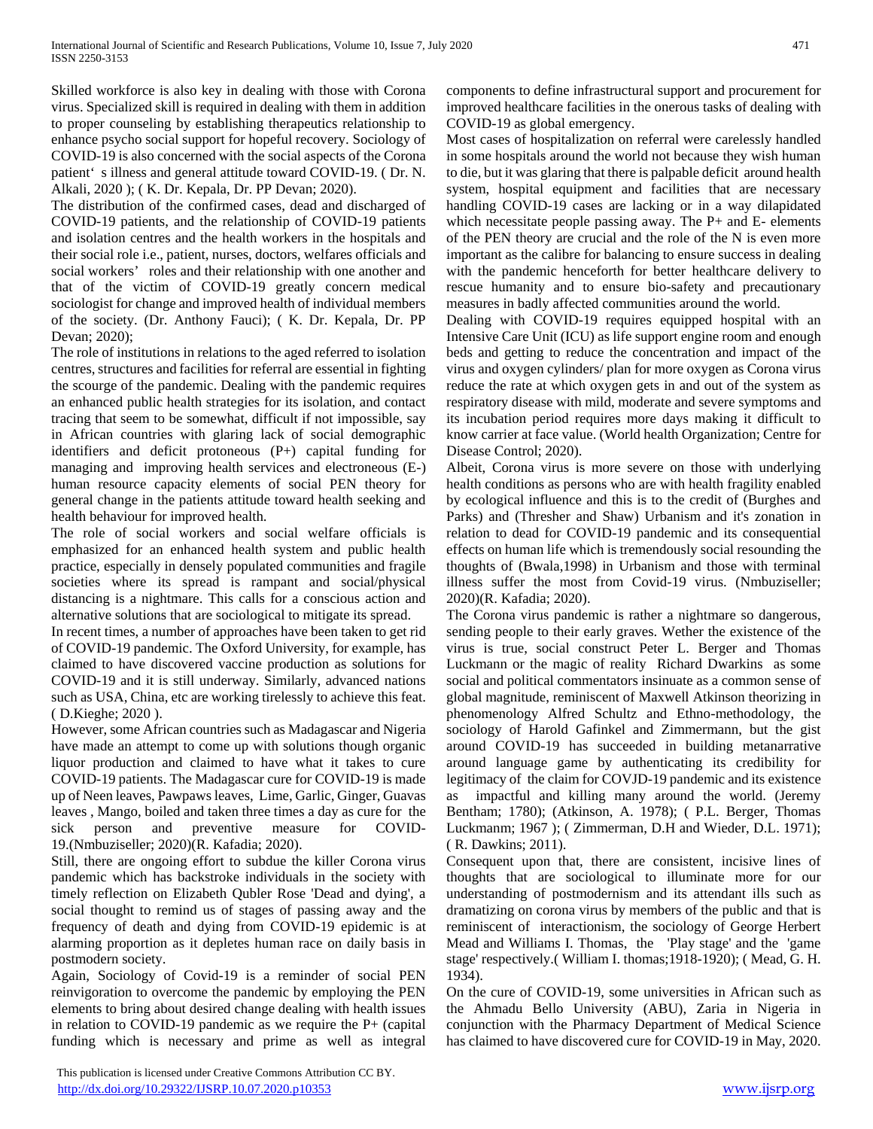Skilled workforce is also key in dealing with those with Corona virus. Specialized skill is required in dealing with them in addition to proper counseling by establishing therapeutics relationship to enhance psycho social support for hopeful recovery. Sociology of COVID-19 is also concerned with the social aspects of the Corona patient' s illness and general attitude toward COVID-19. ( Dr. N. Alkali, 2020 ); ( K. Dr. Kepala, Dr. PP Devan; 2020).

The distribution of the confirmed cases, dead and discharged of COVID-19 patients, and the relationship of COVID-19 patients and isolation centres and the health workers in the hospitals and their social role i.e., patient, nurses, doctors, welfares officials and social workers' roles and their relationship with one another and that of the victim of COVID-19 greatly concern medical sociologist for change and improved health of individual members of the society. (Dr. Anthony Fauci); ( K. Dr. Kepala, Dr. PP Devan; 2020);

The role of institutions in relations to the aged referred to isolation centres, structures and facilities for referral are essential in fighting the scourge of the pandemic. Dealing with the pandemic requires an enhanced public health strategies for its isolation, and contact tracing that seem to be somewhat, difficult if not impossible, say in African countries with glaring lack of social demographic identifiers and deficit protoneous (P+) capital funding for managing and improving health services and electroneous (E-) human resource capacity elements of social PEN theory for general change in the patients attitude toward health seeking and health behaviour for improved health.

The role of social workers and social welfare officials is emphasized for an enhanced health system and public health practice, especially in densely populated communities and fragile societies where its spread is rampant and social/physical distancing is a nightmare. This calls for a conscious action and alternative solutions that are sociological to mitigate its spread.

In recent times, a number of approaches have been taken to get rid of COVID-19 pandemic. The Oxford University, for example, has claimed to have discovered vaccine production as solutions for COVID-19 and it is still underway. Similarly, advanced nations such as USA, China, etc are working tirelessly to achieve this feat. ( D.Kieghe; 2020 ).

However, some African countries such as Madagascar and Nigeria have made an attempt to come up with solutions though organic liquor production and claimed to have what it takes to cure COVID-19 patients. The Madagascar cure for COVID-19 is made up of Neen leaves, Pawpaws leaves, Lime, Garlic, Ginger, Guavas leaves , Mango, boiled and taken three times a day as cure for the sick person and preventive measure for COVID-19.(Nmbuziseller; 2020)(R. Kafadia; 2020).

Still, there are ongoing effort to subdue the killer Corona virus pandemic which has backstroke individuals in the society with timely reflection on Elizabeth Qubler Rose 'Dead and dying', a social thought to remind us of stages of passing away and the frequency of death and dying from COVID-19 epidemic is at alarming proportion as it depletes human race on daily basis in postmodern society.

Again, Sociology of Covid-19 is a reminder of social PEN reinvigoration to overcome the pandemic by employing the PEN elements to bring about desired change dealing with health issues in relation to COVID-19 pandemic as we require the P+ (capital funding which is necessary and prime as well as integral

 This publication is licensed under Creative Commons Attribution CC BY. <http://dx.doi.org/10.29322/IJSRP.10.07.2020.p10353> [www.ijsrp.org](http://ijsrp.org/)

components to define infrastructural support and procurement for improved healthcare facilities in the onerous tasks of dealing with COVID-19 as global emergency.

Most cases of hospitalization on referral were carelessly handled in some hospitals around the world not because they wish human to die, but it was glaring that there is palpable deficit around health system, hospital equipment and facilities that are necessary handling COVID-19 cases are lacking or in a way dilapidated which necessitate people passing away. The P+ and E- elements of the PEN theory are crucial and the role of the N is even more important as the calibre for balancing to ensure success in dealing with the pandemic henceforth for better healthcare delivery to rescue humanity and to ensure bio-safety and precautionary measures in badly affected communities around the world.

Dealing with COVID-19 requires equipped hospital with an Intensive Care Unit (ICU) as life support engine room and enough beds and getting to reduce the concentration and impact of the virus and oxygen cylinders/ plan for more oxygen as Corona virus reduce the rate at which oxygen gets in and out of the system as respiratory disease with mild, moderate and severe symptoms and its incubation period requires more days making it difficult to know carrier at face value. (World health Organization; Centre for Disease Control; 2020).

Albeit, Corona virus is more severe on those with underlying health conditions as persons who are with health fragility enabled by ecological influence and this is to the credit of (Burghes and Parks) and (Thresher and Shaw) Urbanism and it's zonation in relation to dead for COVID-19 pandemic and its consequential effects on human life which is tremendously social resounding the thoughts of (Bwala,1998) in Urbanism and those with terminal illness suffer the most from Covid-19 virus. (Nmbuziseller; 2020)(R. Kafadia; 2020).

The Corona virus pandemic is rather a nightmare so dangerous, sending people to their early graves. Wether the existence of the virus is true, social construct Peter L. Berger and Thomas Luckmann or the magic of reality Richard Dwarkins as some social and political commentators insinuate as a common sense of global magnitude, reminiscent of Maxwell Atkinson theorizing in phenomenology Alfred Schultz and Ethno-methodology, the sociology of Harold Gafinkel and Zimmermann, but the gist around COVID-19 has succeeded in building metanarrative around language game by authenticating its credibility for legitimacy of the claim for COVJD-19 pandemic and its existence as impactful and killing many around the world. (Jeremy Bentham; 1780); (Atkinson, A. 1978); ( P.L. Berger, Thomas Luckmanm; 1967 ); ( Zimmerman, D.H and Wieder, D.L. 1971); ( R. Dawkins; 2011).

Consequent upon that, there are consistent, incisive lines of thoughts that are sociological to illuminate more for our understanding of postmodernism and its attendant ills such as dramatizing on corona virus by members of the public and that is reminiscent of interactionism, the sociology of George Herbert Mead and Williams I. Thomas, the 'Play stage' and the 'game stage' respectively.( William I. thomas;1918-1920); ( Mead, G. H. 1934).

On the cure of COVID-19, some universities in African such as the Ahmadu Bello University (ABU), Zaria in Nigeria in conjunction with the Pharmacy Department of Medical Science has claimed to have discovered cure for COVID-19 in May, 2020.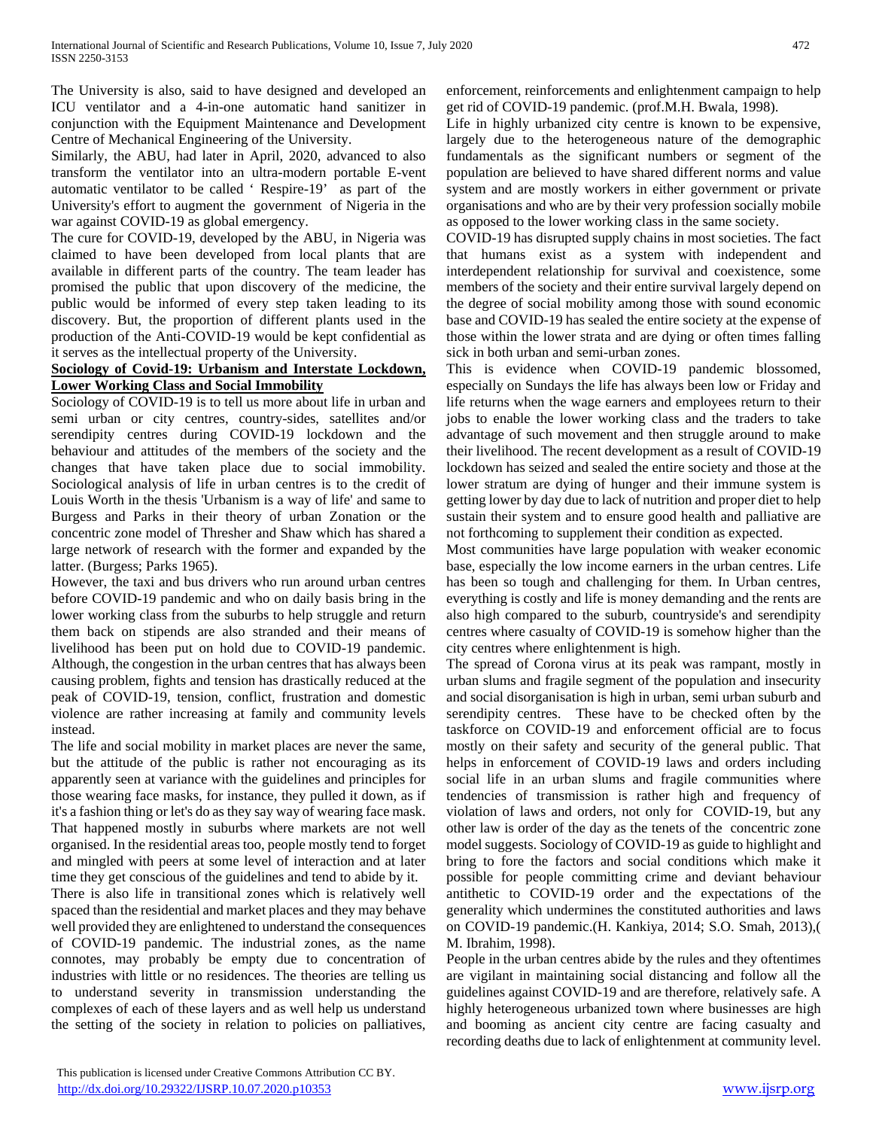The University is also, said to have designed and developed an ICU ventilator and a 4-in-one automatic hand sanitizer in conjunction with the Equipment Maintenance and Development Centre of Mechanical Engineering of the University.

Similarly, the ABU, had later in April, 2020, advanced to also transform the ventilator into an ultra-modern portable E-vent automatic ventilator to be called ' Respire-19' as part of the University's effort to augment the government of Nigeria in the war against COVID-19 as global emergency.

The cure for COVID-19, developed by the ABU, in Nigeria was claimed to have been developed from local plants that are available in different parts of the country. The team leader has promised the public that upon discovery of the medicine, the public would be informed of every step taken leading to its discovery. But, the proportion of different plants used in the production of the Anti-COVID-19 would be kept confidential as it serves as the intellectual property of the University.

## **Sociology of Covid-19: Urbanism and Interstate Lockdown, Lower Working Class and Social Immobility**

Sociology of COVID-19 is to tell us more about life in urban and semi urban or city centres, country-sides, satellites and/or serendipity centres during COVID-19 lockdown and the behaviour and attitudes of the members of the society and the changes that have taken place due to social immobility. Sociological analysis of life in urban centres is to the credit of Louis Worth in the thesis 'Urbanism is a way of life' and same to Burgess and Parks in their theory of urban Zonation or the concentric zone model of Thresher and Shaw which has shared a large network of research with the former and expanded by the latter. (Burgess; Parks 1965).

However, the taxi and bus drivers who run around urban centres before COVID-19 pandemic and who on daily basis bring in the lower working class from the suburbs to help struggle and return them back on stipends are also stranded and their means of livelihood has been put on hold due to COVID-19 pandemic. Although, the congestion in the urban centres that has always been causing problem, fights and tension has drastically reduced at the peak of COVID-19, tension, conflict, frustration and domestic violence are rather increasing at family and community levels instead.

The life and social mobility in market places are never the same, but the attitude of the public is rather not encouraging as its apparently seen at variance with the guidelines and principles for those wearing face masks, for instance, they pulled it down, as if it's a fashion thing or let's do as they say way of wearing face mask. That happened mostly in suburbs where markets are not well organised. In the residential areas too, people mostly tend to forget and mingled with peers at some level of interaction and at later time they get conscious of the guidelines and tend to abide by it.

There is also life in transitional zones which is relatively well spaced than the residential and market places and they may behave well provided they are enlightened to understand the consequences of COVID-19 pandemic. The industrial zones, as the name connotes, may probably be empty due to concentration of industries with little or no residences. The theories are telling us to understand severity in transmission understanding the complexes of each of these layers and as well help us understand the setting of the society in relation to policies on palliatives, enforcement, reinforcements and enlightenment campaign to help get rid of COVID-19 pandemic. (prof.M.H. Bwala, 1998).

Life in highly urbanized city centre is known to be expensive, largely due to the heterogeneous nature of the demographic fundamentals as the significant numbers or segment of the population are believed to have shared different norms and value system and are mostly workers in either government or private organisations and who are by their very profession socially mobile as opposed to the lower working class in the same society.

COVID-19 has disrupted supply chains in most societies. The fact that humans exist as a system with independent and interdependent relationship for survival and coexistence, some members of the society and their entire survival largely depend on the degree of social mobility among those with sound economic base and COVID-19 has sealed the entire society at the expense of those within the lower strata and are dying or often times falling sick in both urban and semi-urban zones.

This is evidence when COVID-19 pandemic blossomed, especially on Sundays the life has always been low or Friday and life returns when the wage earners and employees return to their jobs to enable the lower working class and the traders to take advantage of such movement and then struggle around to make their livelihood. The recent development as a result of COVID-19 lockdown has seized and sealed the entire society and those at the lower stratum are dying of hunger and their immune system is getting lower by day due to lack of nutrition and proper diet to help sustain their system and to ensure good health and palliative are not forthcoming to supplement their condition as expected.

Most communities have large population with weaker economic base, especially the low income earners in the urban centres. Life has been so tough and challenging for them. In Urban centres, everything is costly and life is money demanding and the rents are also high compared to the suburb, countryside's and serendipity centres where casualty of COVID-19 is somehow higher than the city centres where enlightenment is high.

The spread of Corona virus at its peak was rampant, mostly in urban slums and fragile segment of the population and insecurity and social disorganisation is high in urban, semi urban suburb and serendipity centres. These have to be checked often by the taskforce on COVID-19 and enforcement official are to focus mostly on their safety and security of the general public. That helps in enforcement of COVID-19 laws and orders including social life in an urban slums and fragile communities where tendencies of transmission is rather high and frequency of violation of laws and orders, not only for COVID-19, but any other law is order of the day as the tenets of the concentric zone model suggests. Sociology of COVID-19 as guide to highlight and bring to fore the factors and social conditions which make it possible for people committing crime and deviant behaviour antithetic to COVID-19 order and the expectations of the generality which undermines the constituted authorities and laws on COVID-19 pandemic.(H. Kankiya, 2014; S.O. Smah, 2013),( M. Ibrahim, 1998).

People in the urban centres abide by the rules and they oftentimes are vigilant in maintaining social distancing and follow all the guidelines against COVID-19 and are therefore, relatively safe. A highly heterogeneous urbanized town where businesses are high and booming as ancient city centre are facing casualty and recording deaths due to lack of enlightenment at community level.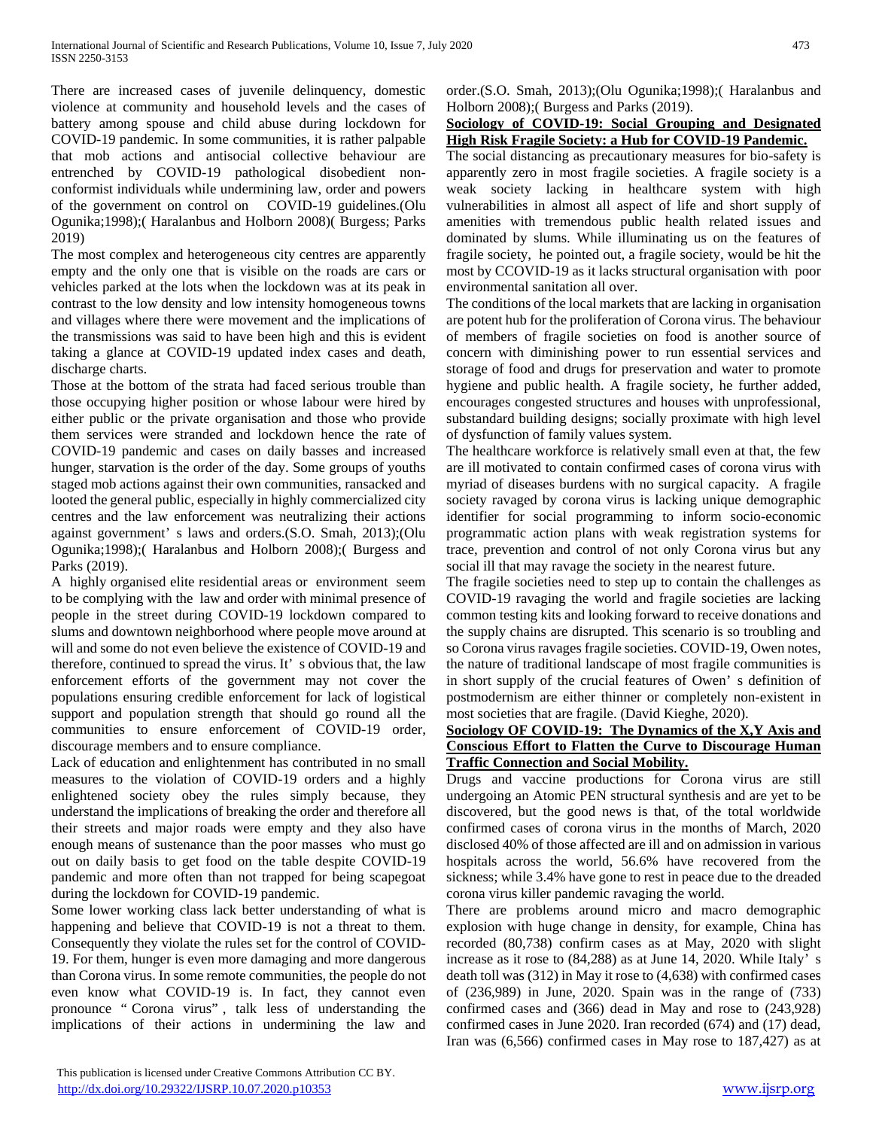There are increased cases of juvenile delinquency, domestic violence at community and household levels and the cases of battery among spouse and child abuse during lockdown for COVID-19 pandemic. In some communities, it is rather palpable that mob actions and antisocial collective behaviour are entrenched by COVID-19 pathological disobedient nonconformist individuals while undermining law, order and powers of the government on control on COVID-19 guidelines.(Olu Ogunika;1998);( Haralanbus and Holborn 2008)( Burgess; Parks 2019)

The most complex and heterogeneous city centres are apparently empty and the only one that is visible on the roads are cars or vehicles parked at the lots when the lockdown was at its peak in contrast to the low density and low intensity homogeneous towns and villages where there were movement and the implications of the transmissions was said to have been high and this is evident taking a glance at COVID-19 updated index cases and death, discharge charts.

Those at the bottom of the strata had faced serious trouble than those occupying higher position or whose labour were hired by either public or the private organisation and those who provide them services were stranded and lockdown hence the rate of COVID-19 pandemic and cases on daily basses and increased hunger, starvation is the order of the day. Some groups of youths staged mob actions against their own communities, ransacked and looted the general public, especially in highly commercialized city centres and the law enforcement was neutralizing their actions against government' s laws and orders.(S.O. Smah, 2013);(Olu Ogunika;1998);( Haralanbus and Holborn 2008);( Burgess and Parks (2019).

A highly organised elite residential areas or environment seem to be complying with the law and order with minimal presence of people in the street during COVID-19 lockdown compared to slums and downtown neighborhood where people move around at will and some do not even believe the existence of COVID-19 and therefore, continued to spread the virus. It' s obvious that, the law enforcement efforts of the government may not cover the populations ensuring credible enforcement for lack of logistical support and population strength that should go round all the communities to ensure enforcement of COVID-19 order, discourage members and to ensure compliance.

Lack of education and enlightenment has contributed in no small measures to the violation of COVID-19 orders and a highly enlightened society obey the rules simply because, they understand the implications of breaking the order and therefore all their streets and major roads were empty and they also have enough means of sustenance than the poor masses who must go out on daily basis to get food on the table despite COVID-19 pandemic and more often than not trapped for being scapegoat during the lockdown for COVID-19 pandemic.

Some lower working class lack better understanding of what is happening and believe that COVID-19 is not a threat to them. Consequently they violate the rules set for the control of COVID-19. For them, hunger is even more damaging and more dangerous than Corona virus. In some remote communities, the people do not even know what COVID-19 is. In fact, they cannot even pronounce " Corona virus" , talk less of understanding the implications of their actions in undermining the law and

order.(S.O. Smah, 2013);(Olu Ogunika;1998);( Haralanbus and Holborn 2008);( Burgess and Parks (2019).

## **Sociology of COVID-19: Social Grouping and Designated High Risk Fragile Society: a Hub for COVID-19 Pandemic.**

The social distancing as precautionary measures for bio-safety is apparently zero in most fragile societies. A fragile society is a weak society lacking in healthcare system with high vulnerabilities in almost all aspect of life and short supply of amenities with tremendous public health related issues and dominated by slums. While illuminating us on the features of fragile society, he pointed out, a fragile society, would be hit the most by CCOVID-19 as it lacks structural organisation with poor environmental sanitation all over.

The conditions of the local markets that are lacking in organisation are potent hub for the proliferation of Corona virus. The behaviour of members of fragile societies on food is another source of concern with diminishing power to run essential services and storage of food and drugs for preservation and water to promote hygiene and public health. A fragile society, he further added, encourages congested structures and houses with unprofessional, substandard building designs; socially proximate with high level of dysfunction of family values system.

The healthcare workforce is relatively small even at that, the few are ill motivated to contain confirmed cases of corona virus with myriad of diseases burdens with no surgical capacity. A fragile society ravaged by corona virus is lacking unique demographic identifier for social programming to inform socio-economic programmatic action plans with weak registration systems for trace, prevention and control of not only Corona virus but any social ill that may ravage the society in the nearest future.

The fragile societies need to step up to contain the challenges as COVID-19 ravaging the world and fragile societies are lacking common testing kits and looking forward to receive donations and the supply chains are disrupted. This scenario is so troubling and so Corona virus ravages fragile societies. COVID-19, Owen notes, the nature of traditional landscape of most fragile communities is in short supply of the crucial features of Owen' s definition of postmodernism are either thinner or completely non-existent in most societies that are fragile. (David Kieghe, 2020).

## **Sociology OF COVID-19: The Dynamics of the X,Y Axis and Conscious Effort to Flatten the Curve to Discourage Human Traffic Connection and Social Mobility.**

Drugs and vaccine productions for Corona virus are still undergoing an Atomic PEN structural synthesis and are yet to be discovered, but the good news is that, of the total worldwide confirmed cases of corona virus in the months of March, 2020 disclosed 40% of those affected are ill and on admission in various hospitals across the world, 56.6% have recovered from the sickness; while 3.4% have gone to rest in peace due to the dreaded corona virus killer pandemic ravaging the world.

There are problems around micro and macro demographic explosion with huge change in density, for example, China has recorded (80,738) confirm cases as at May, 2020 with slight increase as it rose to (84,288) as at June 14, 2020. While Italy' s death toll was (312) in May it rose to (4,638) with confirmed cases of (236,989) in June, 2020. Spain was in the range of (733) confirmed cases and (366) dead in May and rose to (243,928) confirmed cases in June 2020. Iran recorded (674) and (17) dead, Iran was (6,566) confirmed cases in May rose to 187,427) as at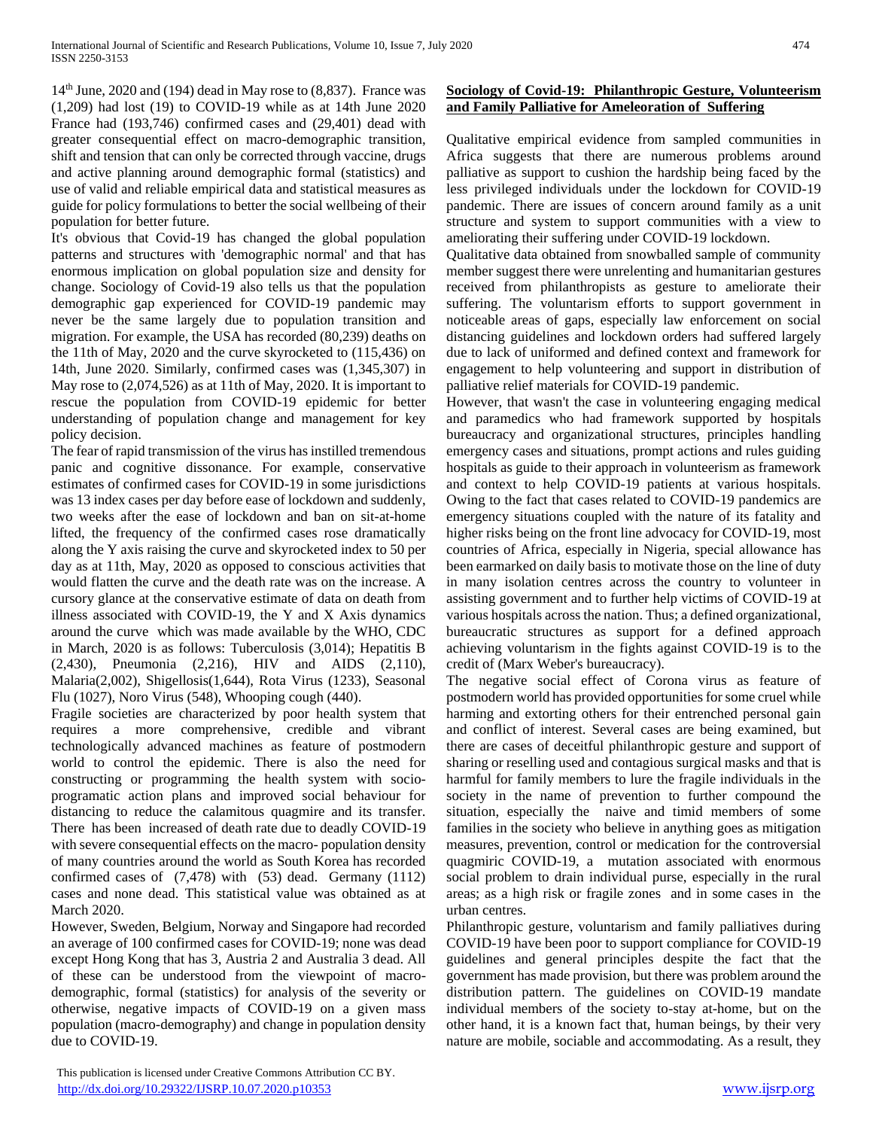$14<sup>th</sup>$  June, 2020 and (194) dead in May rose to (8,837). France was (1,209) had lost (19) to COVID-19 while as at 14th June 2020 France had (193,746) confirmed cases and (29,401) dead with greater consequential effect on macro-demographic transition, shift and tension that can only be corrected through vaccine, drugs and active planning around demographic formal (statistics) and use of valid and reliable empirical data and statistical measures as guide for policy formulations to better the social wellbeing of their population for better future.

It's obvious that Covid-19 has changed the global population patterns and structures with 'demographic normal' and that has enormous implication on global population size and density for change. Sociology of Covid-19 also tells us that the population demographic gap experienced for COVID-19 pandemic may never be the same largely due to population transition and migration. For example, the USA has recorded (80,239) deaths on the 11th of May, 2020 and the curve skyrocketed to (115,436) on 14th, June 2020. Similarly, confirmed cases was (1,345,307) in May rose to (2,074,526) as at 11th of May, 2020. It is important to rescue the population from COVID-19 epidemic for better understanding of population change and management for key policy decision.

The fear of rapid transmission of the virus has instilled tremendous panic and cognitive dissonance. For example, conservative estimates of confirmed cases for COVID-19 in some jurisdictions was 13 index cases per day before ease of lockdown and suddenly, two weeks after the ease of lockdown and ban on sit-at-home lifted, the frequency of the confirmed cases rose dramatically along the Y axis raising the curve and skyrocketed index to 50 per day as at 11th, May, 2020 as opposed to conscious activities that would flatten the curve and the death rate was on the increase. A cursory glance at the conservative estimate of data on death from illness associated with COVID-19, the Y and X Axis dynamics around the curve which was made available by the WHO, CDC in March, 2020 is as follows: Tuberculosis (3,014); Hepatitis B (2,430), Pneumonia (2,216), HIV and AIDS (2,110), Malaria(2,002), Shigellosis(1,644), Rota Virus (1233), Seasonal Flu (1027), Noro Virus (548), Whooping cough (440).

Fragile societies are characterized by poor health system that requires a more comprehensive, credible and vibrant technologically advanced machines as feature of postmodern world to control the epidemic. There is also the need for constructing or programming the health system with socioprogramatic action plans and improved social behaviour for distancing to reduce the calamitous quagmire and its transfer. There has been increased of death rate due to deadly COVID-19 with severe consequential effects on the macro- population density of many countries around the world as South Korea has recorded confirmed cases of (7,478) with (53) dead. Germany (1112) cases and none dead. This statistical value was obtained as at March 2020.

However, Sweden, Belgium, Norway and Singapore had recorded an average of 100 confirmed cases for COVID-19; none was dead except Hong Kong that has 3, Austria 2 and Australia 3 dead. All of these can be understood from the viewpoint of macrodemographic, formal (statistics) for analysis of the severity or otherwise, negative impacts of COVID-19 on a given mass population (macro-demography) and change in population density due to COVID-19.

# **Sociology of Covid-19: Philanthropic Gesture, Volunteerism and Family Palliative for Ameleoration of Suffering**

Qualitative empirical evidence from sampled communities in Africa suggests that there are numerous problems around palliative as support to cushion the hardship being faced by the less privileged individuals under the lockdown for COVID-19 pandemic. There are issues of concern around family as a unit structure and system to support communities with a view to ameliorating their suffering under COVID-19 lockdown.

Qualitative data obtained from snowballed sample of community member suggest there were unrelenting and humanitarian gestures received from philanthropists as gesture to ameliorate their suffering. The voluntarism efforts to support government in noticeable areas of gaps, especially law enforcement on social distancing guidelines and lockdown orders had suffered largely due to lack of uniformed and defined context and framework for engagement to help volunteering and support in distribution of palliative relief materials for COVID-19 pandemic.

However, that wasn't the case in volunteering engaging medical and paramedics who had framework supported by hospitals bureaucracy and organizational structures, principles handling emergency cases and situations, prompt actions and rules guiding hospitals as guide to their approach in volunteerism as framework and context to help COVID-19 patients at various hospitals. Owing to the fact that cases related to COVID-19 pandemics are emergency situations coupled with the nature of its fatality and higher risks being on the front line advocacy for COVID-19, most countries of Africa, especially in Nigeria, special allowance has been earmarked on daily basis to motivate those on the line of duty in many isolation centres across the country to volunteer in assisting government and to further help victims of COVID-19 at various hospitals across the nation. Thus; a defined organizational, bureaucratic structures as support for a defined approach achieving voluntarism in the fights against COVID-19 is to the credit of (Marx Weber's bureaucracy).

The negative social effect of Corona virus as feature of postmodern world has provided opportunities for some cruel while harming and extorting others for their entrenched personal gain and conflict of interest. Several cases are being examined, but there are cases of deceitful philanthropic gesture and support of sharing or reselling used and contagious surgical masks and that is harmful for family members to lure the fragile individuals in the society in the name of prevention to further compound the situation, especially the naive and timid members of some families in the society who believe in anything goes as mitigation measures, prevention, control or medication for the controversial quagmiric COVID-19, a mutation associated with enormous social problem to drain individual purse, especially in the rural areas; as a high risk or fragile zones and in some cases in the urban centres.

Philanthropic gesture, voluntarism and family palliatives during COVID-19 have been poor to support compliance for COVID-19 guidelines and general principles despite the fact that the government has made provision, but there was problem around the distribution pattern. The guidelines on COVID-19 mandate individual members of the society to-stay at-home, but on the other hand, it is a known fact that, human beings, by their very nature are mobile, sociable and accommodating. As a result, they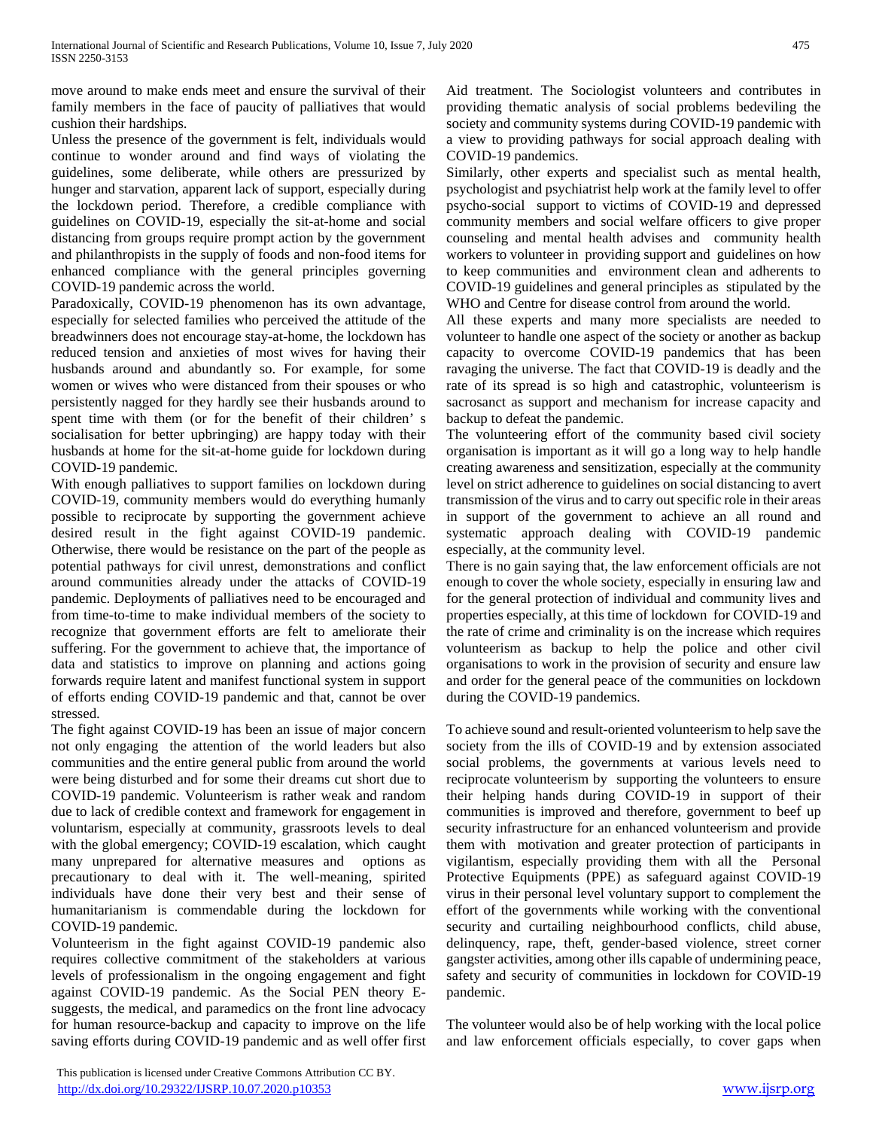move around to make ends meet and ensure the survival of their family members in the face of paucity of palliatives that would cushion their hardships.

Unless the presence of the government is felt, individuals would continue to wonder around and find ways of violating the guidelines, some deliberate, while others are pressurized by hunger and starvation, apparent lack of support, especially during the lockdown period. Therefore, a credible compliance with guidelines on COVID-19, especially the sit-at-home and social distancing from groups require prompt action by the government and philanthropists in the supply of foods and non-food items for enhanced compliance with the general principles governing COVID-19 pandemic across the world.

Paradoxically, COVID-19 phenomenon has its own advantage, especially for selected families who perceived the attitude of the breadwinners does not encourage stay-at-home, the lockdown has reduced tension and anxieties of most wives for having their husbands around and abundantly so. For example, for some women or wives who were distanced from their spouses or who persistently nagged for they hardly see their husbands around to spent time with them (or for the benefit of their children' s socialisation for better upbringing) are happy today with their husbands at home for the sit-at-home guide for lockdown during COVID-19 pandemic.

With enough palliatives to support families on lockdown during COVID-19, community members would do everything humanly possible to reciprocate by supporting the government achieve desired result in the fight against COVID-19 pandemic. Otherwise, there would be resistance on the part of the people as potential pathways for civil unrest, demonstrations and conflict around communities already under the attacks of COVID-19 pandemic. Deployments of palliatives need to be encouraged and from time-to-time to make individual members of the society to recognize that government efforts are felt to ameliorate their suffering. For the government to achieve that, the importance of data and statistics to improve on planning and actions going forwards require latent and manifest functional system in support of efforts ending COVID-19 pandemic and that, cannot be over stressed.

The fight against COVID-19 has been an issue of major concern not only engaging the attention of the world leaders but also communities and the entire general public from around the world were being disturbed and for some their dreams cut short due to COVID-19 pandemic. Volunteerism is rather weak and random due to lack of credible context and framework for engagement in voluntarism, especially at community, grassroots levels to deal with the global emergency; COVID-19 escalation, which caught many unprepared for alternative measures and options as precautionary to deal with it. The well-meaning, spirited individuals have done their very best and their sense of humanitarianism is commendable during the lockdown for COVID-19 pandemic.

Volunteerism in the fight against COVID-19 pandemic also requires collective commitment of the stakeholders at various levels of professionalism in the ongoing engagement and fight against COVID-19 pandemic. As the Social PEN theory Esuggests, the medical, and paramedics on the front line advocacy for human resource-backup and capacity to improve on the life saving efforts during COVID-19 pandemic and as well offer first Aid treatment. The Sociologist volunteers and contributes in providing thematic analysis of social problems bedeviling the society and community systems during COVID-19 pandemic with a view to providing pathways for social approach dealing with COVID-19 pandemics.

Similarly, other experts and specialist such as mental health, psychologist and psychiatrist help work at the family level to offer psycho-social support to victims of COVID-19 and depressed community members and social welfare officers to give proper counseling and mental health advises and community health workers to volunteer in providing support and guidelines on how to keep communities and environment clean and adherents to COVID-19 guidelines and general principles as stipulated by the WHO and Centre for disease control from around the world.

All these experts and many more specialists are needed to volunteer to handle one aspect of the society or another as backup capacity to overcome COVID-19 pandemics that has been ravaging the universe. The fact that COVID-19 is deadly and the rate of its spread is so high and catastrophic, volunteerism is sacrosanct as support and mechanism for increase capacity and backup to defeat the pandemic.

The volunteering effort of the community based civil society organisation is important as it will go a long way to help handle creating awareness and sensitization, especially at the community level on strict adherence to guidelines on social distancing to avert transmission of the virus and to carry out specific role in their areas in support of the government to achieve an all round and systematic approach dealing with COVID-19 pandemic especially, at the community level.

There is no gain saying that, the law enforcement officials are not enough to cover the whole society, especially in ensuring law and for the general protection of individual and community lives and properties especially, at this time of lockdown for COVID-19 and the rate of crime and criminality is on the increase which requires volunteerism as backup to help the police and other civil organisations to work in the provision of security and ensure law and order for the general peace of the communities on lockdown during the COVID-19 pandemics.

To achieve sound and result-oriented volunteerism to help save the society from the ills of COVID-19 and by extension associated social problems, the governments at various levels need to reciprocate volunteerism by supporting the volunteers to ensure their helping hands during COVID-19 in support of their communities is improved and therefore, government to beef up security infrastructure for an enhanced volunteerism and provide them with motivation and greater protection of participants in vigilantism, especially providing them with all the Personal Protective Equipments (PPE) as safeguard against COVID-19 virus in their personal level voluntary support to complement the effort of the governments while working with the conventional security and curtailing neighbourhood conflicts, child abuse, delinquency, rape, theft, gender-based violence, street corner gangster activities, among other ills capable of undermining peace, safety and security of communities in lockdown for COVID-19 pandemic.

The volunteer would also be of help working with the local police and law enforcement officials especially, to cover gaps when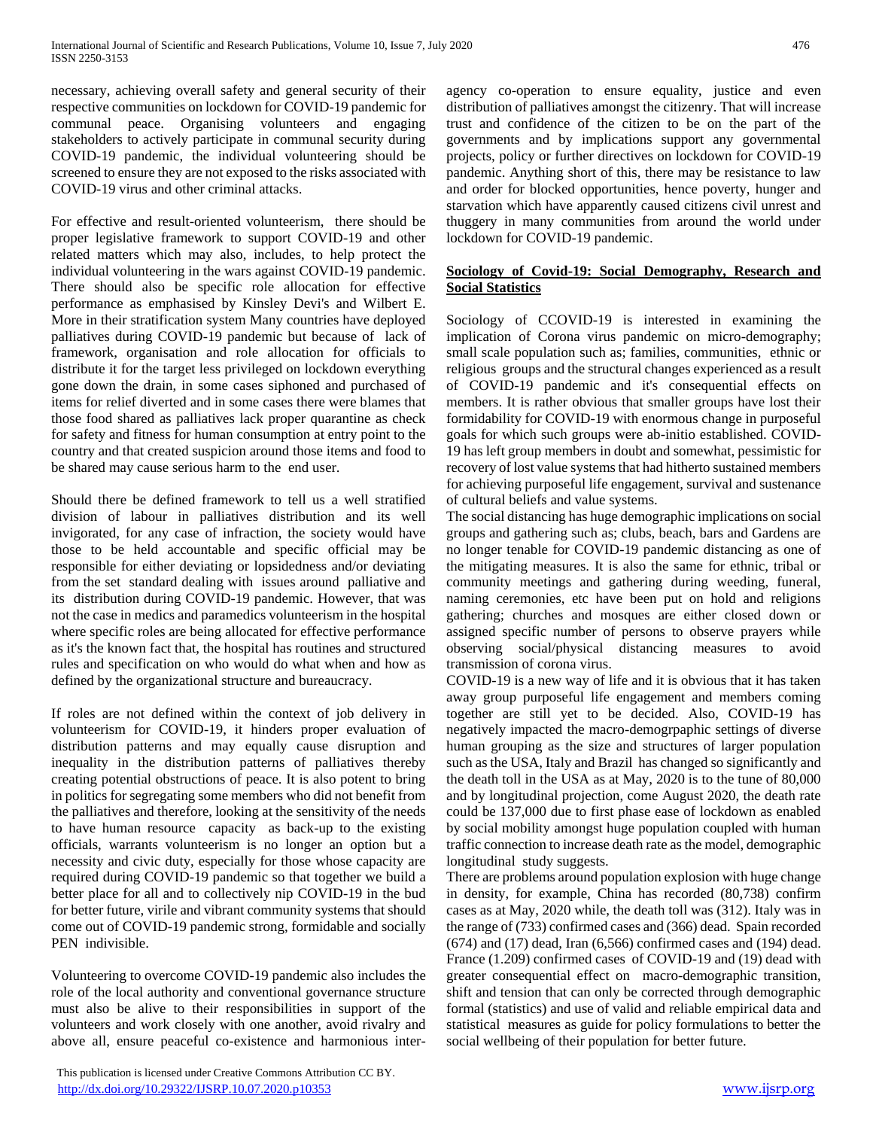necessary, achieving overall safety and general security of their respective communities on lockdown for COVID-19 pandemic for communal peace. Organising volunteers and engaging stakeholders to actively participate in communal security during COVID-19 pandemic, the individual volunteering should be screened to ensure they are not exposed to the risks associated with COVID-19 virus and other criminal attacks.

For effective and result-oriented volunteerism, there should be proper legislative framework to support COVID-19 and other related matters which may also, includes, to help protect the individual volunteering in the wars against COVID-19 pandemic. There should also be specific role allocation for effective performance as emphasised by Kinsley Devi's and Wilbert E. More in their stratification system Many countries have deployed palliatives during COVID-19 pandemic but because of lack of framework, organisation and role allocation for officials to distribute it for the target less privileged on lockdown everything gone down the drain, in some cases siphoned and purchased of items for relief diverted and in some cases there were blames that those food shared as palliatives lack proper quarantine as check for safety and fitness for human consumption at entry point to the country and that created suspicion around those items and food to be shared may cause serious harm to the end user.

Should there be defined framework to tell us a well stratified division of labour in palliatives distribution and its well invigorated, for any case of infraction, the society would have those to be held accountable and specific official may be responsible for either deviating or lopsidedness and/or deviating from the set standard dealing with issues around palliative and its distribution during COVID-19 pandemic. However, that was not the case in medics and paramedics volunteerism in the hospital where specific roles are being allocated for effective performance as it's the known fact that, the hospital has routines and structured rules and specification on who would do what when and how as defined by the organizational structure and bureaucracy.

If roles are not defined within the context of job delivery in volunteerism for COVID-19, it hinders proper evaluation of distribution patterns and may equally cause disruption and inequality in the distribution patterns of palliatives thereby creating potential obstructions of peace. It is also potent to bring in politics for segregating some members who did not benefit from the palliatives and therefore, looking at the sensitivity of the needs to have human resource capacity as back-up to the existing officials, warrants volunteerism is no longer an option but a necessity and civic duty, especially for those whose capacity are required during COVID-19 pandemic so that together we build a better place for all and to collectively nip COVID-19 in the bud for better future, virile and vibrant community systems that should come out of COVID-19 pandemic strong, formidable and socially PEN indivisible.

Volunteering to overcome COVID-19 pandemic also includes the role of the local authority and conventional governance structure must also be alive to their responsibilities in support of the volunteers and work closely with one another, avoid rivalry and above all, ensure peaceful co-existence and harmonious inter-

 This publication is licensed under Creative Commons Attribution CC BY. <http://dx.doi.org/10.29322/IJSRP.10.07.2020.p10353> [www.ijsrp.org](http://ijsrp.org/)

agency co-operation to ensure equality, justice and even distribution of palliatives amongst the citizenry. That will increase trust and confidence of the citizen to be on the part of the governments and by implications support any governmental projects, policy or further directives on lockdown for COVID-19 pandemic. Anything short of this, there may be resistance to law and order for blocked opportunities, hence poverty, hunger and starvation which have apparently caused citizens civil unrest and thuggery in many communities from around the world under lockdown for COVID-19 pandemic.

## **Sociology of Covid-19: Social Demography, Research and Social Statistics**

Sociology of CCOVID-19 is interested in examining the implication of Corona virus pandemic on micro-demography; small scale population such as; families, communities, ethnic or religious groups and the structural changes experienced as a result of COVID-19 pandemic and it's consequential effects on members. It is rather obvious that smaller groups have lost their formidability for COVID-19 with enormous change in purposeful goals for which such groups were ab-initio established. COVID-19 has left group members in doubt and somewhat, pessimistic for recovery of lost value systems that had hitherto sustained members for achieving purposeful life engagement, survival and sustenance of cultural beliefs and value systems.

The social distancing has huge demographic implications on social groups and gathering such as; clubs, beach, bars and Gardens are no longer tenable for COVID-19 pandemic distancing as one of the mitigating measures. It is also the same for ethnic, tribal or community meetings and gathering during weeding, funeral, naming ceremonies, etc have been put on hold and religions gathering; churches and mosques are either closed down or assigned specific number of persons to observe prayers while observing social/physical distancing measures to avoid transmission of corona virus.

COVID-19 is a new way of life and it is obvious that it has taken away group purposeful life engagement and members coming together are still yet to be decided. Also, COVID-19 has negatively impacted the macro-demogrpaphic settings of diverse human grouping as the size and structures of larger population such as the USA, Italy and Brazil has changed so significantly and the death toll in the USA as at May, 2020 is to the tune of 80,000 and by longitudinal projection, come August 2020, the death rate could be 137,000 due to first phase ease of lockdown as enabled by social mobility amongst huge population coupled with human traffic connection to increase death rate as the model, demographic longitudinal study suggests.

There are problems around population explosion with huge change in density, for example, China has recorded (80,738) confirm cases as at May, 2020 while, the death toll was (312). Italy was in the range of (733) confirmed cases and (366) dead. Spain recorded (674) and (17) dead, Iran (6,566) confirmed cases and (194) dead. France (1.209) confirmed cases of COVID-19 and (19) dead with greater consequential effect on macro-demographic transition, shift and tension that can only be corrected through demographic formal (statistics) and use of valid and reliable empirical data and statistical measures as guide for policy formulations to better the social wellbeing of their population for better future.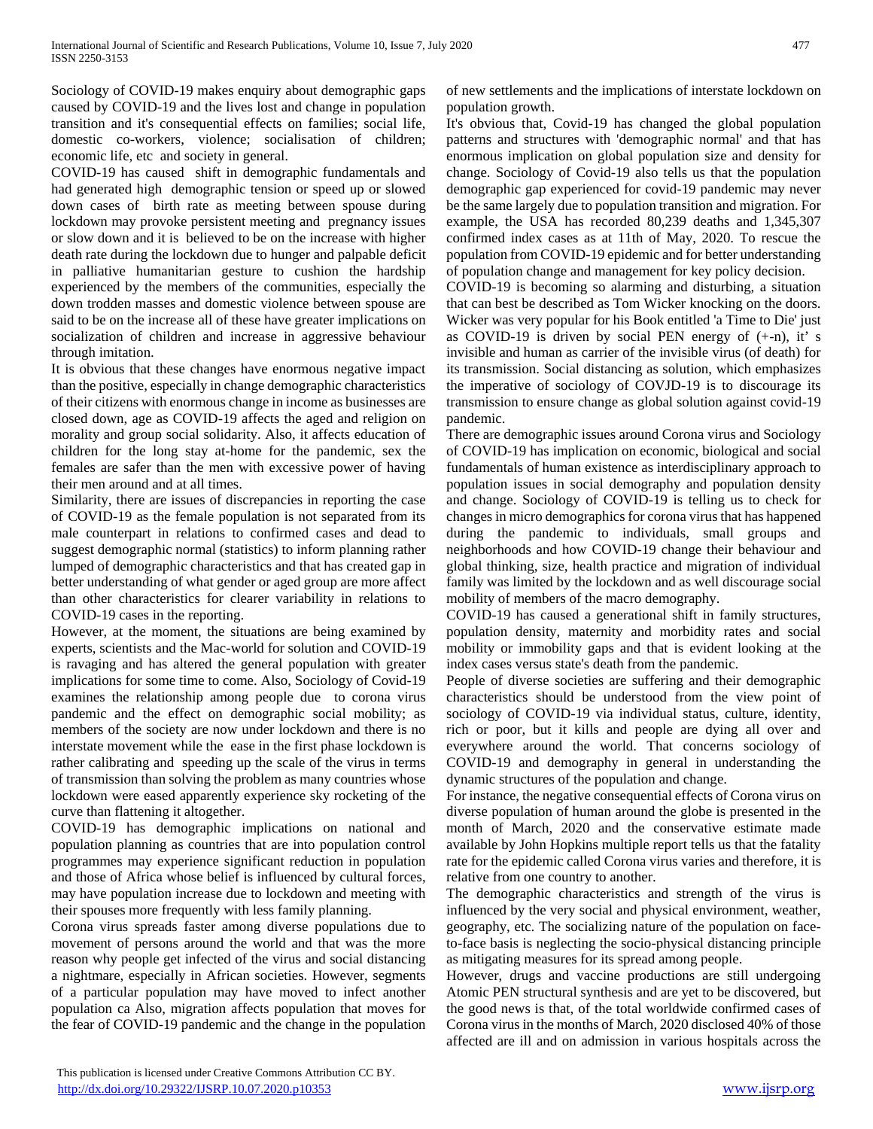Sociology of COVID-19 makes enquiry about demographic gaps caused by COVID-19 and the lives lost and change in population transition and it's consequential effects on families; social life, domestic co-workers, violence; socialisation of children; economic life, etc and society in general.

COVID-19 has caused shift in demographic fundamentals and had generated high demographic tension or speed up or slowed down cases of birth rate as meeting between spouse during lockdown may provoke persistent meeting and pregnancy issues or slow down and it is believed to be on the increase with higher death rate during the lockdown due to hunger and palpable deficit in palliative humanitarian gesture to cushion the hardship experienced by the members of the communities, especially the down trodden masses and domestic violence between spouse are said to be on the increase all of these have greater implications on socialization of children and increase in aggressive behaviour through imitation.

It is obvious that these changes have enormous negative impact than the positive, especially in change demographic characteristics of their citizens with enormous change in income as businesses are closed down, age as COVID-19 affects the aged and religion on morality and group social solidarity. Also, it affects education of children for the long stay at-home for the pandemic, sex the females are safer than the men with excessive power of having their men around and at all times.

Similarity, there are issues of discrepancies in reporting the case of COVID-19 as the female population is not separated from its male counterpart in relations to confirmed cases and dead to suggest demographic normal (statistics) to inform planning rather lumped of demographic characteristics and that has created gap in better understanding of what gender or aged group are more affect than other characteristics for clearer variability in relations to COVID-19 cases in the reporting.

However, at the moment, the situations are being examined by experts, scientists and the Mac-world for solution and COVID-19 is ravaging and has altered the general population with greater implications for some time to come. Also, Sociology of Covid-19 examines the relationship among people due to corona virus pandemic and the effect on demographic social mobility; as members of the society are now under lockdown and there is no interstate movement while the ease in the first phase lockdown is rather calibrating and speeding up the scale of the virus in terms of transmission than solving the problem as many countries whose lockdown were eased apparently experience sky rocketing of the curve than flattening it altogether.

COVID-19 has demographic implications on national and population planning as countries that are into population control programmes may experience significant reduction in population and those of Africa whose belief is influenced by cultural forces, may have population increase due to lockdown and meeting with their spouses more frequently with less family planning.

Corona virus spreads faster among diverse populations due to movement of persons around the world and that was the more reason why people get infected of the virus and social distancing a nightmare, especially in African societies. However, segments of a particular population may have moved to infect another population ca Also, migration affects population that moves for the fear of COVID-19 pandemic and the change in the population of new settlements and the implications of interstate lockdown on population growth.

It's obvious that, Covid-19 has changed the global population patterns and structures with 'demographic normal' and that has enormous implication on global population size and density for change. Sociology of Covid-19 also tells us that the population demographic gap experienced for covid-19 pandemic may never be the same largely due to population transition and migration. For example, the USA has recorded 80,239 deaths and 1,345,307 confirmed index cases as at 11th of May, 2020. To rescue the population from COVID-19 epidemic and for better understanding of population change and management for key policy decision.

COVID-19 is becoming so alarming and disturbing, a situation that can best be described as Tom Wicker knocking on the doors. Wicker was very popular for his Book entitled 'a Time to Die' just as COVID-19 is driven by social PEN energy of  $(+n)$ , it' s invisible and human as carrier of the invisible virus (of death) for its transmission. Social distancing as solution, which emphasizes the imperative of sociology of COVJD-19 is to discourage its transmission to ensure change as global solution against covid-19 pandemic.

There are demographic issues around Corona virus and Sociology of COVID-19 has implication on economic, biological and social fundamentals of human existence as interdisciplinary approach to population issues in social demography and population density and change. Sociology of COVID-19 is telling us to check for changes in micro demographics for corona virus that has happened during the pandemic to individuals, small groups and neighborhoods and how COVID-19 change their behaviour and global thinking, size, health practice and migration of individual family was limited by the lockdown and as well discourage social mobility of members of the macro demography.

COVID-19 has caused a generational shift in family structures, population density, maternity and morbidity rates and social mobility or immobility gaps and that is evident looking at the index cases versus state's death from the pandemic.

People of diverse societies are suffering and their demographic characteristics should be understood from the view point of sociology of COVID-19 via individual status, culture, identity, rich or poor, but it kills and people are dying all over and everywhere around the world. That concerns sociology of COVID-19 and demography in general in understanding the dynamic structures of the population and change.

For instance, the negative consequential effects of Corona virus on diverse population of human around the globe is presented in the month of March, 2020 and the conservative estimate made available by John Hopkins multiple report tells us that the fatality rate for the epidemic called Corona virus varies and therefore, it is relative from one country to another.

The demographic characteristics and strength of the virus is influenced by the very social and physical environment, weather, geography, etc. The socializing nature of the population on faceto-face basis is neglecting the socio-physical distancing principle as mitigating measures for its spread among people.

However, drugs and vaccine productions are still undergoing Atomic PEN structural synthesis and are yet to be discovered, but the good news is that, of the total worldwide confirmed cases of Corona virus in the months of March, 2020 disclosed 40% of those affected are ill and on admission in various hospitals across the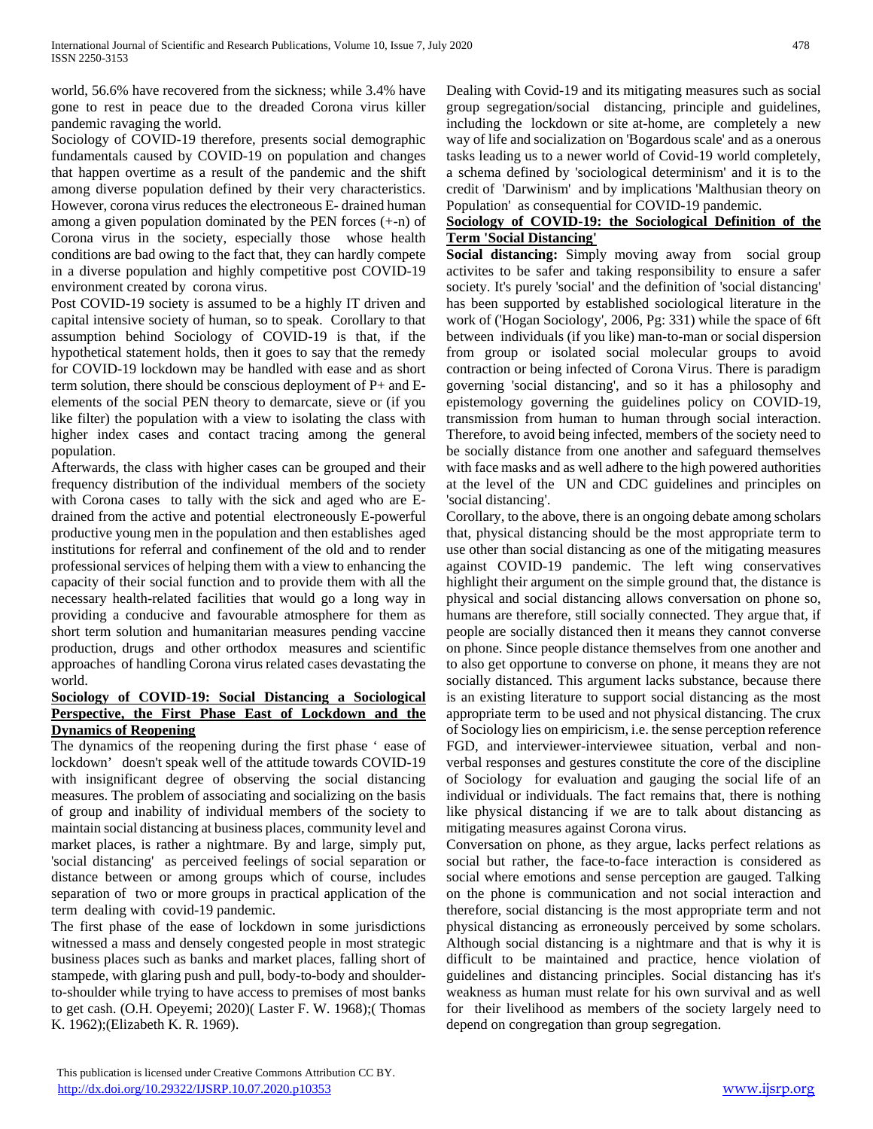world, 56.6% have recovered from the sickness; while 3.4% have gone to rest in peace due to the dreaded Corona virus killer pandemic ravaging the world.

Sociology of COVID-19 therefore, presents social demographic fundamentals caused by COVID-19 on population and changes that happen overtime as a result of the pandemic and the shift among diverse population defined by their very characteristics. However, corona virus reduces the electroneous E- drained human among a given population dominated by the PEN forces (+-n) of Corona virus in the society, especially those whose health conditions are bad owing to the fact that, they can hardly compete in a diverse population and highly competitive post COVID-19 environment created by corona virus.

Post COVID-19 society is assumed to be a highly IT driven and capital intensive society of human, so to speak. Corollary to that assumption behind Sociology of COVID-19 is that, if the hypothetical statement holds, then it goes to say that the remedy for COVID-19 lockdown may be handled with ease and as short term solution, there should be conscious deployment of P+ and Eelements of the social PEN theory to demarcate, sieve or (if you like filter) the population with a view to isolating the class with higher index cases and contact tracing among the general population.

Afterwards, the class with higher cases can be grouped and their frequency distribution of the individual members of the society with Corona cases to tally with the sick and aged who are Edrained from the active and potential electroneously E-powerful productive young men in the population and then establishes aged institutions for referral and confinement of the old and to render professional services of helping them with a view to enhancing the capacity of their social function and to provide them with all the necessary health-related facilities that would go a long way in providing a conducive and favourable atmosphere for them as short term solution and humanitarian measures pending vaccine production, drugs and other orthodox measures and scientific approaches of handling Corona virus related cases devastating the world.

## **Sociology of COVID-19: Social Distancing a Sociological Perspective, the First Phase East of Lockdown and the Dynamics of Reopening**

The dynamics of the reopening during the first phase ' ease of lockdown' doesn't speak well of the attitude towards COVID-19 with insignificant degree of observing the social distancing measures. The problem of associating and socializing on the basis of group and inability of individual members of the society to maintain social distancing at business places, community level and market places, is rather a nightmare. By and large, simply put, 'social distancing' as perceived feelings of social separation or distance between or among groups which of course, includes separation of two or more groups in practical application of the term dealing with covid-19 pandemic.

The first phase of the ease of lockdown in some jurisdictions witnessed a mass and densely congested people in most strategic business places such as banks and market places, falling short of stampede, with glaring push and pull, body-to-body and shoulderto-shoulder while trying to have access to premises of most banks to get cash. (O.H. Opeyemi; 2020)( Laster F. W. 1968);( Thomas K. 1962);(Elizabeth K. R. 1969).

Dealing with Covid-19 and its mitigating measures such as social group segregation/social distancing, principle and guidelines, including the lockdown or site at-home, are completely a new way of life and socialization on 'Bogardous scale' and as a onerous tasks leading us to a newer world of Covid-19 world completely, a schema defined by 'sociological determinism' and it is to the credit of 'Darwinism' and by implications 'Malthusian theory on Population' as consequential for COVID-19 pandemic.

## **Sociology of COVID-19: the Sociological Definition of the Term 'Social Distancing'**

**Social distancing:** Simply moving away from social group activites to be safer and taking responsibility to ensure a safer society. It's purely 'social' and the definition of 'social distancing' has been supported by established sociological literature in the work of ('Hogan Sociology', 2006, Pg: 331) while the space of 6ft between individuals (if you like) man-to-man or social dispersion from group or isolated social molecular groups to avoid contraction or being infected of Corona Virus. There is paradigm governing 'social distancing', and so it has a philosophy and epistemology governing the guidelines policy on COVID-19, transmission from human to human through social interaction. Therefore, to avoid being infected, members of the society need to be socially distance from one another and safeguard themselves with face masks and as well adhere to the high powered authorities at the level of the UN and CDC guidelines and principles on 'social distancing'.

Corollary, to the above, there is an ongoing debate among scholars that, physical distancing should be the most appropriate term to use other than social distancing as one of the mitigating measures against COVID-19 pandemic. The left wing conservatives highlight their argument on the simple ground that, the distance is physical and social distancing allows conversation on phone so, humans are therefore, still socially connected. They argue that, if people are socially distanced then it means they cannot converse on phone. Since people distance themselves from one another and to also get opportune to converse on phone, it means they are not socially distanced. This argument lacks substance, because there is an existing literature to support social distancing as the most appropriate term to be used and not physical distancing. The crux of Sociology lies on empiricism, i.e. the sense perception reference FGD, and interviewer-interviewee situation, verbal and nonverbal responses and gestures constitute the core of the discipline of Sociology for evaluation and gauging the social life of an individual or individuals. The fact remains that, there is nothing like physical distancing if we are to talk about distancing as mitigating measures against Corona virus.

Conversation on phone, as they argue, lacks perfect relations as social but rather, the face-to-face interaction is considered as social where emotions and sense perception are gauged. Talking on the phone is communication and not social interaction and therefore, social distancing is the most appropriate term and not physical distancing as erroneously perceived by some scholars. Although social distancing is a nightmare and that is why it is difficult to be maintained and practice, hence violation of guidelines and distancing principles. Social distancing has it's weakness as human must relate for his own survival and as well for their livelihood as members of the society largely need to depend on congregation than group segregation.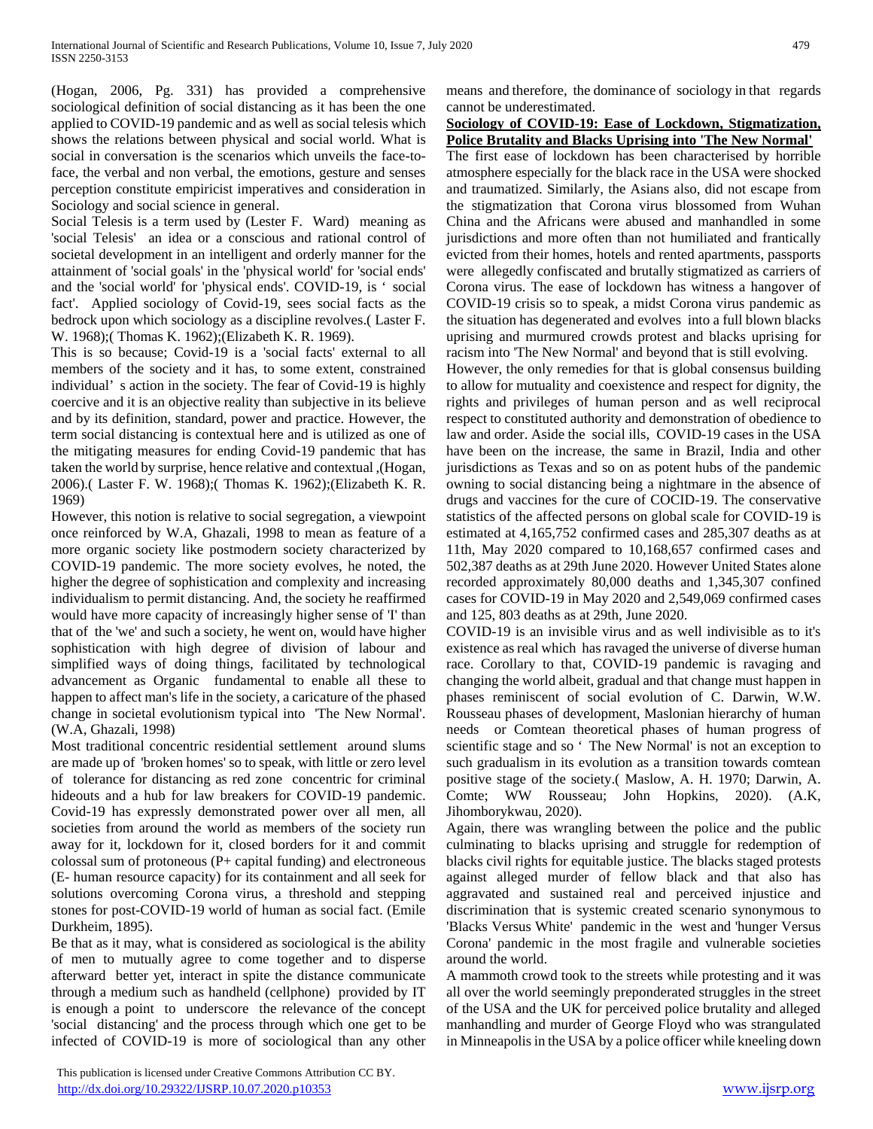(Hogan, 2006, Pg. 331) has provided a comprehensive sociological definition of social distancing as it has been the one applied to COVID-19 pandemic and as well as social telesis which shows the relations between physical and social world. What is social in conversation is the scenarios which unveils the face-toface, the verbal and non verbal, the emotions, gesture and senses perception constitute empiricist imperatives and consideration in Sociology and social science in general.

Social Telesis is a term used by (Lester F. Ward) meaning as 'social Telesis' an idea or a conscious and rational control of societal development in an intelligent and orderly manner for the attainment of 'social goals' in the 'physical world' for 'social ends' and the 'social world' for 'physical ends'. COVID-19, is ' social fact'. Applied sociology of Covid-19, sees social facts as the bedrock upon which sociology as a discipline revolves.( Laster F. W. 1968);( Thomas K. 1962);(Elizabeth K. R. 1969).

This is so because; Covid-19 is a 'social facts' external to all members of the society and it has, to some extent, constrained individual' s action in the society. The fear of Covid-19 is highly coercive and it is an objective reality than subjective in its believe and by its definition, standard, power and practice. However, the term social distancing is contextual here and is utilized as one of the mitigating measures for ending Covid-19 pandemic that has taken the world by surprise, hence relative and contextual ,(Hogan, 2006).( Laster F. W. 1968);( Thomas K. 1962);(Elizabeth K. R. 1969)

However, this notion is relative to social segregation, a viewpoint once reinforced by W.A, Ghazali, 1998 to mean as feature of a more organic society like postmodern society characterized by COVID-19 pandemic. The more society evolves, he noted, the higher the degree of sophistication and complexity and increasing individualism to permit distancing. And, the society he reaffirmed would have more capacity of increasingly higher sense of 'I' than that of the 'we' and such a society, he went on, would have higher sophistication with high degree of division of labour and simplified ways of doing things, facilitated by technological advancement as Organic fundamental to enable all these to happen to affect man's life in the society, a caricature of the phased change in societal evolutionism typical into 'The New Normal'. (W.A, Ghazali, 1998)

Most traditional concentric residential settlement around slums are made up of 'broken homes' so to speak, with little or zero level of tolerance for distancing as red zone concentric for criminal hideouts and a hub for law breakers for COVID-19 pandemic. Covid-19 has expressly demonstrated power over all men, all societies from around the world as members of the society run away for it, lockdown for it, closed borders for it and commit colossal sum of protoneous (P+ capital funding) and electroneous (E- human resource capacity) for its containment and all seek for solutions overcoming Corona virus, a threshold and stepping stones for post-COVID-19 world of human as social fact. (Emile Durkheim, 1895).

Be that as it may, what is considered as sociological is the ability of men to mutually agree to come together and to disperse afterward better yet, interact in spite the distance communicate through a medium such as handheld (cellphone) provided by IT is enough a point to underscore the relevance of the concept 'social distancing' and the process through which one get to be infected of COVID-19 is more of sociological than any other

cannot be underestimated. **Sociology of COVID-19: Ease of Lockdown, Stigmatization, Police Brutality and Blacks Uprising into 'The New Normal'**

The first ease of lockdown has been characterised by horrible atmosphere especially for the black race in the USA were shocked and traumatized. Similarly, the Asians also, did not escape from the stigmatization that Corona virus blossomed from Wuhan China and the Africans were abused and manhandled in some jurisdictions and more often than not humiliated and frantically evicted from their homes, hotels and rented apartments, passports were allegedly confiscated and brutally stigmatized as carriers of Corona virus. The ease of lockdown has witness a hangover of COVID-19 crisis so to speak, a midst Corona virus pandemic as the situation has degenerated and evolves into a full blown blacks uprising and murmured crowds protest and blacks uprising for racism into 'The New Normal' and beyond that is still evolving.

means and therefore, the dominance of sociology in that regards

However, the only remedies for that is global consensus building to allow for mutuality and coexistence and respect for dignity, the rights and privileges of human person and as well reciprocal respect to constituted authority and demonstration of obedience to law and order. Aside the social ills, COVID-19 cases in the USA have been on the increase, the same in Brazil, India and other jurisdictions as Texas and so on as potent hubs of the pandemic owning to social distancing being a nightmare in the absence of drugs and vaccines for the cure of COCID-19. The conservative statistics of the affected persons on global scale for COVID-19 is estimated at 4,165,752 confirmed cases and 285,307 deaths as at 11th, May 2020 compared to 10,168,657 confirmed cases and 502,387 deaths as at 29th June 2020. However United States alone recorded approximately 80,000 deaths and 1,345,307 confined cases for COVID-19 in May 2020 and 2,549,069 confirmed cases and 125, 803 deaths as at 29th, June 2020.

COVID-19 is an invisible virus and as well indivisible as to it's existence as real which has ravaged the universe of diverse human race. Corollary to that, COVID-19 pandemic is ravaging and changing the world albeit, gradual and that change must happen in phases reminiscent of social evolution of C. Darwin, W.W. Rousseau phases of development, Maslonian hierarchy of human needs or Comtean theoretical phases of human progress of scientific stage and so ' The New Normal' is not an exception to such gradualism in its evolution as a transition towards comtean positive stage of the society.( Maslow, A. H. 1970; Darwin, A. Comte; WW Rousseau; John Hopkins, 2020). (A.K, Jihomborykwau, 2020).

Again, there was wrangling between the police and the public culminating to blacks uprising and struggle for redemption of blacks civil rights for equitable justice. The blacks staged protests against alleged murder of fellow black and that also has aggravated and sustained real and perceived injustice and discrimination that is systemic created scenario synonymous to 'Blacks Versus White' pandemic in the west and 'hunger Versus Corona' pandemic in the most fragile and vulnerable societies around the world.

A mammoth crowd took to the streets while protesting and it was all over the world seemingly preponderated struggles in the street of the USA and the UK for perceived police brutality and alleged manhandling and murder of George Floyd who was strangulated in Minneapolis in the USA by a police officer while kneeling down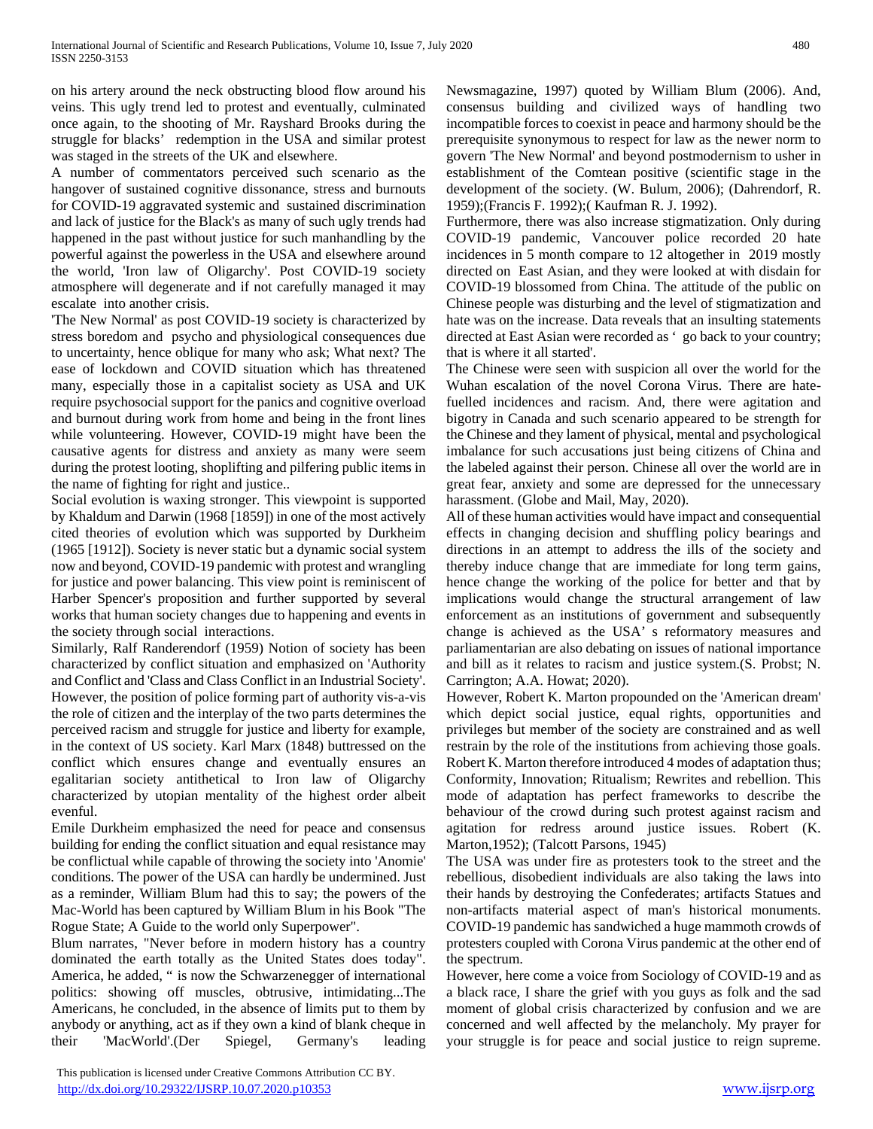on his artery around the neck obstructing blood flow around his veins. This ugly trend led to protest and eventually, culminated once again, to the shooting of Mr. Rayshard Brooks during the struggle for blacks' redemption in the USA and similar protest was staged in the streets of the UK and elsewhere.

A number of commentators perceived such scenario as the hangover of sustained cognitive dissonance, stress and burnouts for COVID-19 aggravated systemic and sustained discrimination and lack of justice for the Black's as many of such ugly trends had happened in the past without justice for such manhandling by the powerful against the powerless in the USA and elsewhere around the world, 'Iron law of Oligarchy'. Post COVID-19 society atmosphere will degenerate and if not carefully managed it may escalate into another crisis.

'The New Normal' as post COVID-19 society is characterized by stress boredom and psycho and physiological consequences due to uncertainty, hence oblique for many who ask; What next? The ease of lockdown and COVID situation which has threatened many, especially those in a capitalist society as USA and UK require psychosocial support for the panics and cognitive overload and burnout during work from home and being in the front lines while volunteering. However, COVID-19 might have been the causative agents for distress and anxiety as many were seem during the protest looting, shoplifting and pilfering public items in the name of fighting for right and justice..

Social evolution is waxing stronger. This viewpoint is supported by Khaldum and Darwin (1968 [1859]) in one of the most actively cited theories of evolution which was supported by Durkheim (1965 [1912]). Society is never static but a dynamic social system now and beyond, COVID-19 pandemic with protest and wrangling for justice and power balancing. This view point is reminiscent of Harber Spencer's proposition and further supported by several works that human society changes due to happening and events in the society through social interactions.

Similarly, Ralf Randerendorf (1959) Notion of society has been characterized by conflict situation and emphasized on 'Authority and Conflict and 'Class and Class Conflict in an Industrial Society'. However, the position of police forming part of authority vis-a-vis the role of citizen and the interplay of the two parts determines the perceived racism and struggle for justice and liberty for example, in the context of US society. Karl Marx (1848) buttressed on the conflict which ensures change and eventually ensures an egalitarian society antithetical to Iron law of Oligarchy characterized by utopian mentality of the highest order albeit evenful.

Emile Durkheim emphasized the need for peace and consensus building for ending the conflict situation and equal resistance may be conflictual while capable of throwing the society into 'Anomie' conditions. The power of the USA can hardly be undermined. Just as a reminder, William Blum had this to say; the powers of the Mac-World has been captured by William Blum in his Book "The Rogue State; A Guide to the world only Superpower".

Blum narrates, "Never before in modern history has a country dominated the earth totally as the United States does today". America, he added, " is now the Schwarzenegger of international politics: showing off muscles, obtrusive, intimidating...The Americans, he concluded, in the absence of limits put to them by anybody or anything, act as if they own a kind of blank cheque in their 'MacWorld'.(Der Spiegel, Germany's leading Newsmagazine, 1997) quoted by William Blum (2006). And, consensus building and civilized ways of handling two incompatible forces to coexist in peace and harmony should be the prerequisite synonymous to respect for law as the newer norm to govern 'The New Normal' and beyond postmodernism to usher in establishment of the Comtean positive (scientific stage in the development of the society. (W. Bulum, 2006); (Dahrendorf, R. 1959);(Francis F. 1992);( Kaufman R. J. 1992).

Furthermore, there was also increase stigmatization. Only during COVID-19 pandemic, Vancouver police recorded 20 hate incidences in 5 month compare to 12 altogether in 2019 mostly directed on East Asian, and they were looked at with disdain for COVID-19 blossomed from China. The attitude of the public on Chinese people was disturbing and the level of stigmatization and hate was on the increase. Data reveals that an insulting statements directed at East Asian were recorded as ' go back to your country; that is where it all started'.

The Chinese were seen with suspicion all over the world for the Wuhan escalation of the novel Corona Virus. There are hatefuelled incidences and racism. And, there were agitation and bigotry in Canada and such scenario appeared to be strength for the Chinese and they lament of physical, mental and psychological imbalance for such accusations just being citizens of China and the labeled against their person. Chinese all over the world are in great fear, anxiety and some are depressed for the unnecessary harassment. (Globe and Mail, May, 2020).

All of these human activities would have impact and consequential effects in changing decision and shuffling policy bearings and directions in an attempt to address the ills of the society and thereby induce change that are immediate for long term gains, hence change the working of the police for better and that by implications would change the structural arrangement of law enforcement as an institutions of government and subsequently change is achieved as the USA' s reformatory measures and parliamentarian are also debating on issues of national importance and bill as it relates to racism and justice system.(S. Probst; N. Carrington; A.A. Howat; 2020).

However, Robert K. Marton propounded on the 'American dream' which depict social justice, equal rights, opportunities and privileges but member of the society are constrained and as well restrain by the role of the institutions from achieving those goals. Robert K. Marton therefore introduced 4 modes of adaptation thus; Conformity, Innovation; Ritualism; Rewrites and rebellion. This mode of adaptation has perfect frameworks to describe the behaviour of the crowd during such protest against racism and agitation for redress around justice issues. Robert (K. Marton,1952); (Talcott Parsons, 1945)

The USA was under fire as protesters took to the street and the rebellious, disobedient individuals are also taking the laws into their hands by destroying the Confederates; artifacts Statues and non-artifacts material aspect of man's historical monuments. COVID-19 pandemic has sandwiched a huge mammoth crowds of protesters coupled with Corona Virus pandemic at the other end of the spectrum.

However, here come a voice from Sociology of COVID-19 and as a black race, I share the grief with you guys as folk and the sad moment of global crisis characterized by confusion and we are concerned and well affected by the melancholy. My prayer for your struggle is for peace and social justice to reign supreme.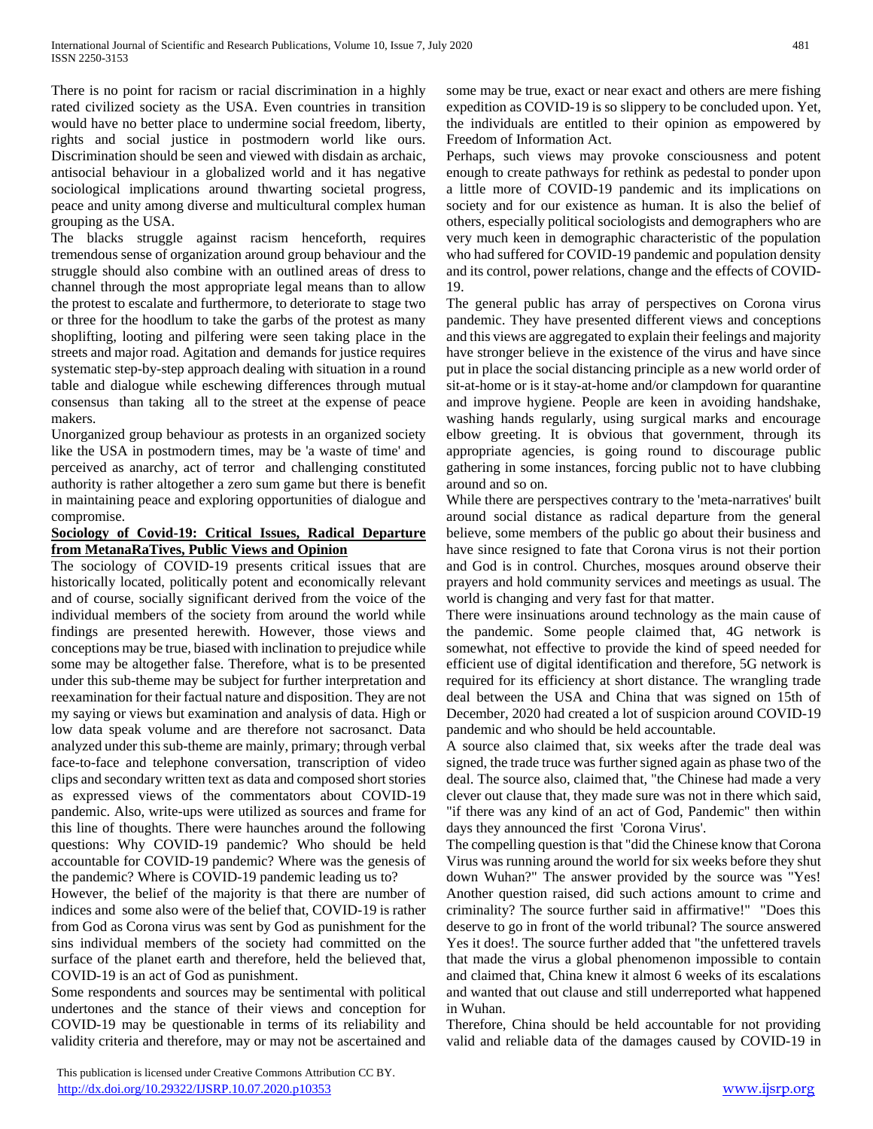There is no point for racism or racial discrimination in a highly rated civilized society as the USA. Even countries in transition would have no better place to undermine social freedom, liberty, rights and social justice in postmodern world like ours. Discrimination should be seen and viewed with disdain as archaic, antisocial behaviour in a globalized world and it has negative sociological implications around thwarting societal progress, peace and unity among diverse and multicultural complex human grouping as the USA.

The blacks struggle against racism henceforth, requires tremendous sense of organization around group behaviour and the struggle should also combine with an outlined areas of dress to channel through the most appropriate legal means than to allow the protest to escalate and furthermore, to deteriorate to stage two or three for the hoodlum to take the garbs of the protest as many shoplifting, looting and pilfering were seen taking place in the streets and major road. Agitation and demands for justice requires systematic step-by-step approach dealing with situation in a round table and dialogue while eschewing differences through mutual consensus than taking all to the street at the expense of peace makers.

Unorganized group behaviour as protests in an organized society like the USA in postmodern times, may be 'a waste of time' and perceived as anarchy, act of terror and challenging constituted authority is rather altogether a zero sum game but there is benefit in maintaining peace and exploring opportunities of dialogue and compromise.

## **Sociology of Covid-19: Critical Issues, Radical Departure from MetanaRaTives, Public Views and Opinion**

The sociology of COVID-19 presents critical issues that are historically located, politically potent and economically relevant and of course, socially significant derived from the voice of the individual members of the society from around the world while findings are presented herewith. However, those views and conceptions may be true, biased with inclination to prejudice while some may be altogether false. Therefore, what is to be presented under this sub-theme may be subject for further interpretation and reexamination for their factual nature and disposition. They are not my saying or views but examination and analysis of data. High or low data speak volume and are therefore not sacrosanct. Data analyzed under this sub-theme are mainly, primary; through verbal face-to-face and telephone conversation, transcription of video clips and secondary written text as data and composed short stories as expressed views of the commentators about COVID-19 pandemic. Also, write-ups were utilized as sources and frame for this line of thoughts. There were haunches around the following questions: Why COVID-19 pandemic? Who should be held accountable for COVID-19 pandemic? Where was the genesis of the pandemic? Where is COVID-19 pandemic leading us to?

However, the belief of the majority is that there are number of indices and some also were of the belief that, COVID-19 is rather from God as Corona virus was sent by God as punishment for the sins individual members of the society had committed on the surface of the planet earth and therefore, held the believed that, COVID-19 is an act of God as punishment.

Some respondents and sources may be sentimental with political undertones and the stance of their views and conception for COVID-19 may be questionable in terms of its reliability and validity criteria and therefore, may or may not be ascertained and some may be true, exact or near exact and others are mere fishing expedition as COVID-19 is so slippery to be concluded upon. Yet, the individuals are entitled to their opinion as empowered by Freedom of Information Act.

Perhaps, such views may provoke consciousness and potent enough to create pathways for rethink as pedestal to ponder upon a little more of COVID-19 pandemic and its implications on society and for our existence as human. It is also the belief of others, especially political sociologists and demographers who are very much keen in demographic characteristic of the population who had suffered for COVID-19 pandemic and population density and its control, power relations, change and the effects of COVID-19.

The general public has array of perspectives on Corona virus pandemic. They have presented different views and conceptions and this views are aggregated to explain their feelings and majority have stronger believe in the existence of the virus and have since put in place the social distancing principle as a new world order of sit-at-home or is it stay-at-home and/or clampdown for quarantine and improve hygiene. People are keen in avoiding handshake, washing hands regularly, using surgical marks and encourage elbow greeting. It is obvious that government, through its appropriate agencies, is going round to discourage public gathering in some instances, forcing public not to have clubbing around and so on.

While there are perspectives contrary to the 'meta-narratives' built around social distance as radical departure from the general believe, some members of the public go about their business and have since resigned to fate that Corona virus is not their portion and God is in control. Churches, mosques around observe their prayers and hold community services and meetings as usual. The world is changing and very fast for that matter.

There were insinuations around technology as the main cause of the pandemic. Some people claimed that, 4G network is somewhat, not effective to provide the kind of speed needed for efficient use of digital identification and therefore, 5G network is required for its efficiency at short distance. The wrangling trade deal between the USA and China that was signed on 15th of December, 2020 had created a lot of suspicion around COVID-19 pandemic and who should be held accountable.

A source also claimed that, six weeks after the trade deal was signed, the trade truce was further signed again as phase two of the deal. The source also, claimed that, "the Chinese had made a very clever out clause that, they made sure was not in there which said, "if there was any kind of an act of God, Pandemic" then within days they announced the first 'Corona Virus'.

The compelling question is that "did the Chinese know that Corona Virus was running around the world for six weeks before they shut down Wuhan?" The answer provided by the source was "Yes! Another question raised, did such actions amount to crime and criminality? The source further said in affirmative!" "Does this deserve to go in front of the world tribunal? The source answered Yes it does!. The source further added that "the unfettered travels that made the virus a global phenomenon impossible to contain and claimed that, China knew it almost 6 weeks of its escalations and wanted that out clause and still underreported what happened in Wuhan.

Therefore, China should be held accountable for not providing valid and reliable data of the damages caused by COVID-19 in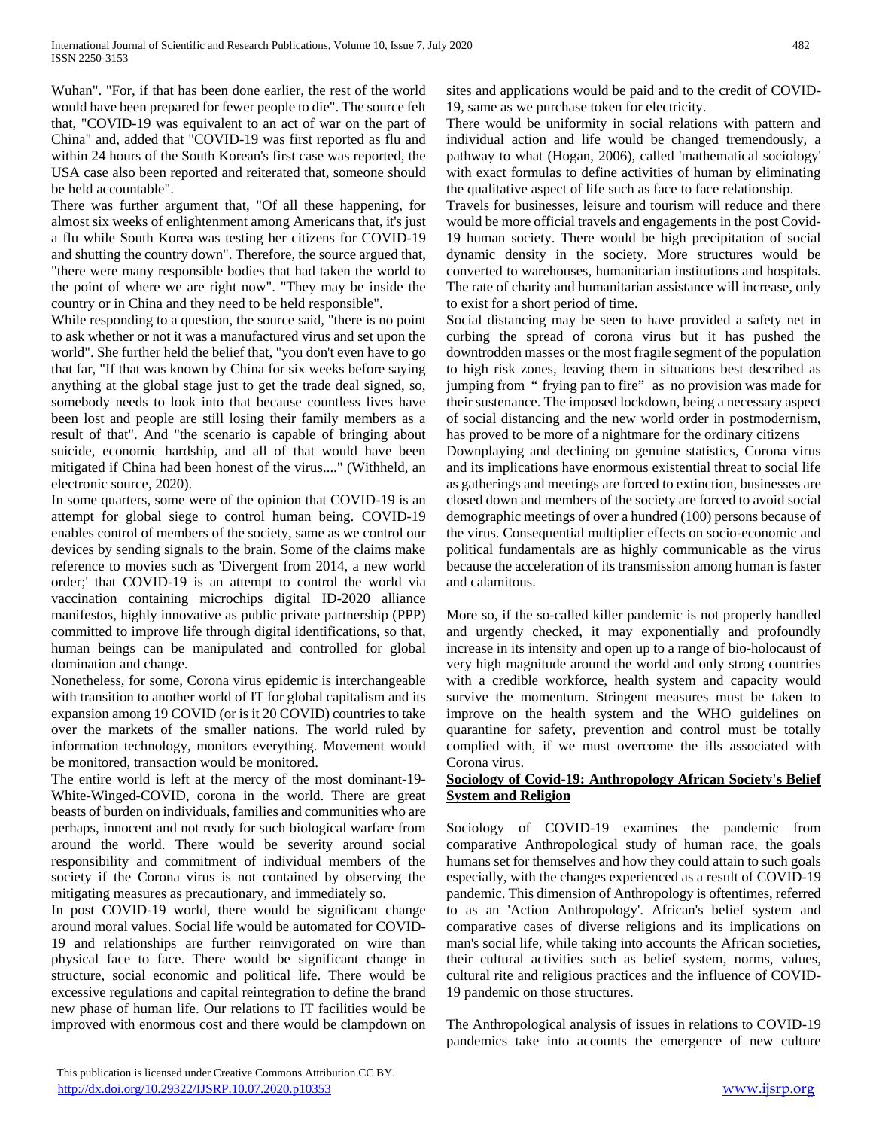Wuhan". "For, if that has been done earlier, the rest of the world would have been prepared for fewer people to die". The source felt that, "COVID-19 was equivalent to an act of war on the part of China" and, added that "COVID-19 was first reported as flu and within 24 hours of the South Korean's first case was reported, the USA case also been reported and reiterated that, someone should be held accountable".

There was further argument that, "Of all these happening, for almost six weeks of enlightenment among Americans that, it's just a flu while South Korea was testing her citizens for COVID-19 and shutting the country down". Therefore, the source argued that, "there were many responsible bodies that had taken the world to the point of where we are right now". "They may be inside the country or in China and they need to be held responsible".

While responding to a question, the source said, "there is no point to ask whether or not it was a manufactured virus and set upon the world". She further held the belief that, "you don't even have to go that far, "If that was known by China for six weeks before saying anything at the global stage just to get the trade deal signed, so, somebody needs to look into that because countless lives have been lost and people are still losing their family members as a result of that". And "the scenario is capable of bringing about suicide, economic hardship, and all of that would have been mitigated if China had been honest of the virus...." (Withheld, an electronic source, 2020).

In some quarters, some were of the opinion that COVID-19 is an attempt for global siege to control human being. COVID-19 enables control of members of the society, same as we control our devices by sending signals to the brain. Some of the claims make reference to movies such as 'Divergent from 2014, a new world order;' that COVID-19 is an attempt to control the world via vaccination containing microchips digital ID-2020 alliance manifestos, highly innovative as public private partnership (PPP) committed to improve life through digital identifications, so that, human beings can be manipulated and controlled for global domination and change.

Nonetheless, for some, Corona virus epidemic is interchangeable with transition to another world of IT for global capitalism and its expansion among 19 COVID (or is it 20 COVID) countries to take over the markets of the smaller nations. The world ruled by information technology, monitors everything. Movement would be monitored, transaction would be monitored.

The entire world is left at the mercy of the most dominant-19- White-Winged-COVID, corona in the world. There are great beasts of burden on individuals, families and communities who are perhaps, innocent and not ready for such biological warfare from around the world. There would be severity around social responsibility and commitment of individual members of the society if the Corona virus is not contained by observing the mitigating measures as precautionary, and immediately so.

In post COVID-19 world, there would be significant change around moral values. Social life would be automated for COVID-19 and relationships are further reinvigorated on wire than physical face to face. There would be significant change in structure, social economic and political life. There would be excessive regulations and capital reintegration to define the brand new phase of human life. Our relations to IT facilities would be improved with enormous cost and there would be clampdown on sites and applications would be paid and to the credit of COVID-19, same as we purchase token for electricity.

There would be uniformity in social relations with pattern and individual action and life would be changed tremendously, a pathway to what (Hogan, 2006), called 'mathematical sociology' with exact formulas to define activities of human by eliminating the qualitative aspect of life such as face to face relationship.

Travels for businesses, leisure and tourism will reduce and there would be more official travels and engagements in the post Covid-19 human society. There would be high precipitation of social dynamic density in the society. More structures would be converted to warehouses, humanitarian institutions and hospitals. The rate of charity and humanitarian assistance will increase, only to exist for a short period of time.

Social distancing may be seen to have provided a safety net in curbing the spread of corona virus but it has pushed the downtrodden masses or the most fragile segment of the population to high risk zones, leaving them in situations best described as jumping from " frying pan to fire" as no provision was made for their sustenance. The imposed lockdown, being a necessary aspect of social distancing and the new world order in postmodernism, has proved to be more of a nightmare for the ordinary citizens

Downplaying and declining on genuine statistics, Corona virus and its implications have enormous existential threat to social life as gatherings and meetings are forced to extinction, businesses are closed down and members of the society are forced to avoid social demographic meetings of over a hundred (100) persons because of the virus. Consequential multiplier effects on socio-economic and political fundamentals are as highly communicable as the virus because the acceleration of its transmission among human is faster and calamitous.

More so, if the so-called killer pandemic is not properly handled and urgently checked, it may exponentially and profoundly increase in its intensity and open up to a range of bio-holocaust of very high magnitude around the world and only strong countries with a credible workforce, health system and capacity would survive the momentum. Stringent measures must be taken to improve on the health system and the WHO guidelines on quarantine for safety, prevention and control must be totally complied with, if we must overcome the ills associated with Corona virus.

## **Sociology of Covid-19: Anthropology African Society's Belief System and Religion**

Sociology of COVID-19 examines the pandemic from comparative Anthropological study of human race, the goals humans set for themselves and how they could attain to such goals especially, with the changes experienced as a result of COVID-19 pandemic. This dimension of Anthropology is oftentimes, referred to as an 'Action Anthropology'. African's belief system and comparative cases of diverse religions and its implications on man's social life, while taking into accounts the African societies, their cultural activities such as belief system, norms, values, cultural rite and religious practices and the influence of COVID-19 pandemic on those structures.

The Anthropological analysis of issues in relations to COVID-19 pandemics take into accounts the emergence of new culture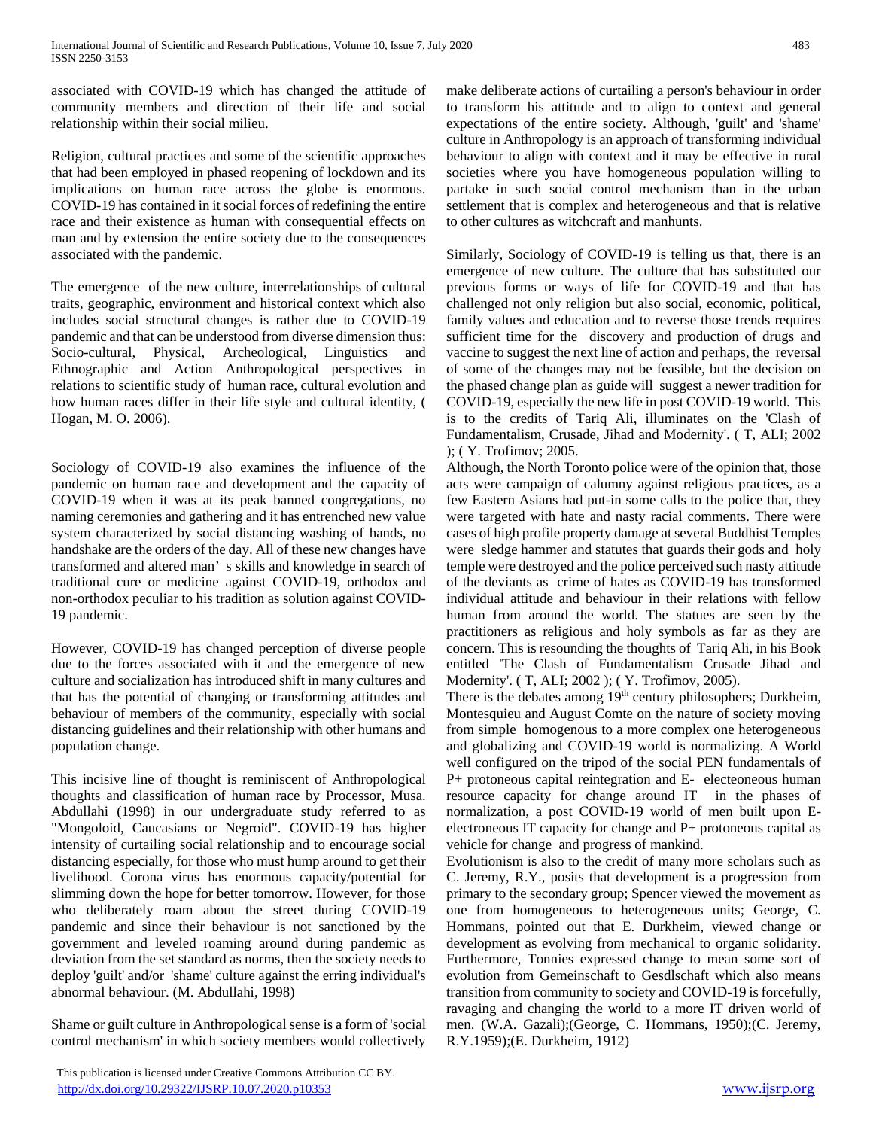associated with COVID-19 which has changed the attitude of community members and direction of their life and social relationship within their social milieu.

Religion, cultural practices and some of the scientific approaches that had been employed in phased reopening of lockdown and its implications on human race across the globe is enormous. COVID-19 has contained in it social forces of redefining the entire race and their existence as human with consequential effects on man and by extension the entire society due to the consequences associated with the pandemic.

The emergence of the new culture, interrelationships of cultural traits, geographic, environment and historical context which also includes social structural changes is rather due to COVID-19 pandemic and that can be understood from diverse dimension thus: Socio-cultural, Physical, Archeological, Linguistics and Ethnographic and Action Anthropological perspectives in relations to scientific study of human race, cultural evolution and how human races differ in their life style and cultural identity, ( Hogan, M. O. 2006).

Sociology of COVID-19 also examines the influence of the pandemic on human race and development and the capacity of COVID-19 when it was at its peak banned congregations, no naming ceremonies and gathering and it has entrenched new value system characterized by social distancing washing of hands, no handshake are the orders of the day. All of these new changes have transformed and altered man' s skills and knowledge in search of traditional cure or medicine against COVID-19, orthodox and non-orthodox peculiar to his tradition as solution against COVID-19 pandemic.

However, COVID-19 has changed perception of diverse people due to the forces associated with it and the emergence of new culture and socialization has introduced shift in many cultures and that has the potential of changing or transforming attitudes and behaviour of members of the community, especially with social distancing guidelines and their relationship with other humans and population change.

This incisive line of thought is reminiscent of Anthropological thoughts and classification of human race by Processor, Musa. Abdullahi (1998) in our undergraduate study referred to as "Mongoloid, Caucasians or Negroid". COVID-19 has higher intensity of curtailing social relationship and to encourage social distancing especially, for those who must hump around to get their livelihood. Corona virus has enormous capacity/potential for slimming down the hope for better tomorrow. However, for those who deliberately roam about the street during COVID-19 pandemic and since their behaviour is not sanctioned by the government and leveled roaming around during pandemic as deviation from the set standard as norms, then the society needs to deploy 'guilt' and/or 'shame' culture against the erring individual's abnormal behaviour. (M. Abdullahi, 1998)

Shame or guilt culture in Anthropological sense is a form of 'social control mechanism' in which society members would collectively

 This publication is licensed under Creative Commons Attribution CC BY. <http://dx.doi.org/10.29322/IJSRP.10.07.2020.p10353> [www.ijsrp.org](http://ijsrp.org/)

make deliberate actions of curtailing a person's behaviour in order to transform his attitude and to align to context and general expectations of the entire society. Although, 'guilt' and 'shame' culture in Anthropology is an approach of transforming individual behaviour to align with context and it may be effective in rural societies where you have homogeneous population willing to partake in such social control mechanism than in the urban settlement that is complex and heterogeneous and that is relative to other cultures as witchcraft and manhunts.

Similarly, Sociology of COVID-19 is telling us that, there is an emergence of new culture. The culture that has substituted our previous forms or ways of life for COVID-19 and that has challenged not only religion but also social, economic, political, family values and education and to reverse those trends requires sufficient time for the discovery and production of drugs and vaccine to suggest the next line of action and perhaps, the reversal of some of the changes may not be feasible, but the decision on the phased change plan as guide will suggest a newer tradition for COVID-19, especially the new life in post COVID-19 world. This is to the credits of Tariq Ali, illuminates on the 'Clash of Fundamentalism, Crusade, Jihad and Modernity'. ( T, ALI; 2002 ); ( Y. Trofimov; 2005.

Although, the North Toronto police were of the opinion that, those acts were campaign of calumny against religious practices, as a few Eastern Asians had put-in some calls to the police that, they were targeted with hate and nasty racial comments. There were cases of high profile property damage at several Buddhist Temples were sledge hammer and statutes that guards their gods and holy temple were destroyed and the police perceived such nasty attitude of the deviants as crime of hates as COVID-19 has transformed individual attitude and behaviour in their relations with fellow human from around the world. The statues are seen by the practitioners as religious and holy symbols as far as they are concern. This is resounding the thoughts of Tariq Ali, in his Book entitled 'The Clash of Fundamentalism Crusade Jihad and Modernity'. ( T, ALI; 2002 ); ( Y. Trofimov, 2005).

There is the debates among 19<sup>th</sup> century philosophers; Durkheim, Montesquieu and August Comte on the nature of society moving from simple homogenous to a more complex one heterogeneous and globalizing and COVID-19 world is normalizing. A World well configured on the tripod of the social PEN fundamentals of P+ protoneous capital reintegration and E- electeoneous human resource capacity for change around IT in the phases of normalization, a post COVID-19 world of men built upon Eelectroneous IT capacity for change and P+ protoneous capital as vehicle for change and progress of mankind.

Evolutionism is also to the credit of many more scholars such as C. Jeremy, R.Y., posits that development is a progression from primary to the secondary group; Spencer viewed the movement as one from homogeneous to heterogeneous units; George, C. Hommans, pointed out that E. Durkheim, viewed change or development as evolving from mechanical to organic solidarity. Furthermore, Tonnies expressed change to mean some sort of evolution from Gemeinschaft to Gesdlschaft which also means transition from community to society and COVID-19 is forcefully, ravaging and changing the world to a more IT driven world of men. (W.A. Gazali);(George, C. Hommans, 1950);(C. Jeremy, R.Y.1959);(E. Durkheim, 1912)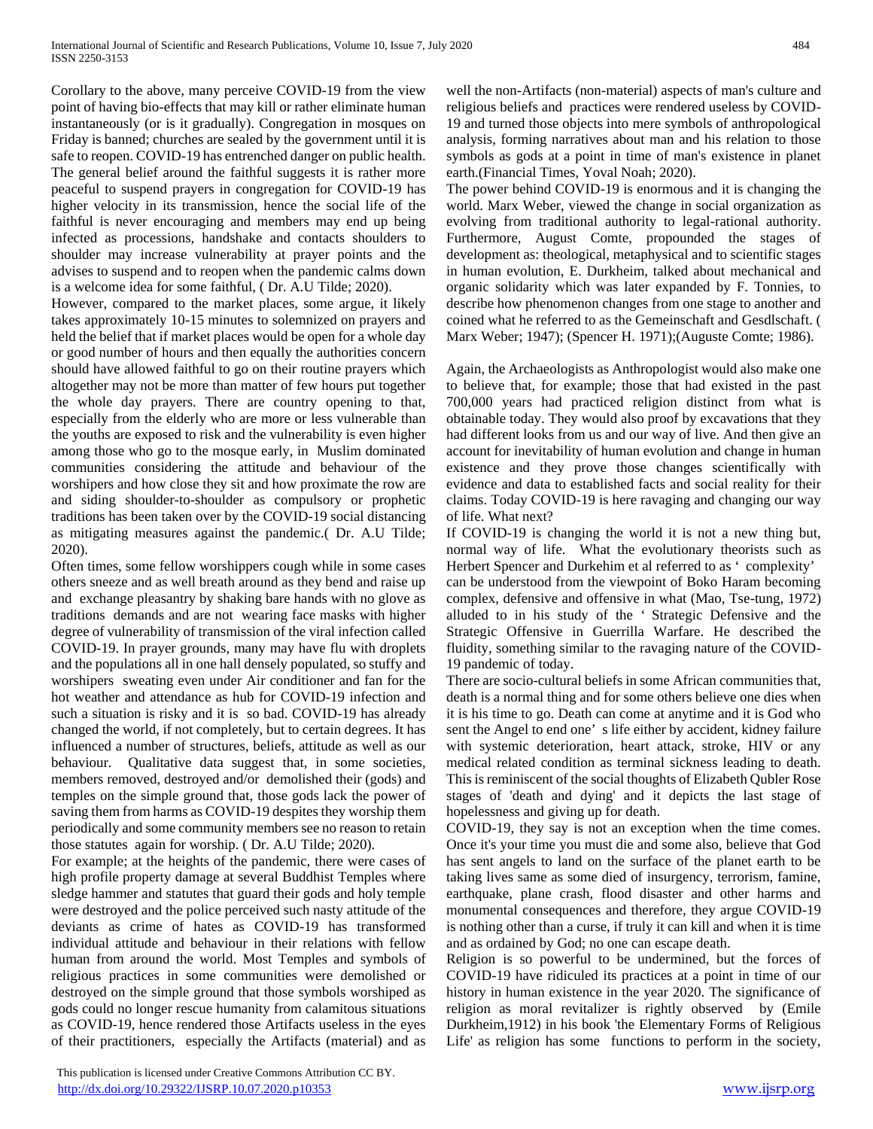Corollary to the above, many perceive COVID-19 from the view point of having bio-effects that may kill or rather eliminate human instantaneously (or is it gradually). Congregation in mosques on Friday is banned; churches are sealed by the government until it is safe to reopen. COVID-19 has entrenched danger on public health. The general belief around the faithful suggests it is rather more peaceful to suspend prayers in congregation for COVID-19 has higher velocity in its transmission, hence the social life of the faithful is never encouraging and members may end up being infected as processions, handshake and contacts shoulders to shoulder may increase vulnerability at prayer points and the advises to suspend and to reopen when the pandemic calms down is a welcome idea for some faithful, ( Dr. A.U Tilde; 2020).

However, compared to the market places, some argue, it likely takes approximately 10-15 minutes to solemnized on prayers and held the belief that if market places would be open for a whole day or good number of hours and then equally the authorities concern should have allowed faithful to go on their routine prayers which altogether may not be more than matter of few hours put together the whole day prayers. There are country opening to that, especially from the elderly who are more or less vulnerable than the youths are exposed to risk and the vulnerability is even higher among those who go to the mosque early, in Muslim dominated communities considering the attitude and behaviour of the worshipers and how close they sit and how proximate the row are and siding shoulder-to-shoulder as compulsory or prophetic traditions has been taken over by the COVID-19 social distancing as mitigating measures against the pandemic.( Dr. A.U Tilde; 2020).

Often times, some fellow worshippers cough while in some cases others sneeze and as well breath around as they bend and raise up and exchange pleasantry by shaking bare hands with no glove as traditions demands and are not wearing face masks with higher degree of vulnerability of transmission of the viral infection called COVID-19. In prayer grounds, many may have flu with droplets and the populations all in one hall densely populated, so stuffy and worshipers sweating even under Air conditioner and fan for the hot weather and attendance as hub for COVID-19 infection and such a situation is risky and it is so bad. COVID-19 has already changed the world, if not completely, but to certain degrees. It has influenced a number of structures, beliefs, attitude as well as our behaviour. Qualitative data suggest that, in some societies, members removed, destroyed and/or demolished their (gods) and temples on the simple ground that, those gods lack the power of saving them from harms as COVID-19 despites they worship them periodically and some community members see no reason to retain those statutes again for worship. ( Dr. A.U Tilde; 2020).

For example; at the heights of the pandemic, there were cases of high profile property damage at several Buddhist Temples where sledge hammer and statutes that guard their gods and holy temple were destroyed and the police perceived such nasty attitude of the deviants as crime of hates as COVID-19 has transformed individual attitude and behaviour in their relations with fellow human from around the world. Most Temples and symbols of religious practices in some communities were demolished or destroyed on the simple ground that those symbols worshiped as gods could no longer rescue humanity from calamitous situations as COVID-19, hence rendered those Artifacts useless in the eyes of their practitioners, especially the Artifacts (material) and as well the non-Artifacts (non-material) aspects of man's culture and religious beliefs and practices were rendered useless by COVID-19 and turned those objects into mere symbols of anthropological analysis, forming narratives about man and his relation to those symbols as gods at a point in time of man's existence in planet earth.(Financial Times, Yoval Noah; 2020).

The power behind COVID-19 is enormous and it is changing the world. Marx Weber, viewed the change in social organization as evolving from traditional authority to legal-rational authority. Furthermore, August Comte, propounded the stages of development as: theological, metaphysical and to scientific stages in human evolution, E. Durkheim, talked about mechanical and organic solidarity which was later expanded by F. Tonnies, to describe how phenomenon changes from one stage to another and coined what he referred to as the Gemeinschaft and Gesdlschaft. ( Marx Weber; 1947); (Spencer H. 1971);(Auguste Comte; 1986).

Again, the Archaeologists as Anthropologist would also make one to believe that, for example; those that had existed in the past 700,000 years had practiced religion distinct from what is obtainable today. They would also proof by excavations that they had different looks from us and our way of live. And then give an account for inevitability of human evolution and change in human existence and they prove those changes scientifically with evidence and data to established facts and social reality for their claims. Today COVID-19 is here ravaging and changing our way of life. What next?

If COVID-19 is changing the world it is not a new thing but, normal way of life. What the evolutionary theorists such as Herbert Spencer and Durkehim et al referred to as ' complexity' can be understood from the viewpoint of Boko Haram becoming complex, defensive and offensive in what (Mao, Tse-tung, 1972) alluded to in his study of the ' Strategic Defensive and the Strategic Offensive in Guerrilla Warfare. He described the fluidity, something similar to the ravaging nature of the COVID-19 pandemic of today.

There are socio-cultural beliefs in some African communities that, death is a normal thing and for some others believe one dies when it is his time to go. Death can come at anytime and it is God who sent the Angel to end one' s life either by accident, kidney failure with systemic deterioration, heart attack, stroke, HIV or any medical related condition as terminal sickness leading to death. This is reminiscent of the social thoughts of Elizabeth Qubler Rose stages of 'death and dying' and it depicts the last stage of hopelessness and giving up for death.

COVID-19, they say is not an exception when the time comes. Once it's your time you must die and some also, believe that God has sent angels to land on the surface of the planet earth to be taking lives same as some died of insurgency, terrorism, famine, earthquake, plane crash, flood disaster and other harms and monumental consequences and therefore, they argue COVID-19 is nothing other than a curse, if truly it can kill and when it is time and as ordained by God; no one can escape death.

Religion is so powerful to be undermined, but the forces of COVID-19 have ridiculed its practices at a point in time of our history in human existence in the year 2020. The significance of religion as moral revitalizer is rightly observed by (Emile Durkheim,1912) in his book 'the Elementary Forms of Religious Life' as religion has some functions to perform in the society,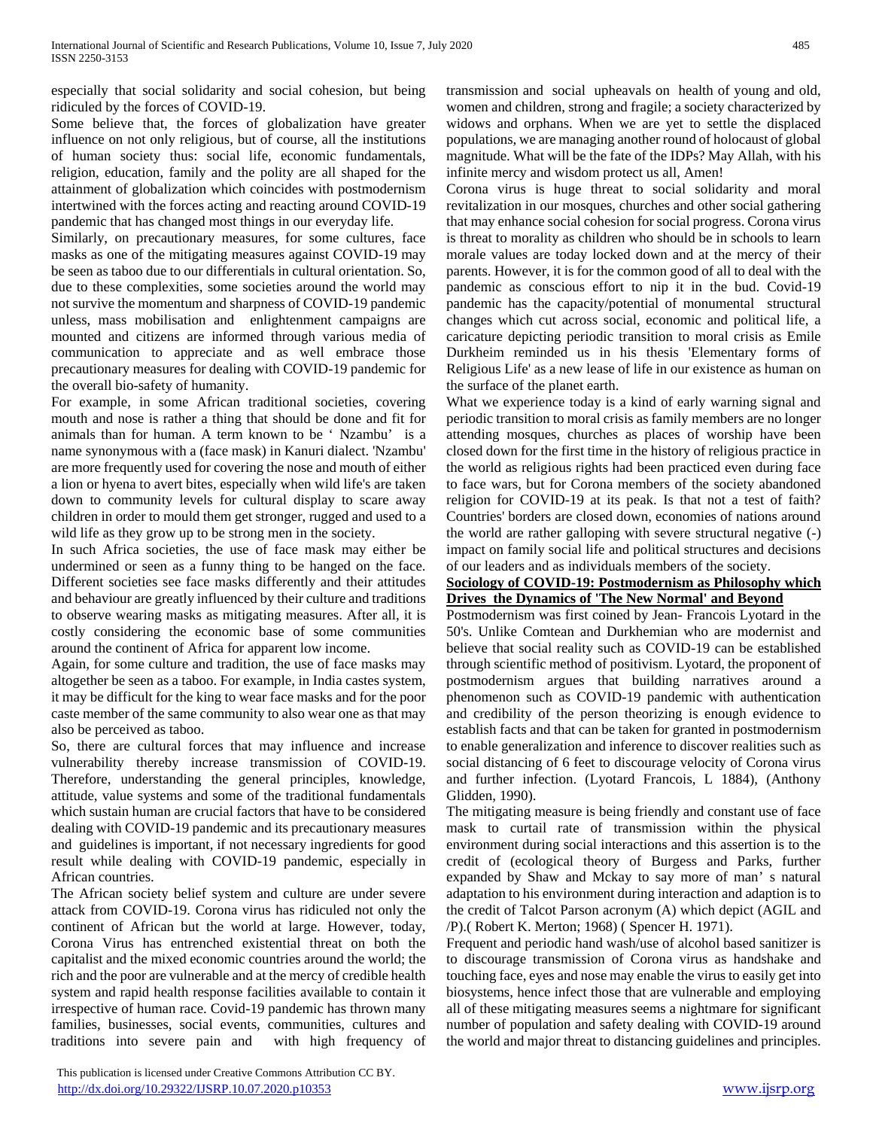especially that social solidarity and social cohesion, but being ridiculed by the forces of COVID-19.

Some believe that, the forces of globalization have greater influence on not only religious, but of course, all the institutions of human society thus: social life, economic fundamentals, religion, education, family and the polity are all shaped for the attainment of globalization which coincides with postmodernism intertwined with the forces acting and reacting around COVID-19 pandemic that has changed most things in our everyday life.

Similarly, on precautionary measures, for some cultures, face masks as one of the mitigating measures against COVID-19 may be seen as taboo due to our differentials in cultural orientation. So, due to these complexities, some societies around the world may not survive the momentum and sharpness of COVID-19 pandemic unless, mass mobilisation and enlightenment campaigns are mounted and citizens are informed through various media of communication to appreciate and as well embrace those precautionary measures for dealing with COVID-19 pandemic for the overall bio-safety of humanity.

For example, in some African traditional societies, covering mouth and nose is rather a thing that should be done and fit for animals than for human. A term known to be ' Nzambu' is a name synonymous with a (face mask) in Kanuri dialect. 'Nzambu' are more frequently used for covering the nose and mouth of either a lion or hyena to avert bites, especially when wild life's are taken down to community levels for cultural display to scare away children in order to mould them get stronger, rugged and used to a wild life as they grow up to be strong men in the society.

In such Africa societies, the use of face mask may either be undermined or seen as a funny thing to be hanged on the face. Different societies see face masks differently and their attitudes and behaviour are greatly influenced by their culture and traditions to observe wearing masks as mitigating measures. After all, it is costly considering the economic base of some communities around the continent of Africa for apparent low income.

Again, for some culture and tradition, the use of face masks may altogether be seen as a taboo. For example, in India castes system, it may be difficult for the king to wear face masks and for the poor caste member of the same community to also wear one as that may also be perceived as taboo.

So, there are cultural forces that may influence and increase vulnerability thereby increase transmission of COVID-19. Therefore, understanding the general principles, knowledge, attitude, value systems and some of the traditional fundamentals which sustain human are crucial factors that have to be considered dealing with COVID-19 pandemic and its precautionary measures and guidelines is important, if not necessary ingredients for good result while dealing with COVID-19 pandemic, especially in African countries.

The African society belief system and culture are under severe attack from COVID-19. Corona virus has ridiculed not only the continent of African but the world at large. However, today, Corona Virus has entrenched existential threat on both the capitalist and the mixed economic countries around the world; the rich and the poor are vulnerable and at the mercy of credible health system and rapid health response facilities available to contain it irrespective of human race. Covid-19 pandemic has thrown many families, businesses, social events, communities, cultures and traditions into severe pain and with high frequency of

 This publication is licensed under Creative Commons Attribution CC BY. <http://dx.doi.org/10.29322/IJSRP.10.07.2020.p10353> [www.ijsrp.org](http://ijsrp.org/)

transmission and social upheavals on health of young and old, women and children, strong and fragile; a society characterized by widows and orphans. When we are yet to settle the displaced populations, we are managing another round of holocaust of global magnitude. What will be the fate of the IDPs? May Allah, with his infinite mercy and wisdom protect us all, Amen!

Corona virus is huge threat to social solidarity and moral revitalization in our mosques, churches and other social gathering that may enhance social cohesion for social progress. Corona virus is threat to morality as children who should be in schools to learn morale values are today locked down and at the mercy of their parents. However, it is for the common good of all to deal with the pandemic as conscious effort to nip it in the bud. Covid-19 pandemic has the capacity/potential of monumental structural changes which cut across social, economic and political life, a caricature depicting periodic transition to moral crisis as Emile Durkheim reminded us in his thesis 'Elementary forms of Religious Life' as a new lease of life in our existence as human on the surface of the planet earth.

What we experience today is a kind of early warning signal and periodic transition to moral crisis as family members are no longer attending mosques, churches as places of worship have been closed down for the first time in the history of religious practice in the world as religious rights had been practiced even during face to face wars, but for Corona members of the society abandoned religion for COVID-19 at its peak. Is that not a test of faith? Countries' borders are closed down, economies of nations around the world are rather galloping with severe structural negative (-) impact on family social life and political structures and decisions of our leaders and as individuals members of the society.

## **Sociology of COVID-19: Postmodernism as Philosophy which Drives the Dynamics of 'The New Normal' and Beyond**

Postmodernism was first coined by Jean- Francois Lyotard in the 50's. Unlike Comtean and Durkhemian who are modernist and believe that social reality such as COVID-19 can be established through scientific method of positivism. Lyotard, the proponent of postmodernism argues that building narratives around a phenomenon such as COVID-19 pandemic with authentication and credibility of the person theorizing is enough evidence to establish facts and that can be taken for granted in postmodernism to enable generalization and inference to discover realities such as social distancing of 6 feet to discourage velocity of Corona virus and further infection. (Lyotard Francois, L 1884), (Anthony Glidden, 1990).

The mitigating measure is being friendly and constant use of face mask to curtail rate of transmission within the physical environment during social interactions and this assertion is to the credit of (ecological theory of Burgess and Parks, further expanded by Shaw and Mckay to say more of man' s natural adaptation to his environment during interaction and adaption is to the credit of Talcot Parson acronym (A) which depict (AGIL and /P).( Robert K. Merton; 1968) ( Spencer H. 1971).

Frequent and periodic hand wash/use of alcohol based sanitizer is to discourage transmission of Corona virus as handshake and touching face, eyes and nose may enable the virus to easily get into biosystems, hence infect those that are vulnerable and employing all of these mitigating measures seems a nightmare for significant number of population and safety dealing with COVID-19 around the world and major threat to distancing guidelines and principles.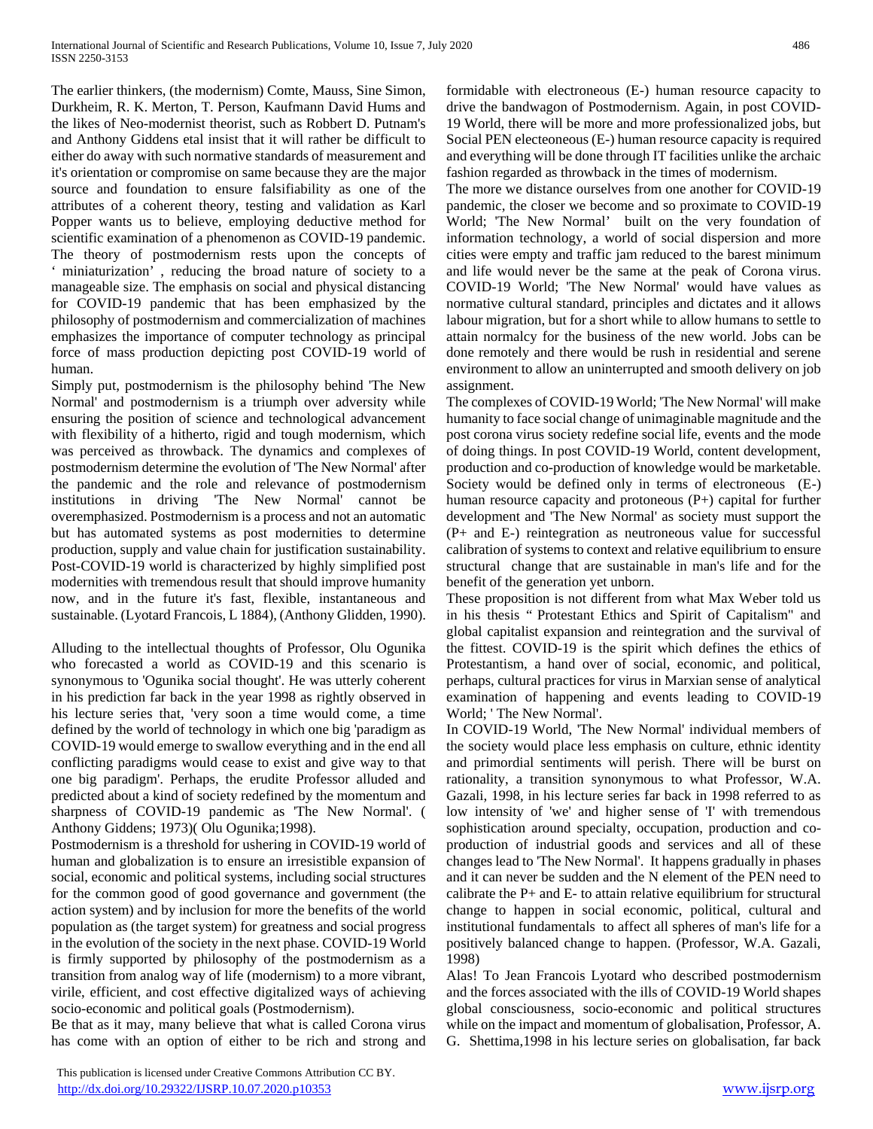The earlier thinkers, (the modernism) Comte, Mauss, Sine Simon, Durkheim, R. K. Merton, T. Person, Kaufmann David Hums and the likes of Neo-modernist theorist, such as Robbert D. Putnam's and Anthony Giddens etal insist that it will rather be difficult to either do away with such normative standards of measurement and it's orientation or compromise on same because they are the major source and foundation to ensure falsifiability as one of the attributes of a coherent theory, testing and validation as Karl Popper wants us to believe, employing deductive method for scientific examination of a phenomenon as COVID-19 pandemic. The theory of postmodernism rests upon the concepts of miniaturization', reducing the broad nature of society to a manageable size. The emphasis on social and physical distancing for COVID-19 pandemic that has been emphasized by the philosophy of postmodernism and commercialization of machines emphasizes the importance of computer technology as principal force of mass production depicting post COVID-19 world of human.

Simply put, postmodernism is the philosophy behind 'The New Normal' and postmodernism is a triumph over adversity while ensuring the position of science and technological advancement with flexibility of a hitherto, rigid and tough modernism, which was perceived as throwback. The dynamics and complexes of postmodernism determine the evolution of 'The New Normal' after the pandemic and the role and relevance of postmodernism institutions in driving 'The New Normal' cannot be overemphasized. Postmodernism is a process and not an automatic but has automated systems as post modernities to determine production, supply and value chain for justification sustainability. Post-COVID-19 world is characterized by highly simplified post modernities with tremendous result that should improve humanity now, and in the future it's fast, flexible, instantaneous and sustainable. (Lyotard Francois, L 1884), (Anthony Glidden, 1990).

Alluding to the intellectual thoughts of Professor, Olu Ogunika who forecasted a world as COVID-19 and this scenario is synonymous to 'Ogunika social thought'. He was utterly coherent in his prediction far back in the year 1998 as rightly observed in his lecture series that, 'very soon a time would come, a time defined by the world of technology in which one big 'paradigm as COVID-19 would emerge to swallow everything and in the end all conflicting paradigms would cease to exist and give way to that one big paradigm'. Perhaps, the erudite Professor alluded and predicted about a kind of society redefined by the momentum and sharpness of COVID-19 pandemic as 'The New Normal'. ( Anthony Giddens; 1973)( Olu Ogunika;1998).

Postmodernism is a threshold for ushering in COVID-19 world of human and globalization is to ensure an irresistible expansion of social, economic and political systems, including social structures for the common good of good governance and government (the action system) and by inclusion for more the benefits of the world population as (the target system) for greatness and social progress in the evolution of the society in the next phase. COVID-19 World is firmly supported by philosophy of the postmodernism as a transition from analog way of life (modernism) to a more vibrant, virile, efficient, and cost effective digitalized ways of achieving socio-economic and political goals (Postmodernism).

Be that as it may, many believe that what is called Corona virus has come with an option of either to be rich and strong and

 This publication is licensed under Creative Commons Attribution CC BY. <http://dx.doi.org/10.29322/IJSRP.10.07.2020.p10353> [www.ijsrp.org](http://ijsrp.org/)

formidable with electroneous (E-) human resource capacity to drive the bandwagon of Postmodernism. Again, in post COVID-19 World, there will be more and more professionalized jobs, but Social PEN electeoneous (E-) human resource capacity is required and everything will be done through IT facilities unlike the archaic fashion regarded as throwback in the times of modernism.

The more we distance ourselves from one another for COVID-19 pandemic, the closer we become and so proximate to COVID-19 World; 'The New Normal' built on the very foundation of information technology, a world of social dispersion and more cities were empty and traffic jam reduced to the barest minimum and life would never be the same at the peak of Corona virus. COVID-19 World; 'The New Normal' would have values as normative cultural standard, principles and dictates and it allows labour migration, but for a short while to allow humans to settle to attain normalcy for the business of the new world. Jobs can be done remotely and there would be rush in residential and serene environment to allow an uninterrupted and smooth delivery on job assignment.

The complexes of COVID-19 World; 'The New Normal' will make humanity to face social change of unimaginable magnitude and the post corona virus society redefine social life, events and the mode of doing things. In post COVID-19 World, content development, production and co-production of knowledge would be marketable. Society would be defined only in terms of electroneous (E-) human resource capacity and protoneous (P+) capital for further development and 'The New Normal' as society must support the (P+ and E-) reintegration as neutroneous value for successful calibration of systems to context and relative equilibrium to ensure structural change that are sustainable in man's life and for the benefit of the generation yet unborn.

These proposition is not different from what Max Weber told us in his thesis " Protestant Ethics and Spirit of Capitalism" and global capitalist expansion and reintegration and the survival of the fittest. COVID-19 is the spirit which defines the ethics of Protestantism, a hand over of social, economic, and political, perhaps, cultural practices for virus in Marxian sense of analytical examination of happening and events leading to COVID-19 World; ' The New Normal'.

In COVID-19 World, 'The New Normal' individual members of the society would place less emphasis on culture, ethnic identity and primordial sentiments will perish. There will be burst on rationality, a transition synonymous to what Professor, W.A. Gazali, 1998, in his lecture series far back in 1998 referred to as low intensity of 'we' and higher sense of 'I' with tremendous sophistication around specialty, occupation, production and coproduction of industrial goods and services and all of these changes lead to 'The New Normal'. It happens gradually in phases and it can never be sudden and the N element of the PEN need to calibrate the P+ and E- to attain relative equilibrium for structural change to happen in social economic, political, cultural and institutional fundamentals to affect all spheres of man's life for a positively balanced change to happen. (Professor, W.A. Gazali, 1998)

Alas! To Jean Francois Lyotard who described postmodernism and the forces associated with the ills of COVID-19 World shapes global consciousness, socio-economic and political structures while on the impact and momentum of globalisation, Professor, A. G. Shettima,1998 in his lecture series on globalisation, far back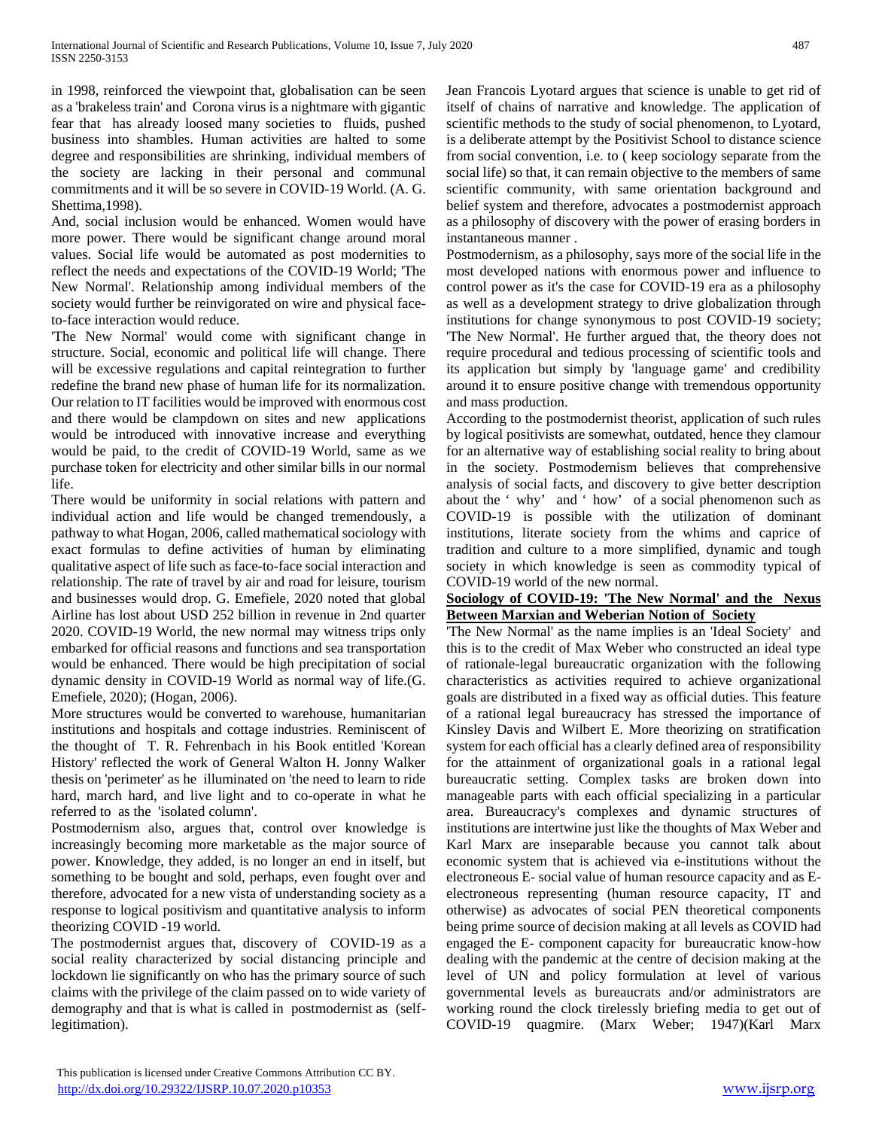in 1998, reinforced the viewpoint that, globalisation can be seen as a 'brakeless train' and Corona virus is a nightmare with gigantic fear that has already loosed many societies to fluids, pushed business into shambles. Human activities are halted to some degree and responsibilities are shrinking, individual members of the society are lacking in their personal and communal commitments and it will be so severe in COVID-19 World. (A. G. Shettima,1998).

And, social inclusion would be enhanced. Women would have more power. There would be significant change around moral values. Social life would be automated as post modernities to reflect the needs and expectations of the COVID-19 World; 'The New Normal'. Relationship among individual members of the society would further be reinvigorated on wire and physical faceto-face interaction would reduce.

'The New Normal' would come with significant change in structure. Social, economic and political life will change. There will be excessive regulations and capital reintegration to further redefine the brand new phase of human life for its normalization. Our relation to IT facilities would be improved with enormous cost and there would be clampdown on sites and new applications would be introduced with innovative increase and everything would be paid, to the credit of COVID-19 World, same as we purchase token for electricity and other similar bills in our normal life.

There would be uniformity in social relations with pattern and individual action and life would be changed tremendously, a pathway to what Hogan, 2006, called mathematical sociology with exact formulas to define activities of human by eliminating qualitative aspect of life such as face-to-face social interaction and relationship. The rate of travel by air and road for leisure, tourism and businesses would drop. G. Emefiele, 2020 noted that global Airline has lost about USD 252 billion in revenue in 2nd quarter 2020. COVID-19 World, the new normal may witness trips only embarked for official reasons and functions and sea transportation would be enhanced. There would be high precipitation of social dynamic density in COVID-19 World as normal way of life.(G. Emefiele, 2020); (Hogan, 2006).

More structures would be converted to warehouse, humanitarian institutions and hospitals and cottage industries. Reminiscent of the thought of T. R. Fehrenbach in his Book entitled 'Korean History' reflected the work of General Walton H. Jonny Walker thesis on 'perimeter' as he illuminated on 'the need to learn to ride hard, march hard, and live light and to co-operate in what he referred to as the 'isolated column'.

Postmodernism also, argues that, control over knowledge is increasingly becoming more marketable as the major source of power. Knowledge, they added, is no longer an end in itself, but something to be bought and sold, perhaps, even fought over and therefore, advocated for a new vista of understanding society as a response to logical positivism and quantitative analysis to inform theorizing COVID -19 world.

The postmodernist argues that, discovery of COVID-19 as a social reality characterized by social distancing principle and lockdown lie significantly on who has the primary source of such claims with the privilege of the claim passed on to wide variety of demography and that is what is called in postmodernist as (selflegitimation).

Jean Francois Lyotard argues that science is unable to get rid of itself of chains of narrative and knowledge. The application of scientific methods to the study of social phenomenon, to Lyotard, is a deliberate attempt by the Positivist School to distance science from social convention, i.e. to ( keep sociology separate from the social life) so that, it can remain objective to the members of same scientific community, with same orientation background and belief system and therefore, advocates a postmodernist approach as a philosophy of discovery with the power of erasing borders in instantaneous manner .

Postmodernism, as a philosophy, says more of the social life in the most developed nations with enormous power and influence to control power as it's the case for COVID-19 era as a philosophy as well as a development strategy to drive globalization through institutions for change synonymous to post COVID-19 society; 'The New Normal'. He further argued that, the theory does not require procedural and tedious processing of scientific tools and its application but simply by 'language game' and credibility around it to ensure positive change with tremendous opportunity and mass production.

According to the postmodernist theorist, application of such rules by logical positivists are somewhat, outdated, hence they clamour for an alternative way of establishing social reality to bring about in the society. Postmodernism believes that comprehensive analysis of social facts, and discovery to give better description about the ' why' and ' how' of a social phenomenon such as COVID-19 is possible with the utilization of dominant institutions, literate society from the whims and caprice of tradition and culture to a more simplified, dynamic and tough society in which knowledge is seen as commodity typical of COVID-19 world of the new normal.

## **Sociology of COVID-19: 'The New Normal' and the Nexus Between Marxian and Weberian Notion of Society**

'The New Normal' as the name implies is an 'Ideal Society' and this is to the credit of Max Weber who constructed an ideal type of rationale-legal bureaucratic organization with the following characteristics as activities required to achieve organizational goals are distributed in a fixed way as official duties. This feature of a rational legal bureaucracy has stressed the importance of Kinsley Davis and Wilbert E. More theorizing on stratification system for each official has a clearly defined area of responsibility for the attainment of organizational goals in a rational legal bureaucratic setting. Complex tasks are broken down into manageable parts with each official specializing in a particular area. Bureaucracy's complexes and dynamic structures of institutions are intertwine just like the thoughts of Max Weber and Karl Marx are inseparable because you cannot talk about economic system that is achieved via e-institutions without the electroneous E- social value of human resource capacity and as Eelectroneous representing (human resource capacity, IT and otherwise) as advocates of social PEN theoretical components being prime source of decision making at all levels as COVID had engaged the E- component capacity for bureaucratic know-how dealing with the pandemic at the centre of decision making at the level of UN and policy formulation at level of various governmental levels as bureaucrats and/or administrators are working round the clock tirelessly briefing media to get out of COVID-19 quagmire. (Marx Weber; 1947)(Karl Marx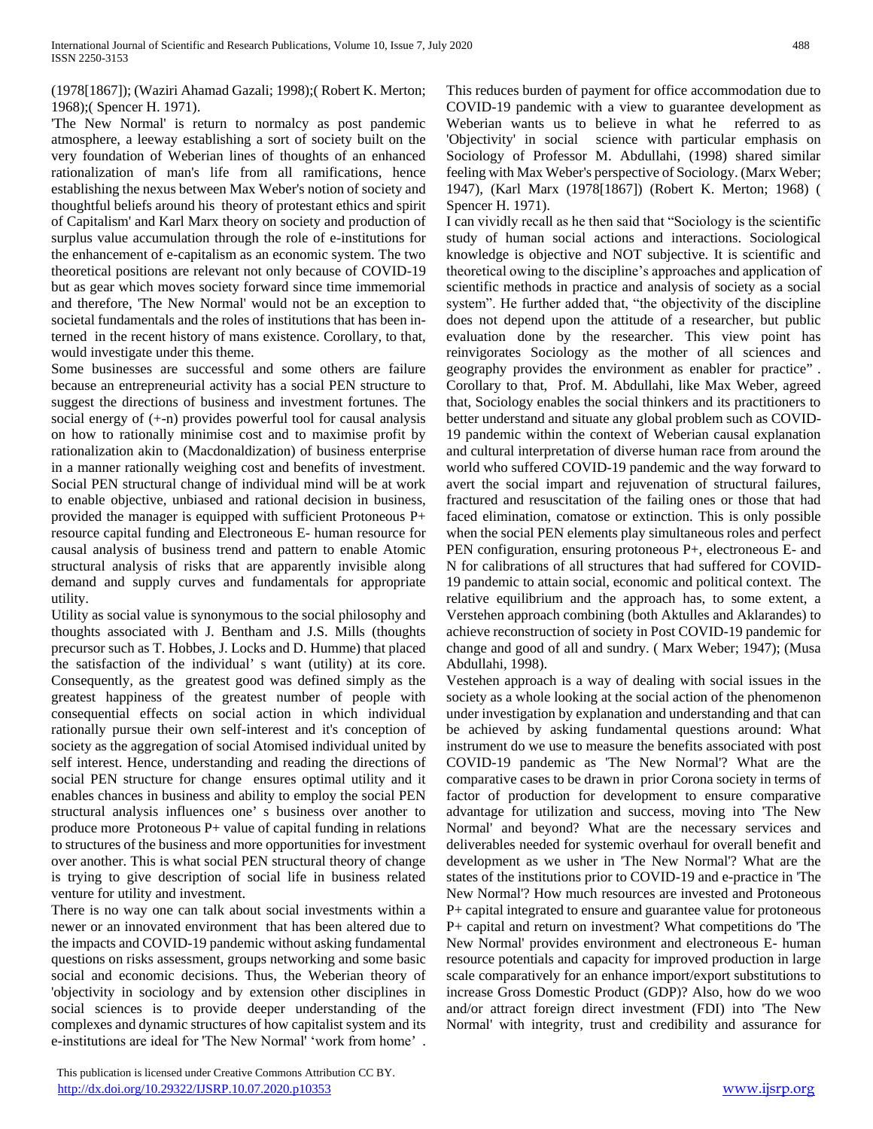## (1978[1867]); (Waziri Ahamad Gazali; 1998);( Robert K. Merton; 1968);( Spencer H. 1971).

'The New Normal' is return to normalcy as post pandemic atmosphere, a leeway establishing a sort of society built on the very foundation of Weberian lines of thoughts of an enhanced rationalization of man's life from all ramifications, hence establishing the nexus between Max Weber's notion of society and thoughtful beliefs around his theory of protestant ethics and spirit of Capitalism' and Karl Marx theory on society and production of surplus value accumulation through the role of e-institutions for the enhancement of e-capitalism as an economic system. The two theoretical positions are relevant not only because of COVID-19 but as gear which moves society forward since time immemorial and therefore, 'The New Normal' would not be an exception to societal fundamentals and the roles of institutions that has been interned in the recent history of mans existence. Corollary, to that, would investigate under this theme.

Some businesses are successful and some others are failure because an entrepreneurial activity has a social PEN structure to suggest the directions of business and investment fortunes. The social energy of (+-n) provides powerful tool for causal analysis on how to rationally minimise cost and to maximise profit by rationalization akin to (Macdonaldization) of business enterprise in a manner rationally weighing cost and benefits of investment. Social PEN structural change of individual mind will be at work to enable objective, unbiased and rational decision in business, provided the manager is equipped with sufficient Protoneous P+ resource capital funding and Electroneous E- human resource for causal analysis of business trend and pattern to enable Atomic structural analysis of risks that are apparently invisible along demand and supply curves and fundamentals for appropriate utility.

Utility as social value is synonymous to the social philosophy and thoughts associated with J. Bentham and J.S. Mills (thoughts precursor such as T. Hobbes, J. Locks and D. Humme) that placed the satisfaction of the individual' s want (utility) at its core. Consequently, as the greatest good was defined simply as the greatest happiness of the greatest number of people with consequential effects on social action in which individual rationally pursue their own self-interest and it's conception of society as the aggregation of social Atomised individual united by self interest. Hence, understanding and reading the directions of social PEN structure for change ensures optimal utility and it enables chances in business and ability to employ the social PEN structural analysis influences one' s business over another to produce more Protoneous P+ value of capital funding in relations to structures of the business and more opportunities for investment over another. This is what social PEN structural theory of change is trying to give description of social life in business related venture for utility and investment.

There is no way one can talk about social investments within a newer or an innovated environment that has been altered due to the impacts and COVID-19 pandemic without asking fundamental questions on risks assessment, groups networking and some basic social and economic decisions. Thus, the Weberian theory of 'objectivity in sociology and by extension other disciplines in social sciences is to provide deeper understanding of the complexes and dynamic structures of how capitalist system and its e-institutions are ideal for 'The New Normal' 'work from home' . This reduces burden of payment for office accommodation due to COVID-19 pandemic with a view to guarantee development as Weberian wants us to believe in what he referred to as 'Objectivity' in social science with particular emphasis on Sociology of Professor M. Abdullahi, (1998) shared similar feeling with Max Weber's perspective of Sociology. (Marx Weber; 1947), (Karl Marx (1978[1867]) (Robert K. Merton; 1968) ( Spencer H. 1971).

I can vividly recall as he then said that "Sociology is the scientific study of human social actions and interactions. Sociological knowledge is objective and NOT subjective. It is scientific and theoretical owing to the discipline's approaches and application of scientific methods in practice and analysis of society as a social system". He further added that, "the objectivity of the discipline does not depend upon the attitude of a researcher, but public evaluation done by the researcher. This view point has reinvigorates Sociology as the mother of all sciences and geography provides the environment as enabler for practice" . Corollary to that, Prof. M. Abdullahi, like Max Weber, agreed that, Sociology enables the social thinkers and its practitioners to better understand and situate any global problem such as COVID-19 pandemic within the context of Weberian causal explanation and cultural interpretation of diverse human race from around the world who suffered COVID-19 pandemic and the way forward to avert the social impart and rejuvenation of structural failures, fractured and resuscitation of the failing ones or those that had faced elimination, comatose or extinction. This is only possible when the social PEN elements play simultaneous roles and perfect PEN configuration, ensuring protoneous P+, electroneous E- and N for calibrations of all structures that had suffered for COVID-19 pandemic to attain social, economic and political context. The relative equilibrium and the approach has, to some extent, a Verstehen approach combining (both Aktulles and Aklarandes) to achieve reconstruction of society in Post COVID-19 pandemic for change and good of all and sundry. ( Marx Weber; 1947); (Musa Abdullahi, 1998).

Vestehen approach is a way of dealing with social issues in the society as a whole looking at the social action of the phenomenon under investigation by explanation and understanding and that can be achieved by asking fundamental questions around: What instrument do we use to measure the benefits associated with post COVID-19 pandemic as 'The New Normal'? What are the comparative cases to be drawn in prior Corona society in terms of factor of production for development to ensure comparative advantage for utilization and success, moving into 'The New Normal' and beyond? What are the necessary services and deliverables needed for systemic overhaul for overall benefit and development as we usher in 'The New Normal'? What are the states of the institutions prior to COVID-19 and e-practice in 'The New Normal'? How much resources are invested and Protoneous P+ capital integrated to ensure and guarantee value for protoneous P+ capital and return on investment? What competitions do 'The New Normal' provides environment and electroneous E- human resource potentials and capacity for improved production in large scale comparatively for an enhance import/export substitutions to increase Gross Domestic Product (GDP)? Also, how do we woo and/or attract foreign direct investment (FDI) into 'The New Normal' with integrity, trust and credibility and assurance for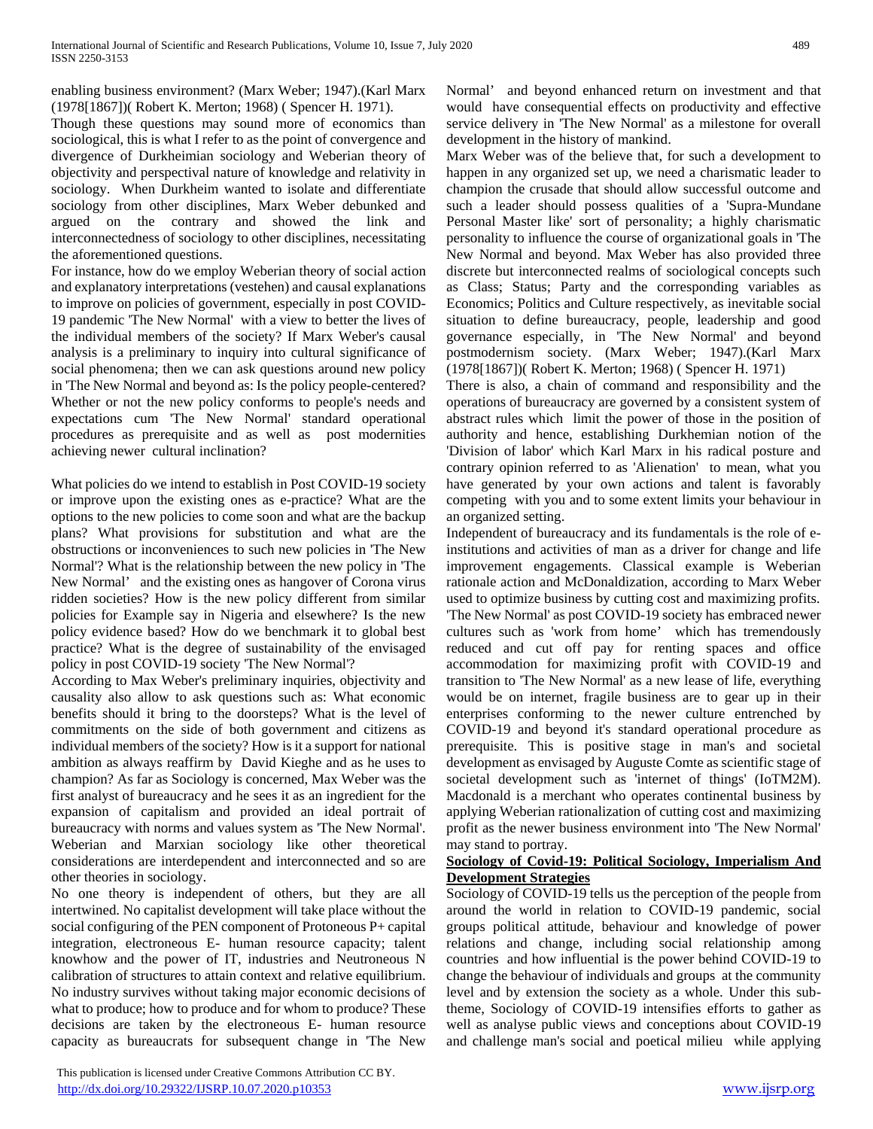enabling business environment? (Marx Weber; 1947).(Karl Marx (1978[1867])( Robert K. Merton; 1968) ( Spencer H. 1971).

Though these questions may sound more of economics than sociological, this is what I refer to as the point of convergence and divergence of Durkheimian sociology and Weberian theory of objectivity and perspectival nature of knowledge and relativity in sociology. When Durkheim wanted to isolate and differentiate sociology from other disciplines, Marx Weber debunked and argued on the contrary and showed the link and interconnectedness of sociology to other disciplines, necessitating the aforementioned questions.

For instance, how do we employ Weberian theory of social action and explanatory interpretations (vestehen) and causal explanations to improve on policies of government, especially in post COVID-19 pandemic 'The New Normal' with a view to better the lives of the individual members of the society? If Marx Weber's causal analysis is a preliminary to inquiry into cultural significance of social phenomena; then we can ask questions around new policy in 'The New Normal and beyond as: Is the policy people-centered? Whether or not the new policy conforms to people's needs and expectations cum 'The New Normal' standard operational procedures as prerequisite and as well as post modernities achieving newer cultural inclination?

What policies do we intend to establish in Post COVID-19 society or improve upon the existing ones as e-practice? What are the options to the new policies to come soon and what are the backup plans? What provisions for substitution and what are the obstructions or inconveniences to such new policies in 'The New Normal'? What is the relationship between the new policy in 'The New Normal' and the existing ones as hangover of Corona virus ridden societies? How is the new policy different from similar policies for Example say in Nigeria and elsewhere? Is the new policy evidence based? How do we benchmark it to global best practice? What is the degree of sustainability of the envisaged policy in post COVID-19 society 'The New Normal'?

According to Max Weber's preliminary inquiries, objectivity and causality also allow to ask questions such as: What economic benefits should it bring to the doorsteps? What is the level of commitments on the side of both government and citizens as individual members of the society? How is it a support for national ambition as always reaffirm by David Kieghe and as he uses to champion? As far as Sociology is concerned, Max Weber was the first analyst of bureaucracy and he sees it as an ingredient for the expansion of capitalism and provided an ideal portrait of bureaucracy with norms and values system as 'The New Normal'. Weberian and Marxian sociology like other theoretical considerations are interdependent and interconnected and so are other theories in sociology.

No one theory is independent of others, but they are all intertwined. No capitalist development will take place without the social configuring of the PEN component of Protoneous P+ capital integration, electroneous E- human resource capacity; talent knowhow and the power of IT, industries and Neutroneous N calibration of structures to attain context and relative equilibrium. No industry survives without taking major economic decisions of what to produce; how to produce and for whom to produce? These decisions are taken by the electroneous E- human resource capacity as bureaucrats for subsequent change in 'The New

 This publication is licensed under Creative Commons Attribution CC BY. <http://dx.doi.org/10.29322/IJSRP.10.07.2020.p10353> [www.ijsrp.org](http://ijsrp.org/)

Normal' and beyond enhanced return on investment and that would have consequential effects on productivity and effective service delivery in 'The New Normal' as a milestone for overall development in the history of mankind.

Marx Weber was of the believe that, for such a development to happen in any organized set up, we need a charismatic leader to champion the crusade that should allow successful outcome and such a leader should possess qualities of a 'Supra-Mundane Personal Master like' sort of personality; a highly charismatic personality to influence the course of organizational goals in 'The New Normal and beyond. Max Weber has also provided three discrete but interconnected realms of sociological concepts such as Class; Status; Party and the corresponding variables as Economics; Politics and Culture respectively, as inevitable social situation to define bureaucracy, people, leadership and good governance especially, in 'The New Normal' and beyond postmodernism society. (Marx Weber; 1947).(Karl Marx (1978[1867])( Robert K. Merton; 1968) ( Spencer H. 1971)

There is also, a chain of command and responsibility and the operations of bureaucracy are governed by a consistent system of abstract rules which limit the power of those in the position of authority and hence, establishing Durkhemian notion of the 'Division of labor' which Karl Marx in his radical posture and contrary opinion referred to as 'Alienation' to mean, what you have generated by your own actions and talent is favorably competing with you and to some extent limits your behaviour in an organized setting.

Independent of bureaucracy and its fundamentals is the role of einstitutions and activities of man as a driver for change and life improvement engagements. Classical example is Weberian rationale action and McDonaldization, according to Marx Weber used to optimize business by cutting cost and maximizing profits. 'The New Normal' as post COVID-19 society has embraced newer cultures such as 'work from home' which has tremendously reduced and cut off pay for renting spaces and office accommodation for maximizing profit with COVID-19 and transition to 'The New Normal' as a new lease of life, everything would be on internet, fragile business are to gear up in their enterprises conforming to the newer culture entrenched by COVID-19 and beyond it's standard operational procedure as prerequisite. This is positive stage in man's and societal development as envisaged by Auguste Comte as scientific stage of societal development such as 'internet of things' (IoTM2M). Macdonald is a merchant who operates continental business by applying Weberian rationalization of cutting cost and maximizing profit as the newer business environment into 'The New Normal' may stand to portray.

## **Sociology of Covid-19: Political Sociology, Imperialism And Development Strategies**

Sociology of COVID-19 tells us the perception of the people from around the world in relation to COVID-19 pandemic, social groups political attitude, behaviour and knowledge of power relations and change, including social relationship among countries and how influential is the power behind COVID-19 to change the behaviour of individuals and groups at the community level and by extension the society as a whole. Under this subtheme, Sociology of COVID-19 intensifies efforts to gather as well as analyse public views and conceptions about COVID-19 and challenge man's social and poetical milieu while applying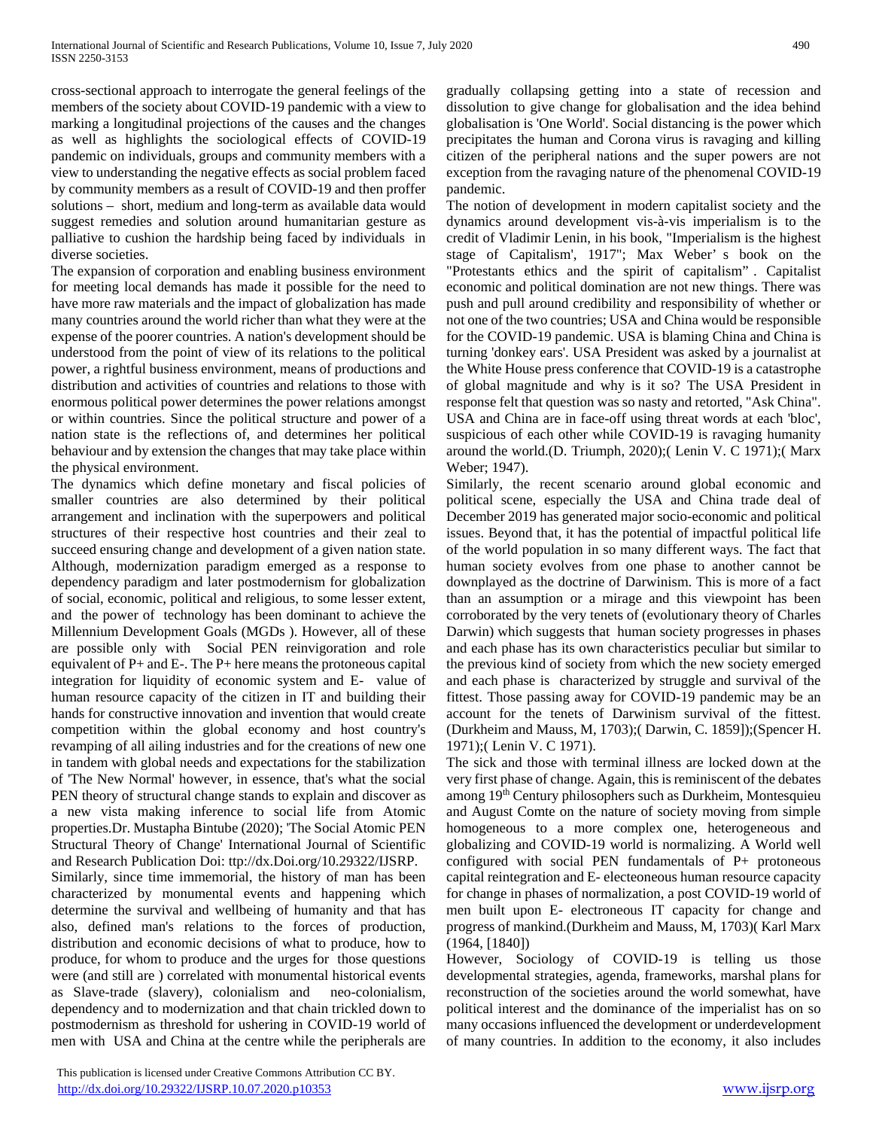cross-sectional approach to interrogate the general feelings of the members of the society about COVID-19 pandemic with a view to marking a longitudinal projections of the causes and the changes as well as highlights the sociological effects of COVID-19 pandemic on individuals, groups and community members with a view to understanding the negative effects as social problem faced by community members as a result of COVID-19 and then proffer solutions – short, medium and long-term as available data would suggest remedies and solution around humanitarian gesture as palliative to cushion the hardship being faced by individuals in diverse societies.

The expansion of corporation and enabling business environment for meeting local demands has made it possible for the need to have more raw materials and the impact of globalization has made many countries around the world richer than what they were at the expense of the poorer countries. A nation's development should be understood from the point of view of its relations to the political power, a rightful business environment, means of productions and distribution and activities of countries and relations to those with enormous political power determines the power relations amongst or within countries. Since the political structure and power of a nation state is the reflections of, and determines her political behaviour and by extension the changes that may take place within the physical environment.

The dynamics which define monetary and fiscal policies of smaller countries are also determined by their political arrangement and inclination with the superpowers and political structures of their respective host countries and their zeal to succeed ensuring change and development of a given nation state. Although, modernization paradigm emerged as a response to dependency paradigm and later postmodernism for globalization of social, economic, political and religious, to some lesser extent, and the power of technology has been dominant to achieve the Millennium Development Goals (MGDs ). However, all of these are possible only with Social PEN reinvigoration and role equivalent of P+ and E-. The P+ here means the protoneous capital integration for liquidity of economic system and E- value of human resource capacity of the citizen in IT and building their hands for constructive innovation and invention that would create competition within the global economy and host country's revamping of all ailing industries and for the creations of new one in tandem with global needs and expectations for the stabilization of 'The New Normal' however, in essence, that's what the social PEN theory of structural change stands to explain and discover as a new vista making inference to social life from Atomic properties.Dr. Mustapha Bintube (2020); 'The Social Atomic PEN Structural Theory of Change' International Journal of Scientific and Research Publication Doi: ttp://dx.Doi.org/10.29322/IJSRP.

Similarly, since time immemorial, the history of man has been characterized by monumental events and happening which determine the survival and wellbeing of humanity and that has also, defined man's relations to the forces of production, distribution and economic decisions of what to produce, how to produce, for whom to produce and the urges for those questions were (and still are ) correlated with monumental historical events as Slave-trade (slavery), colonialism and neo-colonialism, dependency and to modernization and that chain trickled down to postmodernism as threshold for ushering in COVID-19 world of men with USA and China at the centre while the peripherals are gradually collapsing getting into a state of recession and dissolution to give change for globalisation and the idea behind globalisation is 'One World'. Social distancing is the power which precipitates the human and Corona virus is ravaging and killing citizen of the peripheral nations and the super powers are not exception from the ravaging nature of the phenomenal COVID-19 pandemic.

The notion of development in modern capitalist society and the dynamics around development vis-à-vis imperialism is to the credit of Vladimir Lenin, in his book, "Imperialism is the highest stage of Capitalism', 1917"; Max Weber' s book on the "Protestants ethics and the spirit of capitalism" . Capitalist economic and political domination are not new things. There was push and pull around credibility and responsibility of whether or not one of the two countries; USA and China would be responsible for the COVID-19 pandemic. USA is blaming China and China is turning 'donkey ears'. USA President was asked by a journalist at the White House press conference that COVID-19 is a catastrophe of global magnitude and why is it so? The USA President in response felt that question was so nasty and retorted, "Ask China". USA and China are in face-off using threat words at each 'bloc', suspicious of each other while COVID-19 is ravaging humanity around the world.(D. Triumph, 2020);( Lenin V. C 1971);( Marx Weber; 1947).

Similarly, the recent scenario around global economic and political scene, especially the USA and China trade deal of December 2019 has generated major socio-economic and political issues. Beyond that, it has the potential of impactful political life of the world population in so many different ways. The fact that human society evolves from one phase to another cannot be downplayed as the doctrine of Darwinism. This is more of a fact than an assumption or a mirage and this viewpoint has been corroborated by the very tenets of (evolutionary theory of Charles Darwin) which suggests that human society progresses in phases and each phase has its own characteristics peculiar but similar to the previous kind of society from which the new society emerged and each phase is characterized by struggle and survival of the fittest. Those passing away for COVID-19 pandemic may be an account for the tenets of Darwinism survival of the fittest. (Durkheim and Mauss, M, 1703);( Darwin, C. 1859]);(Spencer H. 1971);( Lenin V. C 1971).

The sick and those with terminal illness are locked down at the very first phase of change. Again, this is reminiscent of the debates among 19th Century philosophers such as Durkheim, Montesquieu and August Comte on the nature of society moving from simple homogeneous to a more complex one, heterogeneous and globalizing and COVID-19 world is normalizing. A World well configured with social PEN fundamentals of P+ protoneous capital reintegration and E- electeoneous human resource capacity for change in phases of normalization, a post COVID-19 world of men built upon E- electroneous IT capacity for change and progress of mankind.(Durkheim and Mauss, M, 1703)( Karl Marx (1964, [1840])

However, Sociology of COVID-19 is telling us those developmental strategies, agenda, frameworks, marshal plans for reconstruction of the societies around the world somewhat, have political interest and the dominance of the imperialist has on so many occasions influenced the development or underdevelopment of many countries. In addition to the economy, it also includes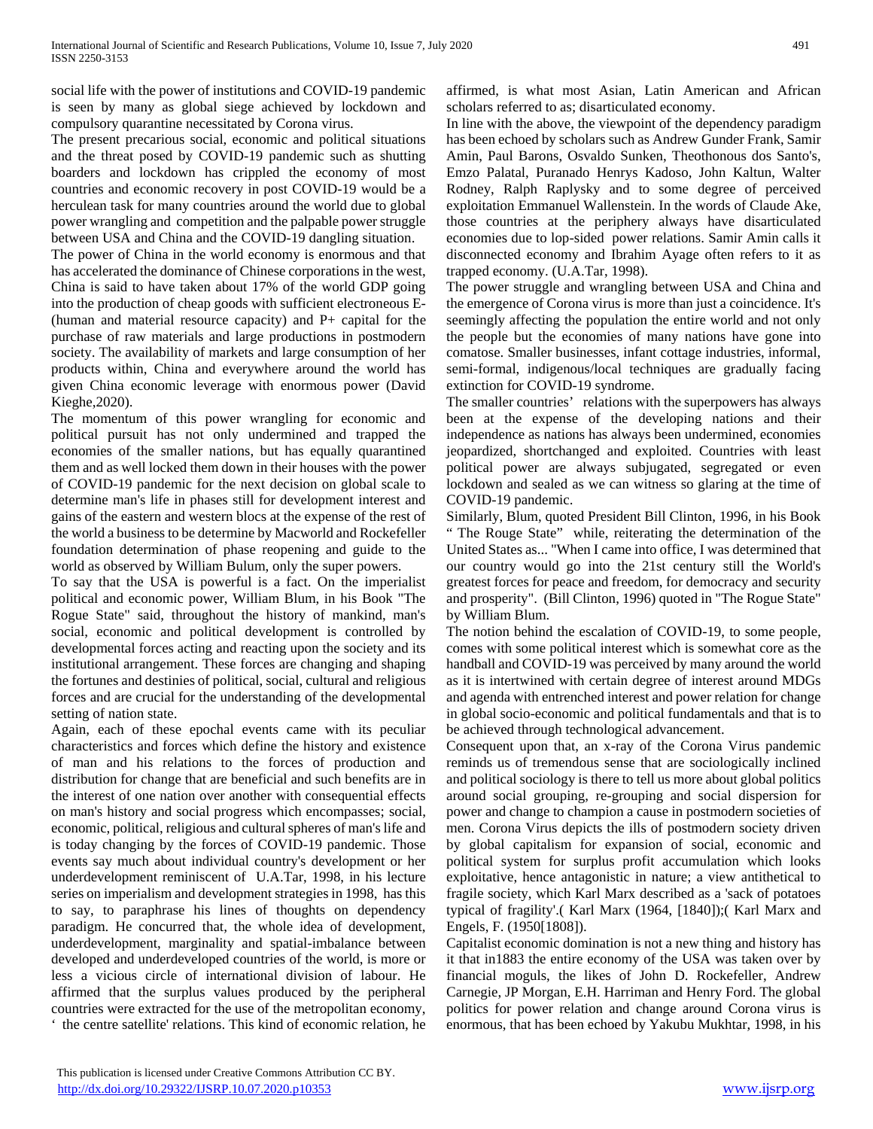social life with the power of institutions and COVID-19 pandemic is seen by many as global siege achieved by lockdown and compulsory quarantine necessitated by Corona virus.

The present precarious social, economic and political situations and the threat posed by COVID-19 pandemic such as shutting boarders and lockdown has crippled the economy of most countries and economic recovery in post COVID-19 would be a herculean task for many countries around the world due to global power wrangling and competition and the palpable power struggle between USA and China and the COVID-19 dangling situation.

The power of China in the world economy is enormous and that has accelerated the dominance of Chinese corporations in the west, China is said to have taken about 17% of the world GDP going into the production of cheap goods with sufficient electroneous E- (human and material resource capacity) and P+ capital for the purchase of raw materials and large productions in postmodern society. The availability of markets and large consumption of her products within, China and everywhere around the world has given China economic leverage with enormous power (David Kieghe,2020).

The momentum of this power wrangling for economic and political pursuit has not only undermined and trapped the economies of the smaller nations, but has equally quarantined them and as well locked them down in their houses with the power of COVID-19 pandemic for the next decision on global scale to determine man's life in phases still for development interest and gains of the eastern and western blocs at the expense of the rest of the world a business to be determine by Macworld and Rockefeller foundation determination of phase reopening and guide to the world as observed by William Bulum, only the super powers.

To say that the USA is powerful is a fact. On the imperialist political and economic power, William Blum, in his Book "The Rogue State" said, throughout the history of mankind, man's social, economic and political development is controlled by developmental forces acting and reacting upon the society and its institutional arrangement. These forces are changing and shaping the fortunes and destinies of political, social, cultural and religious forces and are crucial for the understanding of the developmental setting of nation state.

Again, each of these epochal events came with its peculiar characteristics and forces which define the history and existence of man and his relations to the forces of production and distribution for change that are beneficial and such benefits are in the interest of one nation over another with consequential effects on man's history and social progress which encompasses; social, economic, political, religious and cultural spheres of man's life and is today changing by the forces of COVID-19 pandemic. Those events say much about individual country's development or her underdevelopment reminiscent of U.A.Tar, 1998, in his lecture series on imperialism and development strategies in 1998, has this to say, to paraphrase his lines of thoughts on dependency paradigm. He concurred that, the whole idea of development, underdevelopment, marginality and spatial-imbalance between developed and underdeveloped countries of the world, is more or less a vicious circle of international division of labour. He affirmed that the surplus values produced by the peripheral countries were extracted for the use of the metropolitan economy, the centre satellite' relations. This kind of economic relation, he affirmed, is what most Asian, Latin American and African scholars referred to as; disarticulated economy.

In line with the above, the viewpoint of the dependency paradigm has been echoed by scholars such as Andrew Gunder Frank, Samir Amin, Paul Barons, Osvaldo Sunken, Theothonous dos Santo's, Emzo Palatal, Puranado Henrys Kadoso, John Kaltun, Walter Rodney, Ralph Raplysky and to some degree of perceived exploitation Emmanuel Wallenstein. In the words of Claude Ake, those countries at the periphery always have disarticulated economies due to lop-sided power relations. Samir Amin calls it disconnected economy and Ibrahim Ayage often refers to it as trapped economy. (U.A.Tar, 1998).

The power struggle and wrangling between USA and China and the emergence of Corona virus is more than just a coincidence. It's seemingly affecting the population the entire world and not only the people but the economies of many nations have gone into comatose. Smaller businesses, infant cottage industries, informal, semi-formal, indigenous/local techniques are gradually facing extinction for COVID-19 syndrome.

The smaller countries' relations with the superpowers has always been at the expense of the developing nations and their independence as nations has always been undermined, economies jeopardized, shortchanged and exploited. Countries with least political power are always subjugated, segregated or even lockdown and sealed as we can witness so glaring at the time of COVID-19 pandemic.

Similarly, Blum, quoted President Bill Clinton, 1996, in his Book " The Rouge State" while, reiterating the determination of the United States as... "When I came into office, I was determined that our country would go into the 21st century still the World's greatest forces for peace and freedom, for democracy and security and prosperity". (Bill Clinton, 1996) quoted in "The Rogue State" by William Blum.

The notion behind the escalation of COVID-19, to some people, comes with some political interest which is somewhat core as the handball and COVID-19 was perceived by many around the world as it is intertwined with certain degree of interest around MDGs and agenda with entrenched interest and power relation for change in global socio-economic and political fundamentals and that is to be achieved through technological advancement.

Consequent upon that, an x-ray of the Corona Virus pandemic reminds us of tremendous sense that are sociologically inclined and political sociology is there to tell us more about global politics around social grouping, re-grouping and social dispersion for power and change to champion a cause in postmodern societies of men. Corona Virus depicts the ills of postmodern society driven by global capitalism for expansion of social, economic and political system for surplus profit accumulation which looks exploitative, hence antagonistic in nature; a view antithetical to fragile society, which Karl Marx described as a 'sack of potatoes typical of fragility'.( Karl Marx (1964, [1840]);( Karl Marx and Engels, F. (1950[1808]).

Capitalist economic domination is not a new thing and history has it that in1883 the entire economy of the USA was taken over by financial moguls, the likes of John D. Rockefeller, Andrew Carnegie, JP Morgan, E.H. Harriman and Henry Ford. The global politics for power relation and change around Corona virus is enormous, that has been echoed by Yakubu Mukhtar, 1998, in his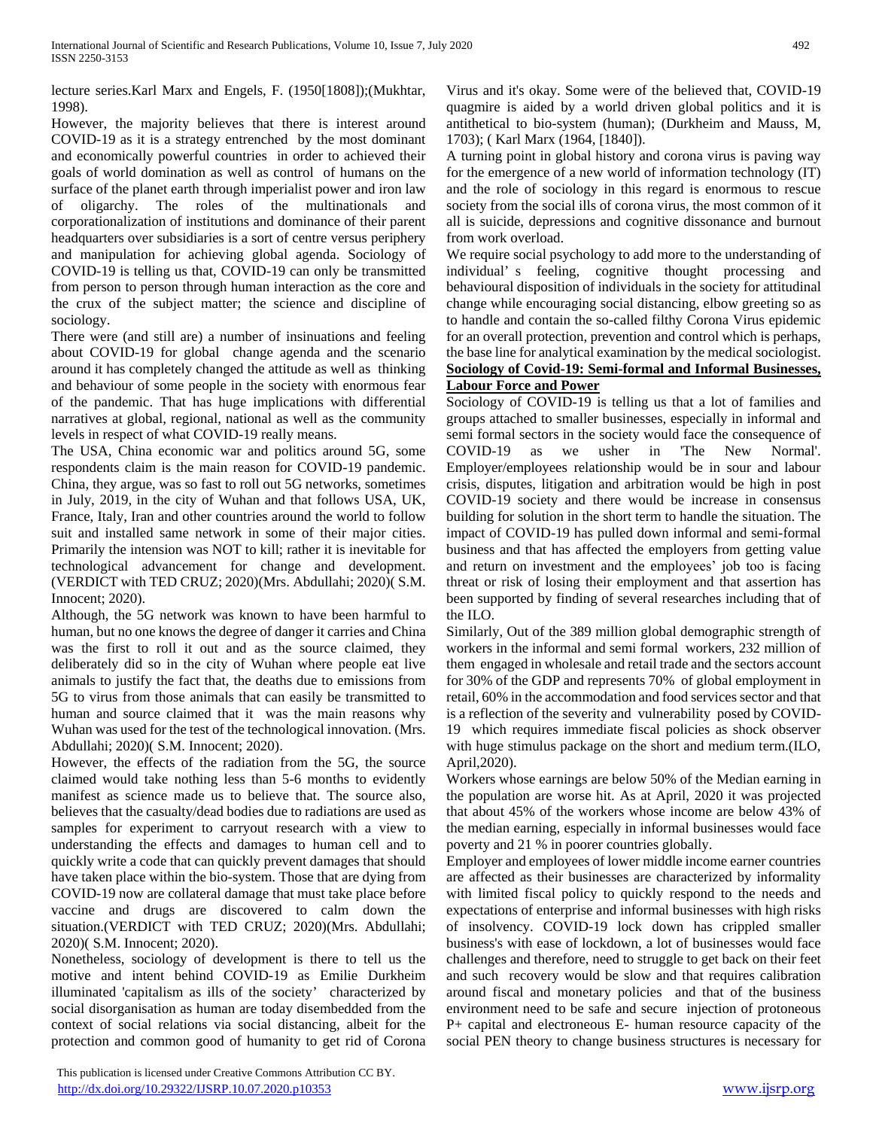lecture series.Karl Marx and Engels, F. (1950[1808]);(Mukhtar, 1998).

However, the majority believes that there is interest around COVID-19 as it is a strategy entrenched by the most dominant and economically powerful countries in order to achieved their goals of world domination as well as control of humans on the surface of the planet earth through imperialist power and iron law of oligarchy. The roles of the multinationals and corporationalization of institutions and dominance of their parent headquarters over subsidiaries is a sort of centre versus periphery and manipulation for achieving global agenda. Sociology of COVID-19 is telling us that, COVID-19 can only be transmitted from person to person through human interaction as the core and the crux of the subject matter; the science and discipline of sociology.

There were (and still are) a number of insinuations and feeling about COVID-19 for global change agenda and the scenario around it has completely changed the attitude as well as thinking and behaviour of some people in the society with enormous fear of the pandemic. That has huge implications with differential narratives at global, regional, national as well as the community levels in respect of what COVID-19 really means.

The USA, China economic war and politics around 5G, some respondents claim is the main reason for COVID-19 pandemic. China, they argue, was so fast to roll out 5G networks, sometimes in July, 2019, in the city of Wuhan and that follows USA, UK, France, Italy, Iran and other countries around the world to follow suit and installed same network in some of their major cities. Primarily the intension was NOT to kill; rather it is inevitable for technological advancement for change and development. (VERDICT with TED CRUZ; 2020)(Mrs. Abdullahi; 2020)( S.M. Innocent; 2020).

Although, the 5G network was known to have been harmful to human, but no one knows the degree of danger it carries and China was the first to roll it out and as the source claimed, they deliberately did so in the city of Wuhan where people eat live animals to justify the fact that, the deaths due to emissions from 5G to virus from those animals that can easily be transmitted to human and source claimed that it was the main reasons why Wuhan was used for the test of the technological innovation. (Mrs. Abdullahi; 2020)( S.M. Innocent; 2020).

However, the effects of the radiation from the 5G, the source claimed would take nothing less than 5-6 months to evidently manifest as science made us to believe that. The source also, believes that the casualty/dead bodies due to radiations are used as samples for experiment to carryout research with a view to understanding the effects and damages to human cell and to quickly write a code that can quickly prevent damages that should have taken place within the bio-system. Those that are dying from COVID-19 now are collateral damage that must take place before vaccine and drugs are discovered to calm down the situation.(VERDICT with TED CRUZ; 2020)(Mrs. Abdullahi; 2020)( S.M. Innocent; 2020).

Nonetheless, sociology of development is there to tell us the motive and intent behind COVID-19 as Emilie Durkheim illuminated 'capitalism as ills of the society' characterized by social disorganisation as human are today disembedded from the context of social relations via social distancing, albeit for the protection and common good of humanity to get rid of Corona

 This publication is licensed under Creative Commons Attribution CC BY. <http://dx.doi.org/10.29322/IJSRP.10.07.2020.p10353> [www.ijsrp.org](http://ijsrp.org/)

Virus and it's okay. Some were of the believed that, COVID-19 quagmire is aided by a world driven global politics and it is antithetical to bio-system (human); (Durkheim and Mauss, M, 1703); ( Karl Marx (1964, [1840]).

A turning point in global history and corona virus is paving way for the emergence of a new world of information technology (IT) and the role of sociology in this regard is enormous to rescue society from the social ills of corona virus, the most common of it all is suicide, depressions and cognitive dissonance and burnout from work overload.

We require social psychology to add more to the understanding of individual' s feeling, cognitive thought processing and behavioural disposition of individuals in the society for attitudinal change while encouraging social distancing, elbow greeting so as to handle and contain the so-called filthy Corona Virus epidemic for an overall protection, prevention and control which is perhaps, the base line for analytical examination by the medical sociologist. **Sociology of Covid-19: Semi-formal and Informal Businesses, Labour Force and Power**

Sociology of COVID-19 is telling us that a lot of families and groups attached to smaller businesses, especially in informal and semi formal sectors in the society would face the consequence of COVID-19 as we usher in 'The New Normal'. Employer/employees relationship would be in sour and labour crisis, disputes, litigation and arbitration would be high in post COVID-19 society and there would be increase in consensus building for solution in the short term to handle the situation. The impact of COVID-19 has pulled down informal and semi-formal business and that has affected the employers from getting value and return on investment and the employees' job too is facing threat or risk of losing their employment and that assertion has been supported by finding of several researches including that of the ILO.

Similarly, Out of the 389 million global demographic strength of workers in the informal and semi formal workers, 232 million of them engaged in wholesale and retail trade and the sectors account for 30% of the GDP and represents 70% of global employment in retail, 60% in the accommodation and food services sector and that is a reflection of the severity and vulnerability posed by COVID-19 which requires immediate fiscal policies as shock observer with huge stimulus package on the short and medium term.(ILO, April,2020).

Workers whose earnings are below 50% of the Median earning in the population are worse hit. As at April, 2020 it was projected that about 45% of the workers whose income are below 43% of the median earning, especially in informal businesses would face poverty and 21 % in poorer countries globally.

Employer and employees of lower middle income earner countries are affected as their businesses are characterized by informality with limited fiscal policy to quickly respond to the needs and expectations of enterprise and informal businesses with high risks of insolvency. COVID-19 lock down has crippled smaller business's with ease of lockdown, a lot of businesses would face challenges and therefore, need to struggle to get back on their feet and such recovery would be slow and that requires calibration around fiscal and monetary policies and that of the business environment need to be safe and secure injection of protoneous P+ capital and electroneous E- human resource capacity of the social PEN theory to change business structures is necessary for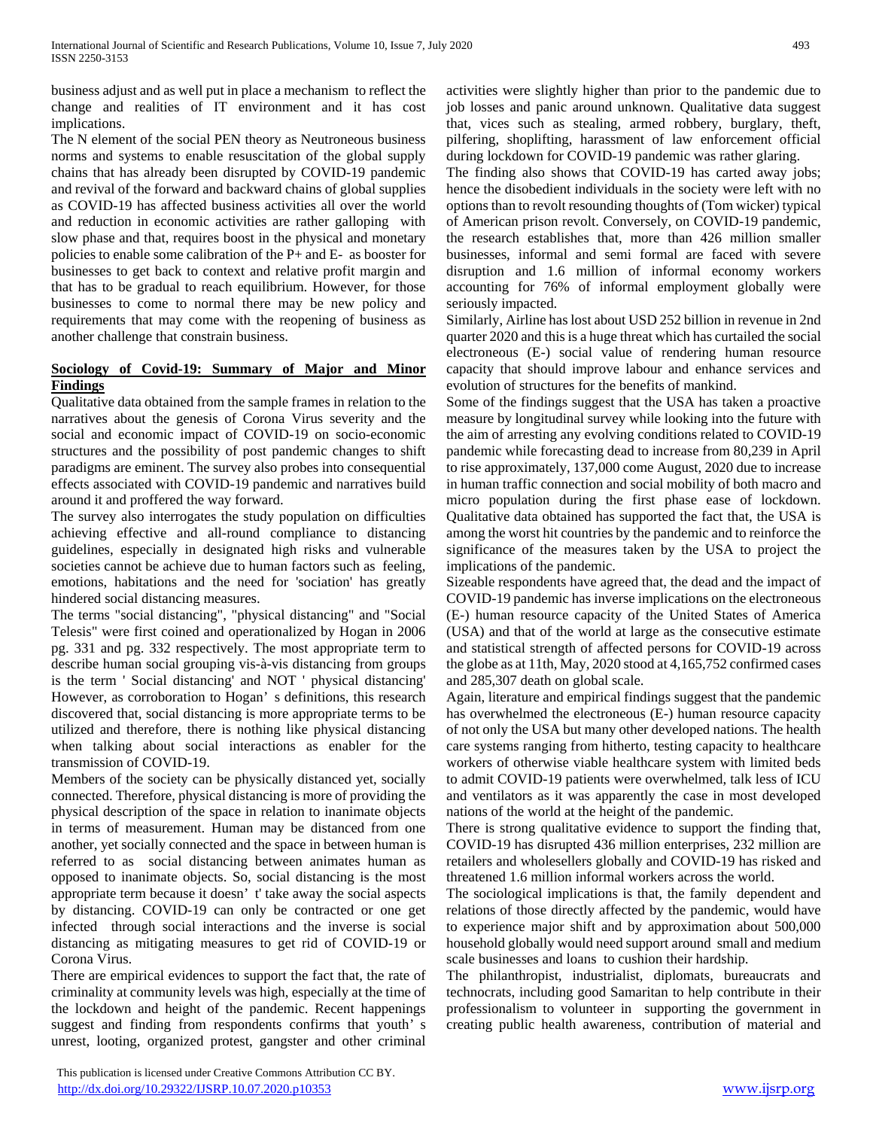business adjust and as well put in place a mechanism to reflect the change and realities of IT environment and it has cost implications.

The N element of the social PEN theory as Neutroneous business norms and systems to enable resuscitation of the global supply chains that has already been disrupted by COVID-19 pandemic and revival of the forward and backward chains of global supplies as COVID-19 has affected business activities all over the world and reduction in economic activities are rather galloping with slow phase and that, requires boost in the physical and monetary policies to enable some calibration of the P+ and E- as booster for businesses to get back to context and relative profit margin and that has to be gradual to reach equilibrium. However, for those businesses to come to normal there may be new policy and requirements that may come with the reopening of business as another challenge that constrain business.

## **Sociology of Covid-19: Summary of Major and Minor Findings**

Qualitative data obtained from the sample frames in relation to the narratives about the genesis of Corona Virus severity and the social and economic impact of COVID-19 on socio-economic structures and the possibility of post pandemic changes to shift paradigms are eminent. The survey also probes into consequential effects associated with COVID-19 pandemic and narratives build around it and proffered the way forward.

The survey also interrogates the study population on difficulties achieving effective and all-round compliance to distancing guidelines, especially in designated high risks and vulnerable societies cannot be achieve due to human factors such as feeling, emotions, habitations and the need for 'sociation' has greatly hindered social distancing measures.

The terms "social distancing", "physical distancing" and "Social Telesis" were first coined and operationalized by Hogan in 2006 pg. 331 and pg. 332 respectively. The most appropriate term to describe human social grouping vis-à-vis distancing from groups is the term ' Social distancing' and NOT ' physical distancing' However, as corroboration to Hogan' s definitions, this research discovered that, social distancing is more appropriate terms to be utilized and therefore, there is nothing like physical distancing when talking about social interactions as enabler for the transmission of COVID-19.

Members of the society can be physically distanced yet, socially connected. Therefore, physical distancing is more of providing the physical description of the space in relation to inanimate objects in terms of measurement. Human may be distanced from one another, yet socially connected and the space in between human is referred to as social distancing between animates human as opposed to inanimate objects. So, social distancing is the most appropriate term because it doesn' t' take away the social aspects by distancing. COVID-19 can only be contracted or one get infected through social interactions and the inverse is social distancing as mitigating measures to get rid of COVID-19 or Corona Virus.

There are empirical evidences to support the fact that, the rate of criminality at community levels was high, especially at the time of the lockdown and height of the pandemic. Recent happenings suggest and finding from respondents confirms that youth' s unrest, looting, organized protest, gangster and other criminal

 This publication is licensed under Creative Commons Attribution CC BY. <http://dx.doi.org/10.29322/IJSRP.10.07.2020.p10353> [www.ijsrp.org](http://ijsrp.org/)

activities were slightly higher than prior to the pandemic due to job losses and panic around unknown. Qualitative data suggest that, vices such as stealing, armed robbery, burglary, theft, pilfering, shoplifting, harassment of law enforcement official during lockdown for COVID-19 pandemic was rather glaring.

The finding also shows that COVID-19 has carted away jobs; hence the disobedient individuals in the society were left with no options than to revolt resounding thoughts of (Tom wicker) typical of American prison revolt. Conversely, on COVID-19 pandemic, the research establishes that, more than 426 million smaller businesses, informal and semi formal are faced with severe disruption and 1.6 million of informal economy workers accounting for 76% of informal employment globally were seriously impacted.

Similarly, Airline has lost about USD 252 billion in revenue in 2nd quarter 2020 and this is a huge threat which has curtailed the social electroneous (E-) social value of rendering human resource capacity that should improve labour and enhance services and evolution of structures for the benefits of mankind.

Some of the findings suggest that the USA has taken a proactive measure by longitudinal survey while looking into the future with the aim of arresting any evolving conditions related to COVID-19 pandemic while forecasting dead to increase from 80,239 in April to rise approximately, 137,000 come August, 2020 due to increase in human traffic connection and social mobility of both macro and micro population during the first phase ease of lockdown. Qualitative data obtained has supported the fact that, the USA is among the worst hit countries by the pandemic and to reinforce the significance of the measures taken by the USA to project the implications of the pandemic.

Sizeable respondents have agreed that, the dead and the impact of COVID-19 pandemic has inverse implications on the electroneous (E-) human resource capacity of the United States of America (USA) and that of the world at large as the consecutive estimate and statistical strength of affected persons for COVID-19 across the globe as at 11th, May, 2020 stood at 4,165,752 confirmed cases and 285,307 death on global scale.

Again, literature and empirical findings suggest that the pandemic has overwhelmed the electroneous (E-) human resource capacity of not only the USA but many other developed nations. The health care systems ranging from hitherto, testing capacity to healthcare workers of otherwise viable healthcare system with limited beds to admit COVID-19 patients were overwhelmed, talk less of ICU and ventilators as it was apparently the case in most developed nations of the world at the height of the pandemic.

There is strong qualitative evidence to support the finding that, COVID-19 has disrupted 436 million enterprises, 232 million are retailers and wholesellers globally and COVID-19 has risked and threatened 1.6 million informal workers across the world.

The sociological implications is that, the family dependent and relations of those directly affected by the pandemic, would have to experience major shift and by approximation about 500,000 household globally would need support around small and medium scale businesses and loans to cushion their hardship.

The philanthropist, industrialist, diplomats, bureaucrats and technocrats, including good Samaritan to help contribute in their professionalism to volunteer in supporting the government in creating public health awareness, contribution of material and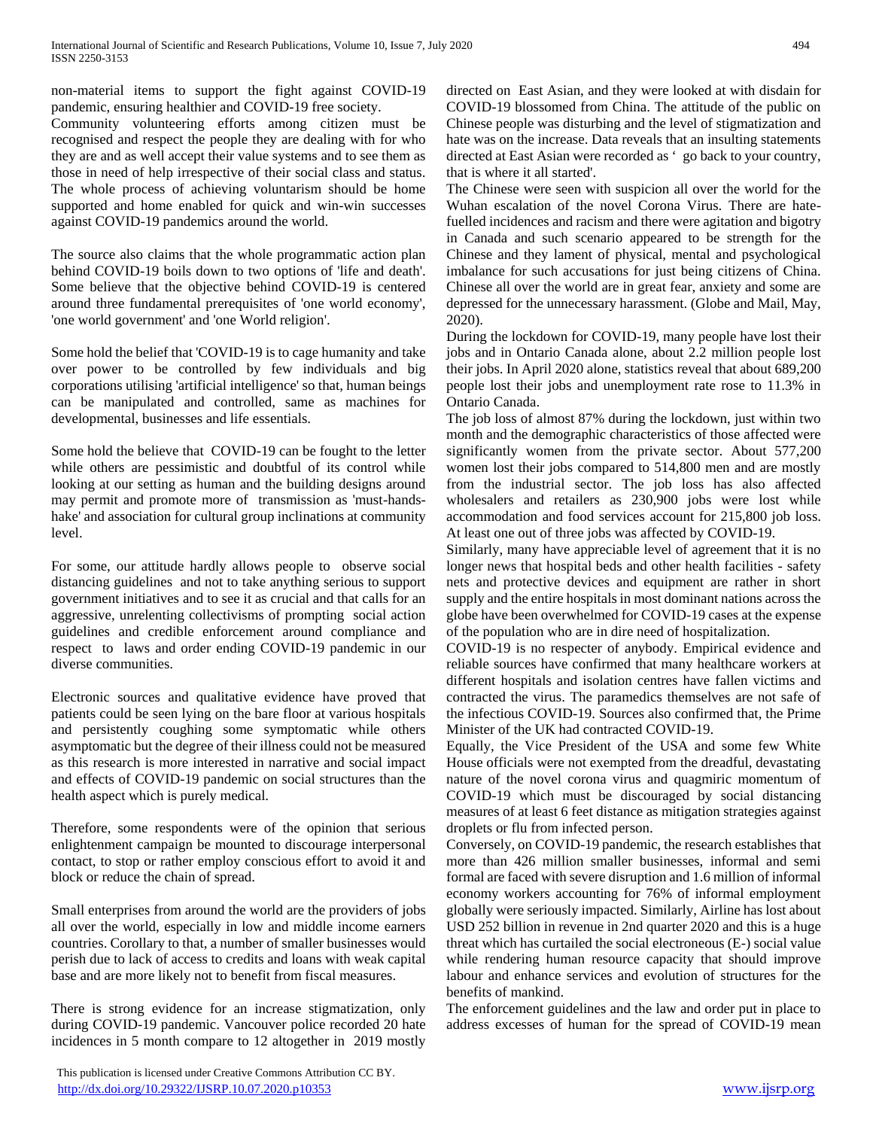non-material items to support the fight against COVID-19 pandemic, ensuring healthier and COVID-19 free society.

Community volunteering efforts among citizen must be recognised and respect the people they are dealing with for who they are and as well accept their value systems and to see them as those in need of help irrespective of their social class and status. The whole process of achieving voluntarism should be home supported and home enabled for quick and win-win successes against COVID-19 pandemics around the world.

The source also claims that the whole programmatic action plan behind COVID-19 boils down to two options of 'life and death'. Some believe that the objective behind COVID-19 is centered around three fundamental prerequisites of 'one world economy', 'one world government' and 'one World religion'.

Some hold the belief that 'COVID-19 is to cage humanity and take over power to be controlled by few individuals and big corporations utilising 'artificial intelligence' so that, human beings can be manipulated and controlled, same as machines for developmental, businesses and life essentials.

Some hold the believe that COVID-19 can be fought to the letter while others are pessimistic and doubtful of its control while looking at our setting as human and the building designs around may permit and promote more of transmission as 'must-handshake' and association for cultural group inclinations at community level.

For some, our attitude hardly allows people to observe social distancing guidelines and not to take anything serious to support government initiatives and to see it as crucial and that calls for an aggressive, unrelenting collectivisms of prompting social action guidelines and credible enforcement around compliance and respect to laws and order ending COVID-19 pandemic in our diverse communities.

Electronic sources and qualitative evidence have proved that patients could be seen lying on the bare floor at various hospitals and persistently coughing some symptomatic while others asymptomatic but the degree of their illness could not be measured as this research is more interested in narrative and social impact and effects of COVID-19 pandemic on social structures than the health aspect which is purely medical.

Therefore, some respondents were of the opinion that serious enlightenment campaign be mounted to discourage interpersonal contact, to stop or rather employ conscious effort to avoid it and block or reduce the chain of spread.

Small enterprises from around the world are the providers of jobs all over the world, especially in low and middle income earners countries. Corollary to that, a number of smaller businesses would perish due to lack of access to credits and loans with weak capital base and are more likely not to benefit from fiscal measures.

There is strong evidence for an increase stigmatization, only during COVID-19 pandemic. Vancouver police recorded 20 hate incidences in 5 month compare to 12 altogether in 2019 mostly

 This publication is licensed under Creative Commons Attribution CC BY. <http://dx.doi.org/10.29322/IJSRP.10.07.2020.p10353> [www.ijsrp.org](http://ijsrp.org/)

directed on East Asian, and they were looked at with disdain for COVID-19 blossomed from China. The attitude of the public on Chinese people was disturbing and the level of stigmatization and hate was on the increase. Data reveals that an insulting statements directed at East Asian were recorded as ' go back to your country, that is where it all started'.

The Chinese were seen with suspicion all over the world for the Wuhan escalation of the novel Corona Virus. There are hatefuelled incidences and racism and there were agitation and bigotry in Canada and such scenario appeared to be strength for the Chinese and they lament of physical, mental and psychological imbalance for such accusations for just being citizens of China. Chinese all over the world are in great fear, anxiety and some are depressed for the unnecessary harassment. (Globe and Mail, May, 2020).

During the lockdown for COVID-19, many people have lost their jobs and in Ontario Canada alone, about 2.2 million people lost their jobs. In April 2020 alone, statistics reveal that about 689,200 people lost their jobs and unemployment rate rose to 11.3% in Ontario Canada.

The job loss of almost 87% during the lockdown, just within two month and the demographic characteristics of those affected were significantly women from the private sector. About 577,200 women lost their jobs compared to 514,800 men and are mostly from the industrial sector. The job loss has also affected wholesalers and retailers as 230,900 jobs were lost while accommodation and food services account for 215,800 job loss. At least one out of three jobs was affected by COVID-19.

Similarly, many have appreciable level of agreement that it is no longer news that hospital beds and other health facilities - safety nets and protective devices and equipment are rather in short supply and the entire hospitals in most dominant nations across the globe have been overwhelmed for COVID-19 cases at the expense of the population who are in dire need of hospitalization.

COVID-19 is no respecter of anybody. Empirical evidence and reliable sources have confirmed that many healthcare workers at different hospitals and isolation centres have fallen victims and contracted the virus. The paramedics themselves are not safe of the infectious COVID-19. Sources also confirmed that, the Prime Minister of the UK had contracted COVID-19.

Equally, the Vice President of the USA and some few White House officials were not exempted from the dreadful, devastating nature of the novel corona virus and quagmiric momentum of COVID-19 which must be discouraged by social distancing measures of at least 6 feet distance as mitigation strategies against droplets or flu from infected person.

Conversely, on COVID-19 pandemic, the research establishes that more than 426 million smaller businesses, informal and semi formal are faced with severe disruption and 1.6 million of informal economy workers accounting for 76% of informal employment globally were seriously impacted. Similarly, Airline has lost about USD 252 billion in revenue in 2nd quarter 2020 and this is a huge threat which has curtailed the social electroneous (E-) social value while rendering human resource capacity that should improve labour and enhance services and evolution of structures for the benefits of mankind.

The enforcement guidelines and the law and order put in place to address excesses of human for the spread of COVID-19 mean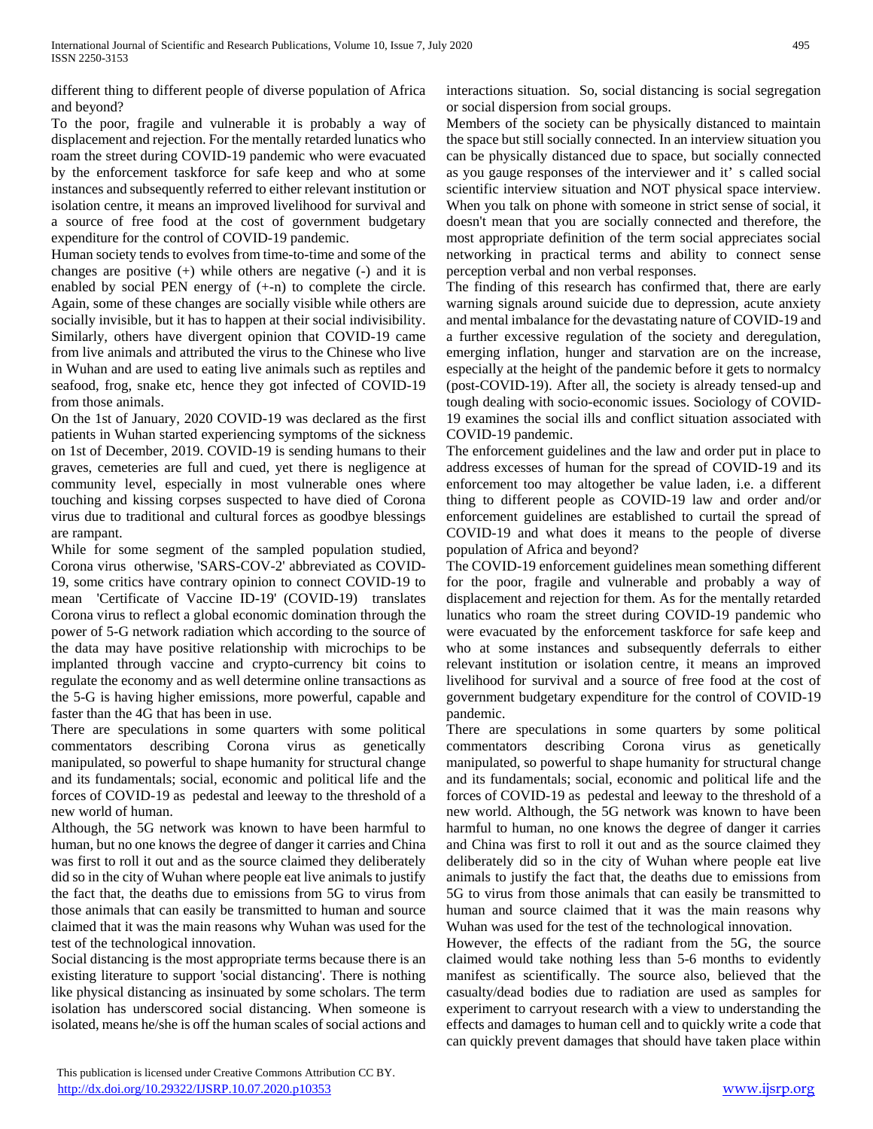different thing to different people of diverse population of Africa and beyond?

To the poor, fragile and vulnerable it is probably a way of displacement and rejection. For the mentally retarded lunatics who roam the street during COVID-19 pandemic who were evacuated by the enforcement taskforce for safe keep and who at some instances and subsequently referred to either relevant institution or isolation centre, it means an improved livelihood for survival and a source of free food at the cost of government budgetary expenditure for the control of COVID-19 pandemic.

Human society tends to evolves from time-to-time and some of the changes are positive  $(+)$  while others are negative  $(-)$  and it is enabled by social PEN energy of (+-n) to complete the circle. Again, some of these changes are socially visible while others are socially invisible, but it has to happen at their social indivisibility. Similarly, others have divergent opinion that COVID-19 came from live animals and attributed the virus to the Chinese who live in Wuhan and are used to eating live animals such as reptiles and seafood, frog, snake etc, hence they got infected of COVID-19 from those animals.

On the 1st of January, 2020 COVID-19 was declared as the first patients in Wuhan started experiencing symptoms of the sickness on 1st of December, 2019. COVID-19 is sending humans to their graves, cemeteries are full and cued, yet there is negligence at community level, especially in most vulnerable ones where touching and kissing corpses suspected to have died of Corona virus due to traditional and cultural forces as goodbye blessings are rampant.

While for some segment of the sampled population studied, Corona virus otherwise, 'SARS-COV-2' abbreviated as COVID-19, some critics have contrary opinion to connect COVID-19 to mean 'Certificate of Vaccine ID-19' (COVID-19) translates Corona virus to reflect a global economic domination through the power of 5-G network radiation which according to the source of the data may have positive relationship with microchips to be implanted through vaccine and crypto-currency bit coins to regulate the economy and as well determine online transactions as the 5-G is having higher emissions, more powerful, capable and faster than the 4G that has been in use.

There are speculations in some quarters with some political commentators describing Corona virus as genetically manipulated, so powerful to shape humanity for structural change and its fundamentals; social, economic and political life and the forces of COVID-19 as pedestal and leeway to the threshold of a new world of human.

Although, the 5G network was known to have been harmful to human, but no one knows the degree of danger it carries and China was first to roll it out and as the source claimed they deliberately did so in the city of Wuhan where people eat live animals to justify the fact that, the deaths due to emissions from 5G to virus from those animals that can easily be transmitted to human and source claimed that it was the main reasons why Wuhan was used for the test of the technological innovation.

Social distancing is the most appropriate terms because there is an existing literature to support 'social distancing'. There is nothing like physical distancing as insinuated by some scholars. The term isolation has underscored social distancing. When someone is isolated, means he/she is off the human scales of social actions and

Members of the society can be physically distanced to maintain the space but still socially connected. In an interview situation you can be physically distanced due to space, but socially connected as you gauge responses of the interviewer and it' s called social scientific interview situation and NOT physical space interview. When you talk on phone with someone in strict sense of social, it doesn't mean that you are socially connected and therefore, the most appropriate definition of the term social appreciates social networking in practical terms and ability to connect sense perception verbal and non verbal responses.

The finding of this research has confirmed that, there are early warning signals around suicide due to depression, acute anxiety and mental imbalance for the devastating nature of COVID-19 and a further excessive regulation of the society and deregulation, emerging inflation, hunger and starvation are on the increase, especially at the height of the pandemic before it gets to normalcy (post-COVID-19). After all, the society is already tensed-up and tough dealing with socio-economic issues. Sociology of COVID-19 examines the social ills and conflict situation associated with COVID-19 pandemic.

The enforcement guidelines and the law and order put in place to address excesses of human for the spread of COVID-19 and its enforcement too may altogether be value laden, i.e. a different thing to different people as COVID-19 law and order and/or enforcement guidelines are established to curtail the spread of COVID-19 and what does it means to the people of diverse population of Africa and beyond?

The COVID-19 enforcement guidelines mean something different for the poor, fragile and vulnerable and probably a way of displacement and rejection for them. As for the mentally retarded lunatics who roam the street during COVID-19 pandemic who were evacuated by the enforcement taskforce for safe keep and who at some instances and subsequently deferrals to either relevant institution or isolation centre, it means an improved livelihood for survival and a source of free food at the cost of government budgetary expenditure for the control of COVID-19 pandemic.

There are speculations in some quarters by some political commentators describing Corona virus as genetically manipulated, so powerful to shape humanity for structural change and its fundamentals; social, economic and political life and the forces of COVID-19 as pedestal and leeway to the threshold of a new world. Although, the 5G network was known to have been harmful to human, no one knows the degree of danger it carries and China was first to roll it out and as the source claimed they deliberately did so in the city of Wuhan where people eat live animals to justify the fact that, the deaths due to emissions from 5G to virus from those animals that can easily be transmitted to human and source claimed that it was the main reasons why Wuhan was used for the test of the technological innovation.

However, the effects of the radiant from the 5G, the source claimed would take nothing less than 5-6 months to evidently manifest as scientifically. The source also, believed that the casualty/dead bodies due to radiation are used as samples for experiment to carryout research with a view to understanding the effects and damages to human cell and to quickly write a code that can quickly prevent damages that should have taken place within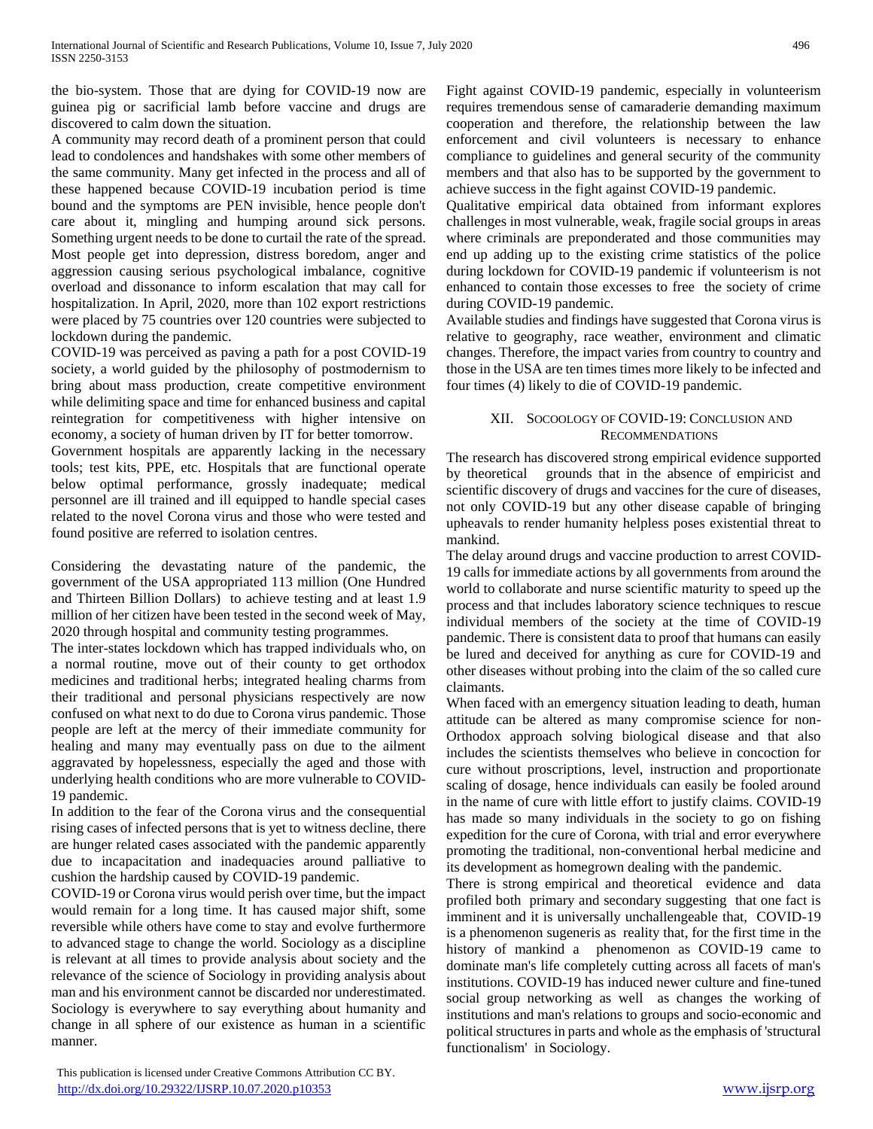the bio-system. Those that are dying for COVID-19 now are guinea pig or sacrificial lamb before vaccine and drugs are discovered to calm down the situation.

A community may record death of a prominent person that could lead to condolences and handshakes with some other members of the same community. Many get infected in the process and all of these happened because COVID-19 incubation period is time bound and the symptoms are PEN invisible, hence people don't care about it, mingling and humping around sick persons. Something urgent needs to be done to curtail the rate of the spread. Most people get into depression, distress boredom, anger and aggression causing serious psychological imbalance, cognitive overload and dissonance to inform escalation that may call for hospitalization. In April, 2020, more than 102 export restrictions were placed by 75 countries over 120 countries were subjected to lockdown during the pandemic.

COVID-19 was perceived as paving a path for a post COVID-19 society, a world guided by the philosophy of postmodernism to bring about mass production, create competitive environment while delimiting space and time for enhanced business and capital reintegration for competitiveness with higher intensive on economy, a society of human driven by IT for better tomorrow.

Government hospitals are apparently lacking in the necessary tools; test kits, PPE, etc. Hospitals that are functional operate below optimal performance, grossly inadequate; medical personnel are ill trained and ill equipped to handle special cases related to the novel Corona virus and those who were tested and found positive are referred to isolation centres.

Considering the devastating nature of the pandemic, the government of the USA appropriated 113 million (One Hundred and Thirteen Billion Dollars) to achieve testing and at least 1.9 million of her citizen have been tested in the second week of May, 2020 through hospital and community testing programmes.

The inter-states lockdown which has trapped individuals who, on a normal routine, move out of their county to get orthodox medicines and traditional herbs; integrated healing charms from their traditional and personal physicians respectively are now confused on what next to do due to Corona virus pandemic. Those people are left at the mercy of their immediate community for healing and many may eventually pass on due to the ailment aggravated by hopelessness, especially the aged and those with underlying health conditions who are more vulnerable to COVID-19 pandemic.

In addition to the fear of the Corona virus and the consequential rising cases of infected persons that is yet to witness decline, there are hunger related cases associated with the pandemic apparently due to incapacitation and inadequacies around palliative to cushion the hardship caused by COVID-19 pandemic.

COVID-19 or Corona virus would perish over time, but the impact would remain for a long time. It has caused major shift, some reversible while others have come to stay and evolve furthermore to advanced stage to change the world. Sociology as a discipline is relevant at all times to provide analysis about society and the relevance of the science of Sociology in providing analysis about man and his environment cannot be discarded nor underestimated. Sociology is everywhere to say everything about humanity and change in all sphere of our existence as human in a scientific manner.

 This publication is licensed under Creative Commons Attribution CC BY. <http://dx.doi.org/10.29322/IJSRP.10.07.2020.p10353> [www.ijsrp.org](http://ijsrp.org/)

Fight against COVID-19 pandemic, especially in volunteerism requires tremendous sense of camaraderie demanding maximum cooperation and therefore, the relationship between the law enforcement and civil volunteers is necessary to enhance compliance to guidelines and general security of the community members and that also has to be supported by the government to achieve success in the fight against COVID-19 pandemic.

Qualitative empirical data obtained from informant explores challenges in most vulnerable, weak, fragile social groups in areas where criminals are preponderated and those communities may end up adding up to the existing crime statistics of the police during lockdown for COVID-19 pandemic if volunteerism is not enhanced to contain those excesses to free the society of crime during COVID-19 pandemic.

Available studies and findings have suggested that Corona virus is relative to geography, race weather, environment and climatic changes. Therefore, the impact varies from country to country and those in the USA are ten times times more likely to be infected and four times (4) likely to die of COVID-19 pandemic.

## XII. SOCOOLOGY OF COVID-19: CONCLUSION AND RECOMMENDATIONS

The research has discovered strong empirical evidence supported by theoretical grounds that in the absence of empiricist and scientific discovery of drugs and vaccines for the cure of diseases, not only COVID-19 but any other disease capable of bringing upheavals to render humanity helpless poses existential threat to mankind.

The delay around drugs and vaccine production to arrest COVID-19 calls for immediate actions by all governments from around the world to collaborate and nurse scientific maturity to speed up the process and that includes laboratory science techniques to rescue individual members of the society at the time of COVID-19 pandemic. There is consistent data to proof that humans can easily be lured and deceived for anything as cure for COVID-19 and other diseases without probing into the claim of the so called cure claimants.

When faced with an emergency situation leading to death, human attitude can be altered as many compromise science for non-Orthodox approach solving biological disease and that also includes the scientists themselves who believe in concoction for cure without proscriptions, level, instruction and proportionate scaling of dosage, hence individuals can easily be fooled around in the name of cure with little effort to justify claims. COVID-19 has made so many individuals in the society to go on fishing expedition for the cure of Corona, with trial and error everywhere promoting the traditional, non-conventional herbal medicine and its development as homegrown dealing with the pandemic.

There is strong empirical and theoretical evidence and data profiled both primary and secondary suggesting that one fact is imminent and it is universally unchallengeable that, COVID-19 is a phenomenon sugeneris as reality that, for the first time in the history of mankind a phenomenon as COVID-19 came to dominate man's life completely cutting across all facets of man's institutions. COVID-19 has induced newer culture and fine-tuned social group networking as well as changes the working of institutions and man's relations to groups and socio-economic and political structures in parts and whole as the emphasis of 'structural functionalism' in Sociology.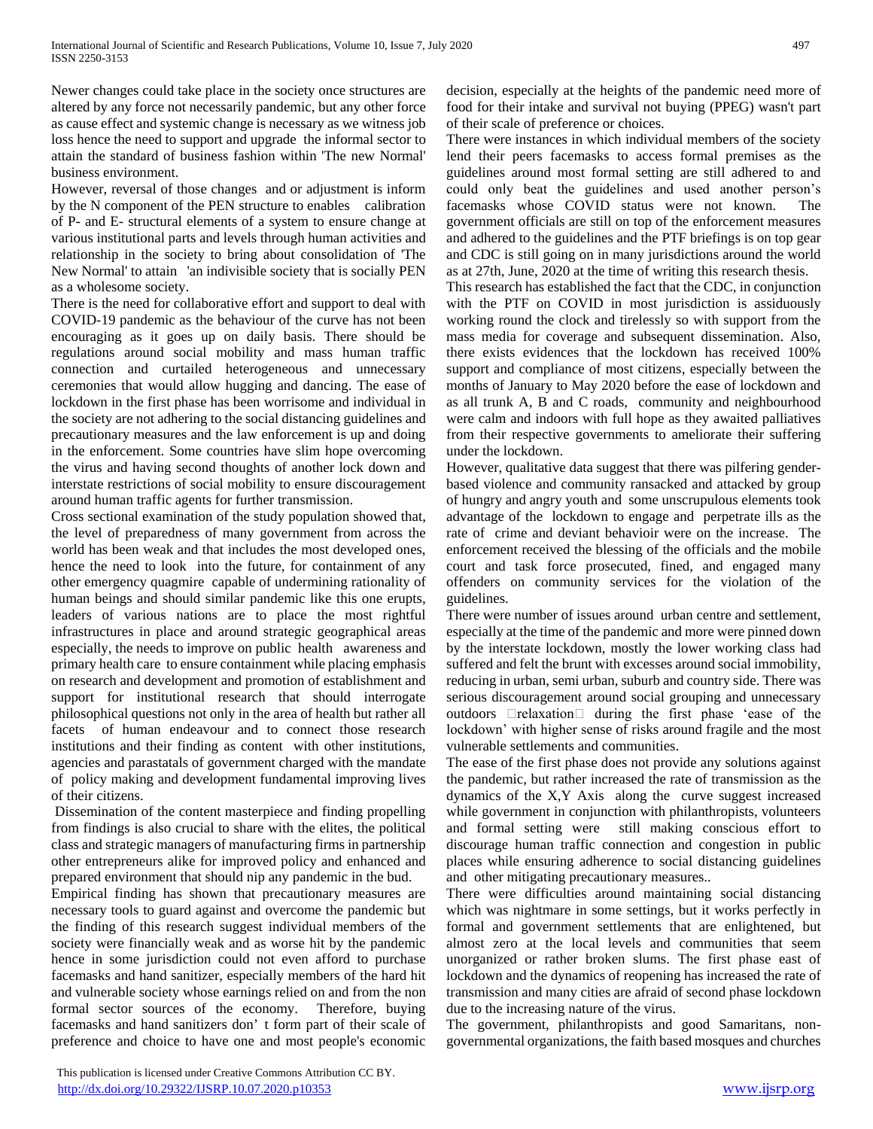Newer changes could take place in the society once structures are altered by any force not necessarily pandemic, but any other force as cause effect and systemic change is necessary as we witness job loss hence the need to support and upgrade the informal sector to attain the standard of business fashion within 'The new Normal' business environment.

However, reversal of those changes and or adjustment is inform by the N component of the PEN structure to enables calibration of P- and E- structural elements of a system to ensure change at various institutional parts and levels through human activities and relationship in the society to bring about consolidation of 'The New Normal' to attain 'an indivisible society that is socially PEN as a wholesome society.

There is the need for collaborative effort and support to deal with COVID-19 pandemic as the behaviour of the curve has not been encouraging as it goes up on daily basis. There should be regulations around social mobility and mass human traffic connection and curtailed heterogeneous and unnecessary ceremonies that would allow hugging and dancing. The ease of lockdown in the first phase has been worrisome and individual in the society are not adhering to the social distancing guidelines and precautionary measures and the law enforcement is up and doing in the enforcement. Some countries have slim hope overcoming the virus and having second thoughts of another lock down and interstate restrictions of social mobility to ensure discouragement around human traffic agents for further transmission.

Cross sectional examination of the study population showed that, the level of preparedness of many government from across the world has been weak and that includes the most developed ones, hence the need to look into the future, for containment of any other emergency quagmire capable of undermining rationality of human beings and should similar pandemic like this one erupts, leaders of various nations are to place the most rightful infrastructures in place and around strategic geographical areas especially, the needs to improve on public health awareness and primary health care to ensure containment while placing emphasis on research and development and promotion of establishment and support for institutional research that should interrogate philosophical questions not only in the area of health but rather all facets of human endeavour and to connect those research institutions and their finding as content with other institutions, agencies and parastatals of government charged with the mandate of policy making and development fundamental improving lives of their citizens.

Dissemination of the content masterpiece and finding propelling from findings is also crucial to share with the elites, the political class and strategic managers of manufacturing firms in partnership other entrepreneurs alike for improved policy and enhanced and prepared environment that should nip any pandemic in the bud.

Empirical finding has shown that precautionary measures are necessary tools to guard against and overcome the pandemic but the finding of this research suggest individual members of the society were financially weak and as worse hit by the pandemic hence in some jurisdiction could not even afford to purchase facemasks and hand sanitizer, especially members of the hard hit and vulnerable society whose earnings relied on and from the non formal sector sources of the economy. Therefore, buying facemasks and hand sanitizers don' t form part of their scale of preference and choice to have one and most people's economic decision, especially at the heights of the pandemic need more of food for their intake and survival not buying (PPEG) wasn't part of their scale of preference or choices.

There were instances in which individual members of the society lend their peers facemasks to access formal premises as the guidelines around most formal setting are still adhered to and could only beat the guidelines and used another person's facemasks whose COVID status were not known. The government officials are still on top of the enforcement measures and adhered to the guidelines and the PTF briefings is on top gear and CDC is still going on in many jurisdictions around the world as at 27th, June, 2020 at the time of writing this research thesis.

This research has established the fact that the CDC, in conjunction with the PTF on COVID in most jurisdiction is assiduously working round the clock and tirelessly so with support from the mass media for coverage and subsequent dissemination. Also, there exists evidences that the lockdown has received 100% support and compliance of most citizens, especially between the months of January to May 2020 before the ease of lockdown and as all trunk A, B and C roads, community and neighbourhood were calm and indoors with full hope as they awaited palliatives from their respective governments to ameliorate their suffering under the lockdown.

However, qualitative data suggest that there was pilfering genderbased violence and community ransacked and attacked by group of hungry and angry youth and some unscrupulous elements took advantage of the lockdown to engage and perpetrate ills as the rate of crime and deviant behavioir were on the increase. The enforcement received the blessing of the officials and the mobile court and task force prosecuted, fined, and engaged many offenders on community services for the violation of the guidelines.

There were number of issues around urban centre and settlement, especially at the time of the pandemic and more were pinned down by the interstate lockdown, mostly the lower working class had suffered and felt the brunt with excesses around social immobility, reducing in urban, semi urban, suburb and country side. There was serious discouragement around social grouping and unnecessary outdoors **Drelaxation** during the first phase 'ease of the lockdown' with higher sense of risks around fragile and the most vulnerable settlements and communities.

The ease of the first phase does not provide any solutions against the pandemic, but rather increased the rate of transmission as the dynamics of the X,Y Axis along the curve suggest increased while government in conjunction with philanthropists, volunteers and formal setting were still making conscious effort to discourage human traffic connection and congestion in public places while ensuring adherence to social distancing guidelines and other mitigating precautionary measures..

There were difficulties around maintaining social distancing which was nightmare in some settings, but it works perfectly in formal and government settlements that are enlightened, but almost zero at the local levels and communities that seem unorganized or rather broken slums. The first phase east of lockdown and the dynamics of reopening has increased the rate of transmission and many cities are afraid of second phase lockdown due to the increasing nature of the virus.

The government, philanthropists and good Samaritans, nongovernmental organizations, the faith based mosques and churches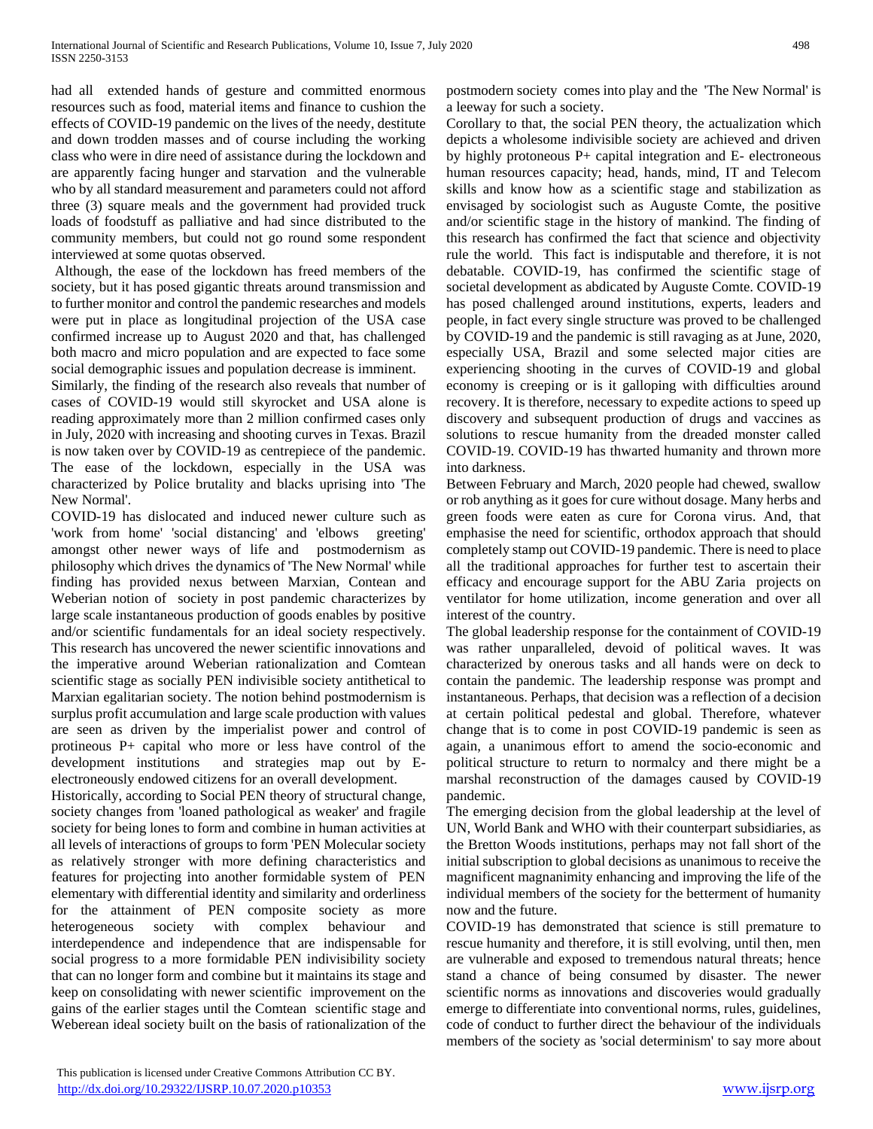had all extended hands of gesture and committed enormous resources such as food, material items and finance to cushion the effects of COVID-19 pandemic on the lives of the needy, destitute and down trodden masses and of course including the working class who were in dire need of assistance during the lockdown and are apparently facing hunger and starvation and the vulnerable who by all standard measurement and parameters could not afford three (3) square meals and the government had provided truck loads of foodstuff as palliative and had since distributed to the community members, but could not go round some respondent interviewed at some quotas observed.

Although, the ease of the lockdown has freed members of the society, but it has posed gigantic threats around transmission and to further monitor and control the pandemic researches and models were put in place as longitudinal projection of the USA case confirmed increase up to August 2020 and that, has challenged both macro and micro population and are expected to face some social demographic issues and population decrease is imminent.

Similarly, the finding of the research also reveals that number of cases of COVID-19 would still skyrocket and USA alone is reading approximately more than 2 million confirmed cases only in July, 2020 with increasing and shooting curves in Texas. Brazil is now taken over by COVID-19 as centrepiece of the pandemic. The ease of the lockdown, especially in the USA was characterized by Police brutality and blacks uprising into 'The New Normal'.

COVID-19 has dislocated and induced newer culture such as 'work from home' 'social distancing' and 'elbows greeting' amongst other newer ways of life and postmodernism as philosophy which drives the dynamics of 'The New Normal' while finding has provided nexus between Marxian, Contean and Weberian notion of society in post pandemic characterizes by large scale instantaneous production of goods enables by positive and/or scientific fundamentals for an ideal society respectively. This research has uncovered the newer scientific innovations and the imperative around Weberian rationalization and Comtean scientific stage as socially PEN indivisible society antithetical to Marxian egalitarian society. The notion behind postmodernism is surplus profit accumulation and large scale production with values are seen as driven by the imperialist power and control of protineous P+ capital who more or less have control of the development institutions and strategies map out by Eelectroneously endowed citizens for an overall development.

Historically, according to Social PEN theory of structural change, society changes from 'loaned pathological as weaker' and fragile society for being lones to form and combine in human activities at all levels of interactions of groups to form 'PEN Molecular society as relatively stronger with more defining characteristics and features for projecting into another formidable system of PEN elementary with differential identity and similarity and orderliness for the attainment of PEN composite society as more heterogeneous society with complex behaviour and interdependence and independence that are indispensable for social progress to a more formidable PEN indivisibility society that can no longer form and combine but it maintains its stage and keep on consolidating with newer scientific improvement on the gains of the earlier stages until the Comtean scientific stage and Weberean ideal society built on the basis of rationalization of the postmodern society comes into play and the 'The New Normal' is a leeway for such a society.

Corollary to that, the social PEN theory, the actualization which depicts a wholesome indivisible society are achieved and driven by highly protoneous P+ capital integration and E- electroneous human resources capacity; head, hands, mind, IT and Telecom skills and know how as a scientific stage and stabilization as envisaged by sociologist such as Auguste Comte, the positive and/or scientific stage in the history of mankind. The finding of this research has confirmed the fact that science and objectivity rule the world. This fact is indisputable and therefore, it is not debatable. COVID-19, has confirmed the scientific stage of societal development as abdicated by Auguste Comte. COVID-19 has posed challenged around institutions, experts, leaders and people, in fact every single structure was proved to be challenged by COVID-19 and the pandemic is still ravaging as at June, 2020, especially USA, Brazil and some selected major cities are experiencing shooting in the curves of COVID-19 and global economy is creeping or is it galloping with difficulties around recovery. It is therefore, necessary to expedite actions to speed up discovery and subsequent production of drugs and vaccines as solutions to rescue humanity from the dreaded monster called COVID-19. COVID-19 has thwarted humanity and thrown more into darkness.

Between February and March, 2020 people had chewed, swallow or rob anything as it goes for cure without dosage. Many herbs and green foods were eaten as cure for Corona virus. And, that emphasise the need for scientific, orthodox approach that should completely stamp out COVID-19 pandemic. There is need to place all the traditional approaches for further test to ascertain their efficacy and encourage support for the ABU Zaria projects on ventilator for home utilization, income generation and over all interest of the country.

The global leadership response for the containment of COVID-19 was rather unparalleled, devoid of political waves. It was characterized by onerous tasks and all hands were on deck to contain the pandemic. The leadership response was prompt and instantaneous. Perhaps, that decision was a reflection of a decision at certain political pedestal and global. Therefore, whatever change that is to come in post COVID-19 pandemic is seen as again, a unanimous effort to amend the socio-economic and political structure to return to normalcy and there might be a marshal reconstruction of the damages caused by COVID-19 pandemic.

The emerging decision from the global leadership at the level of UN, World Bank and WHO with their counterpart subsidiaries, as the Bretton Woods institutions, perhaps may not fall short of the initial subscription to global decisions as unanimous to receive the magnificent magnanimity enhancing and improving the life of the individual members of the society for the betterment of humanity now and the future.

COVID-19 has demonstrated that science is still premature to rescue humanity and therefore, it is still evolving, until then, men are vulnerable and exposed to tremendous natural threats; hence stand a chance of being consumed by disaster. The newer scientific norms as innovations and discoveries would gradually emerge to differentiate into conventional norms, rules, guidelines, code of conduct to further direct the behaviour of the individuals members of the society as 'social determinism' to say more about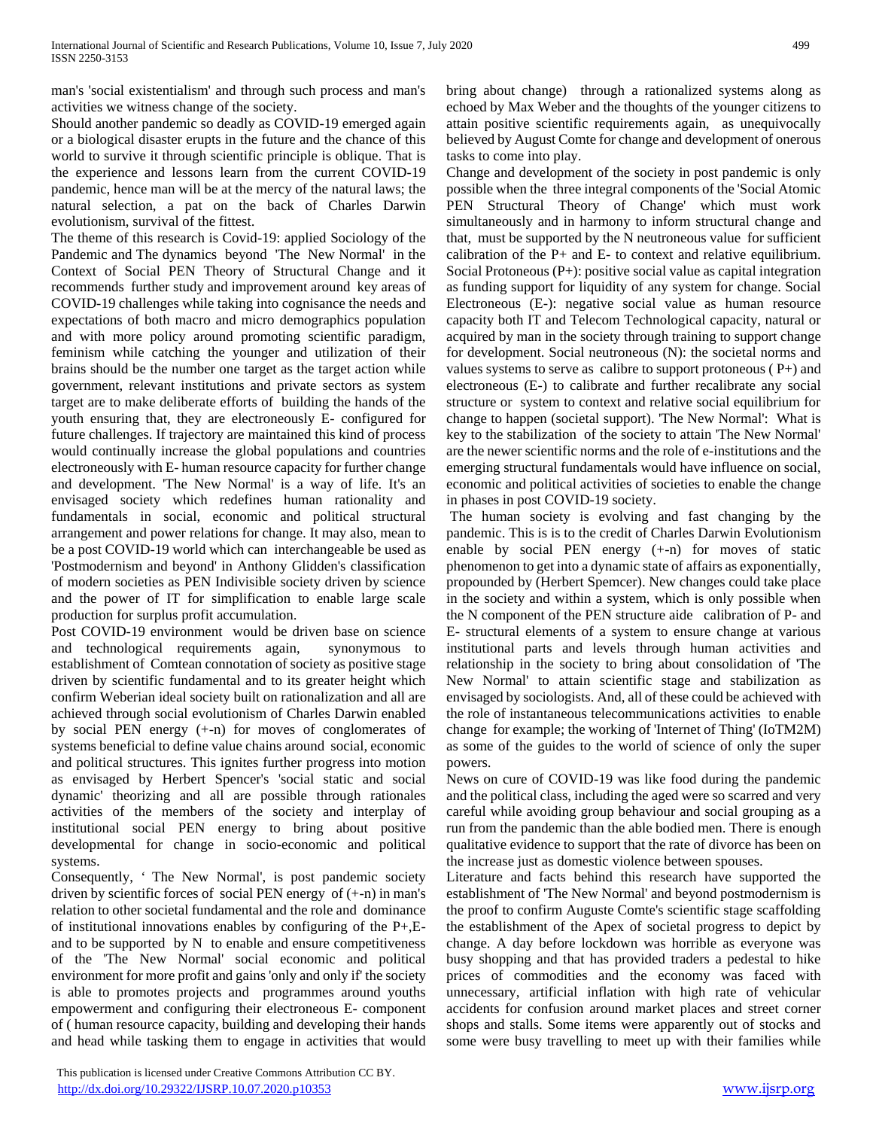man's 'social existentialism' and through such process and man's activities we witness change of the society.

Should another pandemic so deadly as COVID-19 emerged again or a biological disaster erupts in the future and the chance of this world to survive it through scientific principle is oblique. That is the experience and lessons learn from the current COVID-19 pandemic, hence man will be at the mercy of the natural laws; the natural selection, a pat on the back of Charles Darwin evolutionism, survival of the fittest.

The theme of this research is Covid-19: applied Sociology of the Pandemic and The dynamics beyond 'The New Normal' in the Context of Social PEN Theory of Structural Change and it recommends further study and improvement around key areas of COVID-19 challenges while taking into cognisance the needs and expectations of both macro and micro demographics population and with more policy around promoting scientific paradigm, feminism while catching the younger and utilization of their brains should be the number one target as the target action while government, relevant institutions and private sectors as system target are to make deliberate efforts of building the hands of the youth ensuring that, they are electroneously E- configured for future challenges. If trajectory are maintained this kind of process would continually increase the global populations and countries electroneously with E- human resource capacity for further change and development. 'The New Normal' is a way of life. It's an envisaged society which redefines human rationality and fundamentals in social, economic and political structural arrangement and power relations for change. It may also, mean to be a post COVID-19 world which can interchangeable be used as 'Postmodernism and beyond' in Anthony Glidden's classification of modern societies as PEN Indivisible society driven by science and the power of IT for simplification to enable large scale production for surplus profit accumulation.

Post COVID-19 environment would be driven base on science and technological requirements again, synonymous to establishment of Comtean connotation of society as positive stage driven by scientific fundamental and to its greater height which confirm Weberian ideal society built on rationalization and all are achieved through social evolutionism of Charles Darwin enabled by social PEN energy (+-n) for moves of conglomerates of systems beneficial to define value chains around social, economic and political structures. This ignites further progress into motion as envisaged by Herbert Spencer's 'social static and social dynamic' theorizing and all are possible through rationales activities of the members of the society and interplay of institutional social PEN energy to bring about positive developmental for change in socio-economic and political systems.

Consequently, ' The New Normal', is post pandemic society driven by scientific forces of social PEN energy of (+-n) in man's relation to other societal fundamental and the role and dominance of institutional innovations enables by configuring of the P+,Eand to be supported by  $N$  to enable and ensure competitiveness of the 'The New Normal' social economic and political environment for more profit and gains 'only and only if' the society is able to promotes projects and programmes around youths empowerment and configuring their electroneous E- component of ( human resource capacity, building and developing their hands and head while tasking them to engage in activities that would bring about change) through a rationalized systems along as echoed by Max Weber and the thoughts of the younger citizens to attain positive scientific requirements again, as unequivocally believed by August Comte for change and development of onerous tasks to come into play.

Change and development of the society in post pandemic is only possible when the three integral components of the 'Social Atomic PEN Structural Theory of Change' which must work simultaneously and in harmony to inform structural change and that, must be supported by the N neutroneous value for sufficient calibration of the P+ and E- to context and relative equilibrium. Social Protoneous (P+): positive social value as capital integration as funding support for liquidity of any system for change. Social Electroneous (E-): negative social value as human resource capacity both IT and Telecom Technological capacity, natural or acquired by man in the society through training to support change for development. Social neutroneous (N): the societal norms and values systems to serve as calibre to support protoneous  $(P+)$  and electroneous (E-) to calibrate and further recalibrate any social structure or system to context and relative social equilibrium for change to happen (societal support). 'The New Normal': What is key to the stabilization of the society to attain 'The New Normal' are the newer scientific norms and the role of e-institutions and the emerging structural fundamentals would have influence on social, economic and political activities of societies to enable the change in phases in post COVID-19 society.

The human society is evolving and fast changing by the pandemic. This is is to the credit of Charles Darwin Evolutionism enable by social PEN energy (+-n) for moves of static phenomenon to get into a dynamic state of affairs as exponentially, propounded by (Herbert Spemcer). New changes could take place in the society and within a system, which is only possible when the N component of the PEN structure aide calibration of P- and E- structural elements of a system to ensure change at various institutional parts and levels through human activities and relationship in the society to bring about consolidation of 'The New Normal' to attain scientific stage and stabilization as envisaged by sociologists. And, all of these could be achieved with the role of instantaneous telecommunications activities to enable change for example; the working of 'Internet of Thing' (IoTM2M) as some of the guides to the world of science of only the super powers.

News on cure of COVID-19 was like food during the pandemic and the political class, including the aged were so scarred and very careful while avoiding group behaviour and social grouping as a run from the pandemic than the able bodied men. There is enough qualitative evidence to support that the rate of divorce has been on the increase just as domestic violence between spouses.

Literature and facts behind this research have supported the establishment of 'The New Normal' and beyond postmodernism is the proof to confirm Auguste Comte's scientific stage scaffolding the establishment of the Apex of societal progress to depict by change. A day before lockdown was horrible as everyone was busy shopping and that has provided traders a pedestal to hike prices of commodities and the economy was faced with unnecessary, artificial inflation with high rate of vehicular accidents for confusion around market places and street corner shops and stalls. Some items were apparently out of stocks and some were busy travelling to meet up with their families while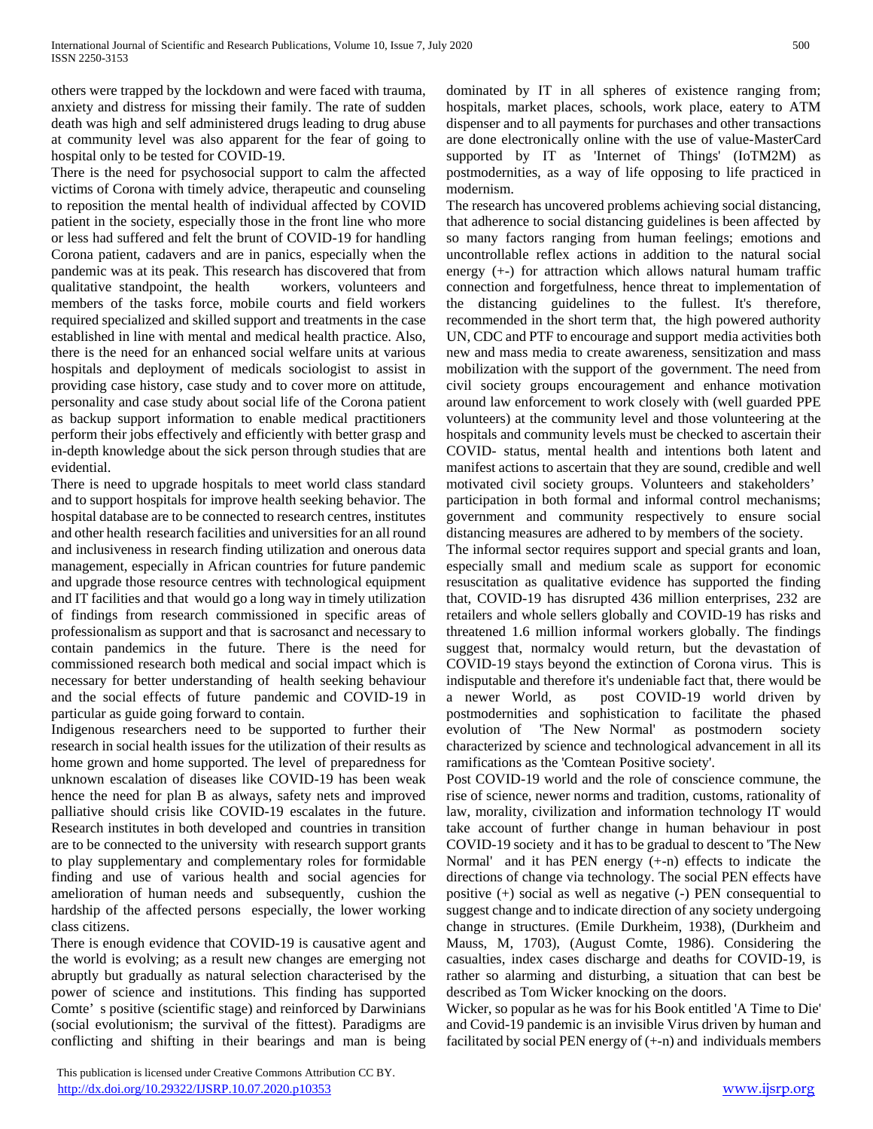others were trapped by the lockdown and were faced with trauma, anxiety and distress for missing their family. The rate of sudden death was high and self administered drugs leading to drug abuse at community level was also apparent for the fear of going to hospital only to be tested for COVID-19.

There is the need for psychosocial support to calm the affected victims of Corona with timely advice, therapeutic and counseling to reposition the mental health of individual affected by COVID patient in the society, especially those in the front line who more or less had suffered and felt the brunt of COVID-19 for handling Corona patient, cadavers and are in panics, especially when the pandemic was at its peak. This research has discovered that from qualitative standpoint, the health workers, volunteers and members of the tasks force, mobile courts and field workers required specialized and skilled support and treatments in the case established in line with mental and medical health practice. Also, there is the need for an enhanced social welfare units at various hospitals and deployment of medicals sociologist to assist in providing case history, case study and to cover more on attitude, personality and case study about social life of the Corona patient as backup support information to enable medical practitioners perform their jobs effectively and efficiently with better grasp and in-depth knowledge about the sick person through studies that are evidential.

There is need to upgrade hospitals to meet world class standard and to support hospitals for improve health seeking behavior. The hospital database are to be connected to research centres, institutes and other health research facilities and universities for an all round and inclusiveness in research finding utilization and onerous data management, especially in African countries for future pandemic and upgrade those resource centres with technological equipment and IT facilities and that would go a long way in timely utilization of findings from research commissioned in specific areas of professionalism as support and that is sacrosanct and necessary to contain pandemics in the future. There is the need for commissioned research both medical and social impact which is necessary for better understanding of health seeking behaviour and the social effects of future pandemic and COVID-19 in particular as guide going forward to contain.

Indigenous researchers need to be supported to further their research in social health issues for the utilization of their results as home grown and home supported. The level of preparedness for unknown escalation of diseases like COVID-19 has been weak hence the need for plan B as always, safety nets and improved palliative should crisis like COVID-19 escalates in the future. Research institutes in both developed and countries in transition are to be connected to the university with research support grants to play supplementary and complementary roles for formidable finding and use of various health and social agencies for amelioration of human needs and subsequently, cushion the hardship of the affected persons especially, the lower working class citizens.

There is enough evidence that COVID-19 is causative agent and the world is evolving; as a result new changes are emerging not abruptly but gradually as natural selection characterised by the power of science and institutions. This finding has supported Comte' s positive (scientific stage) and reinforced by Darwinians (social evolutionism; the survival of the fittest). Paradigms are conflicting and shifting in their bearings and man is being

 This publication is licensed under Creative Commons Attribution CC BY. <http://dx.doi.org/10.29322/IJSRP.10.07.2020.p10353> [www.ijsrp.org](http://ijsrp.org/)

dominated by IT in all spheres of existence ranging from; hospitals, market places, schools, work place, eatery to ATM dispenser and to all payments for purchases and other transactions are done electronically online with the use of value-MasterCard supported by IT as 'Internet of Things' (IoTM2M) as postmodernities, as a way of life opposing to life practiced in modernism.

The research has uncovered problems achieving social distancing, that adherence to social distancing guidelines is been affected by so many factors ranging from human feelings; emotions and uncontrollable reflex actions in addition to the natural social energy (+-) for attraction which allows natural humam traffic connection and forgetfulness, hence threat to implementation of the distancing guidelines to the fullest. It's therefore, recommended in the short term that, the high powered authority UN, CDC and PTF to encourage and support media activities both new and mass media to create awareness, sensitization and mass mobilization with the support of the government. The need from civil society groups encouragement and enhance motivation around law enforcement to work closely with (well guarded PPE volunteers) at the community level and those volunteering at the hospitals and community levels must be checked to ascertain their COVID- status, mental health and intentions both latent and manifest actions to ascertain that they are sound, credible and well motivated civil society groups. Volunteers and stakeholders' participation in both formal and informal control mechanisms; government and community respectively to ensure social distancing measures are adhered to by members of the society.

The informal sector requires support and special grants and loan, especially small and medium scale as support for economic resuscitation as qualitative evidence has supported the finding that, COVID-19 has disrupted 436 million enterprises, 232 are retailers and whole sellers globally and COVID-19 has risks and threatened 1.6 million informal workers globally. The findings suggest that, normalcy would return, but the devastation of COVID-19 stays beyond the extinction of Corona virus. This is indisputable and therefore it's undeniable fact that, there would be a newer World, as post COVID-19 world driven by postmodernities and sophistication to facilitate the phased evolution of 'The New Normal' as postmodern society characterized by science and technological advancement in all its ramifications as the 'Comtean Positive society'.

Post COVID-19 world and the role of conscience commune, the rise of science, newer norms and tradition, customs, rationality of law, morality, civilization and information technology IT would take account of further change in human behaviour in post COVID-19 society and it has to be gradual to descent to 'The New Normal' and it has PEN energy (+-n) effects to indicate the directions of change via technology. The social PEN effects have positive (+) social as well as negative (-) PEN consequential to suggest change and to indicate direction of any society undergoing change in structures. (Emile Durkheim, 1938), (Durkheim and Mauss, M, 1703), (August Comte, 1986). Considering the casualties, index cases discharge and deaths for COVID-19, is rather so alarming and disturbing, a situation that can best be described as Tom Wicker knocking on the doors.

Wicker, so popular as he was for his Book entitled 'A Time to Die' and Covid-19 pandemic is an invisible Virus driven by human and facilitated by social PEN energy of  $(+n)$  and individuals members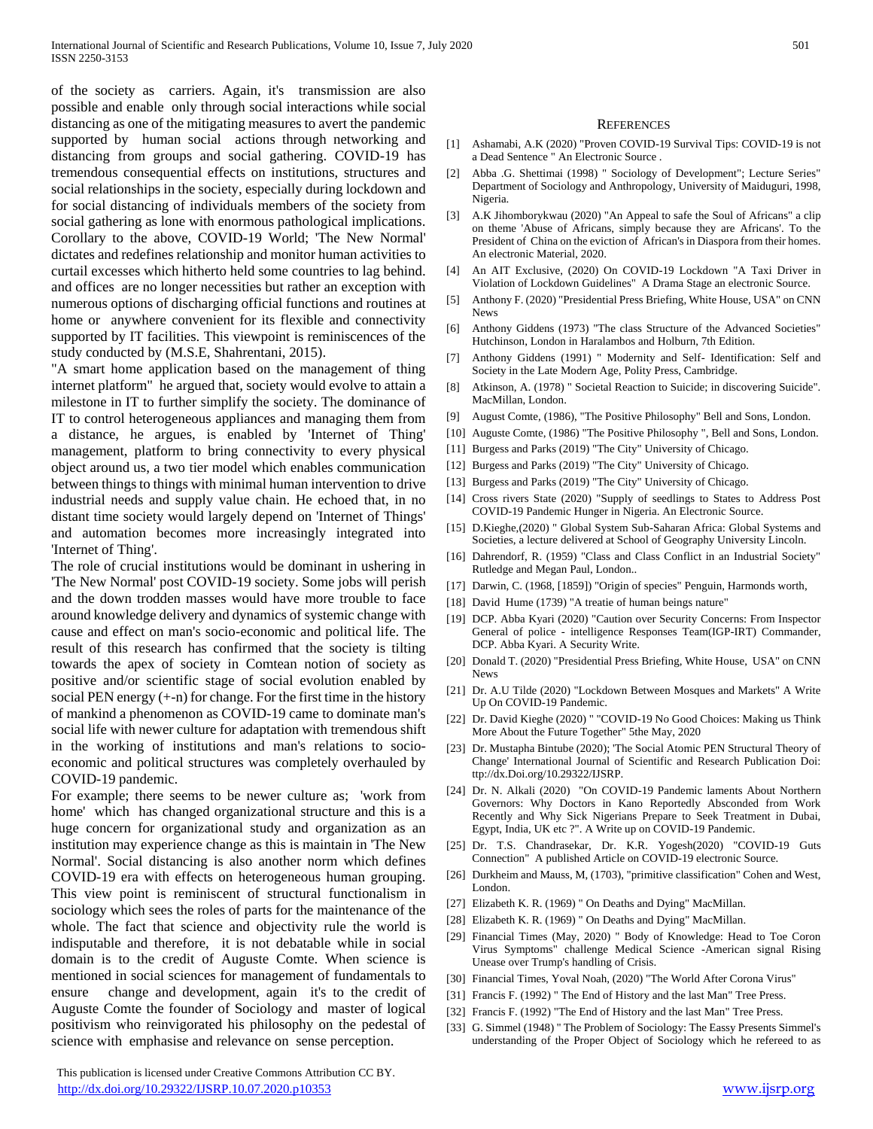of the society as carriers. Again, it's transmission are also possible and enable only through social interactions while social distancing as one of the mitigating measures to avert the pandemic supported by human social actions through networking and distancing from groups and social gathering. COVID-19 has tremendous consequential effects on institutions, structures and social relationships in the society, especially during lockdown and for social distancing of individuals members of the society from social gathering as lone with enormous pathological implications. Corollary to the above, COVID-19 World; 'The New Normal' dictates and redefines relationship and monitor human activities to curtail excesses which hitherto held some countries to lag behind. and offices are no longer necessities but rather an exception with numerous options of discharging official functions and routines at home or anywhere convenient for its flexible and connectivity supported by IT facilities. This viewpoint is reminiscences of the study conducted by (M.S.E, Shahrentani, 2015).

"A smart home application based on the management of thing internet platform" he argued that, society would evolve to attain a milestone in IT to further simplify the society. The dominance of IT to control heterogeneous appliances and managing them from a distance, he argues, is enabled by 'Internet of Thing' management, platform to bring connectivity to every physical object around us, a two tier model which enables communication between things to things with minimal human intervention to drive industrial needs and supply value chain. He echoed that, in no distant time society would largely depend on 'Internet of Things' and automation becomes more increasingly integrated into 'Internet of Thing'.

The role of crucial institutions would be dominant in ushering in 'The New Normal' post COVID-19 society. Some jobs will perish and the down trodden masses would have more trouble to face around knowledge delivery and dynamics of systemic change with cause and effect on man's socio-economic and political life. The result of this research has confirmed that the society is tilting towards the apex of society in Comtean notion of society as positive and/or scientific stage of social evolution enabled by social PEN energy (+-n) for change. For the first time in the history of mankind a phenomenon as COVID-19 came to dominate man's social life with newer culture for adaptation with tremendous shift in the working of institutions and man's relations to socioeconomic and political structures was completely overhauled by COVID-19 pandemic.

For example; there seems to be newer culture as; 'work from home' which has changed organizational structure and this is a huge concern for organizational study and organization as an institution may experience change as this is maintain in 'The New Normal'. Social distancing is also another norm which defines COVID-19 era with effects on heterogeneous human grouping. This view point is reminiscent of structural functionalism in sociology which sees the roles of parts for the maintenance of the whole. The fact that science and objectivity rule the world is indisputable and therefore, it is not debatable while in social domain is to the credit of Auguste Comte. When science is mentioned in social sciences for management of fundamentals to ensure change and development, again it's to the credit of Auguste Comte the founder of Sociology and master of logical positivism who reinvigorated his philosophy on the pedestal of science with emphasise and relevance on sense perception.

#### **REFERENCES**

- [1] Ashamabi, A.K (2020) "Proven COVID-19 Survival Tips: COVID-19 is not a Dead Sentence " An Electronic Source .
- [2] Abba .G. Shettimai (1998) " Sociology of Development"; Lecture Series" Department of Sociology and Anthropology, University of Maiduguri, 1998, Nigeria.
- [3] A.K Jihomborykwau (2020) "An Appeal to safe the Soul of Africans" a clip on theme 'Abuse of Africans, simply because they are Africans'. To the President of China on the eviction of African's in Diaspora from their homes. An electronic Material, 2020.
- [4] An AIT Exclusive, (2020) On COVID-19 Lockdown "A Taxi Driver in Violation of Lockdown Guidelines" A Drama Stage an electronic Source.
- [5] Anthony F. (2020) "Presidential Press Briefing, White House, USA" on CNN News
- [6] Anthony Giddens (1973) "The class Structure of the Advanced Societies" Hutchinson, London in Haralambos and Holburn, 7th Edition.
- [7] Anthony Giddens (1991) " Modernity and Self- Identification: Self and Society in the Late Modern Age, Polity Press, Cambridge.
- [8] Atkinson, A. (1978) " Societal Reaction to Suicide; in discovering Suicide". MacMillan, London.
- [9] August Comte, (1986), "The Positive Philosophy" Bell and Sons, London.
- [10] Auguste Comte, (1986) "The Positive Philosophy ", Bell and Sons, London.
- [11] Burgess and Parks (2019) "The City" University of Chicago.
- [12] Burgess and Parks (2019) "The City" University of Chicago.
- [13] Burgess and Parks (2019) "The City" University of Chicago.
- [14] Cross rivers State (2020) "Supply of seedlings to States to Address Post COVID-19 Pandemic Hunger in Nigeria. An Electronic Source.
- [15] D.Kieghe,(2020) " Global System Sub-Saharan Africa: Global Systems and Societies, a lecture delivered at School of Geography University Lincoln.
- [16] Dahrendorf, R. (1959) "Class and Class Conflict in an Industrial Society" Rutledge and Megan Paul, London..
- [17] Darwin, C. (1968, [1859]) "Origin of species" Penguin, Harmonds worth,
- [18] David Hume (1739) "A treatie of human beings nature"
- [19] DCP. Abba Kyari (2020) "Caution over Security Concerns: From Inspector General of police - intelligence Responses Team(IGP-IRT) Commander, DCP. Abba Kyari. A Security Write.
- [20] Donald T. (2020) "Presidential Press Briefing, White House, USA" on CNN News
- [21] Dr. A.U Tilde (2020) "Lockdown Between Mosques and Markets" A Write Up On COVID-19 Pandemic.
- [22] Dr. David Kieghe (2020) " "COVID-19 No Good Choices: Making us Think More About the Future Together" 5the May, 2020
- [23] Dr. Mustapha Bintube (2020); 'The Social Atomic PEN Structural Theory of Change' International Journal of Scientific and Research Publication Doi: ttp://dx.Doi.org/10.29322/IJSRP.
- [24] Dr. N. Alkali (2020) "On COVID-19 Pandemic laments About Northern Governors: Why Doctors in Kano Reportedly Absconded from Work Recently and Why Sick Nigerians Prepare to Seek Treatment in Dubai, Egypt, India, UK etc ?". A Write up on COVID-19 Pandemic.
- [25] Dr. T.S. Chandrasekar, Dr. K.R. Yogesh(2020) "COVID-19 Guts Connection" A published Article on COVID-19 electronic Source.
- [26] Durkheim and Mauss, M, (1703), "primitive classification" Cohen and West, London.
- [27] Elizabeth K. R. (1969) " On Deaths and Dying" MacMillan.
- [28] Elizabeth K. R. (1969) " On Deaths and Dying" MacMillan.
- [29] Financial Times (May, 2020) " Body of Knowledge: Head to Toe Coron Virus Symptoms" challenge Medical Science -American signal Rising Unease over Trump's handling of Crisis.
- [30] Financial Times, Yoval Noah, (2020) "The World After Corona Virus"
- [31] Francis F. (1992) " The End of History and the last Man" Tree Press.
- [32] Francis F. (1992) "The End of History and the last Man" Tree Press.
- [33] G. Simmel (1948) " The Problem of Sociology: The Eassy Presents Simmel's understanding of the Proper Object of Sociology which he refereed to as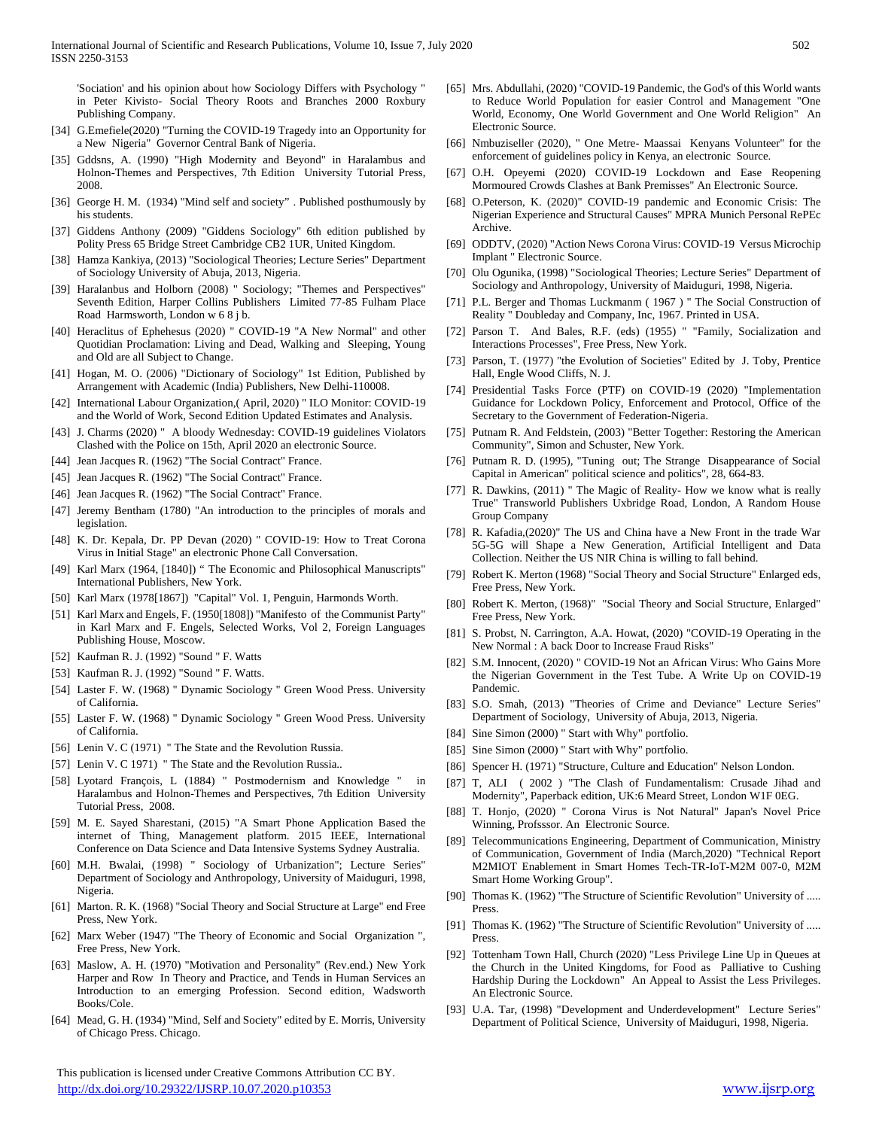'Sociation' and his opinion about how Sociology Differs with Psychology " in Peter Kivisto- Social Theory Roots and Branches 2000 Roxbury Publishing Company.

- [34] G.Emefiele(2020) "Turning the COVID-19 Tragedy into an Opportunity for a New Nigeria" Governor Central Bank of Nigeria.
- [35] Gddsns, A. (1990) "High Modernity and Beyond" in Haralambus and Holnon-Themes and Perspectives, 7th Edition University Tutorial Press, 2008.
- [36] George H. M. (1934) "Mind self and society" . Published posthumously by his students.
- [37] Giddens Anthony (2009) "Giddens Sociology" 6th edition published by Polity Press 65 Bridge Street Cambridge CB2 1UR, United Kingdom.
- [38] Hamza Kankiya, (2013) "Sociological Theories; Lecture Series" Department of Sociology University of Abuja, 2013, Nigeria.
- [39] Haralanbus and Holborn (2008) " Sociology; "Themes and Perspectives" Seventh Edition, Harper Collins Publishers Limited 77-85 Fulham Place Road Harmsworth, London w 6 8 j b.
- [40] Heraclitus of Ephehesus (2020) " COVID-19 "A New Normal" and other Quotidian Proclamation: Living and Dead, Walking and Sleeping, Young and Old are all Subject to Change.
- [41] Hogan, M. O. (2006) "Dictionary of Sociology" 1st Edition, Published by Arrangement with Academic (India) Publishers, New Delhi-110008.
- [42] International Labour Organization,( April, 2020) " ILO Monitor: COVID-19 and the World of Work, Second Edition Updated Estimates and Analysis.
- [43] J. Charms (2020) " A bloody Wednesday: COVID-19 guidelines Violators Clashed with the Police on 15th, April 2020 an electronic Source.
- [44] Jean Jacques R. (1962) "The Social Contract" France.
- [45] Jean Jacques R. (1962) "The Social Contract" France.
- [46] Jean Jacques R. (1962) "The Social Contract" France.
- [47] Jeremy Bentham (1780) "An introduction to the principles of morals and legislation.
- [48] K. Dr. Kepala, Dr. PP Devan (2020) " COVID-19: How to Treat Corona Virus in Initial Stage" an electronic Phone Call Conversation.
- [49] Karl Marx (1964, [1840]) " The Economic and Philosophical Manuscripts" International Publishers, New York.
- [50] Karl Marx (1978[1867]) "Capital" Vol. 1, Penguin, Harmonds Worth.
- [51] Karl Marx and Engels, F. (1950[1808]) "Manifesto of the Communist Party" in Karl Marx and F. Engels, Selected Works, Vol 2, Foreign Languages Publishing House, Moscow.
- [52] Kaufman R. J. (1992) "Sound " F. Watts
- [53] Kaufman R. J. (1992) "Sound " F. Watts.
- [54] Laster F. W. (1968) " Dynamic Sociology " Green Wood Press. University of California.
- [55] Laster F. W. (1968) " Dynamic Sociology " Green Wood Press. University of California.
- [56] Lenin V. C (1971) " The State and the Revolution Russia.
- [57] Lenin V. C 1971) " The State and the Revolution Russia..
- [58] Lyotard François, L (1884) " Postmodernism and Knowledge " in Haralambus and Holnon-Themes and Perspectives, 7th Edition University Tutorial Press, 2008.
- [59] M. E. Sayed Sharestani, (2015) "A Smart Phone Application Based the internet of Thing, Management platform. 2015 IEEE, International Conference on Data Science and Data Intensive Systems Sydney Australia.
- [60] M.H. Bwalai, (1998) " Sociology of Urbanization"; Lecture Series" Department of Sociology and Anthropology, University of Maiduguri, 1998, Nigeria.
- [61] Marton. R. K. (1968) "Social Theory and Social Structure at Large" end Free Press, New York.
- [62] Marx Weber (1947) "The Theory of Economic and Social Organization ", Free Press, New York.
- [63] Maslow, A. H. (1970) "Motivation and Personality" (Rev.end.) New York Harper and Row In Theory and Practice, and Tends in Human Services an Introduction to an emerging Profession. Second edition, Wadsworth Books/Cole.
- [64] Mead, G. H. (1934) "Mind, Self and Society" edited by E. Morris, University of Chicago Press. Chicago.

 This publication is licensed under Creative Commons Attribution CC BY. <http://dx.doi.org/10.29322/IJSRP.10.07.2020.p10353> [www.ijsrp.org](http://ijsrp.org/)

- [65] Mrs. Abdullahi, (2020) "COVID-19 Pandemic, the God's of this World wants to Reduce World Population for easier Control and Management "One World, Economy, One World Government and One World Religion" An Electronic Source.
- [66] Nmbuziseller (2020), " One Metre- Maassai Kenyans Volunteer" for the enforcement of guidelines policy in Kenya, an electronic Source.
- [67] O.H. Opeyemi (2020) COVID-19 Lockdown and Ease Reopening Mormoured Crowds Clashes at Bank Premisses" An Electronic Source.
- [68] O.Peterson, K. (2020)" COVID-19 pandemic and Economic Crisis: The Nigerian Experience and Structural Causes" MPRA Munich Personal RePEc Archive.
- [69] ODDTV, (2020) "Action News Corona Virus: COVID-19 Versus Microchip Implant " Electronic Source.
- [70] Olu Ogunika, (1998) "Sociological Theories; Lecture Series" Department of Sociology and Anthropology, University of Maiduguri, 1998, Nigeria.
- [71] P.L. Berger and Thomas Luckmanm (1967) " The Social Construction of Reality " Doubleday and Company, Inc, 1967. Printed in USA.
- [72] Parson T. And Bales, R.F. (eds) (1955) " "Family, Socialization and Interactions Processes", Free Press, New York.
- [73] Parson, T. (1977) "the Evolution of Societies" Edited by J. Toby, Prentice Hall, Engle Wood Cliffs, N. J.
- [74] Presidential Tasks Force (PTF) on COVID-19 (2020) "Implementation Guidance for Lockdown Policy, Enforcement and Protocol, Office of the Secretary to the Government of Federation-Nigeria.
- [75] Putnam R. And Feldstein, (2003) "Better Together: Restoring the American Community", Simon and Schuster, New York.
- [76] Putnam R. D. (1995), "Tuning out; The Strange Disappearance of Social Capital in American" political science and politics", 28, 664-83.
- [77] R. Dawkins, (2011) " The Magic of Reality- How we know what is really True" Transworld Publishers Uxbridge Road, London, A Random House Group Company
- [78] R. Kafadia,(2020)" The US and China have a New Front in the trade War 5G-5G will Shape a New Generation, Artificial Intelligent and Data Collection. Neither the US NIR China is willing to fall behind.
- [79] Robert K. Merton (1968) "Social Theory and Social Structure" Enlarged eds, Free Press, New York.
- [80] Robert K. Merton, (1968)" "Social Theory and Social Structure, Enlarged" Free Press, New York.
- [81] S. Probst, N. Carrington, A.A. Howat, (2020) "COVID-19 Operating in the New Normal : A back Door to Increase Fraud Risks"
- [82] S.M. Innocent, (2020) " COVID-19 Not an African Virus: Who Gains More the Nigerian Government in the Test Tube. A Write Up on COVID-19 Pandemic.
- [83] S.O. Smah, (2013) "Theories of Crime and Deviance" Lecture Series" Department of Sociology, University of Abuja, 2013, Nigeria.
- [84] Sine Simon (2000) " Start with Why" portfolio.
- [85] Sine Simon (2000) " Start with Why" portfolio.
- [86] Spencer H. (1971) "Structure, Culture and Education" Nelson London.
- [87] T, ALI ( 2002 ) "The Clash of Fundamentalism: Crusade Jihad and Modernity", Paperback edition, UK:6 Meard Street, London W1F 0EG.
- [88] T. Honjo, (2020) " Corona Virus is Not Natural" Japan's Novel Price Winning, Profsssor. An Electronic Source.
- [89] Telecommunications Engineering, Department of Communication, Ministry of Communication, Government of India (March,2020) "Technical Report M2MIOT Enablement in Smart Homes Tech-TR-IoT-M2M 007-0, M2M Smart Home Working Group".
- [90] Thomas K. (1962) "The Structure of Scientific Revolution" University of ..... Press.
- [91] Thomas K. (1962) "The Structure of Scientific Revolution" University of ..... Press.
- [92] Tottenham Town Hall, Church (2020) "Less Privilege Line Up in Queues at the Church in the United Kingdoms, for Food as Palliative to Cushing Hardship During the Lockdown" An Appeal to Assist the Less Privileges. An Electronic Source.
- [93] U.A. Tar, (1998) "Development and Underdevelopment" Lecture Series" Department of Political Science, University of Maiduguri, 1998, Nigeria.